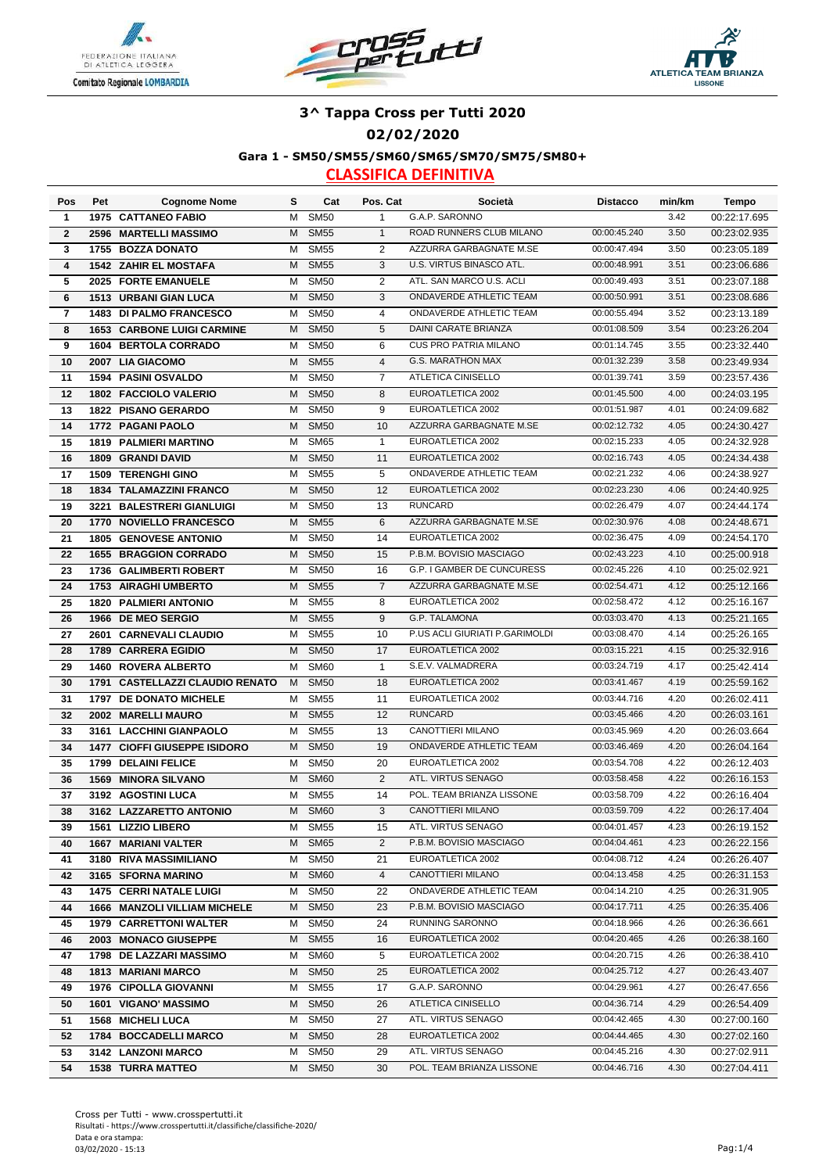





### **02/02/2020**

**Gara 1 - SM50/SM55/SM60/SM65/SM70/SM75/SM80+**

| Pos            | Pet  | <b>Cognome Nome</b>                            | s | Cat         | Pos. Cat       | Società                        | <b>Distacco</b> | min/km | Tempo        |
|----------------|------|------------------------------------------------|---|-------------|----------------|--------------------------------|-----------------|--------|--------------|
| 1              |      | <b>1975 CATTANEO FABIO</b>                     | M | <b>SM50</b> | $\mathbf{1}$   | G.A.P. SARONNO                 |                 | 3.42   | 00:22:17.695 |
| $\mathbf{2}$   |      | 2596 MARTELLI MASSIMO                          | M | <b>SM55</b> | $\mathbf{1}$   | ROAD RUNNERS CLUB MILANO       | 00:00:45.240    | 3.50   | 00:23:02.935 |
| 3              |      | 1755 BOZZA DONATO                              | M | <b>SM55</b> | $\overline{2}$ | AZZURRA GARBAGNATE M.SE        | 00:00:47.494    | 3.50   | 00:23:05.189 |
| 4              |      | <b>1542 ZAHIR EL MOSTAFA</b>                   | M | <b>SM55</b> | 3              | U.S. VIRTUS BINASCO ATL.       | 00:00:48.991    | 3.51   | 00:23:06.686 |
| 5              |      | 2025 FORTE EMANUELE                            | M | <b>SM50</b> | 2              | ATL. SAN MARCO U.S. ACLI       | 00:00:49.493    | 3.51   | 00:23:07.188 |
| 6              |      | 1513 URBANI GIAN LUCA                          | M | <b>SM50</b> | 3              | ONDAVERDE ATHLETIC TEAM        | 00:00:50.991    | 3.51   | 00:23:08.686 |
| $\overline{7}$ |      | 1483 DI PALMO FRANCESCO                        | M | <b>SM50</b> | $\overline{4}$ | ONDAVERDE ATHLETIC TEAM        | 00:00:55.494    | 3.52   | 00:23:13.189 |
| 8              |      | <b>1653 CARBONE LUIGI CARMINE</b>              | M | <b>SM50</b> | 5              | DAINI CARATE BRIANZA           | 00:01:08.509    | 3.54   | 00:23:26.204 |
| 9              |      | <b>1604 BERTOLA CORRADO</b>                    | M | <b>SM50</b> | 6              | <b>CUS PRO PATRIA MILANO</b>   | 00:01:14.745    | 3.55   | 00:23:32.440 |
| 10             |      | 2007 LIA GIACOMO                               | M | <b>SM55</b> | 4              | <b>G.S. MARATHON MAX</b>       | 00:01:32.239    | 3.58   | 00:23:49.934 |
| 11             |      | <b>1594 PASINI OSVALDO</b>                     | м | <b>SM50</b> | 7              | ATLETICA CINISELLO             | 00:01:39.741    | 3.59   | 00:23:57.436 |
| 12             |      | 1802 FACCIOLO VALERIO                          | м | <b>SM50</b> | 8              | EUROATLETICA 2002              | 00:01:45.500    | 4.00   | 00:24:03.195 |
| 13             |      | <b>1822 PISANO GERARDO</b>                     | м | <b>SM50</b> | 9              | EUROATLETICA 2002              | 00:01:51.987    | 4.01   | 00:24:09.682 |
| 14             |      | 1772 PAGANI PAOLO                              | M | <b>SM50</b> | 10             | AZZURRA GARBAGNATE M.SE        | 00:02:12.732    | 4.05   | 00:24:30.427 |
| 15             |      | <b>1819 PALMIERI MARTINO</b>                   | M | <b>SM65</b> | $\mathbf{1}$   | EUROATLETICA 2002              | 00:02:15.233    | 4.05   | 00:24:32.928 |
| 16             |      | 1809 GRANDI DAVID                              | M | <b>SM50</b> | 11             | EUROATLETICA 2002              | 00:02:16.743    | 4.05   | 00:24:34.438 |
| 17             |      | <b>1509 TERENGHI GINO</b>                      | M | <b>SM55</b> | 5              | ONDAVERDE ATHLETIC TEAM        | 00:02:21.232    | 4.06   | 00:24:38.927 |
| 18             |      | 1834 TALAMAZZINI FRANCO                        | M | <b>SM50</b> | 12             | EUROATLETICA 2002              | 00:02:23.230    | 4.06   | 00:24:40.925 |
| 19             |      | 3221 BALESTRERI GIANLUIGI                      | м | <b>SM50</b> | 13             | <b>RUNCARD</b>                 | 00:02:26.479    | 4.07   | 00:24:44.174 |
| 20             |      | 1770 NOVIELLO FRANCESCO                        | M | <b>SM55</b> | 6              | AZZURRA GARBAGNATE M.SE        | 00:02:30.976    | 4.08   | 00:24:48.671 |
| 21             |      | <b>1805 GENOVESE ANTONIO</b>                   | M | <b>SM50</b> | 14             | EUROATLETICA 2002              | 00:02:36.475    | 4.09   | 00:24:54.170 |
| 22             |      | <b>1655 BRAGGION CORRADO</b>                   | M | <b>SM50</b> | 15             | P.B.M. BOVISIO MASCIAGO        | 00:02:43.223    | 4.10   | 00:25:00.918 |
| 23             |      | 1736 GALIMBERTI ROBERT                         | м | <b>SM50</b> | 16             | G.P. I GAMBER DE CUNCURESS     | 00:02:45.226    | 4.10   | 00:25:02.921 |
| 24             |      | <b>1753 AIRAGHI UMBERTO</b>                    | M | <b>SM55</b> | 7              | AZZURRA GARBAGNATE M.SE        | 00:02:54.471    | 4.12   | 00:25:12.166 |
| 25             |      | <b>1820 PALMIERI ANTONIO</b>                   | м | <b>SM55</b> | 8              | EUROATLETICA 2002              | 00:02:58.472    | 4.12   | 00:25:16.167 |
| 26             |      | 1966 DE MEO SERGIO                             | м | <b>SM55</b> | 9              | G.P. TALAMONA                  | 00:03:03.470    | 4.13   | 00:25:21.165 |
| 27             |      | 2601 CARNEVALI CLAUDIO                         | м | <b>SM55</b> | 10             | P.US ACLI GIURIATI P.GARIMOLDI | 00:03:08.470    | 4.14   | 00:25:26.165 |
| 28             |      | 1789 CARRERA EGIDIO                            | M | <b>SM50</b> | 17             | EUROATLETICA 2002              | 00:03:15.221    | 4.15   | 00:25:32.916 |
| 29             |      | <b>1460 ROVERA ALBERTO</b>                     | м | <b>SM60</b> | $\mathbf{1}$   | S.E.V. VALMADRERA              | 00:03:24.719    | 4.17   | 00:25:42.414 |
| 30             |      | 1791 CASTELLAZZI CLAUDIO RENATO                | M | <b>SM50</b> | 18             | EUROATLETICA 2002              | 00:03:41.467    | 4.19   | 00:25:59.162 |
| 31             |      | 1797 DE DONATO MICHELE                         | м | <b>SM55</b> | 11             | EUROATLETICA 2002              | 00:03:44.716    | 4.20   | 00:26:02.411 |
| 32             |      | 2002 MARELLI MAURO                             | м | <b>SM55</b> | 12             | <b>RUNCARD</b>                 | 00:03:45.466    | 4.20   | 00:26:03.161 |
| 33             |      | 3161 LACCHINI GIANPAOLO                        | M | <b>SM55</b> | 13             | CANOTTIERI MILANO              | 00:03:45.969    | 4.20   | 00:26:03.664 |
| 34             |      | 1477 CIOFFI GIUSEPPE ISIDORO                   | M | <b>SM50</b> | 19             | ONDAVERDE ATHLETIC TEAM        | 00:03:46.469    | 4.20   | 00:26:04.164 |
| 35             | 1799 | <b>DELAINI FELICE</b>                          | M | <b>SM50</b> | 20             | EUROATLETICA 2002              | 00:03:54.708    | 4.22   | 00:26:12.403 |
| 36             | 1569 | <b>MINORA SILVANO</b>                          | M | <b>SM60</b> | 2              | ATL. VIRTUS SENAGO             | 00:03:58.458    | 4.22   | 00:26:16.153 |
| 37             |      | 3192 AGOSTINI LUCA                             | М | <b>SM55</b> | 14             | POL. TEAM BRIANZA LISSONE      | 00:03:58.709    | 4.22   | 00:26:16.404 |
| 38             |      | 3162 LAZZARETTO ANTONIO                        | M | <b>SM60</b> | 3              | <b>CANOTTIERI MILANO</b>       | 00:03:59.709    | 4.22   | 00:26:17.404 |
| 39             |      | 1561 LIZZIO LIBERO                             |   | M SM55      | 15             | ATL. VIRTUS SENAGO             | 00:04:01.457    | 4.23   | 00:26:19.152 |
| 40             |      | <b>1667 MARIANI VALTER</b>                     |   | M SM65      | $\overline{2}$ | P.B.M. BOVISIO MASCIAGO        | 00:04:04.461    | 4.23   | 00:26:22.156 |
| 41             |      | 3180 RIVA MASSIMILIANO                         | м | <b>SM50</b> | 21             | EUROATLETICA 2002              | 00:04:08.712    | 4.24   | 00:26:26.407 |
| 42             |      | 3165 SFORNA MARINO                             | M | <b>SM60</b> | 4              | CANOTTIERI MILANO              | 00:04:13.458    | 4.25   | 00:26:31.153 |
| 43             |      | <b>1475 CERRI NATALE LUIGI</b>                 | м | <b>SM50</b> | 22             | ONDAVERDE ATHLETIC TEAM        | 00:04:14.210    | 4.25   | 00:26:31.905 |
| 44             |      | <b>1666 MANZOLI VILLIAM MICHELE</b>            | м | <b>SM50</b> | 23             | P.B.M. BOVISIO MASCIAGO        | 00:04:17.711    | 4.25   | 00:26:35.406 |
| 45             |      | <b>1979 CARRETTONI WALTER</b>                  | M | <b>SM50</b> | 24             | RUNNING SARONNO                | 00:04:18.966    | 4.26   | 00:26:36.661 |
| 46             |      | 2003 MONACO GIUSEPPE                           | M | <b>SM55</b> | 16             | EUROATLETICA 2002              | 00:04:20.465    | 4.26   | 00:26:38.160 |
| 47             |      | 1798 DE LAZZARI MASSIMO                        | м | <b>SM60</b> | 5              | EUROATLETICA 2002              | 00:04:20.715    | 4.26   | 00:26:38.410 |
| 48             |      | 1813 MARIANI MARCO                             | M | <b>SM50</b> | 25             | EUROATLETICA 2002              | 00:04:25.712    | 4.27   | 00:26:43.407 |
| 49             |      | 1976 CIPOLLA GIOVANNI                          | M | SM55        | 17             | G.A.P. SARONNO                 | 00:04:29.961    | 4.27   | 00:26:47.656 |
| 50             |      | 1601 VIGANO' MASSIMO                           |   | M SM50      | 26             | ATLETICA CINISELLO             | 00:04:36.714    | 4.29   | 00:26:54.409 |
| 51             |      | <b>1568 MICHELI LUCA</b>                       |   | M SM50      | 27             | ATL. VIRTUS SENAGO             | 00:04:42.465    | 4.30   | 00:27:00.160 |
| 52             |      | 1784 BOCCADELLI MARCO                          |   | M SM50      | 28             | EUROATLETICA 2002              | 00:04:44.465    | 4.30   | 00:27:02.160 |
|                |      |                                                |   | M SM50      | 29             | ATL. VIRTUS SENAGO             | 00:04:45.216    | 4.30   | 00:27:02.911 |
| 53<br>54       |      | 3142 LANZONI MARCO<br><b>1538 TURRA MATTEO</b> |   | M SM50      | 30             | POL. TEAM BRIANZA LISSONE      | 00:04:46.716    | 4.30   | 00:27:04.411 |
|                |      |                                                |   |             |                |                                |                 |        |              |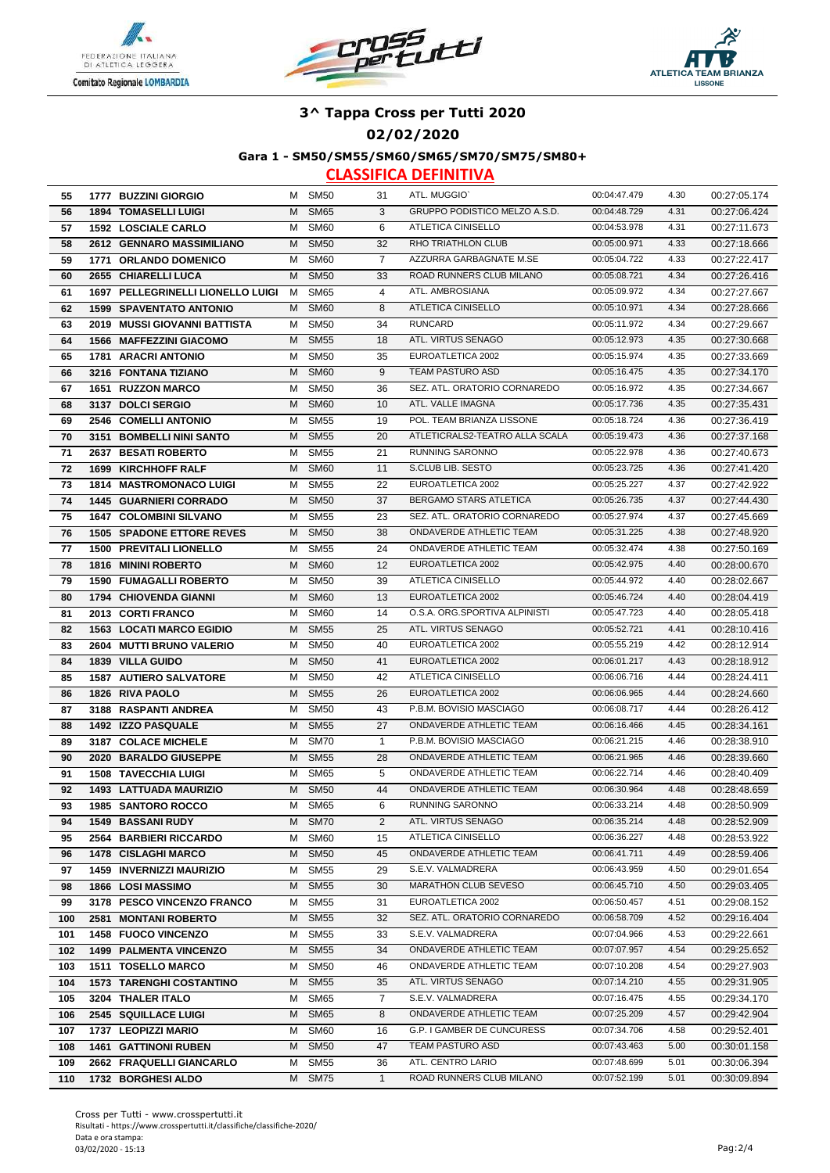





#### **02/02/2020**

**Gara 1 - SM50/SM55/SM60/SM65/SM70/SM75/SM80+**

| 55        | 1777 BUZZINI GIORGIO                                         | M      | SM <sub>50</sub>           | 31             | ATL. MUGGIO`                                       | 00:04:47.479                 | 4.30         | 00:27:05.174                 |
|-----------|--------------------------------------------------------------|--------|----------------------------|----------------|----------------------------------------------------|------------------------------|--------------|------------------------------|
| 56        | <b>1894 TOMASELLI LUIGI</b>                                  | M      | <b>SM65</b>                | 3              | GRUPPO PODISTICO MELZO A.S.D.                      | 00:04:48.729                 | 4.31         | 00:27:06.424                 |
| 57        | <b>1592 LOSCIALE CARLO</b>                                   | м      | <b>SM60</b>                | 6              | ATLETICA CINISELLO                                 | 00:04:53.978                 | 4.31         | 00:27:11.673                 |
| 58        | 2612 GENNARO MASSIMILIANO                                    | м      | <b>SM50</b>                | 32             | RHO TRIATHLON CLUB                                 | 00:05:00.971                 | 4.33         | 00:27:18.666                 |
| 59        | 1771 ORLANDO DOMENICO                                        | м      | <b>SM60</b>                | $\overline{7}$ | AZZURRA GARBAGNATE M.SE                            | 00:05:04.722                 | 4.33         | 00:27:22.417                 |
| 60        | 2655 CHIARELLI LUCA                                          | M      | <b>SM50</b>                | 33             | ROAD RUNNERS CLUB MILANO                           | 00:05:08.721                 | 4.34         | 00:27:26.416                 |
| 61        | 1697 PELLEGRINELLI LIONELLO LUIGI                            | м      | <b>SM65</b>                | 4              | ATL. AMBROSIANA                                    | 00:05:09.972                 | 4.34         | 00:27:27.667                 |
| 62        | <b>1599 SPAVENTATO ANTONIO</b>                               | M      | <b>SM60</b>                | 8              | ATLETICA CINISELLO                                 | 00:05:10.971                 | 4.34         | 00:27:28.666                 |
| 63        | 2019 MUSSI GIOVANNI BATTISTA                                 | М      | <b>SM50</b>                | 34             | <b>RUNCARD</b>                                     | 00:05:11.972                 | 4.34         | 00:27:29.667                 |
| 64        | 1566 MAFFEZZINI GIACOMO                                      | M      | <b>SM55</b>                | 18             | ATL. VIRTUS SENAGO                                 | 00:05:12.973                 | 4.35         | 00:27:30.668                 |
| 65        | <b>1781 ARACRI ANTONIO</b>                                   | м      | <b>SM50</b>                | 35             | EUROATLETICA 2002                                  | 00:05:15.974                 | 4.35         | 00:27:33.669                 |
| 66        | 3216 FONTANA TIZIANO                                         | М      | <b>SM60</b>                | 9              | <b>TEAM PASTURO ASD</b>                            | 00:05:16.475                 | 4.35         | 00:27:34.170                 |
| 67        | <b>1651 RUZZON MARCO</b>                                     | м      | <b>SM50</b>                | 36             | SEZ. ATL. ORATORIO CORNAREDO                       | 00:05:16.972                 | 4.35         | 00:27:34.667                 |
| 68        | 3137 DOLCI SERGIO                                            | м      | <b>SM60</b>                | 10             | ATL. VALLE IMAGNA                                  | 00:05:17.736                 | 4.35         | 00:27:35.431                 |
| 69        | 2546 COMELLI ANTONIO                                         | м      | <b>SM55</b>                | 19             | POL. TEAM BRIANZA LISSONE                          | 00:05:18.724                 | 4.36         | 00:27:36.419                 |
| 70        | 3151 BOMBELLI NINI SANTO                                     | м      | <b>SM55</b>                | 20             | ATLETICRALS2-TEATRO ALLA SCALA                     | 00:05:19.473                 | 4.36         | 00:27:37.168                 |
| 71        | 2637 BESATI ROBERTO                                          | м      | <b>SM55</b>                | 21             | RUNNING SARONNO                                    | 00:05:22.978                 | 4.36         | 00:27:40.673                 |
| 72        | <b>1699 KIRCHHOFF RALF</b>                                   | M      | <b>SM60</b>                | 11             | S.CLUB LIB. SESTO                                  | 00:05:23.725                 | 4.36         | 00:27:41.420                 |
| 73        | <b>1814 MASTROMONACO LUIGI</b>                               | м      | <b>SM55</b>                | 22             | EUROATLETICA 2002                                  | 00:05:25.227                 | 4.37         | 00:27:42.922                 |
| 74        | <b>1445 GUARNIERI CORRADO</b>                                | м      | <b>SM50</b>                | 37             | BERGAMO STARS ATLETICA                             | 00:05:26.735                 | 4.37         | 00:27:44.430                 |
| 75        | <b>1647 COLOMBINI SILVANO</b>                                | М      | <b>SM55</b>                | 23             | SEZ. ATL. ORATORIO CORNAREDO                       | 00:05:27.974                 | 4.37         | 00:27:45.669                 |
| 76        | <b>1505 SPADONE ETTORE REVES</b>                             | м      | <b>SM50</b>                | 38             | <b>ONDAVERDE ATHLETIC TEAM</b>                     | 00:05:31.225                 | 4.38         | 00:27:48.920                 |
| 77        | 1500 PREVITALI LIONELLO                                      | м      | <b>SM55</b>                | 24             | ONDAVERDE ATHLETIC TEAM                            | 00:05:32.474                 | 4.38         |                              |
|           | <b>1816 MININI ROBERTO</b>                                   |        |                            | 12             | EUROATLETICA 2002                                  | 00:05:42.975                 | 4.40         | 00:27:50.169                 |
| 78        |                                                              | M<br>м | <b>SM60</b><br><b>SM50</b> | 39             | ATLETICA CINISELLO                                 | 00:05:44.972                 | 4.40         | 00:28:00.670                 |
| 79        | <b>1590 FUMAGALLI ROBERTO</b>                                | м      | <b>SM60</b>                | 13             | EUROATLETICA 2002                                  | 00:05:46.724                 | 4.40         | 00:28:02.667                 |
| 80<br>81  | <b>1794 CHIOVENDA GIANNI</b><br>2013 CORTI FRANCO            |        | <b>SM60</b>                | 14             | O.S.A. ORG SPORTIVA ALPINISTI                      | 00:05:47.723                 | 4.40         | 00:28:04.419                 |
|           | <b>1563 LOCATI MARCO EGIDIO</b>                              | м      | <b>SM55</b>                |                | ATL. VIRTUS SENAGO                                 | 00:05:52.721                 | 4.41         | 00:28:05.418                 |
| 82<br>83  | 2604 MUTTI BRUNO VALERIO                                     | м<br>м | <b>SM50</b>                | 25<br>40       | EUROATLETICA 2002                                  | 00:05:55.219                 | 4.42         | 00:28:10.416<br>00:28:12.914 |
|           |                                                              | M      | <b>SM50</b>                | 41             | EUROATLETICA 2002                                  | 00:06:01.217                 | 4.43         | 00:28:18.912                 |
| 84<br>85  | 1839 VILLA GUIDO<br><b>1587 AUTIERO SALVATORE</b>            | м      | <b>SM50</b>                | 42             | ATLETICA CINISELLO                                 | 00:06:06.716                 | 4.44         | 00:28:24.411                 |
| 86        | 1826 RIVA PAOLO                                              | м      | <b>SM55</b>                | 26             | EUROATLETICA 2002                                  | 00:06:06.965                 | 4.44         | 00:28:24.660                 |
|           | 3188 RASPANTI ANDREA                                         | М      | <b>SM50</b>                | 43             | P.B.M. BOVISIO MASCIAGO                            | 00:06:08.717                 | 4.44         | 00:28:26.412                 |
| 87        | 1492 IZZO PASQUALE                                           | М      | <b>SM55</b>                | 27             | ONDAVERDE ATHLETIC TEAM                            | 00:06:16.466                 | 4.45         | 00:28:34.161                 |
| 88<br>89  | 3187 COLACE MICHELE                                          | м      | <b>SM70</b>                | $\mathbf{1}$   | P.B.M. BOVISIO MASCIAGO                            | 00:06:21.215                 | 4.46         | 00:28:38.910                 |
| 90        | 2020 BARALDO GIUSEPPE                                        | M      | <b>SM55</b>                | 28             | ONDAVERDE ATHLETIC TEAM                            | 00:06:21.965                 | 4.46         | 00:28:39.660                 |
|           |                                                              | м      | <b>SM65</b>                | 5              | ONDAVERDE ATHLETIC TEAM                            | 00:06:22.714                 | 4.46         |                              |
| 91<br>92  | <b>1508 TAVECCHIA LUIGI</b><br><b>1493 LATTUADA MAURIZIO</b> | м      | <b>SM50</b>                | 44             | ONDAVERDE ATHLETIC TEAM                            | 00:06:30.964                 | 4.48         | 00:28:40.409<br>00:28:48.659 |
| 93        | <b>1985 SANTORO ROCCO</b>                                    | м      | <b>SM65</b>                | 6              | <b>RUNNING SARONNO</b>                             | 00:06:33.214                 | 4.48         | 00:28:50.909                 |
| 94        | <b>1549 BASSANI RUDY</b>                                     |        | M SM70                     | $\overline{2}$ | ATL. VIRTUS SENAGO                                 | 00:06:35.214                 | 4.48         | 00:28:52.909                 |
| 95        | 2564 BARBIERI RICCARDO                                       | M      | SM60                       | 15             | ATLETICA CINISELLO                                 | 00:06:36.227                 | 4.48         | 00:28:53.922                 |
|           | <b>1478 CISLAGHI MARCO</b>                                   | М      | <b>SM50</b>                | 45             | ONDAVERDE ATHLETIC TEAM                            | 00:06:41.711                 | 4.49         | 00:28:59.406                 |
| 96<br>97  | <b>1459 INVERNIZZI MAURIZIO</b>                              | М      | <b>SM55</b>                | 29             | S.E.V. VALMADRERA                                  | 00:06:43.959                 | 4.50         | 00:29:01.654                 |
| 98        | 1866 LOSI MASSIMO                                            | м      | <b>SM55</b>                | 30             | MARATHON CLUB SEVESO                               | 00:06:45.710                 | 4.50         | 00:29:03.405                 |
|           |                                                              | м      | <b>SM55</b>                | 31             | EUROATLETICA 2002                                  | 00:06:50.457                 | 4.51         |                              |
| 99<br>100 | 3178 PESCO VINCENZO FRANCO<br>2581 MONTANI ROBERTO           |        | <b>SM55</b>                | 32             | SEZ. ATL. ORATORIO CORNAREDO                       | 00:06:58.709                 | 4.52         | 00:29:08.152<br>00:29:16.404 |
|           | 1458 FUOCO VINCENZO                                          | м      |                            |                | S.E.V. VALMADRERA                                  | 00:07:04.966                 | 4.53         |                              |
| 101       |                                                              | м      | <b>SM55</b>                | 33             |                                                    |                              |              | 00:29:22.661                 |
| 102       | <b>1499 PALMENTA VINCENZO</b>                                | М      | <b>SM55</b>                | 34             | ONDAVERDE ATHLETIC TEAM<br>ONDAVERDE ATHLETIC TEAM | 00:07:07.957<br>00:07:10.208 | 4.54<br>4.54 | 00:29:25.652                 |
| 103       | 1511 TOSELLO MARCO                                           | м      | <b>SM50</b>                | 46             |                                                    |                              |              | 00:29:27.903                 |
| 104       | <b>1573 TARENGHI COSTANTINO</b>                              | м      | <b>SM55</b>                | 35             | ATL. VIRTUS SENAGO                                 | 00:07:14.210                 | 4.55         | 00:29:31.905                 |
| 105       | 3204 THALER ITALO                                            | м      | <b>SM65</b>                | $\overline{7}$ | S.E.V. VALMADRERA                                  | 00:07:16.475                 | 4.55         | 00:29:34.170                 |
| 106       | 2545 SQUILLACE LUIGI                                         | М      | <b>SM65</b>                | 8              | ONDAVERDE ATHLETIC TEAM                            | 00:07:25.209                 | 4.57         | 00:29:42.904                 |
| 107       | 1737 LEOPIZZI MARIO                                          | м      | SM60                       | 16             | G.P. I GAMBER DE CUNCURESS                         | 00:07:34.706                 | 4.58         | 00:29:52.401                 |
| 108       | <b>1461 GATTINONI RUBEN</b>                                  | M      | <b>SM50</b>                | 47             | TEAM PASTURO ASD                                   | 00:07:43.463                 | 5.00         | 00:30:01.158                 |
| 109       | 2662 FRAQUELLI GIANCARLO                                     | M      | <b>SM55</b>                | 36             | ATL. CENTRO LARIO                                  | 00:07:48.699                 | 5.01         | 00:30:06.394                 |
| 110       | 1732 BORGHESI ALDO                                           |        | M SM75                     | $\mathbf{1}$   | ROAD RUNNERS CLUB MILANO                           | 00:07:52.199                 | 5.01         | 00:30:09.894                 |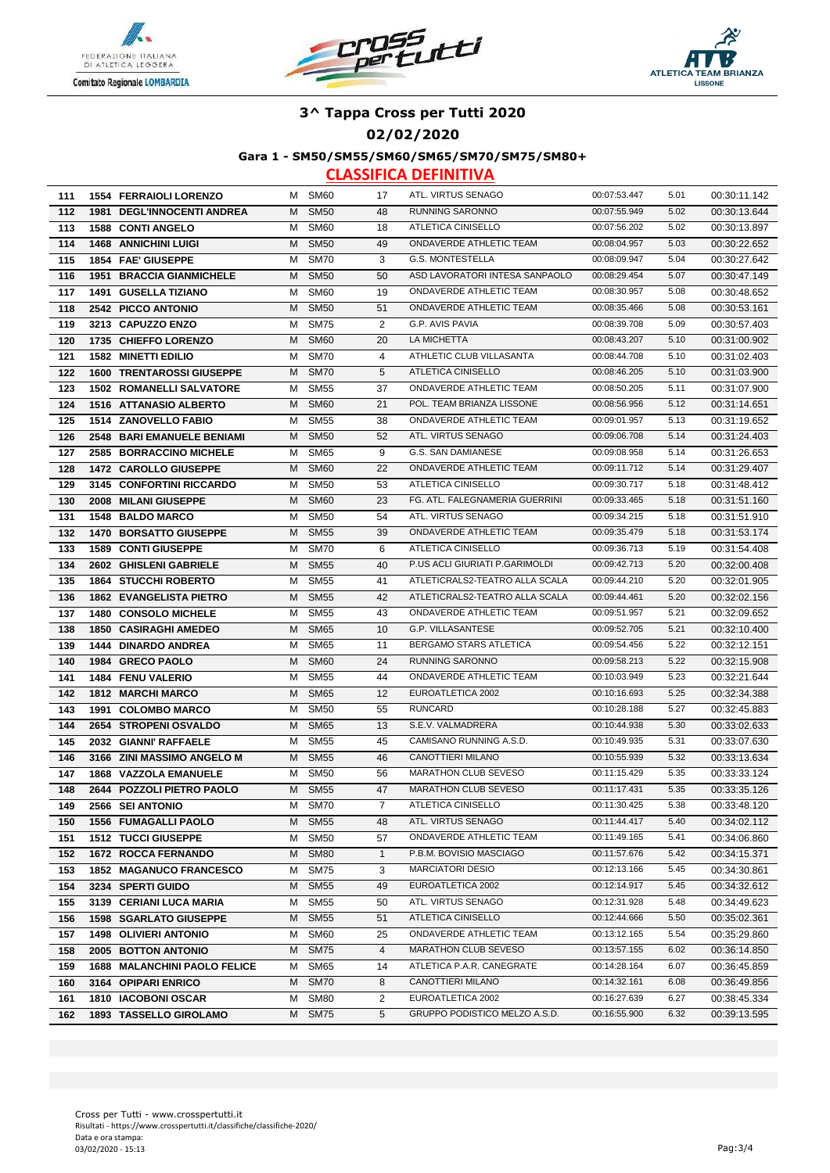





#### **02/02/2020**

**Gara 1 - SM50/SM55/SM60/SM65/SM70/SM75/SM80+**

| 111 | <b>1554 FERRAIOLI LORENZO</b> |                                     |   | M SM60      | 17             | ATL. VIRTUS SENAGO             | 00:07:53.447 | 5.01 | 00:30:11.142 |
|-----|-------------------------------|-------------------------------------|---|-------------|----------------|--------------------------------|--------------|------|--------------|
| 112 |                               | <b>1981 DEGL'INNOCENTI ANDREA</b>   | м | <b>SM50</b> | 48             | <b>RUNNING SARONNO</b>         | 00:07:55.949 | 5.02 | 00:30:13.644 |
| 113 | <b>1588 CONTI ANGELO</b>      |                                     | M | <b>SM60</b> | 18             | ATLETICA CINISELLO             | 00:07:56.202 | 5.02 | 00:30:13.897 |
| 114 | <b>1468 ANNICHINI LUIGI</b>   |                                     | M | <b>SM50</b> | 49             | ONDAVERDE ATHLETIC TEAM        | 00:08:04.957 | 5.03 | 00:30:22.652 |
| 115 | 1854 FAE' GIUSEPPE            |                                     | м | <b>SM70</b> | 3              | <b>G.S. MONTESTELLA</b>        | 00:08:09.947 | 5.04 | 00:30:27.642 |
| 116 |                               | <b>1951 BRACCIA GIANMICHELE</b>     | м | <b>SM50</b> | 50             | ASD LAVORATORI INTESA SANPAOLO | 00:08:29.454 | 5.07 | 00:30:47.149 |
| 117 | <b>1491 GUSELLA TIZIANO</b>   |                                     | м | <b>SM60</b> | 19             | ONDAVERDE ATHLETIC TEAM        | 00:08:30.957 | 5.08 | 00:30:48.652 |
| 118 | 2542 PICCO ANTONIO            |                                     | М | <b>SM50</b> | 51             | ONDAVERDE ATHLETIC TEAM        | 00:08:35.466 | 5.08 | 00:30:53.161 |
| 119 | 3213 CAPUZZO ENZO             |                                     | м | <b>SM75</b> | 2              | G.P. AVIS PAVIA                | 00:08:39.708 | 5.09 | 00:30:57.403 |
| 120 | 1735 CHIEFFO LORENZO          |                                     | M | <b>SM60</b> | 20             | LA MICHETTA                    | 00:08:43.207 | 5.10 | 00:31:00.902 |
| 121 | <b>1582 MINETTI EDILIO</b>    |                                     | М | <b>SM70</b> | 4              | ATHLETIC CLUB VILLASANTA       | 00:08:44.708 | 5.10 | 00:31:02.403 |
| 122 |                               | <b>1600 TRENTAROSSI GIUSEPPE</b>    | M | <b>SM70</b> | 5              | ATLETICA CINISELLO             | 00:08:46.205 | 5.10 | 00:31:03.900 |
| 123 |                               | <b>1502 ROMANELLI SALVATORE</b>     | м | <b>SM55</b> | 37             | ONDAVERDE ATHLETIC TEAM        | 00:08:50.205 | 5.11 | 00:31:07.900 |
| 124 |                               | <b>1516 ATTANASIO ALBERTO</b>       | м | <b>SM60</b> | 21             | POL. TEAM BRIANZA LISSONE      | 00:08:56.956 | 5.12 | 00:31:14.651 |
| 125 | 1514 ZANOVELLO FABIO          |                                     | M | <b>SM55</b> | 38             | ONDAVERDE ATHLETIC TEAM        | 00:09:01.957 | 5.13 | 00:31:19.652 |
| 126 |                               | <b>2548 BARI EMANUELE BENIAMI</b>   | M | <b>SM50</b> | 52             | ATL. VIRTUS SENAGO             | 00:09:06.708 | 5.14 | 00:31:24.403 |
| 127 |                               | 2585 BORRACCINO MICHELE             | м | <b>SM65</b> | 9              | G.S. SAN DAMIANESE             | 00:09:08.958 | 5.14 | 00:31:26.653 |
| 128 | 1472 CAROLLO GIUSEPPE         |                                     | M | <b>SM60</b> | 22             | ONDAVERDE ATHLETIC TEAM        | 00:09:11.712 | 5.14 | 00:31:29.407 |
| 129 |                               | 3145 CONFORTINI RICCARDO            | м | <b>SM50</b> | 53             | ATLETICA CINISELLO             | 00:09:30.717 | 5.18 | 00:31:48.412 |
| 130 | 2008 MILANI GIUSEPPE          |                                     | M | <b>SM60</b> | 23             | FG. ATL. FALEGNAMERIA GUERRINI | 00:09:33.465 | 5.18 | 00:31:51.160 |
| 131 | <b>1548 BALDO MARCO</b>       |                                     | м | <b>SM50</b> | 54             | ATL. VIRTUS SENAGO             | 00:09:34.215 | 5.18 | 00:31:51.910 |
| 132 |                               | <b>1470 BORSATTO GIUSEPPE</b>       | M | <b>SM55</b> | 39             | <b>ONDAVERDE ATHLETIC TEAM</b> | 00:09:35.479 | 5.18 | 00:31:53.174 |
| 133 | <b>1589 CONTI GIUSEPPE</b>    |                                     | м | <b>SM70</b> | 6              | ATLETICA CINISELLO             | 00:09:36.713 | 5.19 | 00:31:54.408 |
| 134 | 2602 GHISLENI GABRIELE        |                                     | M | <b>SM55</b> | 40             | P.US ACLI GIURIATI P.GARIMOLDI | 00:09:42.713 | 5.20 | 00:32:00.408 |
| 135 | <b>1864 STUCCHI ROBERTO</b>   |                                     | м | <b>SM55</b> | 41             | ATLETICRALS2-TEATRO ALLA SCALA | 00:09:44.210 | 5.20 | 00:32:01.905 |
| 136 |                               | <b>1862 EVANGELISTA PIETRO</b>      | м | <b>SM55</b> | 42             | ATLETICRALS2-TEATRO ALLA SCALA | 00:09:44.461 | 5.20 | 00:32:02.156 |
| 137 | 1480 CONSOLO MICHELE          |                                     | м | <b>SM55</b> | 43             | ONDAVERDE ATHLETIC TEAM        | 00:09:51.957 | 5.21 | 00:32:09.652 |
| 138 | <b>1850 CASIRAGHI AMEDEO</b>  |                                     | M | <b>SM65</b> | 10             | G.P. VILLASANTESE              | 00:09:52.705 | 5.21 | 00:32:10.400 |
| 139 | <b>1444 DINARDO ANDREA</b>    |                                     | м | <b>SM65</b> | 11             | BERGAMO STARS ATLETICA         | 00:09:54.456 | 5.22 | 00:32:12.151 |
| 140 | 1984 GRECO PAOLO              |                                     | M | <b>SM60</b> | 24             | RUNNING SARONNO                | 00:09:58.213 | 5.22 | 00:32:15.908 |
| 141 | 1484 FENU VALERIO             |                                     | м | <b>SM55</b> | 44             | ONDAVERDE ATHLETIC TEAM        | 00:10:03.949 | 5.23 | 00:32:21.644 |
| 142 | <b>1812 MARCHI MARCO</b>      |                                     | м | <b>SM65</b> | 12             | EUROATLETICA 2002              | 00:10:16.693 | 5.25 | 00:32:34.388 |
| 143 | 1991 COLOMBO MARCO            |                                     | М | <b>SM50</b> | 55             | <b>RUNCARD</b>                 | 00:10:28.188 | 5.27 | 00:32:45.883 |
| 144 | 2654 STROPENI OSVALDO         |                                     | M | <b>SM65</b> | 13             | S.E.V. VALMADRERA              | 00:10:44.938 | 5.30 | 00:33:02.633 |
| 145 | 2032 GIANNI' RAFFAELE         |                                     | М | <b>SM55</b> | 45             | CAMISANO RUNNING A.S.D.        | 00:10:49.935 | 5.31 | 00:33:07.630 |
| 146 |                               | 3166 ZINI MASSIMO ANGELO M          | M | <b>SM55</b> | 46             | CANOTTIERI MILANO              | 00:10:55.939 | 5.32 | 00:33:13.634 |
| 147 |                               | 1868 VAZZOLA EMANUELE               | M | <b>SM50</b> | 56             | MARATHON CLUB SEVESO           | 00:11:15.429 | 5.35 | 00:33:33.124 |
| 148 |                               | 2644 POZZOLI PIETRO PAOLO           | M | <b>SM55</b> | 47             | <b>MARATHON CLUB SEVESO</b>    | 00:11:17.431 | 5.35 | 00:33:35.126 |
| 149 | 2566 SEI ANTONIO              |                                     | м | <b>SM70</b> | $\overline{7}$ | ATLETICA CINISELLO             | 00:11:30.425 | 5.38 | 00:33:48.120 |
| 150 | <b>1556 FUMAGALLI PAOLO</b>   |                                     |   | M SM55      | 48             | ATL. VIRTUS SENAGO             | 00:11:44.417 | 5.40 | 00:34:02.112 |
| 151 | <b>1512 TUCCI GIUSEPPE</b>    |                                     | M | <b>SM50</b> | 57             | ONDAVERDE ATHLETIC TEAM        | 00:11:49.165 | 5.41 | 00:34:06.860 |
| 152 | <b>1672 ROCCA FERNANDO</b>    |                                     |   | M SM80      | $\mathbf{1}$   | P.B.M. BOVISIO MASCIAGO        | 00:11:57.676 | 5.42 | 00:34:15.371 |
| 153 |                               | <b>1852 MAGANUCO FRANCESCO</b>      | М | <b>SM75</b> | 3              | <b>MARCIATORI DESIO</b>        | 00:12:13.166 | 5.45 | 00:34:30.861 |
| 154 | 3234 SPERTI GUIDO             |                                     | м | <b>SM55</b> | 49             | EUROATLETICA 2002              | 00:12:14.917 | 5.45 | 00:34:32.612 |
| 155 |                               | 3139 CERIANI LUCA MARIA             | м | <b>SM55</b> | 50             | ATL. VIRTUS SENAGO             | 00:12:31.928 | 5.48 | 00:34:49.623 |
| 156 |                               | <b>1598 SGARLATO GIUSEPPE</b>       | м | <b>SM55</b> | 51             | ATLETICA CINISELLO             | 00:12:44.666 | 5.50 | 00:35:02.361 |
| 157 | 1498 OLIVIERI ANTONIO         |                                     | м | <b>SM60</b> | 25             | ONDAVERDE ATHLETIC TEAM        | 00:13:12.165 | 5.54 | 00:35:29.860 |
| 158 | 2005 BOTTON ANTONIO           |                                     | м | <b>SM75</b> | 4              | MARATHON CLUB SEVESO           | 00:13:57.155 | 6.02 | 00:36:14.850 |
| 159 |                               | <b>1688 MALANCHINI PAOLO FELICE</b> | M | <b>SM65</b> | 14             | ATLETICA P.A.R. CANEGRATE      | 00:14:28.164 | 6.07 | 00:36:45.859 |
| 160 | 3164 OPIPARI ENRICO           |                                     | M | <b>SM70</b> | 8              | CANOTTIERI MILANO              | 00:14:32.161 | 6.08 | 00:36:49.856 |
| 161 | 1810 IACOBONI OSCAR           |                                     | м | <b>SM80</b> | $\overline{2}$ | EUROATLETICA 2002              | 00:16:27.639 | 6.27 | 00:38:45.334 |
| 162 |                               | 1893 TASSELLO GIROLAMO              | М | <b>SM75</b> | 5              | GRUPPO PODISTICO MELZO A.S.D.  | 00:16:55.900 | 6.32 | 00:39:13.595 |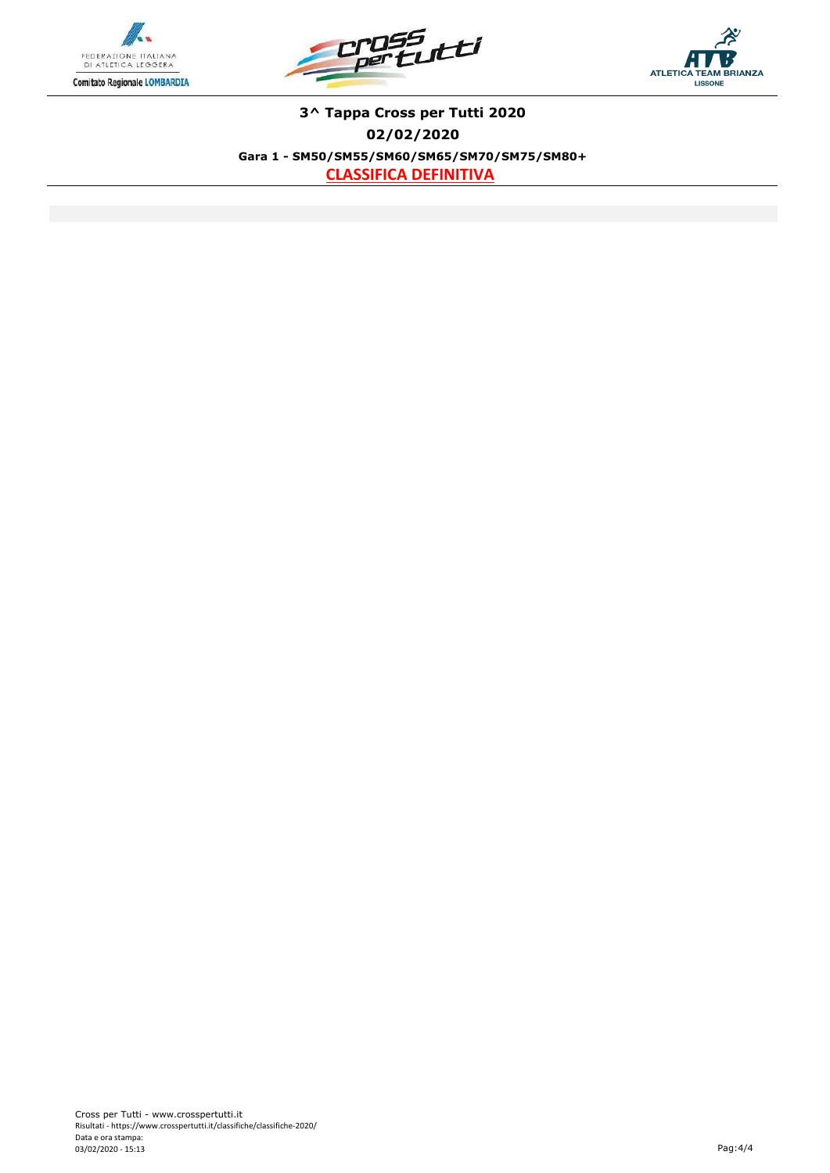





**3^ Tappa Cross per Tutti 2020 02/02/2020 Gara 1 - SM50/SM55/SM60/SM65/SM70/SM75/SM80+ CLASSIFICA DEFINITIVA**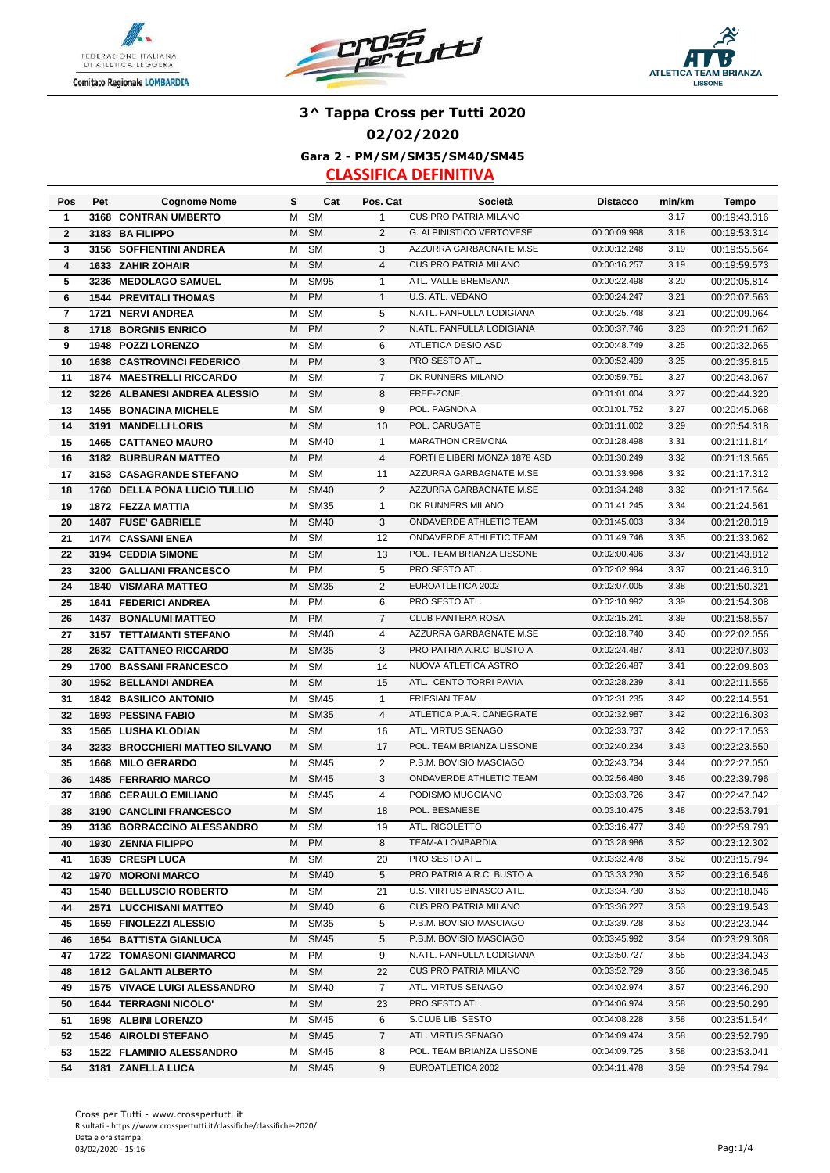





### **3^ Tappa Cross per Tutti 2020 02/02/2020**

**Gara 2 - PM/SM/SM35/SM40/SM45**

| Pos                     | Pet  | <b>Cognome Nome</b>              | s | Cat         | Pos. Cat       | Società                                         | <b>Distacco</b> | min/km | Tempo        |
|-------------------------|------|----------------------------------|---|-------------|----------------|-------------------------------------------------|-----------------|--------|--------------|
| 1                       |      | 3168 CONTRAN UMBERTO             | м | <b>SM</b>   | $\mathbf{1}$   | CUS PRO PATRIA MILANO                           |                 | 3.17   | 00:19:43.316 |
| $\mathbf{2}$            |      | 3183 BA FILIPPO                  | M | <b>SM</b>   | 2              | G. ALPINISTICO VERTOVESE                        | 00:00:09.998    | 3.18   | 00:19:53.314 |
| 3                       |      | 3156 SOFFIENTINI ANDREA          | M | <b>SM</b>   | 3              | AZZURRA GARBAGNATE M.SE                         | 00:00:12.248    | 3.19   | 00:19:55.564 |
| $\overline{\mathbf{4}}$ |      | 1633 ZAHIR ZOHAIR                | M | <b>SM</b>   | $\overline{4}$ | <b>CUS PRO PATRIA MILANO</b>                    | 00:00:16.257    | 3.19   | 00:19:59.573 |
| 5                       | 3236 | <b>MEDOLAGO SAMUEL</b>           | м | <b>SM95</b> | $\mathbf{1}$   | ATL. VALLE BREMBANA                             | 00:00:22.498    | 3.20   | 00:20:05.814 |
| 6                       |      | <b>1544 PREVITALI THOMAS</b>     | M | <b>PM</b>   | $\mathbf{1}$   | U.S. ATL. VEDANO                                | 00:00:24.247    | 3.21   | 00:20:07.563 |
| 7                       |      | 1721 NERVI ANDREA                | м | <b>SM</b>   | 5              | N.ATL. FANFULLA LODIGIANA                       | 00:00:25.748    | 3.21   | 00:20:09.064 |
| 8                       |      | <b>1718 BORGNIS ENRICO</b>       | M | <b>PM</b>   | 2              | N.ATL. FANFULLA LODIGIANA                       | 00:00:37.746    | 3.23   | 00:20:21.062 |
| 9                       |      | 1948 POZZI LORENZO               | м | <b>SM</b>   | 6              | ATLETICA DESIO ASD                              | 00:00:48.749    | 3.25   | 00:20:32.065 |
| 10                      |      | <b>1638 CASTROVINCI FEDERICO</b> | M | <b>PM</b>   | 3              | PRO SESTO ATL.                                  | 00:00:52.499    | 3.25   | 00:20:35.815 |
| 11                      |      | <b>1874 MAESTRELLI RICCARDO</b>  | м | <b>SM</b>   | $\overline{7}$ | DK RUNNERS MILANO                               | 00:00:59.751    | 3.27   | 00:20:43.067 |
| 12                      |      | 3226 ALBANESI ANDREA ALESSIO     | M | <b>SM</b>   | 8              | FREE-ZONE                                       | 00:01:01.004    | 3.27   | 00:20:44.320 |
| 13                      |      | <b>1455 BONACINA MICHELE</b>     | м | <b>SM</b>   | 9              | POL. PAGNONA                                    | 00:01:01.752    | 3.27   | 00:20:45.068 |
| 14                      | 3191 | <b>MANDELLI LORIS</b>            | M | <b>SM</b>   | 10             | POL. CARUGATE                                   | 00:01:11.002    | 3.29   | 00:20:54.318 |
| 15                      |      | <b>1465 CATTANEO MAURO</b>       | м | <b>SM40</b> | $\mathbf{1}$   | MARATHON CREMONA                                | 00:01:28.498    | 3.31   | 00:21:11.814 |
| 16                      |      | 3182 BURBURAN MATTEO             | M | <b>PM</b>   | $\overline{4}$ | FORTI E LIBERI MONZA 1878 ASD                   | 00:01:30.249    | 3.32   | 00:21:13.565 |
| 17                      |      | 3153 CASAGRANDE STEFANO          | M | <b>SM</b>   | 11             | AZZURRA GARBAGNATE M.SE                         | 00:01:33.996    | 3.32   | 00:21:17.312 |
| 18                      |      | 1760 DELLA PONA LUCIO TULLIO     | M | <b>SM40</b> | 2              | AZZURRA GARBAGNATE M.SE                         | 00:01:34.248    | 3.32   | 00:21:17.564 |
| 19                      |      | <b>1872 FEZZA MATTIA</b>         | м | <b>SM35</b> | $\mathbf{1}$   | DK RUNNERS MILANO                               | 00:01:41.245    | 3.34   | 00:21:24.561 |
| 20                      |      | 1487 FUSE' GABRIELE              | M | <b>SM40</b> | 3              | ONDAVERDE ATHLETIC TEAM                         | 00:01:45.003    | 3.34   | 00:21:28.319 |
| 21                      |      | <b>1474 CASSANI ENEA</b>         | м | <b>SM</b>   | 12             | ONDAVERDE ATHLETIC TEAM                         | 00:01:49.746    | 3.35   | 00:21:33.062 |
| 22                      |      | 3194 CEDDIA SIMONE               | M | <b>SM</b>   | 13             | POL. TEAM BRIANZA LISSONE                       | 00:02:00.496    | 3.37   | 00:21:43.812 |
| 23                      |      | 3200 GALLIANI FRANCESCO          | м | PM          | 5              | PRO SESTO ATL.                                  | 00:02:02.994    | 3.37   | 00:21:46.310 |
| 24                      |      | <b>1840 VISMARA MATTEO</b>       | M | <b>SM35</b> | $\mathbf{2}$   | EUROATLETICA 2002                               | 00:02:07.005    | 3.38   | 00:21:50.321 |
| 25                      |      | <b>1641 FEDERICI ANDREA</b>      | м | <b>PM</b>   | 6              | PRO SESTO ATL.                                  | 00:02:10.992    | 3.39   | 00:21:54.308 |
| 26                      |      | <b>1437 BONALUMI MATTEO</b>      | M | <b>PM</b>   | $\overline{7}$ | CLUB PANTERA ROSA                               | 00:02:15.241    | 3.39   | 00:21:58.557 |
| 27                      |      | 3157 TETTAMANTI STEFANO          | м | <b>SM40</b> | 4              | AZZURRA GARBAGNATE M.SE                         | 00:02:18.740    | 3.40   | 00:22:02.056 |
| 28                      |      | 2632 CATTANEO RICCARDO           | M | <b>SM35</b> | 3              | PRO PATRIA A.R.C. BUSTO A.                      | 00:02:24.487    | 3.41   | 00:22:07.803 |
|                         |      |                                  | м | <b>SM</b>   | 14             | NUOVA ATLETICA ASTRO                            | 00:02:26.487    | 3.41   | 00:22:09.803 |
| 29                      |      | 1700 BASSANI FRANCESCO           | M | <b>SM</b>   | 15             | ATL. CENTO TORRI PAVIA                          | 00:02:28.239    | 3.41   |              |
| 30<br>31                |      | 1952 BELLANDI ANDREA             | M | <b>SM45</b> |                | <b>FRIESIAN TEAM</b>                            | 00:02:31.235    | 3.42   | 00:22:11.555 |
|                         |      | <b>1842 BASILICO ANTONIO</b>     | M | <b>SM35</b> | $\mathbf{1}$   | ATLETICA P.A.R. CANEGRATE                       | 00:02:32.987    | 3.42   | 00:22:14.551 |
| 32                      |      | 1693 PESSINA FABIO               |   | <b>SM</b>   | 4              |                                                 |                 |        | 00:22:16.303 |
| 33                      |      | <b>1565 LUSHA KLODIAN</b>        | м |             | 16             | ATL. VIRTUS SENAGO<br>POL. TEAM BRIANZA LISSONE | 00:02:33.737    | 3.42   | 00:22:17.053 |
| 34                      |      | 3233 BROCCHIERI MATTEO SILVANO   | M | <b>SM</b>   | 17             | P.B.M. BOVISIO MASCIAGO                         | 00:02:40.234    | 3.43   | 00:22:23.550 |
| 35                      |      | 1668 MILO GERARDO                | м | <b>SM45</b> | 2              | <b>ONDAVERDE ATHLETIC TEAM</b>                  | 00:02:43.734    | 3.44   | 00:22:27.050 |
| 36                      |      | <b>1485 FERRARIO MARCO</b>       | M | <b>SM45</b> | 3              |                                                 | 00:02:56.480    | 3.46   | 00:22:39.796 |
| 37                      |      | <b>1886 CERAULO EMILIANO</b>     | M | <b>SM45</b> | $\overline{4}$ | PODISMO MUGGIANO                                | 00:03:03.726    | 3.47   | 00:22:47.042 |
| 38                      |      | 3190 CANCLINI FRANCESCO          | M | <b>SM</b>   | 18             | POL. BESANESE                                   | 00:03:10.475    | 3.48   | 00:22:53.791 |
| 39                      |      | 3136 BORRACCINO ALESSANDRO       | M | SM          | 19             | ATL. RIGOLETTO                                  | 00:03:16.477    | 3.49   | 00:22:59.793 |
| 40                      |      | 1930 ZENNA FILIPPO               | м | <b>PM</b>   | 8              | TEAM-A LOMBARDIA                                | 00:03:28.986    | 3.52   | 00:23:12.302 |
| 41                      |      | 1639 CRESPI LUCA                 | М | <b>SM</b>   | 20             | PRO SESTO ATL.                                  | 00:03:32.478    | 3.52   | 00:23:15.794 |
| 42                      |      | 1970 MORONI MARCO                | M | <b>SM40</b> | 5              | PRO PATRIA A.R.C. BUSTO A.                      | 00:03:33.230    | 3.52   | 00:23:16.546 |
| 43                      |      | 1540 BELLUSCIO ROBERTO           | м | <b>SM</b>   | 21             | U.S. VIRTUS BINASCO ATL.                        | 00:03:34.730    | 3.53   | 00:23:18.046 |
| 44                      |      | 2571 LUCCHISANI MATTEO           | M | <b>SM40</b> | 6              | <b>CUS PRO PATRIA MILANO</b>                    | 00:03:36.227    | 3.53   | 00:23:19.543 |
| 45                      |      | 1659 FINOLEZZI ALESSIO           | M | <b>SM35</b> | 5              | P.B.M. BOVISIO MASCIAGO                         | 00:03:39.728    | 3.53   | 00:23:23.044 |
| 46                      |      | <b>1654 BATTISTA GIANLUCA</b>    | M | <b>SM45</b> | 5              | P.B.M. BOVISIO MASCIAGO                         | 00:03:45.992    | 3.54   | 00:23:29.308 |
| 47                      |      | 1722 TOMASONI GIANMARCO          |   | M PM        | 9              | N.ATL. FANFULLA LODIGIANA                       | 00:03:50.727    | 3.55   | 00:23:34.043 |
| 48                      |      | <b>1612 GALANTI ALBERTO</b>      |   | M SM        | 22             | CUS PRO PATRIA MILANO                           | 00:03:52.729    | 3.56   | 00:23:36.045 |
| 49                      |      | 1575 VIVACE LUIGI ALESSANDRO     | M | <b>SM40</b> | 7              | ATL. VIRTUS SENAGO                              | 00:04:02.974    | 3.57   | 00:23:46.290 |
| 50                      |      | <b>1644 TERRAGNI NICOLO'</b>     |   | M SM        | 23             | PRO SESTO ATL.                                  | 00:04:06.974    | 3.58   | 00:23:50.290 |
| 51                      |      | 1698 ALBINI LORENZO              | M | SM45        | 6              | S.CLUB LIB. SESTO                               | 00:04:08.228    | 3.58   | 00:23:51.544 |
| 52                      |      | <b>1546 AIROLDI STEFANO</b>      | M | <b>SM45</b> | $\overline{7}$ | ATL. VIRTUS SENAGO                              | 00:04:09.474    | 3.58   | 00:23:52.790 |
| 53                      |      | 1522 FLAMINIO ALESSANDRO         | M | <b>SM45</b> | 8              | POL. TEAM BRIANZA LISSONE                       | 00:04:09.725    | 3.58   | 00:23:53.041 |
| 54                      |      | 3181 ZANELLA LUCA                | M | <b>SM45</b> | 9              | EUROATLETICA 2002                               | 00:04:11.478    | 3.59   | 00:23:54.794 |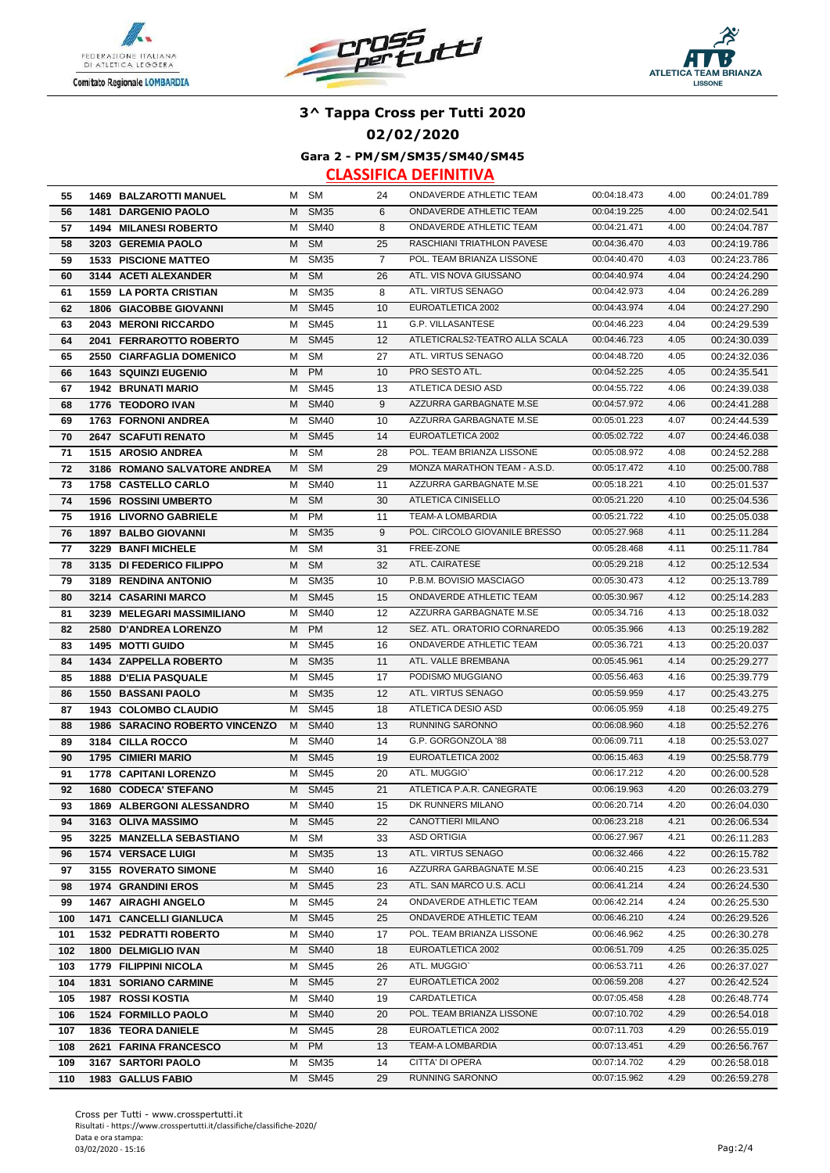





#### **02/02/2020**

**Gara 2 - PM/SM/SM35/SM40/SM45**

| 55  | <b>1469 BALZAROTTI MANUEL</b>  |   | M SM        | 24             | ONDAVERDE ATHLETIC TEAM        | 00:04:18.473 | 4.00 | 00:24:01.789 |
|-----|--------------------------------|---|-------------|----------------|--------------------------------|--------------|------|--------------|
| 56  | 1481 DARGENIO PAOLO            | м | <b>SM35</b> | 6              | ONDAVERDE ATHLETIC TEAM        | 00:04:19.225 | 4.00 | 00:24:02.541 |
| 57  | <b>1494 MILANESI ROBERTO</b>   | м | <b>SM40</b> | 8              | <b>ONDAVERDE ATHLETIC TEAM</b> | 00:04:21.471 | 4.00 | 00:24:04.787 |
| 58  | 3203 GEREMIA PAOLO             | М | <b>SM</b>   | 25             | RASCHIANI TRIATHLON PAVESE     | 00:04:36.470 | 4.03 | 00:24:19.786 |
| 59  | <b>1533 PISCIONE MATTEO</b>    | м | <b>SM35</b> | $\overline{7}$ | POL. TEAM BRIANZA LISSONE      | 00:04:40.470 | 4.03 | 00:24:23.786 |
| 60  | 3144 ACETI ALEXANDER           | м | <b>SM</b>   | 26             | ATL. VIS NOVA GIUSSANO         | 00:04:40.974 | 4.04 | 00:24:24.290 |
| 61  | <b>1559 LA PORTA CRISTIAN</b>  | м | <b>SM35</b> | 8              | ATL. VIRTUS SENAGO             | 00:04:42.973 | 4.04 | 00:24:26.289 |
| 62  | 1806 GIACOBBE GIOVANNI         | M | <b>SM45</b> | 10             | EUROATLETICA 2002              | 00:04:43.974 | 4.04 | 00:24:27.290 |
| 63  | 2043 MERONI RICCARDO           | м | <b>SM45</b> | 11             | G.P. VILLASANTESE              | 00:04:46.223 | 4.04 | 00:24:29.539 |
| 64  | 2041 FERRAROTTO ROBERTO        | M | <b>SM45</b> | 12             | ATLETICRALS2-TEATRO ALLA SCALA | 00:04:46.723 | 4.05 | 00:24:30.039 |
| 65  | 2550 CIARFAGLIA DOMENICO       | м | <b>SM</b>   | 27             | ATL. VIRTUS SENAGO             | 00:04:48.720 | 4.05 | 00:24:32.036 |
| 66  | <b>1643 SQUINZI EUGENIO</b>    | M | <b>PM</b>   | 10             | PRO SESTO ATL.                 | 00:04:52.225 | 4.05 | 00:24:35.541 |
| 67  | <b>1942 BRUNATI MARIO</b>      | м | <b>SM45</b> | 13             | ATLETICA DESIO ASD             | 00:04:55.722 | 4.06 | 00:24:39.038 |
| 68  | 1776 TEODORO IVAN              | M | <b>SM40</b> | 9              | AZZURRA GARBAGNATE M.SE        | 00:04:57.972 | 4.06 | 00:24:41.288 |
| 69  | <b>1763 FORNONI ANDREA</b>     | M | <b>SM40</b> | 10             | AZZURRA GARBAGNATE M.SE        | 00:05:01.223 | 4.07 | 00:24:44.539 |
| 70  | 2647 SCAFUTI RENATO            | M | <b>SM45</b> | 14             | EUROATLETICA 2002              | 00:05:02.722 | 4.07 | 00:24:46.038 |
| 71  | 1515 AROSIO ANDREA             | м | <b>SM</b>   | 28             | POL. TEAM BRIANZA LISSONE      | 00:05:08.972 | 4.08 | 00:24:52.288 |
| 72  | 3186 ROMANO SALVATORE ANDREA   | М | <b>SM</b>   | 29             | MONZA MARATHON TEAM - A.S.D.   | 00:05:17.472 | 4.10 | 00:25:00.788 |
| 73  | 1758 CASTELLO CARLO            | м | <b>SM40</b> | 11             | AZZURRA GARBAGNATE M.SE        | 00:05:18.221 | 4.10 | 00:25:01.537 |
| 74  | <b>1596 ROSSINI UMBERTO</b>    | М | <b>SM</b>   | 30             | ATLETICA CINISELLO             | 00:05:21.220 | 4.10 | 00:25:04.536 |
| 75  | 1916 LIVORNO GABRIELE          | м | <b>PM</b>   | 11             | <b>TEAM-A LOMBARDIA</b>        | 00:05:21.722 | 4.10 | 00:25:05.038 |
| 76  | <b>1897 BALBO GIOVANNI</b>     | м | <b>SM35</b> | 9              | POL. CIRCOLO GIOVANILE BRESSO  | 00:05:27.968 | 4.11 | 00:25:11.284 |
| 77  | 3229 BANFI MICHELE             | м | <b>SM</b>   | 31             | FREE-ZONE                      | 00:05:28.468 | 4.11 | 00:25:11.784 |
| 78  | 3135 DI FEDERICO FILIPPO       | М | <b>SM</b>   | 32             | ATL. CAIRATESE                 | 00:05:29.218 | 4.12 | 00:25:12.534 |
| 79  | 3189 RENDINA ANTONIO           | м | <b>SM35</b> | 10             | P.B.M. BOVISIO MASCIAGO        | 00:05:30.473 | 4.12 | 00:25:13.789 |
| 80  | 3214 CASARINI MARCO            | M | <b>SM45</b> | 15             | ONDAVERDE ATHLETIC TEAM        | 00:05:30.967 | 4.12 | 00:25:14.283 |
| 81  | 3239 MELEGARI MASSIMILIANO     | м | <b>SM40</b> | 12             | AZZURRA GARBAGNATE M.SE        | 00:05:34.716 | 4.13 | 00:25:18.032 |
| 82  | 2580 D'ANDREA LORENZO          | M | <b>PM</b>   | 12             | SEZ. ATL. ORATORIO CORNAREDO   | 00:05:35.966 | 4.13 | 00:25:19.282 |
| 83  | 1495 MOTTI GUIDO               | м | <b>SM45</b> | 16             | ONDAVERDE ATHLETIC TEAM        | 00:05:36.721 | 4.13 | 00:25:20.037 |
| 84  | <b>1434 ZAPPELLA ROBERTO</b>   | м | <b>SM35</b> | 11             | ATL. VALLE BREMBANA            | 00:05:45.961 | 4.14 | 00:25:29.277 |
| 85  | <b>1888 D'ELIA PASQUALE</b>    | м | <b>SM45</b> | 17             | PODISMO MUGGIANO               | 00:05:56.463 | 4.16 | 00:25:39.779 |
| 86  | <b>1550 BASSANI PAOLO</b>      | M | <b>SM35</b> | 12             | ATL. VIRTUS SENAGO             | 00:05:59.959 | 4.17 | 00:25:43.275 |
| 87  | 1943 COLOMBO CLAUDIO           | м | <b>SM45</b> | 18             | ATLETICA DESIO ASD             | 00:06:05.959 | 4.18 | 00:25:49.275 |
| 88  | 1986 SARACINO ROBERTO VINCENZO | M | <b>SM40</b> | 13             | RUNNING SARONNO                | 00:06:08.960 | 4.18 | 00:25:52.276 |
| 89  | 3184 CILLA ROCCO               | м | <b>SM40</b> | 14             | G.P. GORGONZOLA '88            | 00:06:09.711 | 4.18 | 00:25:53.027 |
| 90  | 1795 CIMIERI MARIO             | М | <b>SM45</b> | 19             | EUROATLETICA 2002              | 00:06:15.463 | 4.19 | 00:25:58.779 |
| 91  | 1778 CAPITANI LORENZO          | м | <b>SM45</b> | 20             | ATL. MUGGIO'                   | 00:06:17.212 | 4.20 | 00:26:00.528 |
| 92  | 1680 CODECA' STEFANO           |   | M SM45      | 21             | ATLETICA P.A.R. CANEGRATE      | 00:06:19.963 | 4.20 | 00:26:03.279 |
| 93  | 1869 ALBERGONI ALESSANDRO      |   | M SM40      | 15             | DK RUNNERS MILANO              | 00:06:20.714 | 4.20 | 00:26:04.030 |
| 94  | 3163 OLIVA MASSIMO             |   | M SM45      | 22             | CANOTTIERI MILANO              | 00:06:23.218 | 4.21 | 00:26:06.534 |
| 95  | 3225 MANZELLA SEBASTIANO       | м | SM          | 33             | ASD ORTIGIA                    | 00:06:27.967 | 4.21 | 00:26:11.283 |
| 96  | <b>1574 VERSACE LUIGI</b>      | M | <b>SM35</b> | 13             | ATL. VIRTUS SENAGO             | 00:06:32.466 | 4.22 | 00:26:15.782 |
| 97  | 3155 ROVERATO SIMONE           | м | <b>SM40</b> | 16             | AZZURRA GARBAGNATE M.SE        | 00:06:40.215 | 4.23 | 00:26:23.531 |
| 98  | <b>1974 GRANDINI EROS</b>      | M | <b>SM45</b> | 23             | ATL. SAN MARCO U.S. ACLI       | 00:06:41.214 | 4.24 | 00:26:24.530 |
| 99  | 1467 AIRAGHI ANGELO            | M | <b>SM45</b> | 24             | ONDAVERDE ATHLETIC TEAM        | 00:06:42.214 | 4.24 | 00:26:25.530 |
| 100 | <b>1471 CANCELLI GIANLUCA</b>  | M | <b>SM45</b> | 25             | ONDAVERDE ATHLETIC TEAM        | 00:06:46.210 | 4.24 | 00:26:29.526 |
| 101 | <b>1532 PEDRATTI ROBERTO</b>   | M | <b>SM40</b> | 17             | POL. TEAM BRIANZA LISSONE      | 00:06:46.962 | 4.25 | 00:26:30.278 |
| 102 | 1800 DELMIGLIO IVAN            | M | <b>SM40</b> | 18             | EUROATLETICA 2002              | 00:06:51.709 | 4.25 | 00:26:35.025 |
| 103 | <b>1779 FILIPPINI NICOLA</b>   | M | SM45        | 26             | ATL. MUGGIO'                   | 00:06:53.711 | 4.26 | 00:26:37.027 |
| 104 | <b>1831 SORIANO CARMINE</b>    |   | M SM45      | 27             | EUROATLETICA 2002              | 00:06:59.208 | 4.27 | 00:26:42.524 |
| 105 | 1987 ROSSI KOSTIA              |   | M SM40      | 19             | CARDATLETICA                   | 00:07:05.458 | 4.28 | 00:26:48.774 |
|     | 1524 FORMILLO PAOLO            |   | M SM40      | 20             | POL. TEAM BRIANZA LISSONE      | 00:07:10.702 | 4.29 | 00:26:54.018 |
| 106 |                                |   | M SM45      | 28             | EUROATLETICA 2002              | 00:07:11.703 | 4.29 | 00:26:55.019 |
| 107 | <b>1836 TEORA DANIELE</b>      |   | M PM        | 13             | TEAM-A LOMBARDIA               | 00:07:13.451 | 4.29 |              |
| 108 | 2621 FARINA FRANCESCO          |   | <b>SM35</b> |                | CITTA' DI OPERA                | 00:07:14.702 | 4.29 | 00:26:56.767 |
| 109 | 3167 SARTORI PAOLO             | M |             | 14             |                                |              |      | 00:26:58.018 |
| 110 | 1983 GALLUS FABIO              | M | <b>SM45</b> | 29             | RUNNING SARONNO                | 00:07:15.962 | 4.29 | 00:26:59.278 |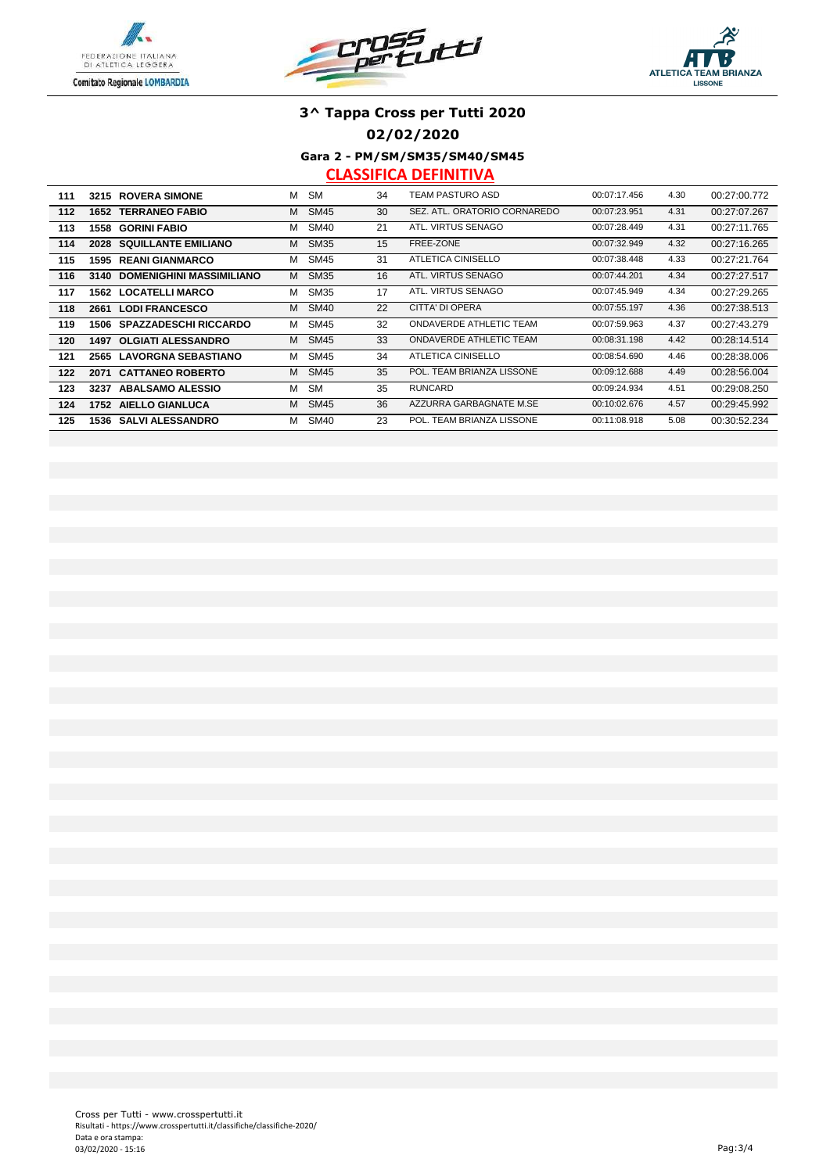





**02/02/2020**

**Gara 2 - PM/SM/SM35/SM40/SM45**

| 111 | 3215<br><b>ROVERA SIMONE</b>            | м | <b>SM</b>   | 34 | TEAM PASTURO ASD               | 00:07:17.456 | 4.30 | 00:27:00.772 |
|-----|-----------------------------------------|---|-------------|----|--------------------------------|--------------|------|--------------|
| 112 | <b>TERRANEO FABIO</b><br>1652           | м | <b>SM45</b> | 30 | SEZ. ATL. ORATORIO CORNAREDO   | 00:07:23.951 | 4.31 | 00:27:07.267 |
| 113 | <b>GORINI FABIO</b><br>1558             | м | <b>SM40</b> | 21 | ATL. VIRTUS SENAGO             | 00:07:28.449 | 4.31 | 00:27:11.765 |
| 114 | <b>SQUILLANTE EMILIANO</b><br>2028      | м | <b>SM35</b> | 15 | FREE-ZONE                      | 00:07:32.949 | 4.32 | 00:27:16.265 |
| 115 | <b>REANI GIANMARCO</b><br>1595          | м | <b>SM45</b> | 31 | ATLETICA CINISELLO             | 00:07:38.448 | 4.33 | 00:27:21.764 |
| 116 | <b>DOMENIGHINI MASSIMILIANO</b><br>3140 | м | <b>SM35</b> | 16 | ATL. VIRTUS SENAGO             | 00:07:44.201 | 4.34 | 00:27:27.517 |
| 117 | <b>LOCATELLI MARCO</b><br>1562          | м | <b>SM35</b> | 17 | ATL. VIRTUS SENAGO             | 00:07:45.949 | 4.34 | 00:27:29.265 |
| 118 | <b>LODI FRANCESCO</b><br>2661           | м | <b>SM40</b> | 22 | CITTA' DI OPERA                | 00:07:55.197 | 4.36 | 00:27:38.513 |
| 119 | <b>SPAZZADESCHI RICCARDO</b><br>1506    | м | <b>SM45</b> | 32 | <b>ONDAVERDE ATHLETIC TEAM</b> | 00:07:59.963 | 4.37 | 00:27:43.279 |
| 120 | <b>OLGIATI ALESSANDRO</b><br>1497       | м | <b>SM45</b> | 33 | ONDAVERDE ATHLETIC TEAM        | 00:08:31.198 | 4.42 | 00:28:14.514 |
| 121 | <b>LAVORGNA SEBASTIANO</b><br>2565      | м | <b>SM45</b> | 34 | ATLETICA CINISELLO             | 00:08:54.690 | 4.46 | 00:28:38.006 |
| 122 | <b>CATTANEO ROBERTO</b><br>2071         | м | <b>SM45</b> | 35 | POL. TEAM BRIANZA LISSONE      | 00:09:12.688 | 4.49 | 00:28:56.004 |
| 123 | <b>ABALSAMO ALESSIO</b><br>3237         | м | <b>SM</b>   | 35 | <b>RUNCARD</b>                 | 00:09:24.934 | 4.51 | 00:29:08.250 |
| 124 | 1752 AIELLO GIANLUCA                    | м | <b>SM45</b> | 36 | AZZURRA GARBAGNATE M.SE        | 00:10:02.676 | 4.57 | 00:29:45.992 |
| 125 | <b>SALVI ALESSANDRO</b><br>1536         | м | <b>SM40</b> | 23 | POL. TEAM BRIANZA LISSONE      | 00:11:08.918 | 5.08 | 00:30:52.234 |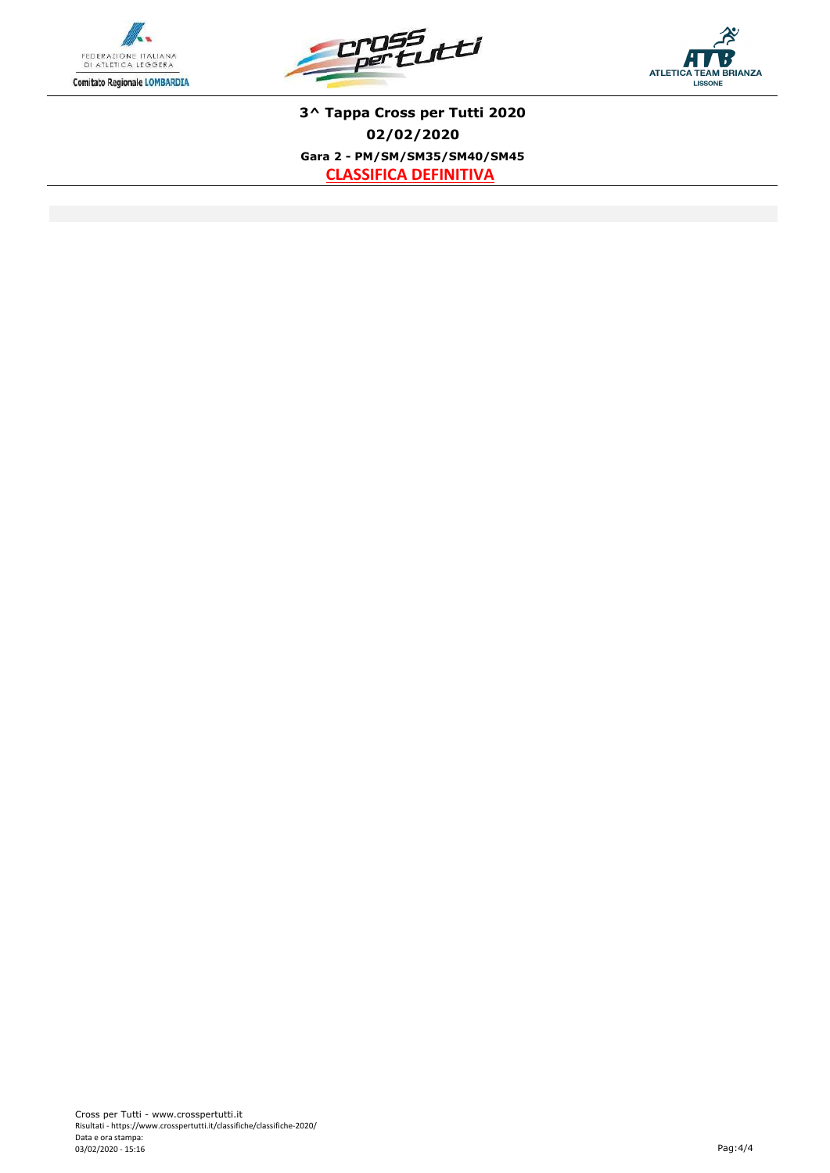





**3^ Tappa Cross per Tutti 2020 02/02/2020 Gara 2 - PM/SM/SM35/SM40/SM45 CLASSIFICA DEFINITIVA**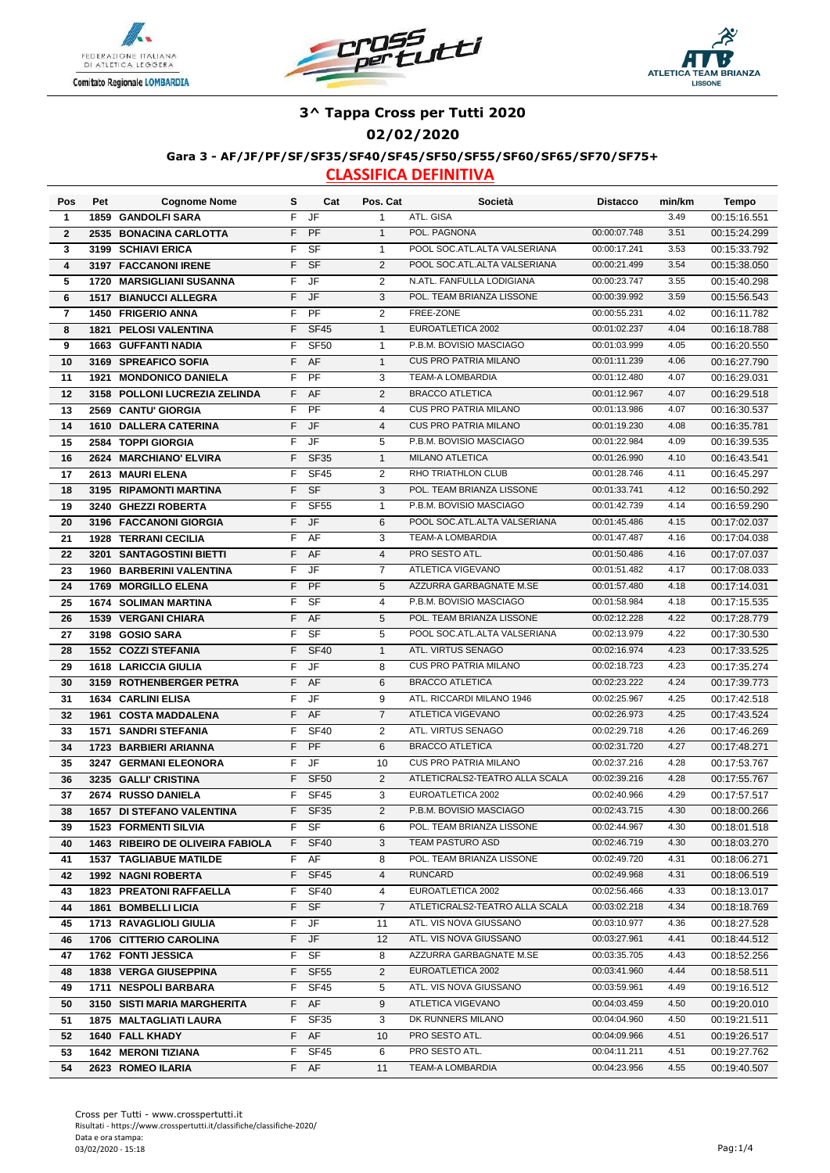





#### **02/02/2020**

#### **Gara 3 - AF/JF/PF/SF/SF35/SF40/SF45/SF50/SF55/SF60/SF65/SF70/SF75+**

| Pos            | Pet  | <b>Cognome Nome</b>              | s      | Cat         | Pos. Cat          | Società                                      | <b>Distacco</b> | min/km | Tempo        |
|----------------|------|----------------------------------|--------|-------------|-------------------|----------------------------------------------|-----------------|--------|--------------|
| $\mathbf 1$    |      | 1859 GANDOLFI SARA               | F.     | <b>JF</b>   | $\mathbf{1}$      | ATL. GISA                                    |                 | 3.49   | 00:15:16.551 |
| $\mathbf{2}$   |      | 2535 BONACINA CARLOTTA           | F      | PF          | $\mathbf{1}$      | POL. PAGNONA                                 | 00:00:07.748    | 3.51   | 00:15:24.299 |
| 3              |      | 3199 SCHIAVI ERICA               | F      | <b>SF</b>   | $\mathbf{1}$      | POOL SOC.ATL.ALTA VALSERIANA                 | 00:00:17.241    | 3.53   | 00:15:33.792 |
| 4              |      | 3197 FACCANONI IRENE             | F      | <b>SF</b>   | 2                 | POOL SOC.ATL.ALTA VALSERIANA                 | 00:00:21.499    | 3.54   | 00:15:38.050 |
| 5              |      | 1720 MARSIGLIANI SUSANNA         | F      | JF          | 2                 | N.ATL. FANFULLA LODIGIANA                    | 00:00:23.747    | 3.55   | 00:15:40.298 |
| 6              | 1517 | <b>BIANUCCI ALLEGRA</b>          | F      | <b>JF</b>   | 3                 | POL. TEAM BRIANZA LISSONE                    | 00:00:39.992    | 3.59   | 00:15:56.543 |
| $\overline{7}$ |      | <b>1450 FRIGERIO ANNA</b>        | F      | PF          | $\mathbf{2}$      | FREE-ZONE                                    | 00:00:55.231    | 4.02   | 00:16:11.782 |
| 8              |      | <b>1821 PELOSI VALENTINA</b>     | F      | <b>SF45</b> | $\mathbf{1}$      | EUROATLETICA 2002                            | 00:01:02.237    | 4.04   | 00:16:18.788 |
| 9              |      | <b>1663 GUFFANTI NADIA</b>       | F      | <b>SF50</b> | $\mathbf{1}$      | P.B.M. BOVISIO MASCIAGO                      | 00:01:03.999    | 4.05   | 00:16:20.550 |
| 10             | 3169 | <b>SPREAFICO SOFIA</b>           | F      | AF          | $\mathbf{1}$      | <b>CUS PRO PATRIA MILANO</b>                 | 00:01:11.239    | 4.06   | 00:16:27.790 |
| 11             | 1921 | <b>MONDONICO DANIELA</b>         | F      | PF          | 3                 | <b>TEAM-A LOMBARDIA</b>                      | 00:01:12.480    | 4.07   | 00:16:29.031 |
| 12             | 3158 | <b>POLLONI LUCREZIA ZELINDA</b>  | F.     | AF          | 2                 | <b>BRACCO ATLETICA</b>                       | 00:01:12.967    | 4.07   | 00:16:29.518 |
| 13             |      | 2569 CANTU' GIORGIA              | F      | PF          | $\overline{4}$    | <b>CUS PRO PATRIA MILANO</b>                 | 00:01:13.986    | 4.07   | 00:16:30.537 |
| 14             |      | <b>1610 DALLERA CATERINA</b>     | F      | JF          | $\overline{4}$    | <b>CUS PRO PATRIA MILANO</b>                 | 00:01:19.230    | 4.08   | 00:16:35.781 |
| 15             |      | 2584 TOPPI GIORGIA               | F      | JF          | 5                 | P.B.M. BOVISIO MASCIAGO                      | 00:01:22.984    | 4.09   | 00:16:39.535 |
| 16             |      | 2624 MARCHIANO' ELVIRA           | F      | <b>SF35</b> | $\mathbf{1}$      | <b>MILANO ATLETICA</b>                       | 00:01:26.990    | 4.10   | 00:16:43.541 |
| 17             |      | 2613 MAURI ELENA                 | F      | <b>SF45</b> | 2                 | RHO TRIATHLON CLUB                           | 00:01:28.746    | 4.11   | 00:16:45.297 |
| 18             | 3195 | <b>RIPAMONTI MARTINA</b>         | F      | <b>SF</b>   | 3                 | POL. TEAM BRIANZA LISSONE                    | 00:01:33.741    | 4.12   | 00:16:50.292 |
| 19             |      | 3240 GHEZZI ROBERTA              | F      | <b>SF55</b> | $\mathbf{1}$      | P.B.M. BOVISIO MASCIAGO                      | 00:01:42.739    | 4.14   | 00:16:59.290 |
| 20             |      | 3196 FACCANONI GIORGIA           | F      | JF          | 6                 | POOL SOC.ATL.ALTA VALSERIANA                 | 00:01:45.486    | 4.15   | 00:17:02.037 |
| 21             |      | <b>1928 TERRANI CECILIA</b>      | F      | AF          | 3                 | <b>TEAM-A LOMBARDIA</b>                      | 00:01:47.487    | 4.16   | 00:17:04.038 |
| 22             |      | 3201 SANTAGOSTINI BIETTI         | F      | AF          | $\overline{4}$    | PRO SESTO ATL.                               | 00:01:50.486    | 4.16   | 00:17:07.037 |
| 23             |      | 1960 BARBERINI VALENTINA         | F      | JF          | $\overline{7}$    | ATLETICA VIGEVANO                            | 00:01:51.482    | 4.17   | 00:17:08.033 |
| 24             | 1769 | <b>MORGILLO ELENA</b>            | F      | PF          | 5                 | AZZURRA GARBAGNATE M.SE                      | 00:01:57.480    | 4.18   |              |
|                |      |                                  | F      | <b>SF</b>   | 4                 | P.B.M. BOVISIO MASCIAGO                      | 00:01:58.984    | 4.18   | 00:17:14.031 |
| 25             |      | <b>1674 SOLIMAN MARTINA</b>      | F      |             |                   | POL. TEAM BRIANZA LISSONE                    | 00:02:12.228    | 4.22   | 00:17:15.535 |
| 26             |      | <b>1539 VERGANI CHIARA</b>       | F      | AF          | 5                 | POOL SOC.ATL.ALTA VALSERIANA                 | 00:02:13.979    | 4.22   | 00:17:28.779 |
| 27             |      | 3198 GOSIO SARA                  |        | <b>SF</b>   | 5                 | ATL. VIRTUS SENAGO                           |                 | 4.23   | 00:17:30.530 |
| 28             |      | <b>1552 COZZI STEFANIA</b>       | F<br>F | <b>SF40</b> | $\mathbf{1}$<br>8 | <b>CUS PRO PATRIA MILANO</b>                 | 00:02:16.974    | 4.23   | 00:17:33.525 |
| 29             |      | <b>1618 LARICCIA GIULIA</b>      |        | JF          |                   | <b>BRACCO ATLETICA</b>                       | 00:02:18.723    |        | 00:17:35.274 |
| 30             |      | 3159 ROTHENBERGER PETRA          | F      | AF          | 6                 |                                              | 00:02:23.222    | 4.24   | 00:17:39.773 |
| 31             | 1634 | <b>CARLINI ELISA</b>             | F      | JF          | 9                 | ATL. RICCARDI MILANO 1946                    | 00:02:25.967    | 4.25   | 00:17:42.518 |
| 32             |      | 1961 COSTA MADDALENA             | F      | AF          | $\overline{7}$    | ATLETICA VIGEVANO                            | 00:02:26.973    | 4.25   | 00:17:43.524 |
| 33             | 1571 | <b>SANDRI STEFANIA</b>           | F      | <b>SF40</b> | $\mathbf{2}$      | ATL. VIRTUS SENAGO<br><b>BRACCO ATLETICA</b> | 00:02:29.718    | 4.26   | 00:17:46.269 |
| 34             |      | 1723 BARBIERI ARIANNA            | F      | PF          | 6                 |                                              | 00:02:31.720    | 4.27   | 00:17:48.271 |
| 35             | 3247 | <b>GERMANI ELEONORA</b>          | F      | JF          | 10                | <b>CUS PRO PATRIA MILANO</b>                 | 00:02:37.216    | 4.28   | 00:17:53.767 |
| 36             |      | 3235 GALLI' CRISTINA             | F      | <b>SF50</b> | 2                 | ATLETICRALS2-TEATRO ALLA SCALA               | 00:02:39.216    | 4.28   | 00:17:55.767 |
| 37             |      | 2674 RUSSO DANIELA               | F      | <b>SF45</b> | 3                 | EUROATLETICA 2002<br>P.B.M. BOVISIO MASCIAGO | 00:02:40.966    | 4.29   | 00:17:57.517 |
| 38             |      | <b>1657 DI STEFANO VALENTINA</b> | F.     | <b>SF35</b> | 2                 |                                              | 00:02:43.715    | 4.30   | 00:18:00.266 |
| 39             |      | <b>1523 FORMENTI SILVIA</b>      |        | F SF        | 6                 | POL. TEAM BRIANZA LISSONE                    | 00:02:44.967    | 4.30   | 00:18:01.518 |
| 40             |      | 1463 RIBEIRO DE OLIVEIRA FABIOLA |        | F SF40      | 3                 | TEAM PASTURO ASD                             | 00:02:46.719    | 4.30   | 00:18:03.270 |
| 41             |      | <b>1537 TAGLIABUE MATILDE</b>    | F.     | AF          | 8                 | POL. TEAM BRIANZA LISSONE                    | 00:02:49.720    | 4.31   | 00:18:06.271 |
| 42             |      | <b>1992 NAGNI ROBERTA</b>        | F.     | <b>SF45</b> | 4                 | <b>RUNCARD</b>                               | 00:02:49.968    | 4.31   | 00:18:06.519 |
| 43             |      | <b>1823 PREATONI RAFFAELLA</b>   | F.     | <b>SF40</b> | 4                 | EUROATLETICA 2002                            | 00:02:56.466    | 4.33   | 00:18:13.017 |
| 44             |      | 1861 BOMBELLI LICIA              | F      | <b>SF</b>   | $\overline{7}$    | ATLETICRALS2-TEATRO ALLA SCALA               | 00:03:02.218    | 4.34   | 00:18:18.769 |
| 45             |      | 1713 RAVAGLIOLI GIULIA           | F.     | JF          | 11                | ATL. VIS NOVA GIUSSANO                       | 00:03:10.977    | 4.36   | 00:18:27.528 |
| 46             |      | 1706 CITTERIO CAROLINA           | F      | JF          | 12                | ATL. VIS NOVA GIUSSANO                       | 00:03:27.961    | 4.41   | 00:18:44.512 |
| 47             |      | 1762 FONTI JESSICA               | F      | SF          | 8                 | AZZURRA GARBAGNATE M.SE                      | 00:03:35.705    | 4.43   | 00:18:52.256 |
| 48             |      | 1838 VERGA GIUSEPPINA            | F.     | <b>SF55</b> | $\overline{2}$    | EUROATLETICA 2002                            | 00:03:41.960    | 4.44   | 00:18:58.511 |
| 49             |      | 1711 NESPOLI BARBARA             |        | F SF45      | 5                 | ATL. VIS NOVA GIUSSANO                       | 00:03:59.961    | 4.49   | 00:19:16.512 |
| 50             |      | 3150 SISTI MARIA MARGHERITA      |        | F AF        | 9                 | ATLETICA VIGEVANO                            | 00:04:03.459    | 4.50   | 00:19:20.010 |
| 51             |      | 1875 MALTAGLIATI LAURA           | F.     | SF35        | 3                 | DK RUNNERS MILANO                            | 00:04:04.960    | 4.50   | 00:19:21.511 |
| 52             |      | 1640 FALL KHADY                  |        | F AF        | 10                | PRO SESTO ATL.                               | 00:04:09.966    | 4.51   | 00:19:26.517 |
| 53             |      | <b>1642 MERONI TIZIANA</b>       | F.     | SF45        | 6                 | PRO SESTO ATL.                               | 00:04:11.211    | 4.51   | 00:19:27.762 |
| 54             |      | 2623 ROMEO ILARIA                |        | F AF        | 11                | TEAM-A LOMBARDIA                             | 00:04:23.956    | 4.55   | 00:19:40.507 |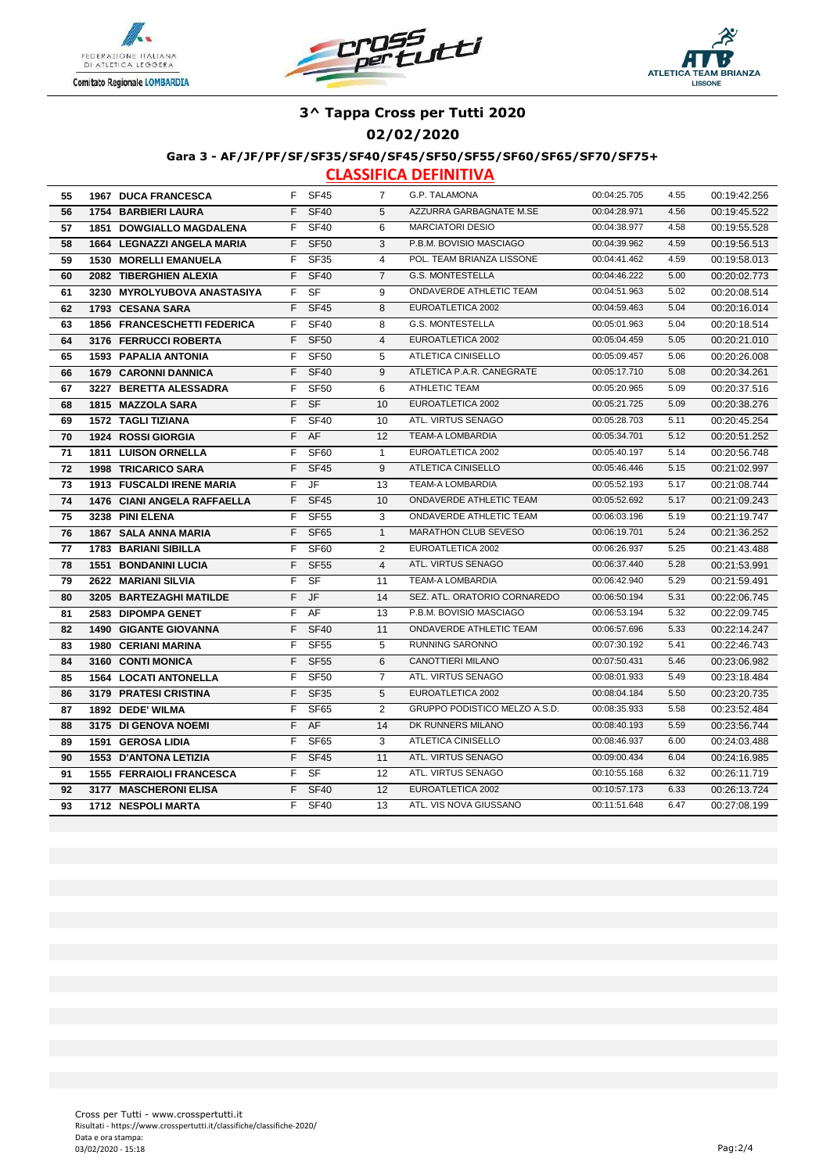





### **02/02/2020**

#### **Gara 3 - AF/JF/PF/SF/SF35/SF40/SF45/SF50/SF55/SF60/SF65/SF70/SF75+**

| 55 | <b>1967 DUCA FRANCESCA</b>        |    | F SF45      | 7              | G.P. TALAMONA                  | 00:04:25.705 | 4.55 | 00:19:42.256 |
|----|-----------------------------------|----|-------------|----------------|--------------------------------|--------------|------|--------------|
| 56 | <b>1754 BARBIERI LAURA</b>        | F. | <b>SF40</b> | 5              | AZZURRA GARBAGNATE M.SE        | 00:04:28.971 | 4.56 | 00:19:45.522 |
| 57 | 1851 DOWGIALLO MAGDALENA          | F. | <b>SF40</b> | 6              | <b>MARCIATORI DESIO</b>        | 00:04:38.977 | 4.58 | 00:19:55.528 |
| 58 | <b>1664 LEGNAZZI ANGELA MARIA</b> | F. | <b>SF50</b> | 3              | P.B.M. BOVISIO MASCIAGO        | 00:04:39.962 | 4.59 | 00:19:56.513 |
| 59 | <b>1530 MORELLI EMANUELA</b>      | F  | <b>SF35</b> | $\overline{4}$ | POL. TEAM BRIANZA LISSONE      | 00:04:41.462 | 4.59 | 00:19:58.013 |
| 60 | 2082 TIBERGHIEN ALEXIA            | F  | <b>SF40</b> | $\overline{7}$ | <b>G.S. MONTESTELLA</b>        | 00:04:46.222 | 5.00 | 00:20:02.773 |
| 61 | 3230 MYROLYUBOVA ANASTASIYA       | F. | <b>SF</b>   | 9              | ONDAVERDE ATHLETIC TEAM        | 00:04:51.963 | 5.02 | 00:20:08.514 |
| 62 | 1793 CESANA SARA                  | F. | <b>SF45</b> | 8              | EUROATLETICA 2002              | 00:04:59.463 | 5.04 | 00:20:16.014 |
| 63 | 1856 FRANCESCHETTI FEDERICA       | F. | <b>SF40</b> | 8              | <b>G.S. MONTESTELLA</b>        | 00:05:01.963 | 5.04 | 00:20:18.514 |
| 64 | 3176 FERRUCCI ROBERTA             | F. | <b>SF50</b> | $\overline{4}$ | EUROATLETICA 2002              | 00:05:04.459 | 5.05 | 00:20:21.010 |
| 65 | <b>1593 PAPALIA ANTONIA</b>       | F. | <b>SF50</b> | 5              | ATLETICA CINISELLO             | 00:05:09.457 | 5.06 | 00:20:26.008 |
| 66 | <b>1679 CARONNI DANNICA</b>       | F. | <b>SF40</b> | 9              | ATLETICA P.A.R. CANEGRATE      | 00:05:17.710 | 5.08 | 00:20:34.261 |
| 67 | 3227 BERETTA ALESSADRA            | F. | <b>SF50</b> | 6              | ATHLETIC TEAM                  | 00:05:20.965 | 5.09 | 00:20:37.516 |
| 68 | 1815 MAZZOLA SARA                 | F. | <b>SF</b>   | 10             | EUROATLETICA 2002              | 00:05:21.725 | 5.09 | 00:20:38.276 |
| 69 | <b>1572 TAGLI TIZIANA</b>         | F. | <b>SF40</b> | 10             | ATL. VIRTUS SENAGO             | 00:05:28.703 | 5.11 | 00:20:45.254 |
| 70 | 1924 ROSSI GIORGIA                | F. | AF          | 12             | <b>TEAM-A LOMBARDIA</b>        | 00:05:34.701 | 5.12 | 00:20:51.252 |
| 71 | 1811 LUISON ORNELLA               | F. | <b>SF60</b> | $\mathbf{1}$   | EUROATLETICA 2002              | 00:05:40.197 | 5.14 | 00:20:56.748 |
| 72 | 1998 TRICARICO SARA               | F. | <b>SF45</b> | 9              | ATLETICA CINISELLO             | 00:05:46.446 | 5.15 | 00:21:02.997 |
| 73 | <b>1913 FUSCALDI IRENE MARIA</b>  | F. | JF          | 13             | TEAM-A LOMBARDIA               | 00:05:52.193 | 5.17 | 00:21:08.744 |
| 74 | 1476 CIANI ANGELA RAFFAELLA       | F. | <b>SF45</b> | 10             | ONDAVERDE ATHLETIC TEAM        | 00:05:52.692 | 5.17 | 00:21:09.243 |
| 75 | 3238 PINI ELENA                   | F. | <b>SF55</b> | 3              | ONDAVERDE ATHLETIC TEAM        | 00:06:03.196 | 5.19 | 00:21:19.747 |
| 76 | <b>1867 SALA ANNA MARIA</b>       | F. | <b>SF65</b> | $\mathbf{1}$   | <b>MARATHON CLUB SEVESO</b>    | 00:06:19.701 | 5.24 | 00:21:36.252 |
| 77 | <b>1783 BARIANI SIBILLA</b>       | F. | <b>SF60</b> | 2              | EUROATLETICA 2002              | 00:06:26.937 | 5.25 | 00:21:43.488 |
| 78 | <b>1551 BONDANINI LUCIA</b>       | F. | <b>SF55</b> | $\overline{4}$ | ATL. VIRTUS SENAGO             | 00:06:37.440 | 5.28 | 00:21:53.991 |
| 79 | 2622 MARIANI SILVIA               | F. | <b>SF</b>   | 11             | TEAM-A LOMBARDIA               | 00:06:42.940 | 5.29 | 00:21:59.491 |
| 80 | 3205 BARTEZAGHI MATILDE           | F  | JF          | 14             | SEZ. ATL. ORATORIO CORNAREDO   | 00:06:50.194 | 5.31 | 00:22:06.745 |
| 81 | <b>2583 DIPOMPA GENET</b>         | F  | AF          | 13             | P.B.M. BOVISIO MASCIAGO        | 00:06:53.194 | 5.32 | 00:22:09.745 |
| 82 | <b>1490 GIGANTE GIOVANNA</b>      | F  | <b>SF40</b> | 11             | <b>ONDAVERDE ATHLETIC TEAM</b> | 00:06:57.696 | 5.33 | 00:22:14.247 |
| 83 | <b>1980 CERIANI MARINA</b>        | F. | <b>SF55</b> | 5              | <b>RUNNING SARONNO</b>         | 00:07:30.192 | 5.41 | 00:22:46.743 |
| 84 | 3160 CONTI MONICA                 | F. | <b>SF55</b> | 6              | CANOTTIERI MILANO              | 00:07:50.431 | 5.46 | 00:23:06.982 |
| 85 | <b>1564 LOCATI ANTONELLA</b>      | F  | <b>SF50</b> | $\overline{7}$ | ATL. VIRTUS SENAGO             | 00:08:01.933 | 5.49 | 00:23:18.484 |
| 86 | 3179 PRATESI CRISTINA             | F  | <b>SF35</b> | 5              | EUROATLETICA 2002              | 00:08:04.184 | 5.50 | 00:23:20.735 |
| 87 | 1892 DEDE' WILMA                  | F. | <b>SF65</b> | $\overline{2}$ | GRUPPO PODISTICO MELZO A.S.D.  | 00:08:35.933 | 5.58 | 00:23:52.484 |
| 88 | 3175 DI GENOVA NOEMI              |    | F AF        | 14             | DK RUNNERS MILANO              | 00:08:40.193 | 5.59 | 00:23:56.744 |
| 89 | <b>1591 GEROSA LIDIA</b>          | F. | <b>SF65</b> | 3              | ATLETICA CINISELLO             | 00:08:46.937 | 6.00 | 00:24:03.488 |
| 90 | <b>1553 D'ANTONA LETIZIA</b>      | F. | <b>SF45</b> | 11             | ATL. VIRTUS SENAGO             | 00:09:00.434 | 6.04 | 00:24:16.985 |
| 91 | <b>1555 FERRAIOLI FRANCESCA</b>   | F. | <b>SF</b>   | 12             | ATL. VIRTUS SENAGO             | 00:10:55.168 | 6.32 | 00:26:11.719 |
| 92 | 3177 MASCHERONI ELISA             | F. | <b>SF40</b> | 12             | EUROATLETICA 2002              | 00:10:57.173 | 6.33 | 00:26:13.724 |
| 93 | <b>1712 NESPOLI MARTA</b>         | F. | <b>SF40</b> | 13             | ATL. VIS NOVA GIUSSANO         | 00:11:51.648 | 6.47 | 00:27:08.199 |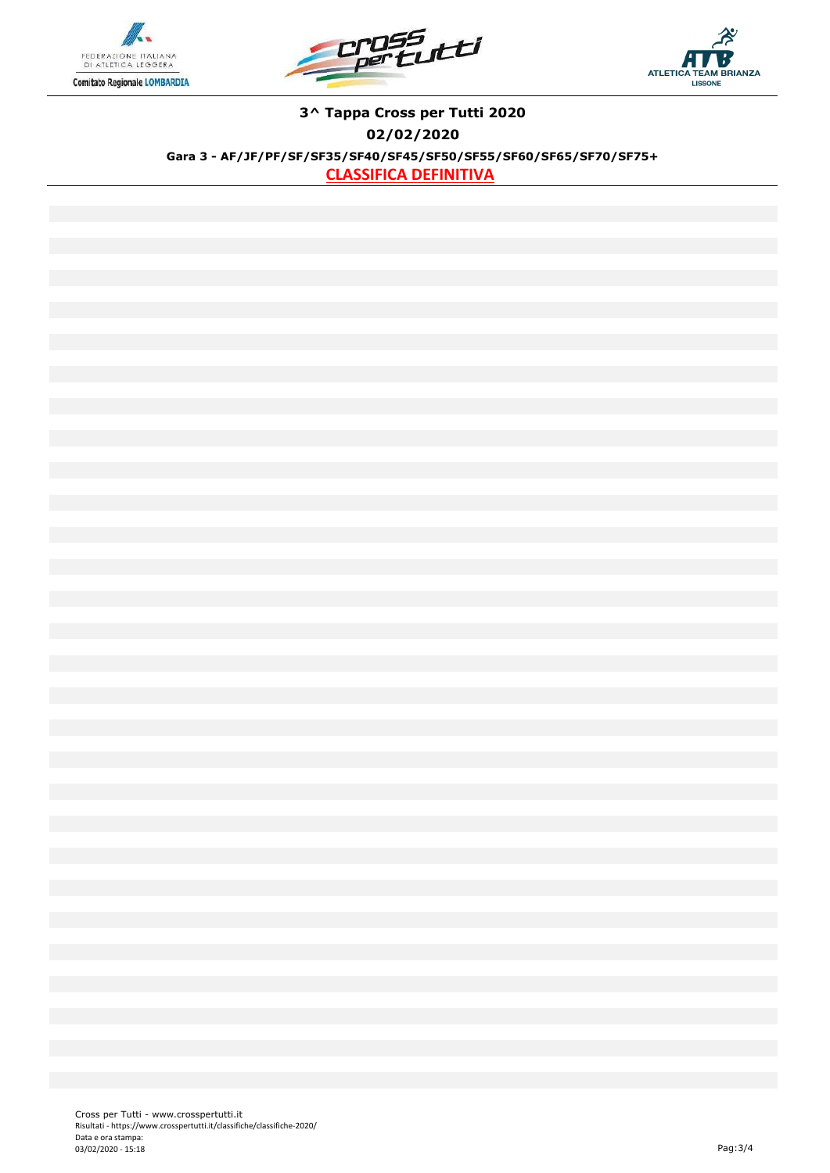





### **3^ Tappa Cross per Tutti 2020 02/02/2020 Gara 3 - AF/JF/PF/SF/SF35/SF40/SF45/SF50/SF55/SF60/SF65/SF70/SF75+ CLASSIFICA DEFINITIVA**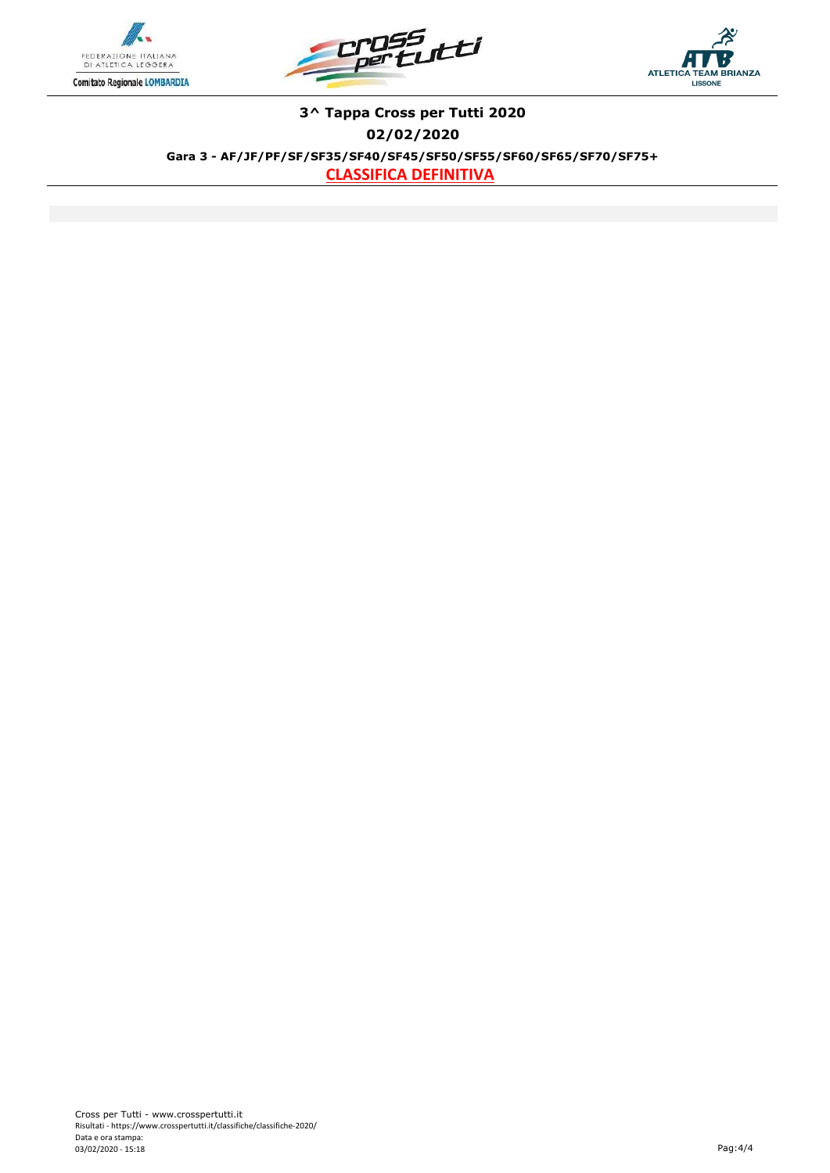





### **3^ Tappa Cross per Tutti 2020 02/02/2020 Gara 3 - AF/JF/PF/SF/SF35/SF40/SF45/SF50/SF55/SF60/SF65/SF70/SF75+ CLASSIFICA DEFINITIVA**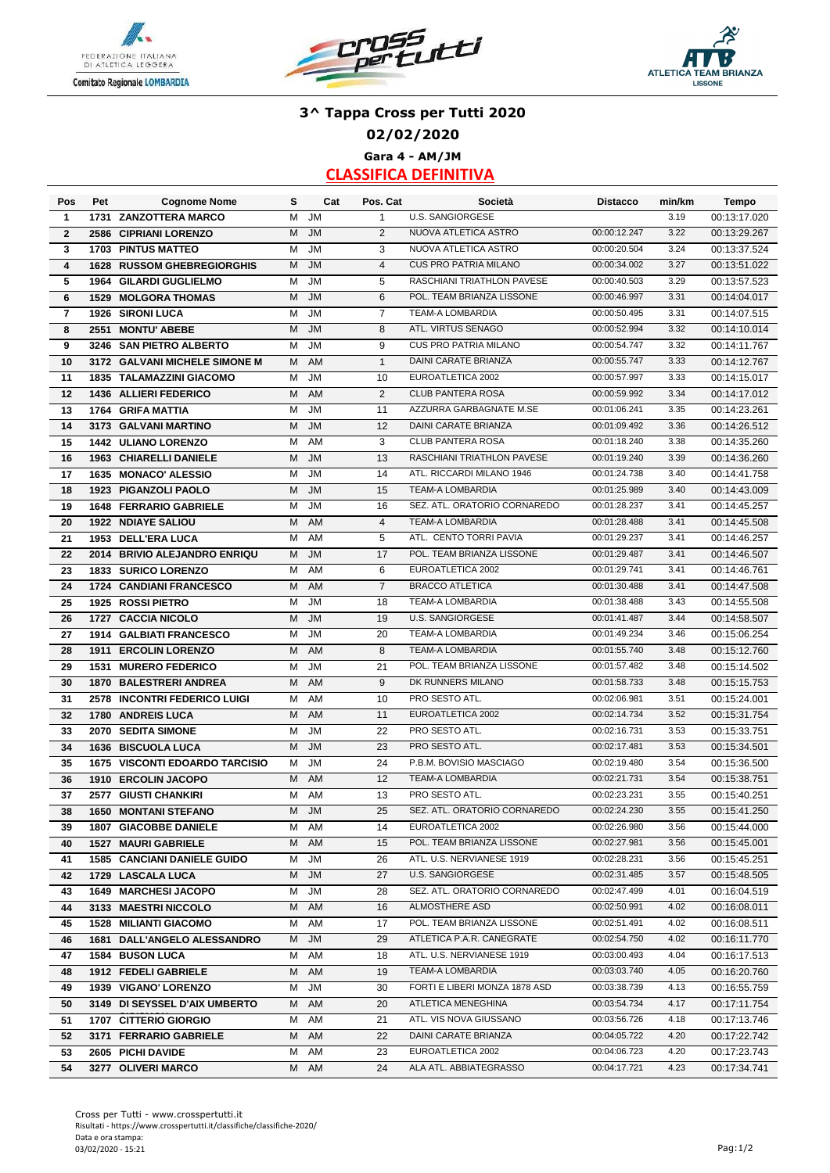





# **3^ Tappa Cross per Tutti 2020 02/02/2020 Gara 4 - AM/JM**

| Pos                     | Pet  | <b>Cognome Nome</b>                   | s | Cat       | Pos. Cat       | Società                       | <b>Distacco</b>              | min/km | Tempo        |
|-------------------------|------|---------------------------------------|---|-----------|----------------|-------------------------------|------------------------------|--------|--------------|
| 1                       | 1731 | <b>ZANZOTTERA MARCO</b>               | M | JM        | $\mathbf{1}$   | U.S. SANGIORGESE              |                              | 3.19   | 00:13:17.020 |
| $\mathbf{2}$            | 2586 | <b>CIPRIANI LORENZO</b>               | M | <b>JM</b> | 2              | NUOVA ATLETICA ASTRO          | 00:00:12.247                 | 3.22   | 00:13:29.267 |
| 3                       | 1703 | <b>PINTUS MATTEO</b>                  | M | <b>JM</b> | 3              | NUOVA ATLETICA ASTRO          | 00:00:20.504                 | 3.24   | 00:13:37.524 |
| $\overline{\mathbf{4}}$ | 1628 | <b>RUSSOM GHEBREGIORGHIS</b>          | M | <b>JM</b> | $\overline{4}$ | <b>CUS PRO PATRIA MILANO</b>  | 00:00:34.002                 | 3.27   | 00:13:51.022 |
| 5                       |      | 1964 GILARDI GUGLIELMO                | M | <b>JM</b> | 5              | RASCHIANI TRIATHLON PAVESE    | 00:00:40.503                 | 3.29   | 00:13:57.523 |
| 6                       |      | <b>1529 MOLGORA THOMAS</b>            | M | <b>JM</b> | 6              | POL. TEAM BRIANZA LISSONE     | 00:00:46.997                 | 3.31   | 00:14:04.017 |
| 7                       | 1926 | <b>SIRONI LUCA</b>                    | M | JM        | $\overline{7}$ | TEAM-A LOMBARDIA              | 00:00:50.495                 | 3.31   | 00:14:07.515 |
| 8                       | 2551 | <b>MONTU' ABEBE</b>                   | M | <b>JM</b> | 8              | ATL. VIRTUS SENAGO            | 00:00:52.994                 | 3.32   | 00:14:10.014 |
| 9                       |      | 3246 SAN PIETRO ALBERTO               | М | <b>JM</b> | 9              | <b>CUS PRO PATRIA MILANO</b>  | 00:00:54.747                 | 3.32   | 00:14:11.767 |
| 10                      |      | 3172 GALVANI MICHELE SIMONE M         | м | AM        | $\mathbf{1}$   | DAINI CARATE BRIANZA          | 00:00:55.747                 | 3.33   | 00:14:12.767 |
| 11                      |      | <b>1835 TALAMAZZINI GIACOMO</b>       | M | <b>JM</b> | 10             | EUROATLETICA 2002             | 00:00:57.997                 | 3.33   | 00:14:15.017 |
| 12                      |      | 1436 ALLIERI FEDERICO                 | M | AM        | $\overline{2}$ | <b>CLUB PANTERA ROSA</b>      | 00:00:59.992                 | 3.34   | 00:14:17.012 |
| 13                      |      | 1764 GRIFA MATTIA                     | M | JM        | 11             | AZZURRA GARBAGNATE M.SE       | 00:01:06.241                 | 3.35   | 00:14:23.261 |
| 14                      | 3173 | <b>GALVANI MARTINO</b>                | M | <b>JM</b> | 12             | DAINI CARATE BRIANZA          | 00:01:09.492                 | 3.36   | 00:14:26.512 |
| 15                      |      | <b>1442 ULIANO LORENZO</b>            | M | AM        | 3              | <b>CLUB PANTERA ROSA</b>      | 00:01:18.240                 | 3.38   | 00:14:35.260 |
| 16                      |      | 1963 CHIARELLI DANIELE                | M | <b>JM</b> | 13             | RASCHIANI TRIATHLON PAVESE    | 00:01:19.240                 | 3.39   | 00:14:36.260 |
| 17                      |      | 1635 MONACO' ALESSIO                  | M | <b>JM</b> | 14             | ATL. RICCARDI MILANO 1946     | 00:01:24.738                 | 3.40   | 00:14:41.758 |
| 18                      |      | 1923 PIGANZOLI PAOLO                  | M | <b>JM</b> | 15             | <b>TEAM-A LOMBARDIA</b>       | 00:01:25.989                 | 3.40   | 00:14:43.009 |
| 19                      |      | <b>1648 FERRARIO GABRIELE</b>         | M | <b>JM</b> | 16             | SEZ. ATL. ORATORIO CORNAREDO  | 00:01:28.237                 | 3.41   | 00:14:45.257 |
| 20                      |      | <b>1922 NDIAYE SALIOU</b>             | M | AM        | $\overline{4}$ | <b>TEAM-A LOMBARDIA</b>       | 00:01:28.488                 | 3.41   | 00:14:45.508 |
| 21                      |      | 1953 DELL'ERA LUCA                    | м | AM        | 5              | ATL. CENTO TORRI PAVIA        | 00:01:29.237                 | 3.41   | 00:14:46.257 |
| 22                      |      | 2014 BRIVIO ALEJANDRO ENRIQU          | M | <b>JM</b> | 17             | POL. TEAM BRIANZA LISSONE     | 00:01:29.487                 | 3.41   | 00:14:46.507 |
| 23                      |      | 1833 SURICO LORENZO                   | м | AM        | 6              | EUROATLETICA 2002             | 00:01:29.741                 | 3.41   | 00:14:46.761 |
| 24                      |      |                                       | M | AM        | $\overline{7}$ | <b>BRACCO ATLETICA</b>        | 00:01:30.488                 | 3.41   |              |
|                         |      | 1724 CANDIANI FRANCESCO               | M | <b>JM</b> | 18             | <b>TEAM-A LOMBARDIA</b>       |                              | 3.43   | 00:14:47.508 |
| 25                      |      | 1925 ROSSI PIETRO                     | M |           |                | <b>U.S. SANGIORGESE</b>       | 00:01:38.488<br>00:01:41.487 | 3.44   | 00:14:55.508 |
| 26                      |      | 1727 CACCIA NICOLO                    |   | <b>JM</b> | 19             | <b>TEAM-A LOMBARDIA</b>       | 00:01:49.234                 | 3.46   | 00:14:58.507 |
| 27                      |      | <b>1914 GALBIATI FRANCESCO</b>        | M | <b>JM</b> | 20             |                               |                              |        | 00:15:06.254 |
| 28                      | 1911 | <b>ERCOLIN LORENZO</b>                | M | AM        | 8              | <b>TEAM-A LOMBARDIA</b>       | 00:01:55.740                 | 3.48   | 00:15:12.760 |
| 29                      | 1531 | <b>MURERO FEDERICO</b>                | M | JM        | 21             | POL. TEAM BRIANZA LISSONE     | 00:01:57.482                 | 3.48   | 00:15:14.502 |
| 30                      |      | 1870 BALESTRERI ANDREA                | M | AM        | 9              | DK RUNNERS MILANO             | 00:01:58.733                 | 3.48   | 00:15:15.753 |
| 31                      |      | 2578 INCONTRI FEDERICO LUIGI          | м | AM        | 10             | PRO SESTO ATL.                | 00:02:06.981                 | 3.51   | 00:15:24.001 |
| 32                      | 1780 | <b>ANDREIS LUCA</b>                   | M | AM        | 11             | EUROATLETICA 2002             | 00:02:14.734                 | 3.52   | 00:15:31.754 |
| 33                      | 2070 | <b>SEDITA SIMONE</b>                  | M | <b>JM</b> | 22             | PRO SESTO ATL.                | 00:02:16.731                 | 3.53   | 00:15:33.751 |
| 34                      | 1636 | <b>BISCUOLA LUCA</b>                  | M | <b>JM</b> | 23             | PRO SESTO ATL.                | 00:02:17.481                 | 3.53   | 00:15:34.501 |
| 35                      |      | <b>1675 VISCONTI EDOARDO TARCISIO</b> | м | <b>JM</b> | 24             | P.B.M. BOVISIO MASCIAGO       | 00:02:19.480                 | 3.54   | 00:15:36.500 |
| 36                      |      | 1910 ERCOLIN JACOPO                   | м | AM        | 12             | TEAM-A LOMBARDIA              | 00:02:21.731                 | 3.54   | 00:15:38.751 |
| 37                      |      | 2577 GIUSTI CHANKIRI                  | M | AM        | 13             | PRO SESTO ATL.                | 00:02:23.231                 | 3.55   | 00:15:40.251 |
| 38                      |      | <b>1650 MONTANI STEFANO</b>           | M | <b>JM</b> | 25             | SEZ. ATL. ORATORIO CORNAREDO  | 00:02:24.230                 | 3.55   | 00:15:41.250 |
| 39                      |      | <b>1807 GIACOBBE DANIELE</b>          | м | AM        | 14             | EUROATLETICA 2002             | 00:02:26.980                 | 3.56   | 00:15:44.000 |
| 40                      |      | 1527 MAURI GABRIELE                   | м | AM        | 15             | POL. TEAM BRIANZA LISSONE     | 00:02:27.981                 | 3.56   | 00:15:45.001 |
| 41                      |      | <b>1585 CANCIANI DANIELE GUIDO</b>    | м | <b>JM</b> | 26             | ATL. U.S. NERVIANESE 1919     | 00:02:28.231                 | 3.56   | 00:15:45.251 |
| 42                      |      | 1729 LASCALA LUCA                     | М | <b>JM</b> | 27             | U.S. SANGIORGESE              | 00:02:31.485                 | 3.57   | 00:15:48.505 |
| 43                      |      | <b>1649 MARCHESI JACOPO</b>           | М | JM        | 28             | SEZ. ATL. ORATORIO CORNAREDO  | 00:02:47.499                 | 4.01   | 00:16:04.519 |
| 44                      |      | 3133 MAESTRI NICCOLO                  | м | AM        | 16             | ALMOSTHERE ASD                | 00:02:50.991                 | 4.02   | 00:16:08.011 |
| 45                      |      | <b>1528 MILIANTI GIACOMO</b>          | м | AM        | 17             | POL. TEAM BRIANZA LISSONE     | 00:02:51.491                 | 4.02   | 00:16:08.511 |
| 46                      |      | 1681 DALL'ANGELO ALESSANDRO           | М | <b>JM</b> | 29             | ATLETICA P.A.R. CANEGRATE     | 00:02:54.750                 | 4.02   | 00:16:11.770 |
| 47                      |      | <b>1584 BUSON LUCA</b>                | M | AM        | 18             | ATL. U.S. NERVIANESE 1919     | 00:03:00.493                 | 4.04   | 00:16:17.513 |
| 48                      |      | 1912 FEDELI GABRIELE                  |   | M AM      | 19             | <b>TEAM-A LOMBARDIA</b>       | 00:03:03.740                 | 4.05   | 00:16:20.760 |
| 49                      |      | 1939 VIGANO' LORENZO                  | м | JM        | 30             | FORTI E LIBERI MONZA 1878 ASD | 00:03:38.739                 | 4.13   | 00:16:55.759 |
| 50                      |      | 3149 DI SEYSSEL D'AIX UMBERTO         | M | AM        | 20             | ATLETICA MENEGHINA            | 00:03:54.734                 | 4.17   | 00:17:11.754 |
| 51                      |      | 1707 CITTERIO GIORGIO                 | м | AM        | 21             | ATL. VIS NOVA GIUSSANO        | 00:03:56.726                 | 4.18   | 00:17:13.746 |
| 52                      |      | 3171 FERRARIO GABRIELE                | M | AM        | 22             | DAINI CARATE BRIANZA          | 00:04:05.722                 | 4.20   | 00:17:22.742 |
| 53                      |      | 2605 PICHI DAVIDE                     | M | AM        | 23             | EUROATLETICA 2002             | 00:04:06.723                 | 4.20   | 00:17:23.743 |
| 54                      |      | 3277 OLIVERI MARCO                    |   | M AM      | 24             | ALA ATL. ABBIATEGRASSO        | 00:04:17.721                 | 4.23   | 00:17:34.741 |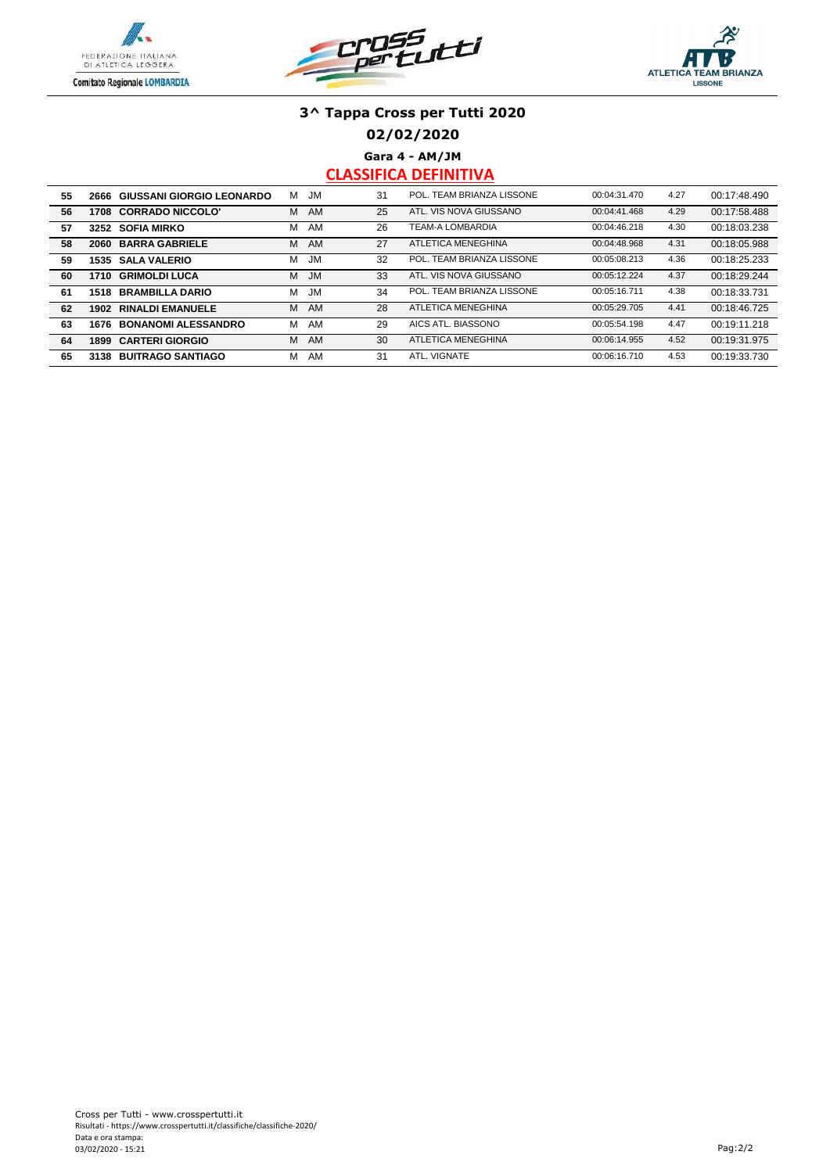





**02/02/2020**

**Gara 4 - AM/JM**

| 55 | 2666 | <b>GIUSSANI GIORGIO LEONARDO</b> | м | <b>JM</b> | 31 | POL. TEAM BRIANZA LISSONE | 00:04:31.470 | 4.27 | 00:17:48.490 |
|----|------|----------------------------------|---|-----------|----|---------------------------|--------------|------|--------------|
| 56 | 1708 | <b>CORRADO NICCOLO'</b>          | М | AM        | 25 | ATL. VIS NOVA GIUSSANO    | 00:04:41.468 | 4.29 | 00:17:58.488 |
| 57 | 3252 | <b>SOFIA MIRKO</b>               | М | AM        | 26 | <b>TEAM-A LOMBARDIA</b>   | 00:04:46.218 | 4.30 | 00:18:03.238 |
| 58 | 2060 | <b>BARRA GABRIELE</b>            | М | AM        | 27 | ATLETICA MENEGHINA        | 00:04:48.968 | 4.31 | 00:18:05.988 |
| 59 | 1535 | <b>SALA VALERIO</b>              | м | <b>JM</b> | 32 | POL. TEAM BRIANZA LISSONE | 00:05:08.213 | 4.36 | 00:18:25.233 |
| 60 | 1710 | <b>GRIMOLDI LUCA</b>             | М | <b>JM</b> | 33 | ATL, VIS NOVA GIUSSANO    | 00:05:12.224 | 4.37 | 00:18:29.244 |
| 61 | 1518 | <b>BRAMBILLA DARIO</b>           | м | <b>JM</b> | 34 | POL. TEAM BRIANZA LISSONE | 00:05:16.711 | 4.38 | 00:18:33.731 |
| 62 | 1902 | <b>RINALDI EMANUELE</b>          | м | AM        | 28 | ATLETICA MENEGHINA        | 00:05:29.705 | 4.41 | 00:18:46.725 |
| 63 | 1676 | <b>BONANOMI ALESSANDRO</b>       | м | AM        | 29 | AICS ATL. BIASSONO        | 00:05:54.198 | 4.47 | 00:19:11.218 |
| 64 | 1899 | <b>CARTERI GIORGIO</b>           | м | AM        | 30 | ATLETICA MENEGHINA        | 00:06:14.955 | 4.52 | 00:19:31.975 |
| 65 | 3138 | <b>BUITRAGO SANTIAGO</b>         | М | AM        | 31 | ATL. VIGNATE              | 00:06:16.710 | 4.53 | 00:19:33.730 |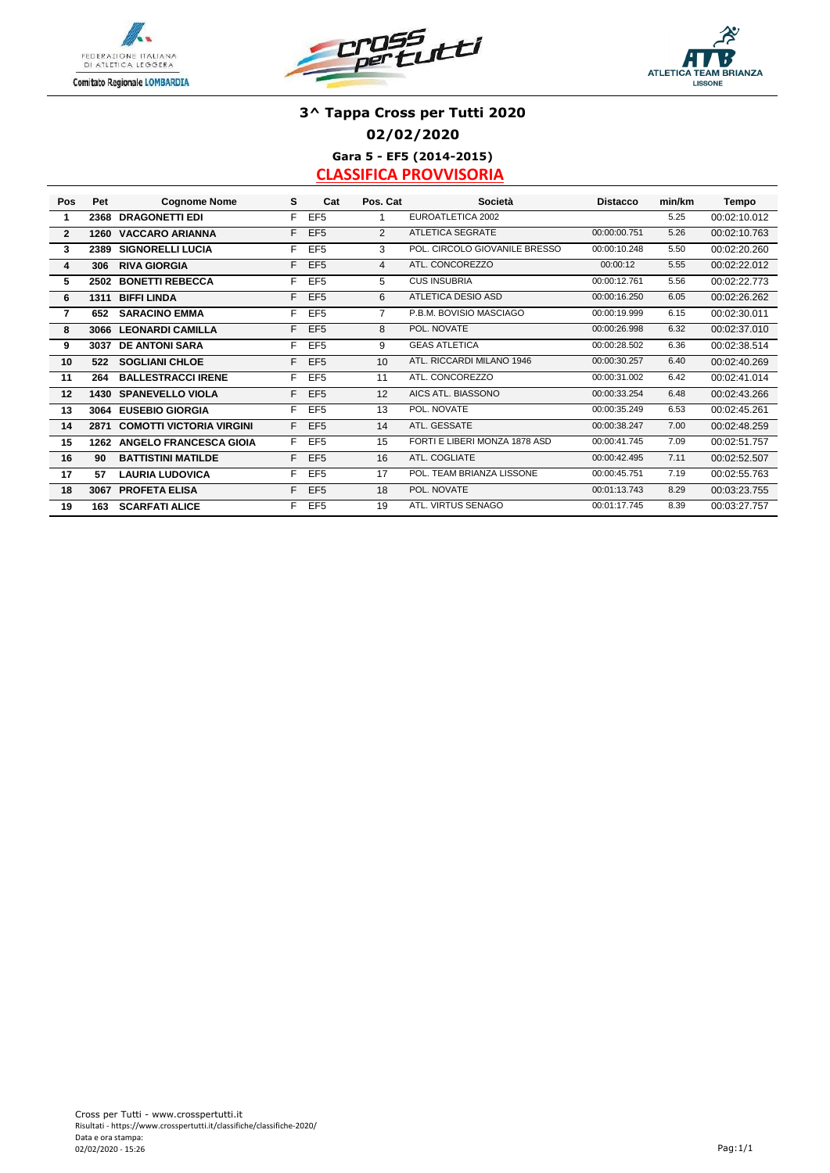





## **3^ Tappa Cross per Tutti 2020 02/02/2020**

**Gara 5 - EF5 (2014-2015) CLASSIFICA PROVVISORIA**

| Pos          | Pet  | <b>Cognome Nome</b>             | s | Cat             | Pos. Cat       | Società                       | <b>Distacco</b> | min/km | Tempo        |
|--------------|------|---------------------------------|---|-----------------|----------------|-------------------------------|-----------------|--------|--------------|
| 1            | 2368 | <b>DRAGONETTI EDI</b>           | F | EF <sub>5</sub> |                | EUROATLETICA 2002             |                 | 5.25   | 00:02:10.012 |
| $\mathbf{2}$ | 1260 | <b>VACCARO ARIANNA</b>          | F | EF <sub>5</sub> | $\overline{2}$ | <b>ATLETICA SEGRATE</b>       | 00:00:00.751    | 5.26   | 00:02:10.763 |
| 3            | 2389 | <b>SIGNORELLI LUCIA</b>         | F | EF <sub>5</sub> | 3              | POL. CIRCOLO GIOVANILE BRESSO | 00:00:10.248    | 5.50   | 00:02:20.260 |
| 4            | 306  | <b>RIVA GIORGIA</b>             | F | EF <sub>5</sub> | 4              | ATL. CONCOREZZO               | 00:00:12        | 5.55   | 00:02:22.012 |
| 5            | 2502 | <b>BONETTI REBECCA</b>          | F | EF <sub>5</sub> | 5              | <b>CUS INSUBRIA</b>           | 00:00:12.761    | 5.56   | 00:02:22.773 |
| 6            | 1311 | <b>BIFFI LINDA</b>              | F | EF <sub>5</sub> | 6              | ATLETICA DESIO ASD            | 00:00:16.250    | 6.05   | 00:02:26.262 |
| 7            | 652  | <b>SARACINO EMMA</b>            | F | EF <sub>5</sub> | 7              | P.B.M. BOVISIO MASCIAGO       | 00:00:19.999    | 6.15   | 00:02:30.011 |
| 8            | 3066 | <b>LEONARDI CAMILLA</b>         | F | EF <sub>5</sub> | 8              | POL. NOVATE                   | 00:00:26.998    | 6.32   | 00:02:37.010 |
| 9            | 3037 | <b>DE ANTONI SARA</b>           | F | EF <sub>5</sub> | 9              | <b>GEAS ATLETICA</b>          | 00:00:28.502    | 6.36   | 00:02:38.514 |
| 10           | 522  | <b>SOGLIANI CHLOE</b>           | F | EF <sub>5</sub> | 10             | ATL, RICCARDI MILANO 1946     | 00:00:30.257    | 6.40   | 00:02:40.269 |
| 11           | 264  | <b>BALLESTRACCI IRENE</b>       | F | EF <sub>5</sub> | 11             | ATL. CONCOREZZO               | 00:00:31.002    | 6.42   | 00:02:41.014 |
| 12           | 1430 | <b>SPANEVELLO VIOLA</b>         | F | EF <sub>5</sub> | 12             | AICS ATL. BIASSONO            | 00:00:33.254    | 6.48   | 00:02:43.266 |
| 13           | 3064 | <b>EUSEBIO GIORGIA</b>          | F | EF <sub>5</sub> | 13             | POL. NOVATE                   | 00:00:35.249    | 6.53   | 00:02:45.261 |
| 14           | 2871 | <b>COMOTTI VICTORIA VIRGINI</b> | F | EF <sub>5</sub> | 14             | ATL. GESSATE                  | 00:00:38.247    | 7.00   | 00:02:48.259 |
| 15           | 1262 | <b>ANGELO FRANCESCA GIOIA</b>   | F | EF <sub>5</sub> | 15             | FORTI E LIBERI MONZA 1878 ASD | 00:00:41.745    | 7.09   | 00:02:51.757 |
| 16           | 90   | <b>BATTISTINI MATILDE</b>       | F | EF <sub>5</sub> | 16             | ATL. COGLIATE                 | 00:00:42.495    | 7.11   | 00:02:52.507 |
| 17           | 57   | <b>LAURIA LUDOVICA</b>          | F | EF <sub>5</sub> | 17             | POL. TEAM BRIANZA LISSONE     | 00:00:45.751    | 7.19   | 00:02:55.763 |
| 18           | 3067 | <b>PROFETA ELISA</b>            | F | EF <sub>5</sub> | 18             | POL. NOVATE                   | 00:01:13.743    | 8.29   | 00:03:23.755 |
| 19           | 163  | <b>SCARFATI ALICE</b>           | F | EF <sub>5</sub> | 19             | ATL, VIRTUS SENAGO            | 00:01:17.745    | 8.39   | 00:03:27.757 |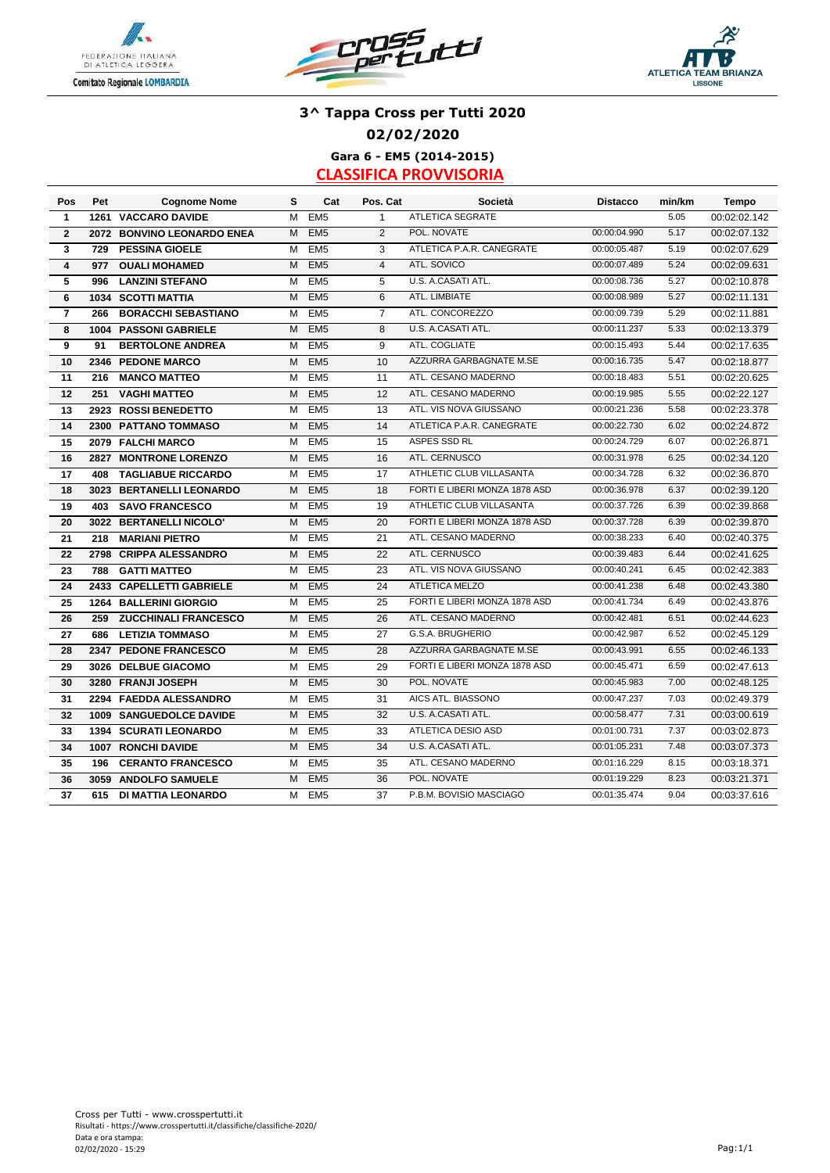





## **3^ Tappa Cross per Tutti 2020 02/02/2020**

**Gara 6 - EM5 (2014-2015) CLASSIFICA PROVVISORIA**

| Pos            | Pet  | <b>Cognome Nome</b>          | s | Cat             | Pos. Cat       | Società                       | <b>Distacco</b> | min/km | Tempo        |
|----------------|------|------------------------------|---|-----------------|----------------|-------------------------------|-----------------|--------|--------------|
| 1              |      | <b>1261 VACCARO DAVIDE</b>   | м | EM <sub>5</sub> | $\mathbf{1}$   | <b>ATLETICA SEGRATE</b>       |                 | 5.05   | 00:02:02.142 |
| $\mathbf{2}$   |      | 2072 BONVINO LEONARDO ENEA   | M | EM <sub>5</sub> | $\overline{2}$ | POL. NOVATE                   | 00:00:04.990    | 5.17   | 00:02:07.132 |
| 3              | 729  | <b>PESSINA GIOELE</b>        | М | EM <sub>5</sub> | 3              | ATLETICA P.A.R. CANEGRATE     | 00:00:05.487    | 5.19   | 00:02:07.629 |
| 4              | 977  | <b>OUALI MOHAMED</b>         | M | EM <sub>5</sub> | $\overline{4}$ | ATL. SOVICO                   | 00:00:07.489    | 5.24   | 00:02:09.631 |
| 5              | 996  | <b>LANZINI STEFANO</b>       | M | EM <sub>5</sub> | 5              | U.S. A.CASATI ATL.            | 00:00:08.736    | 5.27   | 00:02:10.878 |
| 6              |      | <b>1034 SCOTTI MATTIA</b>    | M | EM <sub>5</sub> | 6              | ATL. LIMBIATE                 | 00:00:08.989    | 5.27   | 00:02:11.131 |
| $\overline{7}$ | 266  | <b>BORACCHI SEBASTIANO</b>   | M | EM <sub>5</sub> | $\overline{7}$ | ATL. CONCOREZZO               | 00:00:09.739    | 5.29   | 00:02:11.881 |
| 8              | 1004 | <b>PASSONI GABRIELE</b>      | M | EM <sub>5</sub> | 8              | U.S. A.CASATI ATL.            | 00:00:11.237    | 5.33   | 00:02:13.379 |
| 9              | 91   | <b>BERTOLONE ANDREA</b>      | M | EM <sub>5</sub> | 9              | ATL. COGLIATE                 | 00:00:15.493    | 5.44   | 00:02:17.635 |
| 10             | 2346 | <b>PEDONE MARCO</b>          | M | EM <sub>5</sub> | 10             | AZZURRA GARBAGNATE M.SE       | 00:00:16.735    | 5.47   | 00:02:18.877 |
| 11             | 216  | <b>MANCO MATTEO</b>          | м | EM <sub>5</sub> | 11             | ATL. CESANO MADERNO           | 00:00:18.483    | 5.51   | 00:02:20.625 |
| 12             | 251  | <b>VAGHI MATTEO</b>          | M | EM <sub>5</sub> | 12             | ATL. CESANO MADERNO           | 00:00:19.985    | 5.55   | 00:02:22.127 |
| 13             |      | 2923 ROSSI BENEDETTO         | M | EM <sub>5</sub> | 13             | ATL. VIS NOVA GIUSSANO        | 00:00:21.236    | 5.58   | 00:02:23.378 |
| 14             |      | 2300 PATTANO TOMMASO         | M | EM <sub>5</sub> | 14             | ATLETICA P.A.R. CANEGRATE     | 00:00:22.730    | 6.02   | 00:02:24.872 |
| 15             |      | 2079 FALCHI MARCO            | м | EM <sub>5</sub> | 15             | ASPES SSD RL                  | 00:00:24.729    | 6.07   | 00:02:26.871 |
| 16             | 2827 | <b>MONTRONE LORENZO</b>      | M | EM <sub>5</sub> | 16             | ATL. CERNUSCO                 | 00:00:31.978    | 6.25   | 00:02:34.120 |
| 17             | 408  | <b>TAGLIABUE RICCARDO</b>    | M | EM <sub>5</sub> | 17             | ATHLETIC CLUB VILLASANTA      | 00:00:34.728    | 6.32   | 00:02:36.870 |
| 18             | 3023 | <b>BERTANELLI LEONARDO</b>   | M | EM <sub>5</sub> | 18             | FORTI E LIBERI MONZA 1878 ASD | 00:00:36.978    | 6.37   | 00:02:39.120 |
| 19             | 403  | <b>SAVO FRANCESCO</b>        | м | EM <sub>5</sub> | 19             | ATHLETIC CLUB VILLASANTA      | 00:00:37.726    | 6.39   | 00:02:39.868 |
| 20             |      | 3022 BERTANELLI NICOLO'      | M | EM <sub>5</sub> | 20             | FORTI E LIBERI MONZA 1878 ASD | 00:00:37.728    | 6.39   | 00:02:39.870 |
| 21             | 218  | <b>MARIANI PIETRO</b>        | м | EM <sub>5</sub> | 21             | ATL. CESANO MADERNO           | 00:00:38.233    | 6.40   | 00:02:40.375 |
| 22             | 2798 | <b>CRIPPA ALESSANDRO</b>     | M | EM <sub>5</sub> | 22             | ATL. CERNUSCO                 | 00:00:39.483    | 6.44   | 00:02:41.625 |
| 23             | 788  | <b>GATTI MATTEO</b>          | м | EM <sub>5</sub> | 23             | ATL. VIS NOVA GIUSSANO        | 00:00:40.241    | 6.45   | 00:02:42.383 |
| 24             |      | 2433 CAPELLETTI GABRIELE     | м | EM <sub>5</sub> | 24             | <b>ATLETICA MELZO</b>         | 00:00:41.238    | 6.48   | 00:02:43.380 |
| 25             |      | 1264 BALLERINI GIORGIO       | M | EM <sub>5</sub> | 25             | FORTI E LIBERI MONZA 1878 ASD | 00:00:41.734    | 6.49   | 00:02:43.876 |
| 26             | 259  | <b>ZUCCHINALI FRANCESCO</b>  | M | EM <sub>5</sub> | 26             | ATL. CESANO MADERNO           | 00:00:42.481    | 6.51   | 00:02:44.623 |
| 27             | 686  | <b>LETIZIA TOMMASO</b>       | M | EM <sub>5</sub> | 27             | G.S.A. BRUGHERIO              | 00:00:42.987    | 6.52   | 00:02:45.129 |
| 28             |      | 2347 PEDONE FRANCESCO        | M | EM <sub>5</sub> | 28             | AZZURRA GARBAGNATE M.SE       | 00:00:43.991    | 6.55   | 00:02:46.133 |
| 29             |      | 3026 DELBUE GIACOMO          | M | EM <sub>5</sub> | 29             | FORTI E LIBERI MONZA 1878 ASD | 00:00:45.471    | 6.59   | 00:02:47.613 |
| 30             |      | 3280 FRANJI JOSEPH           | M | EM <sub>5</sub> | 30             | POL. NOVATE                   | 00:00:45.983    | 7.00   | 00:02:48.125 |
| 31             |      | 2294 FAEDDA ALESSANDRO       | м | EM <sub>5</sub> | 31             | AICS ATL. BIASSONO            | 00:00:47.237    | 7.03   | 00:02:49.379 |
| 32             |      | 1009 SANGUEDOLCE DAVIDE      | M | EM <sub>5</sub> | 32             | U.S. A.CASATI ATL.            | 00:00:58.477    | 7.31   | 00:03:00.619 |
| 33             |      | <b>1394 SCURATI LEONARDO</b> | M | EM <sub>5</sub> | 33             | ATLETICA DESIO ASD            | 00:01:00.731    | 7.37   | 00:03:02.873 |
| 34             | 1007 | <b>RONCHI DAVIDE</b>         | M | EM <sub>5</sub> | 34             | U.S. A.CASATI ATL.            | 00:01:05.231    | 7.48   | 00:03:07.373 |
| 35             | 196  | <b>CERANTO FRANCESCO</b>     | M | EM <sub>5</sub> | 35             | ATL. CESANO MADERNO           | 00:01:16.229    | 8.15   | 00:03:18.371 |
| 36             |      | 3059 ANDOLFO SAMUELE         | M | EM <sub>5</sub> | 36             | POL. NOVATE                   | 00:01:19.229    | 8.23   | 00:03:21.371 |
| 37             | 615  | DI MATTIA LEONARDO           | M | EM <sub>5</sub> | 37             | P.B.M. BOVISIO MASCIAGO       | 00:01:35.474    | 9.04   | 00:03:37.616 |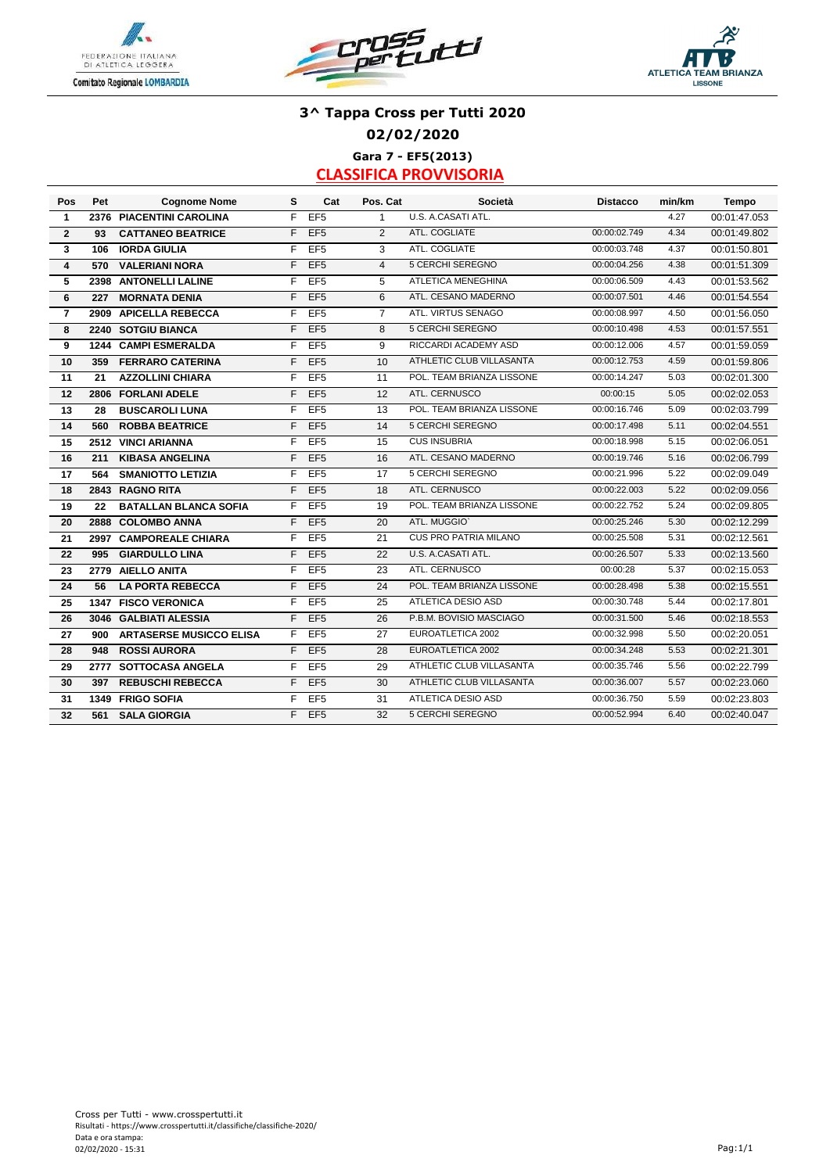





## **3^ Tappa Cross per Tutti 2020 02/02/2020 Gara 7 - EF5(2013)**

| Pos                     | Pet  | <b>Cognome Nome</b>            | s  | Cat             | Pos. Cat        | Società                      | <b>Distacco</b> | min/km | <b>Tempo</b> |
|-------------------------|------|--------------------------------|----|-----------------|-----------------|------------------------------|-----------------|--------|--------------|
| $\mathbf{1}$            |      | 2376 PIACENTINI CAROLINA       | F. | EF <sub>5</sub> | $\mathbf{1}$    | U.S. A.CASATI ATL.           |                 | 4.27   | 00:01:47.053 |
| $\overline{2}$          | 93   | <b>CATTANEO BEATRICE</b>       | F. | EF <sub>5</sub> | $\overline{2}$  | ATL. COGLIATE                | 00:00:02.749    | 4.34   | 00:01:49.802 |
| 3                       | 106  | <b>IORDA GIULIA</b>            | F. | EF <sub>5</sub> | 3               | ATL. COGLIATE                | 00:00:03.748    | 4.37   | 00:01:50.801 |
| $\overline{\mathbf{4}}$ | 570  | <b>VALERIANI NORA</b>          | F  | EF <sub>5</sub> | $\overline{4}$  | <b>5 CERCHI SEREGNO</b>      | 00:00:04.256    | 4.38   | 00:01:51.309 |
| 5                       |      | 2398 ANTONELLI LALINE          | F. | EF <sub>5</sub> | 5               | ATLETICA MENEGHINA           | 00:00:06.509    | 4.43   | 00:01:53.562 |
| 6                       | 227  | <b>MORNATA DENIA</b>           | F. | EF <sub>5</sub> | 6               | ATL. CESANO MADERNO          | 00:00:07.501    | 4.46   | 00:01:54.554 |
| $\overline{7}$          |      | 2909 APICELLA REBECCA          | F. | EF <sub>5</sub> | $\overline{7}$  | ATL. VIRTUS SENAGO           | 00:00:08.997    | 4.50   | 00:01:56.050 |
| 8                       |      | 2240 SOTGIU BIANCA             | F. | EF <sub>5</sub> | 8               | 5 CERCHI SEREGNO             | 00:00:10.498    | 4.53   | 00:01:57.551 |
| 9                       |      | 1244 CAMPI ESMERALDA           | F. | EF <sub>5</sub> | 9               | RICCARDI ACADEMY ASD         | 00:00:12.006    | 4.57   | 00:01:59.059 |
| 10                      | 359  | <b>FERRARO CATERINA</b>        | F. | EF <sub>5</sub> | 10              | ATHLETIC CLUB VILLASANTA     | 00:00:12.753    | 4.59   | 00:01:59.806 |
| 11                      | 21   | <b>AZZOLLINI CHIARA</b>        | F. | EF <sub>5</sub> | 11              | POL. TEAM BRIANZA LISSONE    | 00:00:14.247    | 5.03   | 00:02:01.300 |
| 12                      | 2806 | <b>FORLANI ADELE</b>           | F  | EF <sub>5</sub> | 12              | ATL. CERNUSCO                | 00:00:15        | 5.05   | 00:02:02.053 |
| 13                      | 28   | <b>BUSCAROLI LUNA</b>          | F. | EF <sub>5</sub> | 13              | POL. TEAM BRIANZA LISSONE    | 00:00:16.746    | 5.09   | 00:02:03.799 |
| 14                      | 560  | <b>ROBBA BEATRICE</b>          | F  | EF <sub>5</sub> | 14              | 5 CERCHI SEREGNO             | 00:00:17.498    | 5.11   | 00:02:04.551 |
| 15                      |      | 2512 VINCI ARIANNA             | F. | EF <sub>5</sub> | 15              | <b>CUS INSUBRIA</b>          | 00:00:18.998    | 5.15   | 00:02:06.051 |
| 16                      | 211  | <b>KIBASA ANGELINA</b>         | F. | EF <sub>5</sub> | 16              | ATL. CESANO MADERNO          | 00:00:19.746    | 5.16   | 00:02:06.799 |
| 17                      | 564  | <b>SMANIOTTO LETIZIA</b>       | F. | EF <sub>5</sub> | $\overline{17}$ | 5 CERCHI SEREGNO             | 00:00:21.996    | 5.22   | 00:02:09.049 |
| 18                      |      | 2843 RAGNO RITA                | F. | EF <sub>5</sub> | 18              | ATL. CERNUSCO                | 00:00:22.003    | 5.22   | 00:02:09.056 |
| 19                      | 22   | <b>BATALLAN BLANCA SOFIA</b>   | F. | EF <sub>5</sub> | 19              | POL. TEAM BRIANZA LISSONE    | 00:00:22.752    | 5.24   | 00:02:09.805 |
| 20                      |      | 2888 COLOMBO ANNA              | F. | EF <sub>5</sub> | 20              | ATL. MUGGIO'                 | 00:00:25.246    | 5.30   | 00:02:12.299 |
| 21                      |      | 2997 CAMPOREALE CHIARA         | F. | EF <sub>5</sub> | 21              | <b>CUS PRO PATRIA MILANO</b> | 00:00:25.508    | 5.31   | 00:02:12.561 |
| 22                      | 995  | <b>GIARDULLO LINA</b>          | F. | EF <sub>5</sub> | 22              | U.S. A.CASATI ATL.           | 00:00:26.507    | 5.33   | 00:02:13.560 |
| 23                      |      | 2779 AIELLO ANITA              | F. | EF <sub>5</sub> | 23              | ATL. CERNUSCO                | 00:00:28        | 5.37   | 00:02:15.053 |
| 24                      | 56   | <b>LA PORTA REBECCA</b>        | F. | EF <sub>5</sub> | 24              | POL. TEAM BRIANZA LISSONE    | 00:00:28.498    | 5.38   | 00:02:15.551 |
| 25                      |      | 1347 FISCO VERONICA            | F  | EF <sub>5</sub> | 25              | ATLETICA DESIO ASD           | 00:00:30.748    | 5.44   | 00:02:17.801 |
| 26                      |      | 3046 GALBIATI ALESSIA          | F  | EF <sub>5</sub> | 26              | P.B.M. BOVISIO MASCIAGO      | 00:00:31.500    | 5.46   | 00:02:18.553 |
| 27                      | 900  | <b>ARTASERSE MUSICCO ELISA</b> | F. | EF <sub>5</sub> | 27              | EUROATLETICA 2002            | 00:00:32.998    | 5.50   | 00:02:20.051 |
| 28                      | 948  | <b>ROSSI AURORA</b>            | F  | EF <sub>5</sub> | 28              | EUROATLETICA 2002            | 00:00:34.248    | 5.53   | 00:02:21.301 |
| 29                      |      | 2777 SOTTOCASA ANGELA          | F  | EF <sub>5</sub> | 29              | ATHLETIC CLUB VILLASANTA     | 00:00:35.746    | 5.56   | 00:02:22.799 |
| 30                      | 397  | <b>REBUSCHI REBECCA</b>        | F. | EF <sub>5</sub> | 30              | ATHLETIC CLUB VILLASANTA     | 00:00:36.007    | 5.57   | 00:02:23.060 |
| 31                      |      | 1349 FRIGO SOFIA               | F. | EF <sub>5</sub> | 31              | ATLETICA DESIO ASD           | 00:00:36.750    | 5.59   | 00:02:23.803 |
| 32                      | 561  | <b>SALA GIORGIA</b>            | F. | EF <sub>5</sub> | 32              | 5 CERCHI SEREGNO             | 00:00:52.994    | 6.40   | 00:02:40.047 |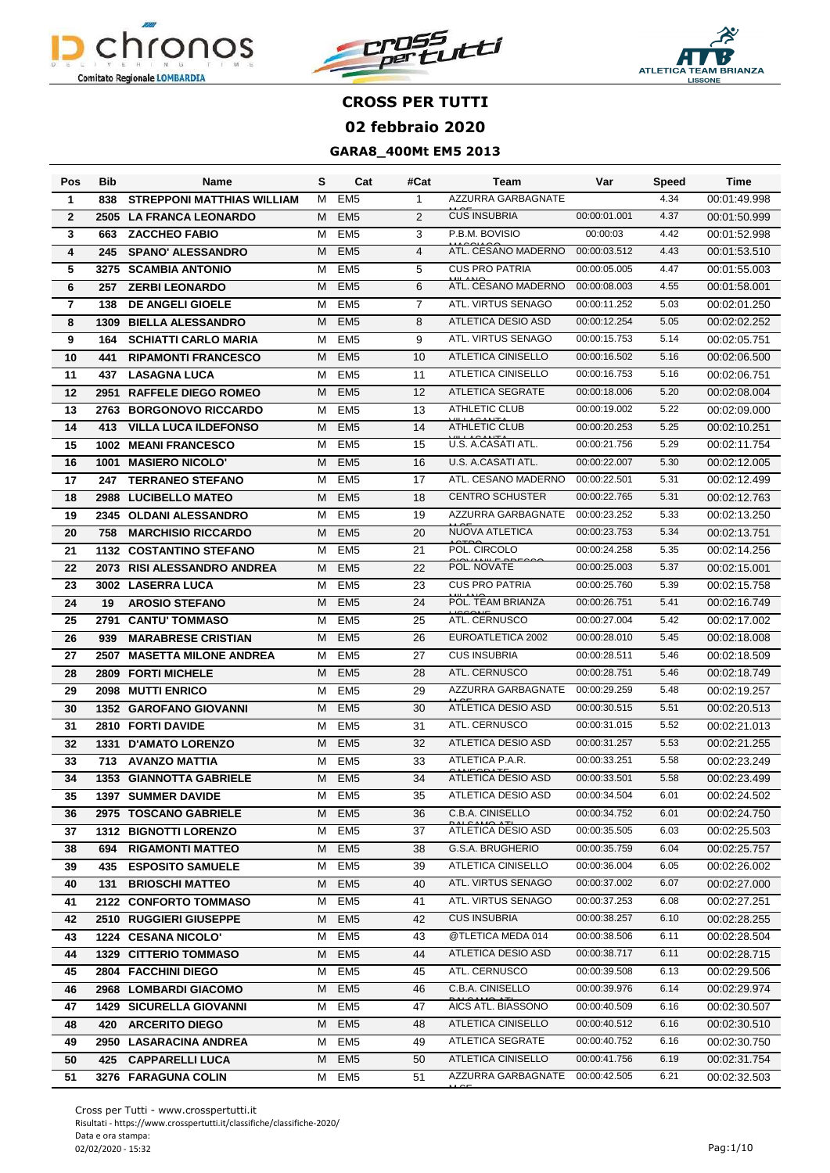





| Pos            | <b>Bib</b> | Name                              | S | Cat             | #Cat           | Team                            | Var          | <b>Speed</b> | Time         |
|----------------|------------|-----------------------------------|---|-----------------|----------------|---------------------------------|--------------|--------------|--------------|
| 1              | 838        | <b>STREPPONI MATTHIAS WILLIAM</b> | M | EM <sub>5</sub> | $\mathbf{1}$   | AZZURRA GARBAGNATE              |              | 4.34         | 00:01:49.998 |
| $\overline{2}$ | 2505       | <b>LA FRANCA LEONARDO</b>         | М | EM <sub>5</sub> | $\overline{2}$ | <b>CUS INSUBRIA</b>             | 00:00:01.001 | 4.37         | 00:01:50.999 |
| 3              | 663        | <b>ZACCHEO FABIO</b>              | M | EM <sub>5</sub> | 3              | P.B.M. BOVISIO                  | 00:00:03     | 4.42         | 00:01:52.998 |
| 4              | 245        | <b>SPANO' ALESSANDRO</b>          | М | EM <sub>5</sub> | $\overline{4}$ | ATL. CESANO MADERNO             | 00:00:03.512 | 4.43         | 00:01:53.510 |
| 5              | 3275       | <b>SCAMBIA ANTONIO</b>            | м | EM <sub>5</sub> | 5              | <b>CUS PRO PATRIA</b>           | 00:00:05.005 | 4.47         | 00:01:55.003 |
| 6              | 257        | <b>ZERBI LEONARDO</b>             | М | EM <sub>5</sub> | 6              | ATL. CESANO MADERNO             | 00:00:08.003 | 4.55         | 00:01:58.001 |
| $\overline{7}$ | 138        | <b>DE ANGELI GIOELE</b>           | M | EM <sub>5</sub> | $\overline{7}$ | ATL. VIRTUS SENAGO              | 00:00:11.252 | 5.03         | 00:02:01.250 |
| 8              | 1309       | <b>BIELLA ALESSANDRO</b>          | М | EM <sub>5</sub> | 8              | <b>ATLETICA DESIO ASD</b>       | 00:00:12.254 | 5.05         | 00:02:02.252 |
| 9              | 164        | <b>SCHIATTI CARLO MARIA</b>       | M | EM <sub>5</sub> | 9              | ATL, VIRTUS SENAGO              | 00:00:15.753 | 5.14         | 00:02:05.751 |
| 10             | 441        | <b>RIPAMONTI FRANCESCO</b>        | М | EM <sub>5</sub> | 10             | <b>ATLETICA CINISELLO</b>       | 00:00:16.502 | 5.16         | 00:02:06.500 |
| 11             | 437        | <b>LASAGNA LUCA</b>               | M | EM <sub>5</sub> | 11             | <b>ATLETICA CINISELLO</b>       | 00:00:16.753 | 5.16         | 00:02:06.751 |
| 12             | 2951       | <b>RAFFELE DIEGO ROMEO</b>        | М | EM <sub>5</sub> | 12             | <b>ATLETICA SEGRATE</b>         | 00:00:18.006 | 5.20         | 00:02:08.004 |
| 13             | 2763       | <b>BORGONOVO RICCARDO</b>         | м | EM <sub>5</sub> | 13             | <b>ATHLETIC CLUB</b>            | 00:00:19.002 | 5.22         | 00:02:09.000 |
| 14             | 413        | <b>VILLA LUCA ILDEFONSO</b>       | М | EM <sub>5</sub> | 14             | <b>ATHLETIC CLUB</b>            | 00:00:20.253 | 5.25         | 00:02:10.251 |
| 15             | 1002       | <b>MEANI FRANCESCO</b>            | м | EM <sub>5</sub> | 15             | U.S. A.CASATI ATL.              | 00:00:21.756 | 5.29         | 00:02:11.754 |
| 16             | 1001       | <b>MASIERO NICOLO'</b>            | М | EM <sub>5</sub> | 16             | U.S. A.CASATI ATL.              | 00:00:22.007 | 5.30         | 00:02:12.005 |
| 17             | 247        | <b>TERRANEO STEFANO</b>           | м | EM <sub>5</sub> | 17             | ATL. CESANO MADERNO             | 00:00:22.501 | 5.31         | 00:02:12.499 |
| 18             | 2988       | <b>LUCIBELLO MATEO</b>            | М | EM <sub>5</sub> | 18             | <b>CENTRO SCHUSTER</b>          | 00:00:22.765 | 5.31         | 00:02:12.763 |
| 19             | 2345       | <b>OLDANI ALESSANDRO</b>          | м | EM <sub>5</sub> | 19             | AZZURRA GARBAGNATE              | 00:00:23.252 | 5.33         | 00:02:13.250 |
| 20             | 758        | <b>MARCHISIO RICCARDO</b>         | М | EM <sub>5</sub> | 20             | NUOVA ATLETICA                  | 00:00:23.753 | 5.34         | 00:02:13.751 |
| 21             | 1132       | <b>COSTANTINO STEFANO</b>         | M | EM <sub>5</sub> | 21             | POL. CIRCOLO                    | 00:00:24.258 | 5.35         | 00:02:14.256 |
| 22             | 2073       | <b>RISI ALESSANDRO ANDREA</b>     | М | EM <sub>5</sub> | 22             | POL. NOVATE                     | 00:00:25.003 | 5.37         | 00:02:15.001 |
| 23             | 3002       | <b>LASERRA LUCA</b>               | M | EM <sub>5</sub> | 23             | <b>CUS PRO PATRIA</b>           | 00:00:25.760 | 5.39         | 00:02:15.758 |
| 24             | 19         | <b>AROSIO STEFANO</b>             | М | EM <sub>5</sub> | 24             | POL. TEAM BRIANZA               | 00:00:26.751 | 5.41         | 00:02:16.749 |
| 25             | 2791       | <b>CANTU' TOMMASO</b>             | м | EM <sub>5</sub> | 25             | ATL. CERNUSCO                   | 00:00:27.004 | 5.42         | 00:02:17.002 |
| 26             | 939        | <b>MARABRESE CRISTIAN</b>         | М | EM <sub>5</sub> | 26             | EUROATLETICA 2002               | 00:00:28.010 | 5.45         | 00:02:18.008 |
| 27             | 2507       | <b>MASETTA MILONE ANDREA</b>      | м | EM <sub>5</sub> | 27             | <b>CUS INSUBRIA</b>             | 00:00:28.511 | 5.46         | 00:02:18.509 |
| 28             | 2809       | <b>FORTI MICHELE</b>              | М | EM <sub>5</sub> | 28             | ATL. CERNUSCO                   | 00:00:28.751 | 5.46         | 00:02:18.749 |
| 29             | 2098       | <b>MUTTI ENRICO</b>               | м | EM <sub>5</sub> | 29             | <b>AZZURRA GARBAGNATE</b>       | 00:00:29.259 | 5.48         | 00:02:19.257 |
| 30             | 1352       | <b>GAROFANO GIOVANNI</b>          | M | EM <sub>5</sub> | 30             | ATLETICA DESIO ASD              | 00:00:30.515 | 5.51         | 00:02:20.513 |
| 31             |            | 2810 FORTI DAVIDE                 | M | EM <sub>5</sub> | 31             | ATL. CERNUSCO                   | 00:00:31.015 | 5.52         | 00:02:21.013 |
| 32             | 1331       | <b>D'AMATO LORENZO</b>            | М | EM <sub>5</sub> | 32             | ATLETICA DESIO ASD              | 00:00:31.257 | 5.53         | 00:02:21.255 |
| 33             | 713        | <b>AVANZO MATTIA</b>              | М | EM <sub>5</sub> | 33             | ATLETICA P.A.R.                 | 00:00:33.251 | 5.58         | 00:02:23.249 |
| 34             |            | <b>1353 GIANNOTTA GABRIELE</b>    | М | EM <sub>5</sub> | 34             | <b>ATLETICA DESIO ASD</b>       | 00:00:33.501 | 5.58         | 00:02:23.499 |
| 35             |            | <b>1397 SUMMER DAVIDE</b>         |   | M EM5           | 35             | ATLETICA DESIO ASD              | 00:00:34.504 | 6.01         | 00:02:24.502 |
| 36             |            | 2975 TOSCANO GABRIELE             | Μ | EM <sub>5</sub> | 36             | C.B.A. CINISELLO                | 00:00:34.752 | 6.01         | 00:02:24.750 |
| 37             |            | <b>1312 BIGNOTTI LORENZO</b>      | М | EM <sub>5</sub> | 37             | ATLETICA DESIO ASD              | 00:00:35.505 | 6.03         | 00:02:25.503 |
| 38             | 694        | <b>RIGAMONTI MATTEO</b>           | м | EM <sub>5</sub> | 38             | G.S.A. BRUGHERIO                | 00:00:35.759 | 6.04         | 00:02:25.757 |
| 39             | 435        | <b>ESPOSITO SAMUELE</b>           | м | EM <sub>5</sub> | 39             | ATLETICA CINISELLO              | 00:00:36.004 | 6.05         | 00:02:26.002 |
| 40             | 131        | <b>BRIOSCHI MATTEO</b>            | М | EM <sub>5</sub> | 40             | ATL. VIRTUS SENAGO              | 00:00:37.002 | 6.07         | 00:02:27.000 |
| 41             |            | 2122 CONFORTO TOMMASO             | Μ | EM <sub>5</sub> | 41             | ATL. VIRTUS SENAGO              | 00:00:37.253 | 6.08         | 00:02:27.251 |
| 42             |            | 2510 RUGGIERI GIUSEPPE            | м | EM <sub>5</sub> | 42             | <b>CUS INSUBRIA</b>             | 00:00:38.257 | 6.10         | 00:02:28.255 |
| 43             |            | 1224 CESANA NICOLO'               | м | EM <sub>5</sub> | 43             | @TLETICA MEDA 014               | 00:00:38.506 | 6.11         | 00:02:28.504 |
| 44             |            | <b>1329 CITTERIO TOMMASO</b>      | M | EM <sub>5</sub> | 44             | ATLETICA DESIO ASD              | 00:00:38.717 | 6.11         | 00:02:28.715 |
| 45             |            | 2804 FACCHINI DIEGO               |   | M EM5           | 45             | ATL. CERNUSCO                   | 00:00:39.508 | 6.13         | 00:02:29.506 |
| 46             |            | 2968 LOMBARDI GIACOMO             | Μ | EM <sub>5</sub> | 46             | C.B.A. CINISELLO                | 00:00:39.976 | 6.14         | 00:02:29.974 |
| 47             |            | <b>1429 SICURELLA GIOVANNI</b>    | M | EM <sub>5</sub> | 47             | AICS ATL. BIASSONO              | 00:00:40.509 | 6.16         | 00:02:30.507 |
| 48             | 420        | <b>ARCERITO DIEGO</b>             | м | EM <sub>5</sub> | 48             | ATLETICA CINISELLO              | 00:00:40.512 | 6.16         | 00:02:30.510 |
| 49             |            | 2950 LASARACINA ANDREA            | м | EM <sub>5</sub> | 49             | ATLETICA SEGRATE                | 00:00:40.752 | 6.16         | 00:02:30.750 |
| 50             | 425        | <b>CAPPARELLI LUCA</b>            | Μ | EM <sub>5</sub> | 50             | ATLETICA CINISELLO              | 00:00:41.756 | 6.19         | 00:02:31.754 |
| 51             |            | 3276 FARAGUNA COLIN               | м | EM5             | 51             | AZZURRA GARBAGNATE 00:00:42.505 |              | 6.21         | 00:02:32.503 |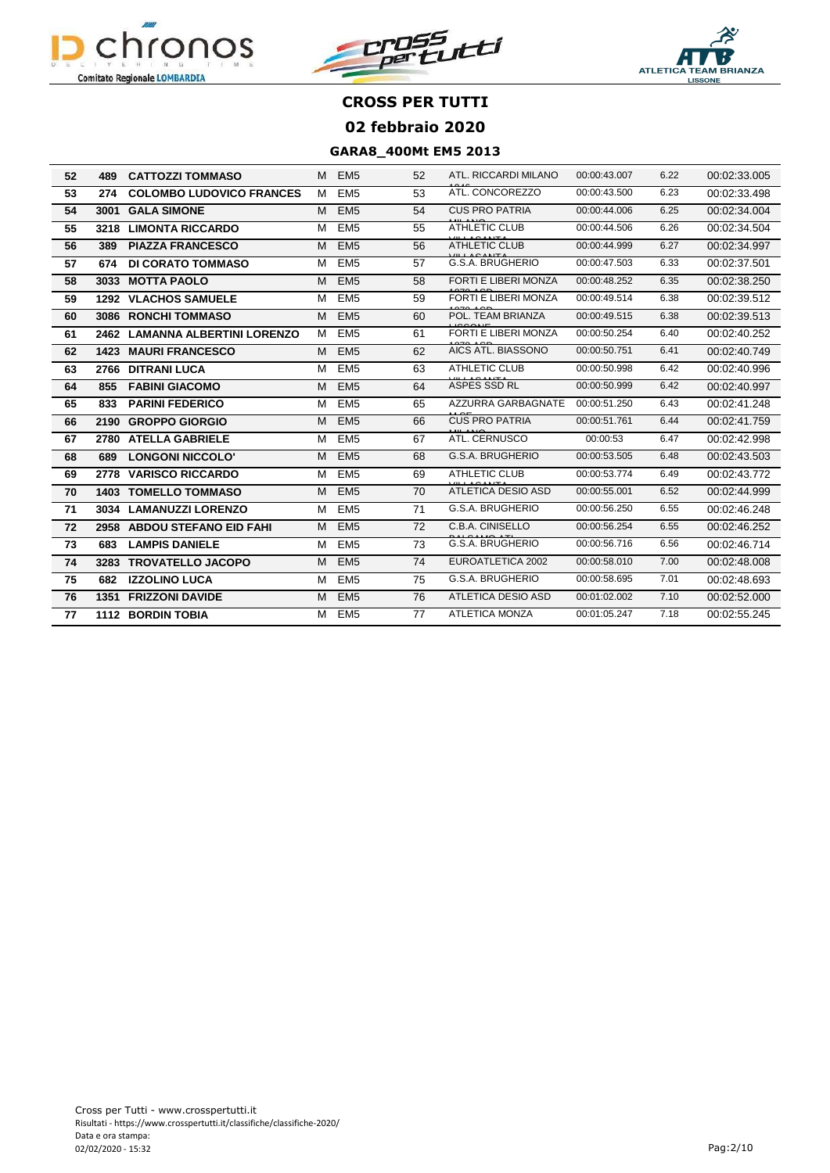





| 52 | 489  | <b>CATTOZZI TOMMASO</b>          | М | EM <sub>5</sub> | 52 | ATL. RICCARDI MILANO      | 00:00:43.007 | 6.22 | 00:02:33.005 |
|----|------|----------------------------------|---|-----------------|----|---------------------------|--------------|------|--------------|
| 53 | 274  | <b>COLOMBO LUDOVICO FRANCES</b>  | M | EM <sub>5</sub> | 53 | ATL. CONCOREZZO           | 00:00:43.500 | 6.23 | 00:02:33.498 |
| 54 | 3001 | <b>GALA SIMONE</b>               | M | EM <sub>5</sub> | 54 | <b>CUS PRO PATRIA</b>     | 00:00:44.006 | 6.25 | 00:02:34.004 |
| 55 |      | 3218 LIMONTA RICCARDO            | M | EM <sub>5</sub> | 55 | <b>ATHLETIC CLUB</b>      | 00:00:44.506 | 6.26 | 00:02:34.504 |
| 56 | 389  | <b>PIAZZA FRANCESCO</b>          | M | EM <sub>5</sub> | 56 | <b>ATHLETIC CLUB</b>      | 00:00:44.999 | 6.27 | 00:02:34.997 |
| 57 | 674  | <b>DI CORATO TOMMASO</b>         | M | EM <sub>5</sub> | 57 | G.S.A. BRUGHERIO          | 00:00:47.503 | 6.33 | 00:02:37.501 |
| 58 | 3033 | <b>MOTTA PAOLO</b>               | M | EM <sub>5</sub> | 58 | FORTI E LIBERI MONZA      | 00:00:48.252 | 6.35 | 00:02:38.250 |
| 59 |      | <b>1292 VLACHOS SAMUELE</b>      | M | EM <sub>5</sub> | 59 | FORTI E LIBERI MONZA      | 00:00:49.514 | 6.38 | 00:02:39.512 |
| 60 | 3086 | <b>RONCHI TOMMASO</b>            | M | EM <sub>5</sub> | 60 | POL. TEAM BRIANZA         | 00:00:49.515 | 6.38 | 00:02:39.513 |
| 61 | 2462 | <b>LAMANNA ALBERTINI LORENZO</b> | M | EM <sub>5</sub> | 61 | FORTI E LIBERI MONZA      | 00:00:50.254 | 6.40 | 00:02:40.252 |
| 62 | 1423 | <b>MAURI FRANCESCO</b>           | M | EM <sub>5</sub> | 62 | AICS ATL. BIASSONO        | 00:00:50.751 | 6.41 | 00:02:40.749 |
| 63 | 2766 | <b>DITRANI LUCA</b>              | м | EM <sub>5</sub> | 63 | <b>ATHLETIC CLUB</b>      | 00:00:50.998 | 6.42 | 00:02:40.996 |
| 64 | 855  | <b>FABINI GIACOMO</b>            | M | EM <sub>5</sub> | 64 | ASPES SSD RL              | 00:00:50.999 | 6.42 | 00:02:40.997 |
| 65 | 833  | <b>PARINI FEDERICO</b>           | м | EM <sub>5</sub> | 65 | AZZURRA GARBAGNATE        | 00:00:51.250 | 6.43 | 00:02:41.248 |
| 66 | 2190 | <b>GROPPO GIORGIO</b>            | M | EM <sub>5</sub> | 66 | <b>CUS PRO PATRIA</b>     | 00:00:51.761 | 6.44 | 00:02:41.759 |
| 67 | 2780 | <b>ATELLA GABRIELE</b>           | M | EM <sub>5</sub> | 67 | ATL. CERNUSCO             | 00:00:53     | 6.47 | 00:02:42.998 |
| 68 | 689  | <b>LONGONI NICCOLO'</b>          | M | EM <sub>5</sub> | 68 | G.S.A. BRUGHERIO          | 00:00:53.505 | 6.48 | 00:02:43.503 |
| 69 | 2778 | <b>VARISCO RICCARDO</b>          | м | EM <sub>5</sub> | 69 | <b>ATHLETIC CLUB</b>      | 00:00:53.774 | 6.49 | 00:02:43.772 |
| 70 | 1403 | <b>TOMELLO TOMMASO</b>           | M | EM <sub>5</sub> | 70 | <b>ATLETICA DESIO ASD</b> | 00:00:55.001 | 6.52 | 00:02:44.999 |
| 71 | 3034 | <b>LAMANUZZI LORENZO</b>         | M | EM <sub>5</sub> | 71 | G.S.A. BRUGHERIO          | 00:00:56.250 | 6.55 | 00:02:46.248 |
| 72 | 2958 | <b>ABDOU STEFANO EID FAHI</b>    | M | EM <sub>5</sub> | 72 | C.B.A. CINISELLO          | 00:00:56.254 | 6.55 | 00:02:46.252 |
| 73 | 683  | <b>LAMPIS DANIELE</b>            | M | EM <sub>5</sub> | 73 | G.S.A. BRUGHERIO          | 00:00:56.716 | 6.56 | 00:02:46.714 |
| 74 | 3283 | <b>TROVATELLO JACOPO</b>         | M | EM <sub>5</sub> | 74 | EUROATLETICA 2002         | 00:00:58.010 | 7.00 | 00:02:48.008 |
| 75 | 682  | <b>IZZOLINO LUCA</b>             | M | EM <sub>5</sub> | 75 | G.S.A. BRUGHERIO          | 00:00:58.695 | 7.01 | 00:02:48.693 |
| 76 | 1351 | <b>FRIZZONI DAVIDE</b>           | M | EM <sub>5</sub> | 76 | <b>ATLETICA DESIO ASD</b> | 00:01:02.002 | 7.10 | 00:02:52.000 |
| 77 |      | <b>1112 BORDIN TOBIA</b>         | М | EM5             | 77 | <b>ATLETICA MONZA</b>     | 00:01:05.247 | 7.18 | 00:02:55.245 |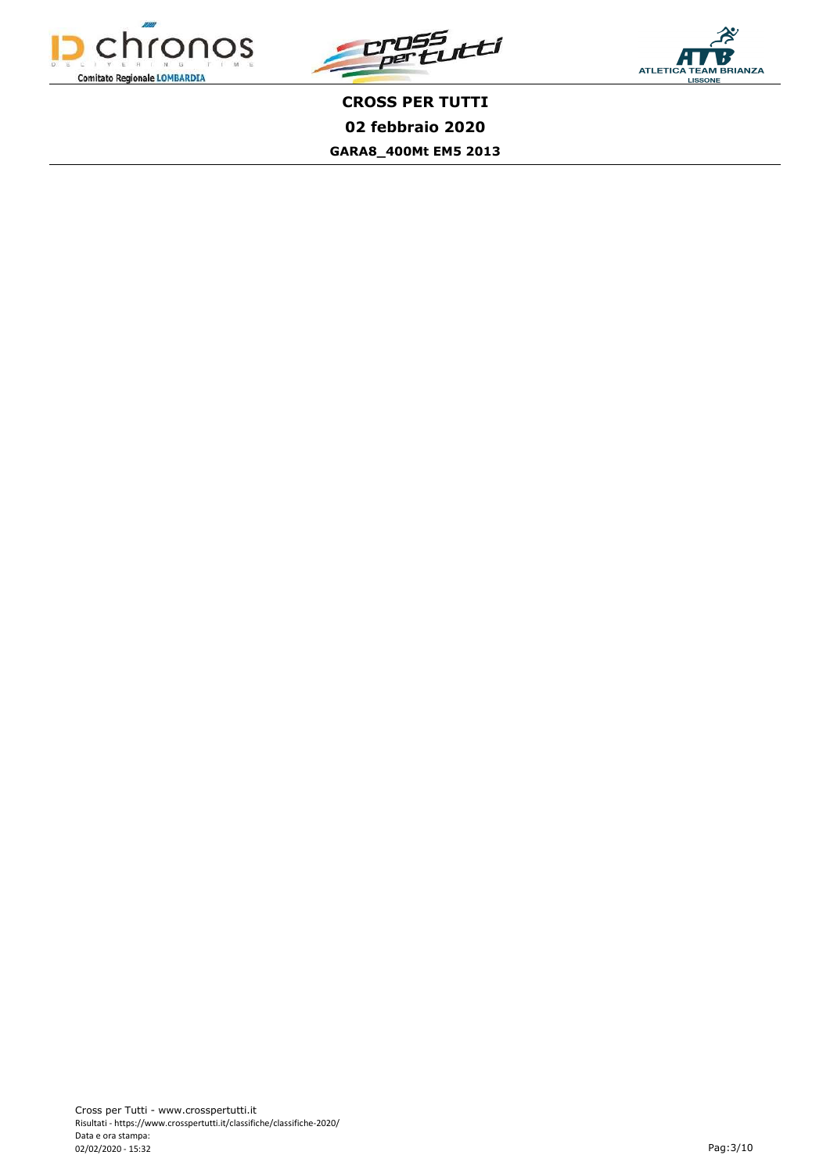



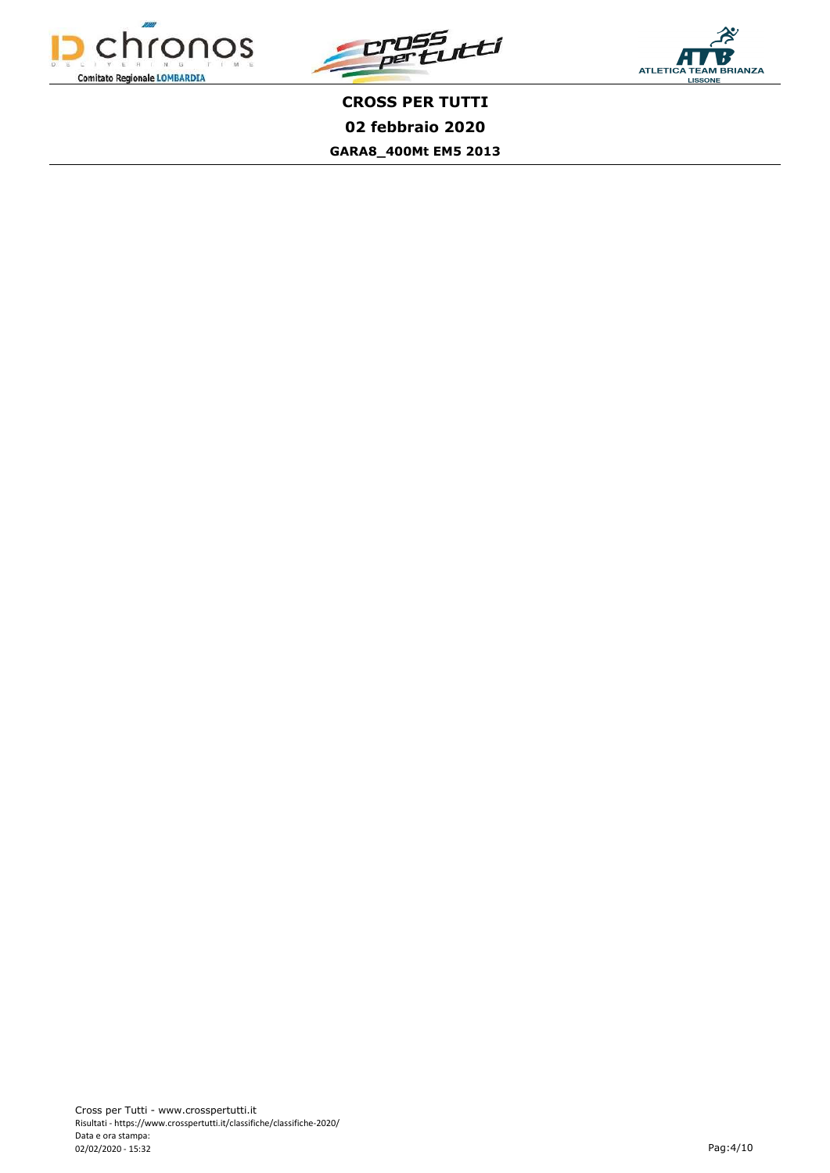



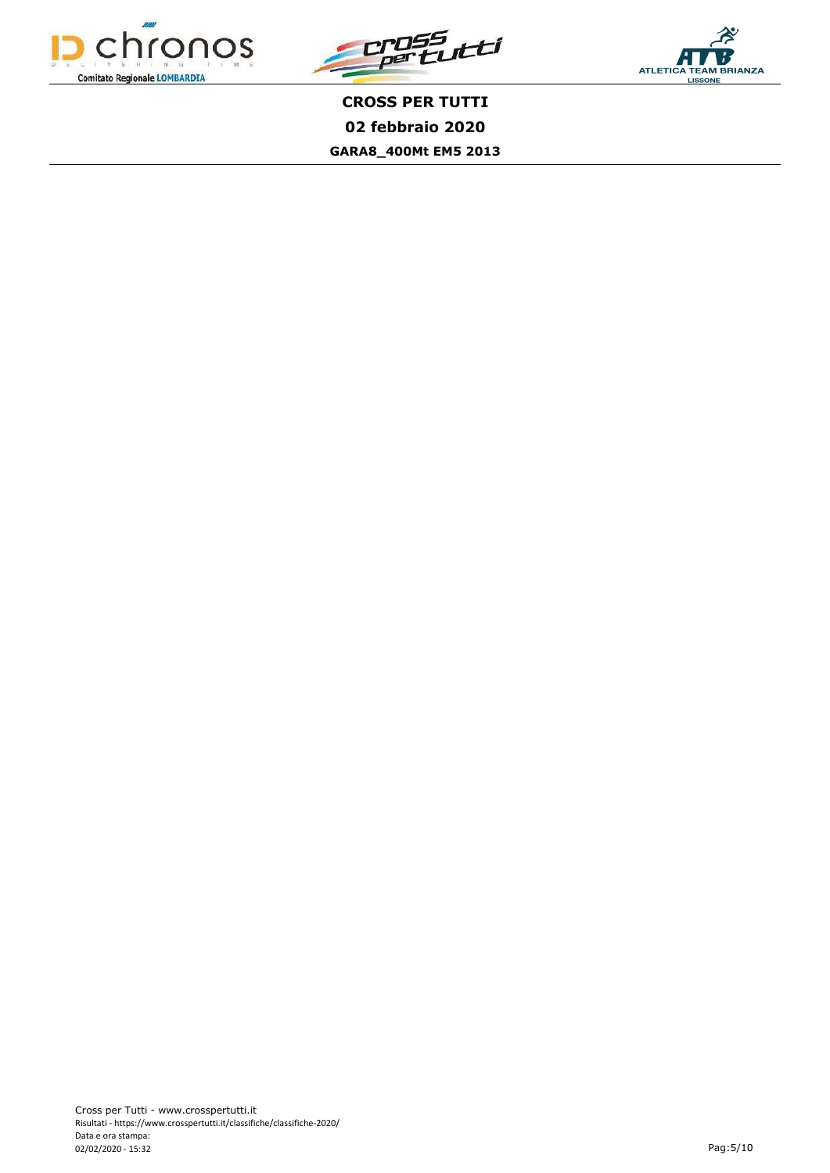



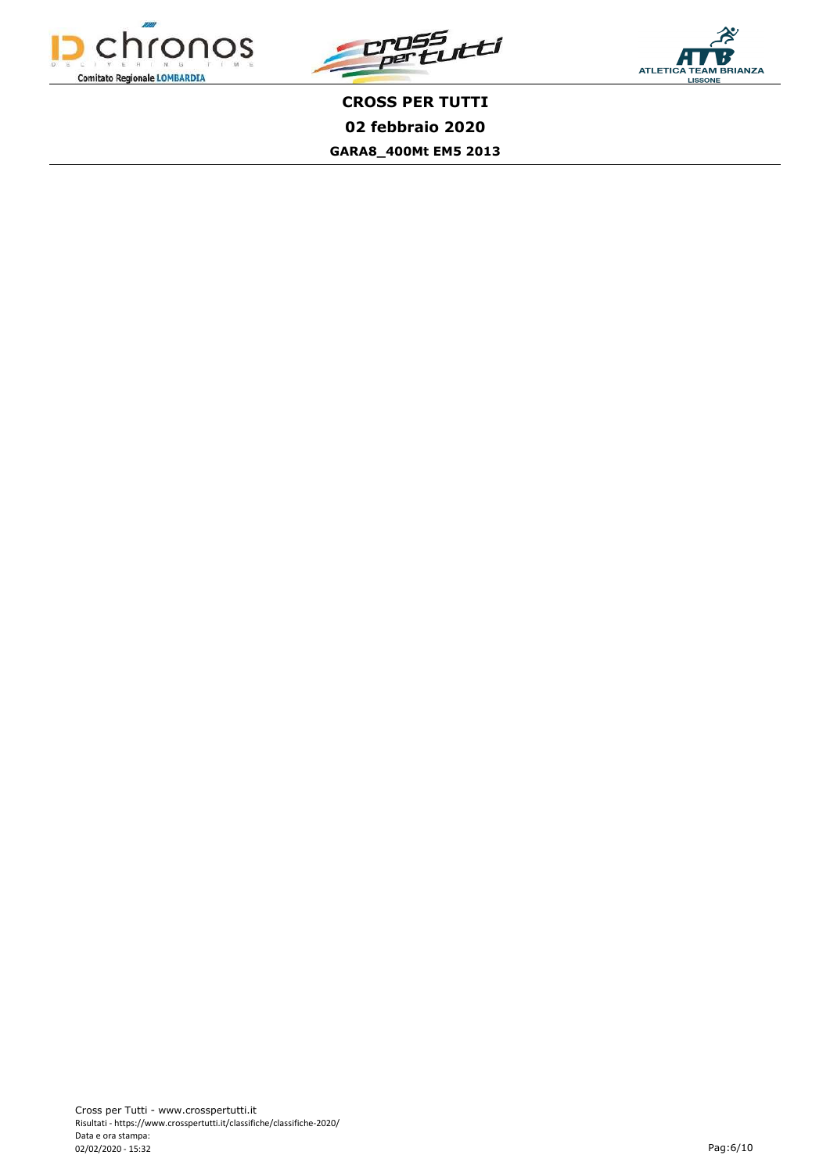



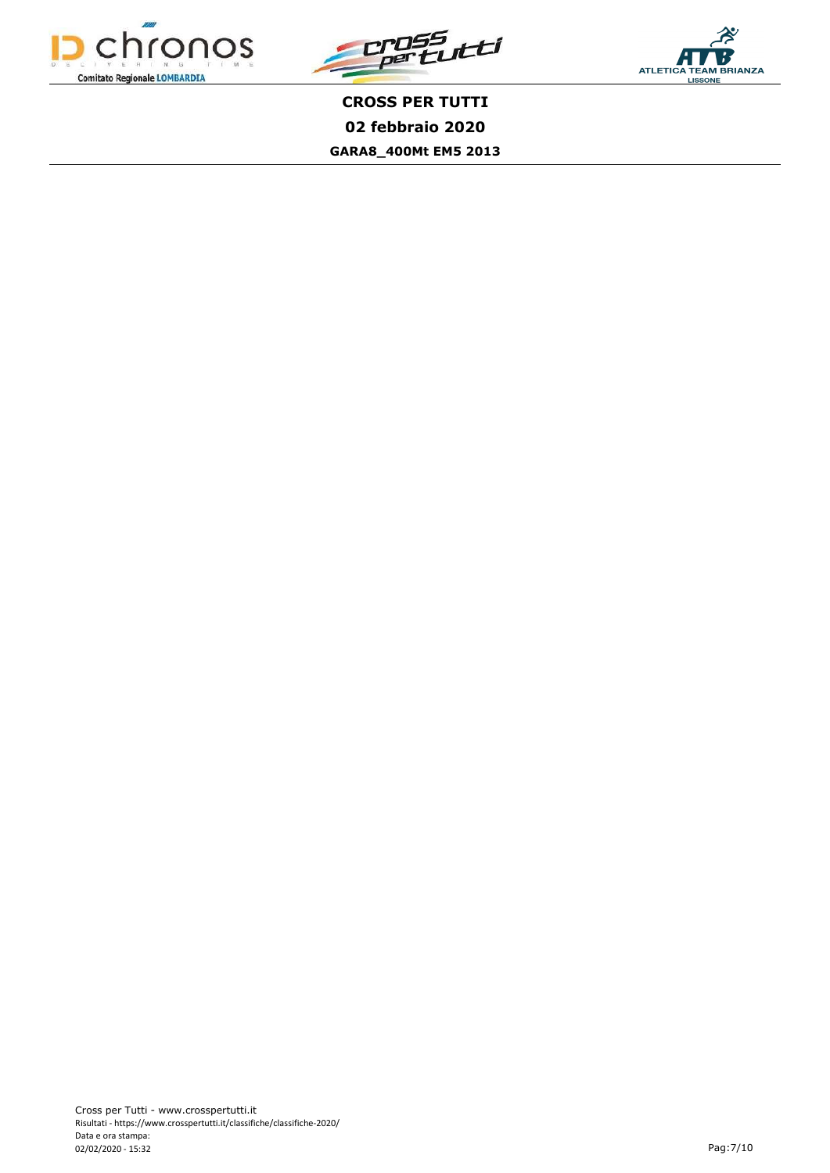



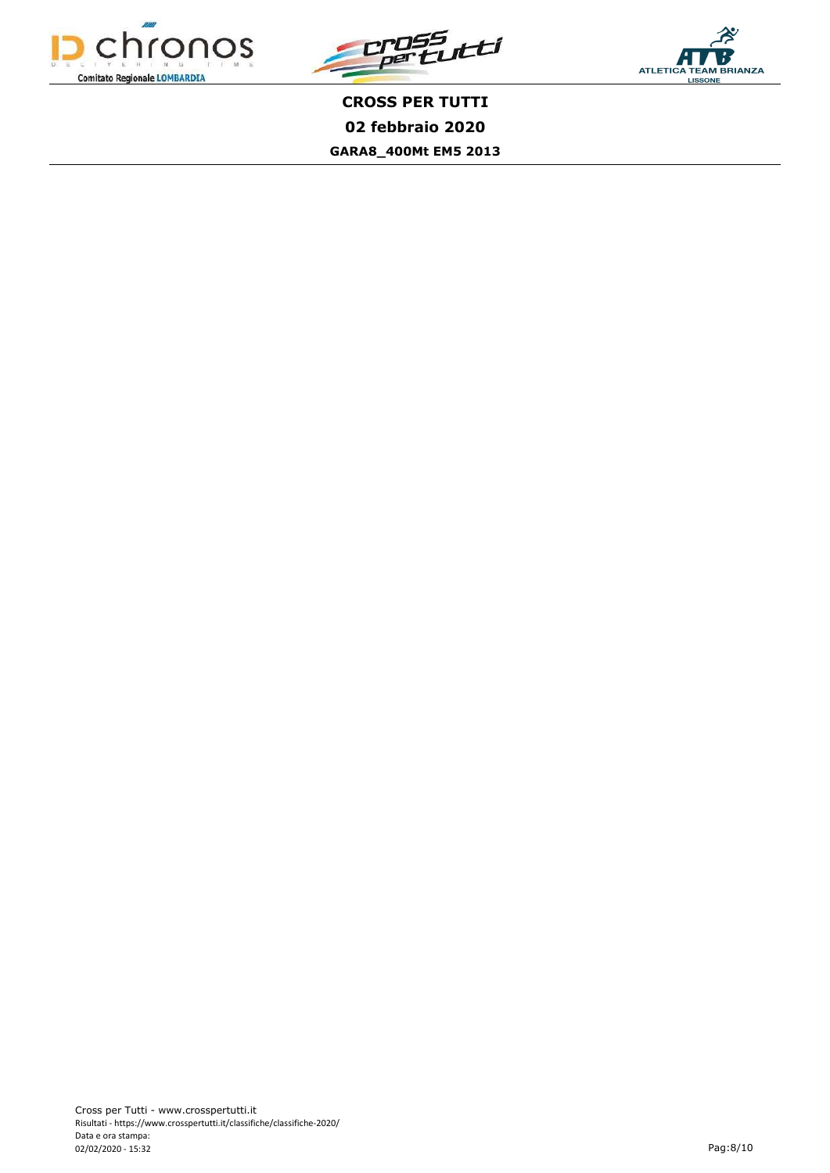



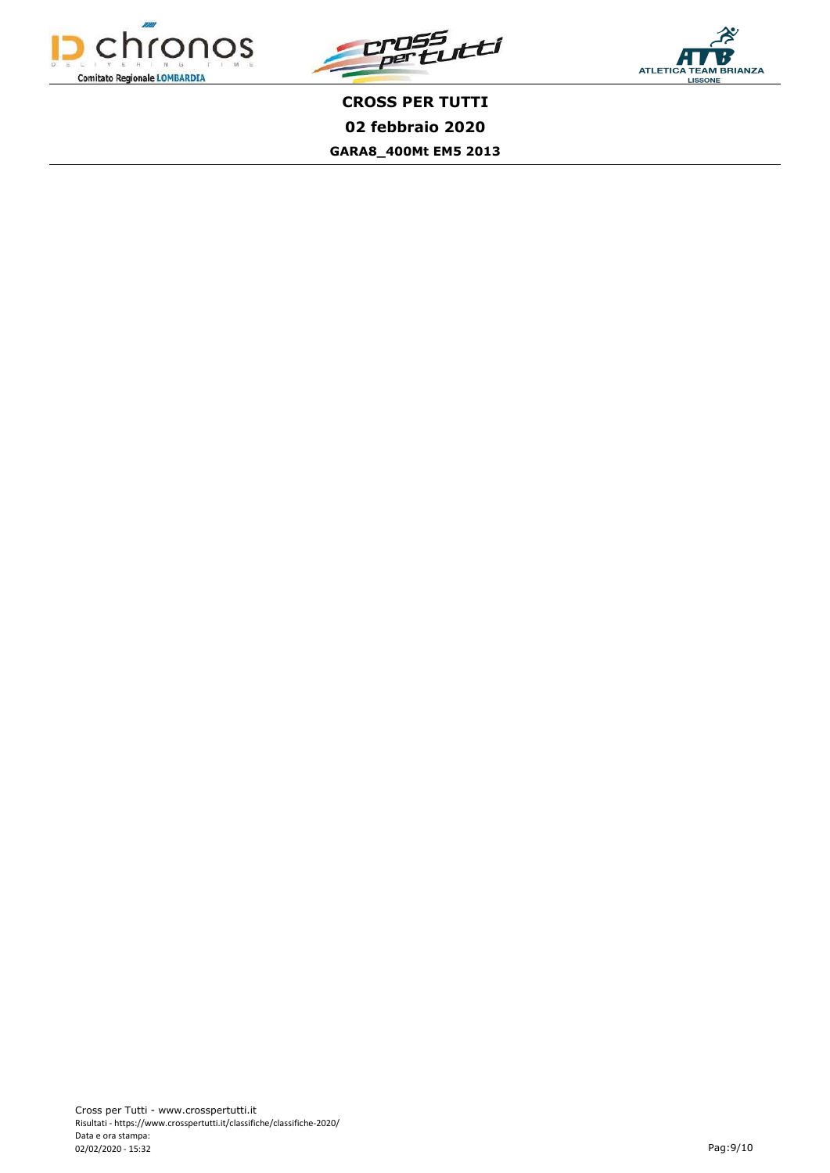



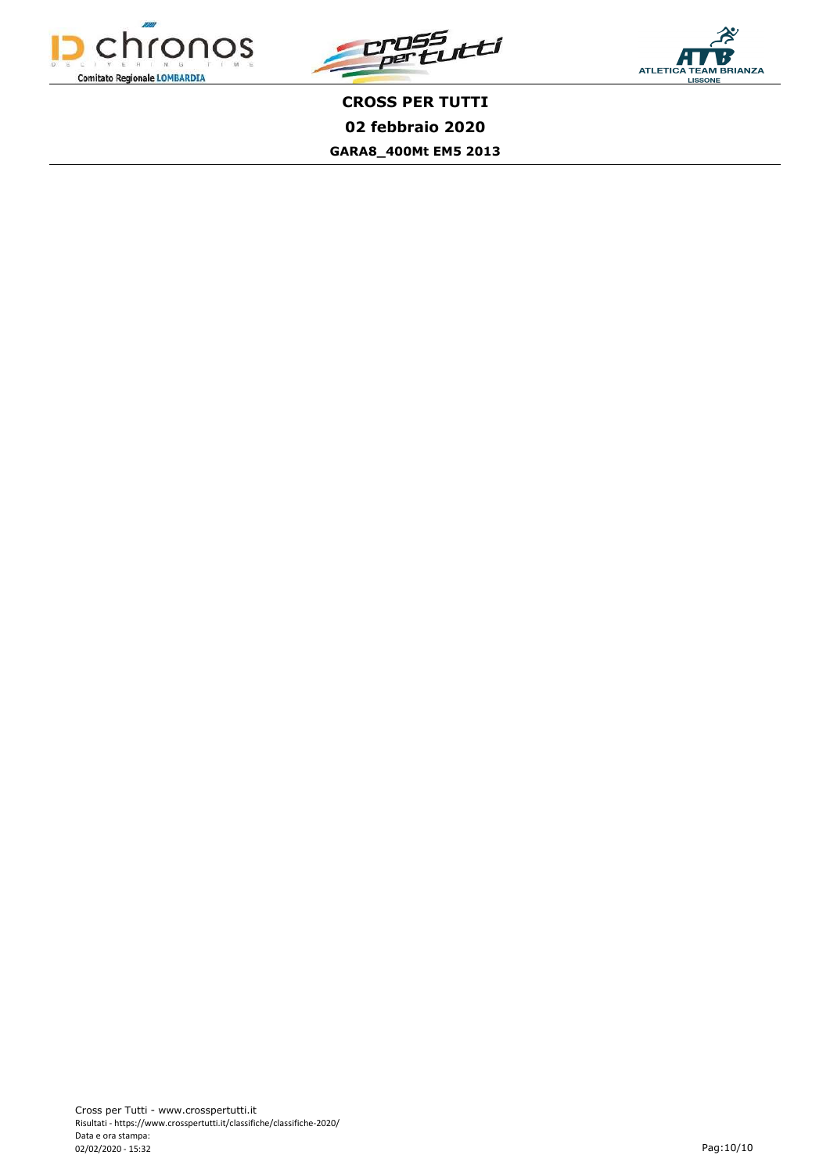



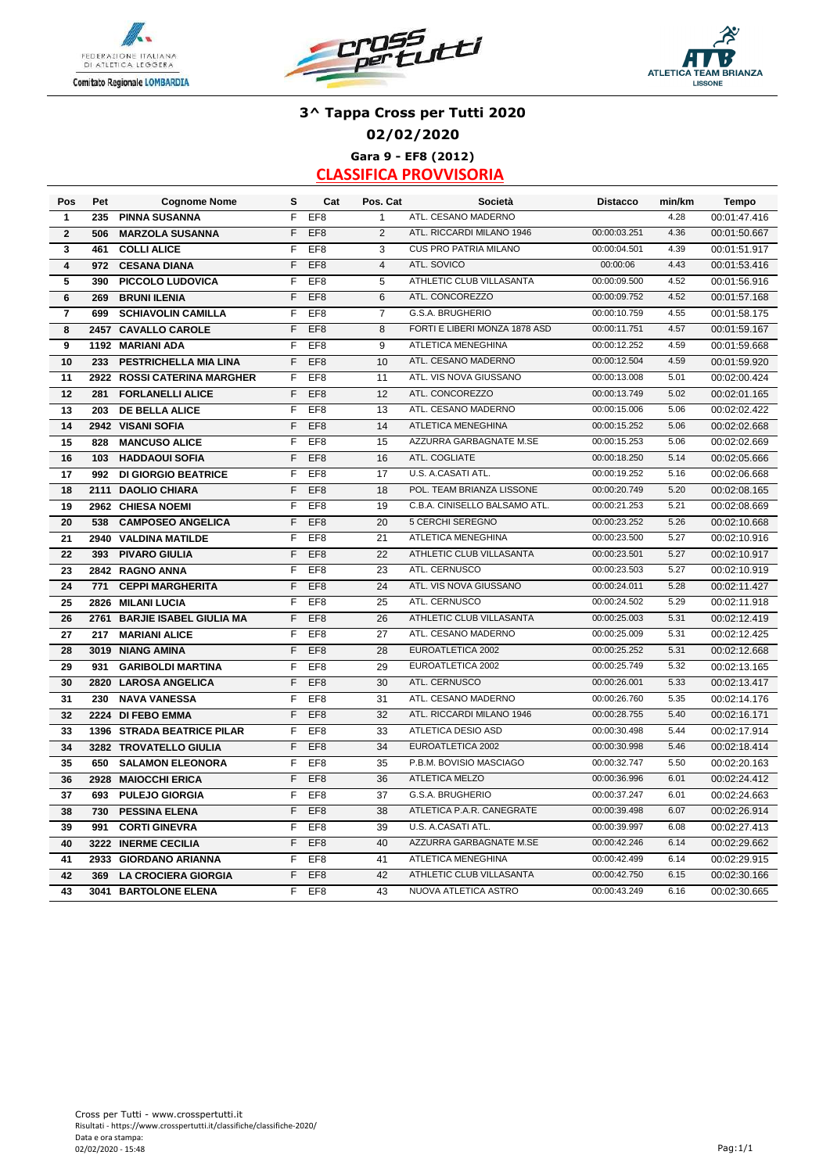





## **3^ Tappa Cross per Tutti 2020 02/02/2020 Gara 9 - EF8 (2012)**

| Pos             | Pet  | <b>Cognome Nome</b>          | s              | Cat             | Pos. Cat        | Società                       | <b>Distacco</b> | min/km | <b>Tempo</b> |
|-----------------|------|------------------------------|----------------|-----------------|-----------------|-------------------------------|-----------------|--------|--------------|
| $\mathbf{1}$    | 235  | <b>PINNA SUSANNA</b>         | F              | EF <sub>8</sub> | $\mathbf{1}$    | ATL. CESANO MADERNO           |                 | 4.28   | 00:01:47.416 |
| $\mathbf{2}$    | 506  | <b>MARZOLA SUSANNA</b>       | F              | EF <sub>8</sub> | 2               | ATL. RICCARDI MILANO 1946     | 00:00:03.251    | 4.36   | 00:01:50.667 |
| 3               | 461  | <b>COLLI ALICE</b>           | F              | EF <sub>8</sub> | 3               | <b>CUS PRO PATRIA MILANO</b>  | 00:00:04.501    | 4.39   | 00:01:51.917 |
| 4               | 972  | <b>CESANA DIANA</b>          | F              | EF <sub>8</sub> | $\overline{4}$  | ATL. SOVICO                   | 00:00:06        | 4.43   | 00:01:53.416 |
| 5               | 390  | <b>PICCOLO LUDOVICA</b>      | F              | EF <sub>8</sub> | 5               | ATHLETIC CLUB VILLASANTA      | 00:00:09.500    | 4.52   | 00:01:56.916 |
| $6\overline{6}$ | 269  | <b>BRUNI ILENIA</b>          | $\overline{F}$ | EF <sub>8</sub> | $6\overline{6}$ | ATL. CONCOREZZO               | 00:00:09.752    | 4.52   | 00:01:57.168 |
| $\overline{7}$  | 699  | <b>SCHIAVOLIN CAMILLA</b>    | F              | EF <sub>8</sub> | $\overline{7}$  | G.S.A. BRUGHERIO              | 00:00:10.759    | 4.55   | 00:01:58.175 |
| 8               |      | 2457 CAVALLO CAROLE          | F              | EF <sub>8</sub> | 8               | FORTI E LIBERI MONZA 1878 ASD | 00:00:11.751    | 4.57   | 00:01:59.167 |
| 9               |      | 1192 MARIANI ADA             | F              | EF8             | 9               | <b>ATLETICA MENEGHINA</b>     | 00:00:12.252    | 4.59   | 00:01:59.668 |
| 10              | 233  | PESTRICHELLA MIA LINA        | $\overline{F}$ | EF8             | 10              | ATL. CESANO MADERNO           | 00:00:12.504    | 4.59   | 00:01:59.920 |
| 11              |      | 2922 ROSSI CATERINA MARGHER  | F              | EF <sub>8</sub> | 11              | ATL. VIS NOVA GIUSSANO        | 00:00:13.008    | 5.01   | 00:02:00.424 |
| 12              | 281  | <b>FORLANELLI ALICE</b>      | F              | EF <sub>8</sub> | 12              | ATL. CONCOREZZO               | 00:00:13.749    | 5.02   | 00:02:01.165 |
| 13              | 203  | <b>DE BELLA ALICE</b>        | F              | EF8             | 13              | ATL. CESANO MADERNO           | 00:00:15.006    | 5.06   | 00:02:02.422 |
| 14              | 2942 | <b>VISANI SOFIA</b>          | F              | EF <sub>8</sub> | 14              | ATLETICA MENEGHINA            | 00:00:15.252    | 5.06   | 00:02:02.668 |
| 15              | 828  | <b>MANCUSO ALICE</b>         | F              | EF <sub>8</sub> | 15              | AZZURRA GARBAGNATE M.SE       | 00:00:15.253    | 5.06   | 00:02:02.669 |
| 16              | 103  | <b>HADDAOUI SOFIA</b>        | F              | EF <sub>8</sub> | 16              | ATL. COGLIATE                 | 00:00:18.250    | 5.14   | 00:02:05.666 |
| 17              | 992  | <b>DI GIORGIO BEATRICE</b>   | F              | EF8             | 17              | U.S. A.CASATI ATL.            | 00:00:19.252    | 5.16   | 00:02:06.668 |
| 18              |      | 2111 DAOLIO CHIARA           | F              | EF8             | 18              | POL. TEAM BRIANZA LISSONE     | 00:00:20.749    | 5.20   | 00:02:08.165 |
| 19              |      | 2962 CHIESA NOEMI            | F              | EF8             | 19              | C.B.A. CINISELLO BALSAMO ATL. | 00:00:21.253    | 5.21   | 00:02:08.669 |
| 20              | 538  | <b>CAMPOSEO ANGELICA</b>     | F              | EF <sub>8</sub> | 20              | <b>5 CERCHI SEREGNO</b>       | 00:00:23.252    | 5.26   | 00:02:10.668 |
| 21              |      | 2940 VALDINA MATILDE         | F              | EF <sub>8</sub> | 21              | <b>ATLETICA MENEGHINA</b>     | 00:00:23.500    | 5.27   | 00:02:10.916 |
| 22              | 393  | <b>PIVARO GIULIA</b>         | F              | EF <sub>8</sub> | 22              | ATHLETIC CLUB VILLASANTA      | 00:00:23.501    | 5.27   | 00:02:10.917 |
| 23              |      | 2842 RAGNO ANNA              | F              | EF <sub>8</sub> | 23              | ATL. CERNUSCO                 | 00:00:23.503    | 5.27   | 00:02:10.919 |
| 24              | 771  | <b>CEPPI MARGHERITA</b>      | F              | EF <sub>8</sub> | 24              | ATL. VIS NOVA GIUSSANO        | 00:00:24.011    | 5.28   | 00:02:11.427 |
| 25              | 2826 | <b>MILANI LUCIA</b>          | F              | EF8             | $\overline{25}$ | ATL. CERNUSCO                 | 00:00:24.502    | 5.29   | 00:02:11.918 |
| 26              |      | 2761 BARJIE ISABEL GIULIA MA | F              | EF <sub>8</sub> | 26              | ATHLETIC CLUB VILLASANTA      | 00:00:25.003    | 5.31   | 00:02:12.419 |
| 27              | 217  | <b>MARIANI ALICE</b>         | F              | EF <sub>8</sub> | 27              | ATL. CESANO MADERNO           | 00:00:25.009    | 5.31   | 00:02:12.425 |
| 28              |      | 3019 NIANG AMINA             | F              | EF <sub>8</sub> | 28              | EUROATLETICA 2002             | 00:00:25.252    | 5.31   | 00:02:12.668 |
| 29              | 931  | <b>GARIBOLDI MARTINA</b>     | F              | EF8             | 29              | EUROATLETICA 2002             | 00:00:25.749    | 5.32   | 00:02:13.165 |
| 30              |      | 2820 LAROSA ANGELICA         | F              | EF <sub>8</sub> | 30              | ATL. CERNUSCO                 | 00:00:26.001    | 5.33   | 00:02:13.417 |
| 31              | 230  | <b>NAVA VANESSA</b>          | F              | EF <sub>8</sub> | 31              | ATL. CESANO MADERNO           | 00:00:26.760    | 5.35   | 00:02:14.176 |
| 32              |      | 2224 DI FEBO EMMA            | F              | EF8             | 32              | ATL. RICCARDI MILANO 1946     | 00:00:28.755    | 5.40   | 00:02:16.171 |
| 33              |      | 1396 STRADA BEATRICE PILAR   | F              | EF8             | 33              | ATLETICA DESIO ASD            | 00:00:30.498    | 5.44   | 00:02:17.914 |
| 34              |      | 3282 TROVATELLO GIULIA       | F              | EF <sub>8</sub> | 34              | EUROATLETICA 2002             | 00:00:30.998    | 5.46   | 00:02:18.414 |
| 35              | 650  | <b>SALAMON ELEONORA</b>      | F              | EF <sub>8</sub> | 35              | P.B.M. BOVISIO MASCIAGO       | 00:00:32.747    | 5.50   | 00:02:20.163 |
| 36              |      | 2928 MAIOCCHI ERICA          | F              | EF <sub>8</sub> | 36              | ATLETICA MELZO                | 00:00:36.996    | 6.01   | 00:02:24.412 |
| 37              | 693  | <b>PULEJO GIORGIA</b>        | F              | EF8             | $\overline{37}$ | G.S.A. BRUGHERIO              | 00:00:37.247    | 6.01   | 00:02:24.663 |
| 38              | 730  | <b>PESSINA ELENA</b>         | F              | EF <sub>8</sub> | 38              | ATLETICA P.A.R. CANEGRATE     | 00:00:39.498    | 6.07   | 00:02:26.914 |
| 39              | 991  | <b>CORTI GINEVRA</b>         | F              | EF <sub>8</sub> | 39              | U.S. A.CASATI ATL.            | 00:00:39.997    | 6.08   | 00:02:27.413 |
| 40              |      | 3222 INERME CECILIA          | F              | EF <sub>8</sub> | 40              | AZZURRA GARBAGNATE M.SE       | 00:00:42.246    | 6.14   | 00:02:29.662 |
| 41              | 2933 | <b>GIORDANO ARIANNA</b>      | F              | EF <sub>8</sub> | 41              | ATLETICA MENEGHINA            | 00:00:42.499    | 6.14   | 00:02:29.915 |
| 42              | 369  | <b>LA CROCIERA GIORGIA</b>   | F              | EF <sub>8</sub> | 42              | ATHLETIC CLUB VILLASANTA      | 00:00:42.750    | 6.15   | 00:02:30.166 |
| 43              |      | 3041 BARTOLONE ELENA         | F              | EF <sub>8</sub> | 43              | NUOVA ATLETICA ASTRO          | 00:00:43.249    | 6.16   | 00:02:30.665 |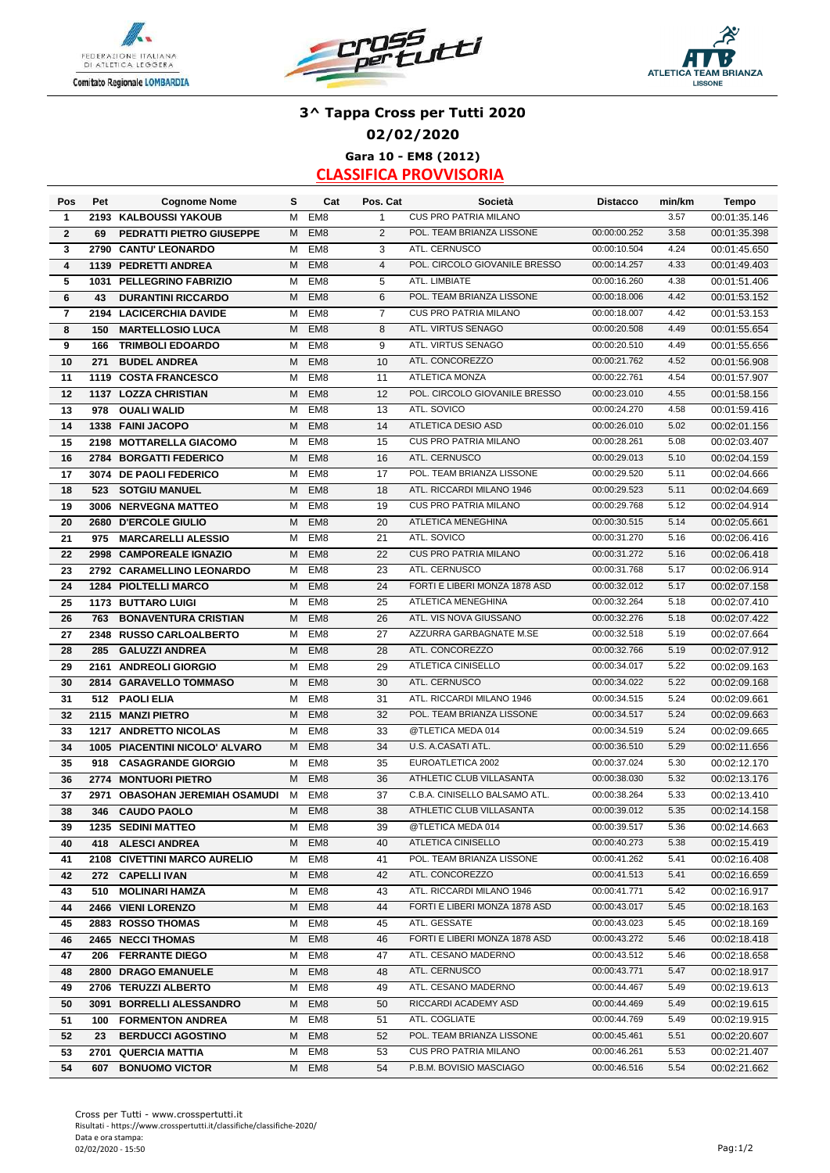





## **3^ Tappa Cross per Tutti 2020 02/02/2020 Gara 10 - EM8 (2012)**

| Pos          | Pet  | <b>Cognome Nome</b>             | s | Cat             | Pos. Cat       | Società                       | <b>Distacco</b> | min/km | <b>Tempo</b> |
|--------------|------|---------------------------------|---|-----------------|----------------|-------------------------------|-----------------|--------|--------------|
| 1            |      | 2193 KALBOUSSI YAKOUB           | м | EM <sub>8</sub> | $\mathbf{1}$   | CUS PRO PATRIA MILANO         |                 | 3.57   | 00:01:35.146 |
| $\mathbf{2}$ | 69   | <b>PEDRATTI PIETRO GIUSEPPE</b> | M | EM <sub>8</sub> | 2              | POL. TEAM BRIANZA LISSONE     | 00:00:00.252    | 3.58   | 00:01:35.398 |
| 3            | 2790 | <b>CANTU' LEONARDO</b>          | м | EM8             | 3              | ATL. CERNUSCO                 | 00:00:10.504    | 4.24   | 00:01:45.650 |
| 4            |      | 1139 PEDRETTI ANDREA            | м | EM <sub>8</sub> | $\overline{4}$ | POL. CIRCOLO GIOVANILE BRESSO | 00:00:14.257    | 4.33   | 00:01:49.403 |
| 5            | 1031 | <b>PELLEGRINO FABRIZIO</b>      | м | EM <sub>8</sub> | 5              | ATL. LIMBIATE                 | 00:00:16.260    | 4.38   | 00:01:51.406 |
| 6            | 43   | <b>DURANTINI RICCARDO</b>       | M | EM <sub>8</sub> | 6              | POL. TEAM BRIANZA LISSONE     | 00:00:18.006    | 4.42   | 00:01:53.152 |
| 7            |      | 2194 LACICERCHIA DAVIDE         | M | EM <sub>8</sub> | 7              | CUS PRO PATRIA MILANO         | 00:00:18.007    | 4.42   | 00:01:53.153 |
| 8            | 150  | <b>MARTELLOSIO LUCA</b>         | M | EM <sub>8</sub> | 8              | ATL. VIRTUS SENAGO            | 00:00:20.508    | 4.49   | 00:01:55.654 |
| 9            | 166  | <b>TRIMBOLI EDOARDO</b>         | м | EM <sub>8</sub> | 9              | ATL. VIRTUS SENAGO            | 00:00:20.510    | 4.49   | 00:01:55.656 |
| 10           | 271  | <b>BUDEL ANDREA</b>             | M | EM <sub>8</sub> | 10             | ATL. CONCOREZZO               | 00:00:21.762    | 4.52   | 00:01:56.908 |
| 11           |      | 1119 COSTA FRANCESCO            | м | EM <sub>8</sub> | 11             | <b>ATLETICA MONZA</b>         | 00:00:22.761    | 4.54   | 00:01:57.907 |
| 12           |      | 1137 LOZZA CHRISTIAN            | M | EM <sub>8</sub> | 12             | POL. CIRCOLO GIOVANILE BRESSO | 00:00:23.010    | 4.55   | 00:01:58.156 |
| 13           | 978  | <b>OUALI WALID</b>              | M | EM <sub>8</sub> | 13             | ATL. SOVICO                   | 00:00:24.270    | 4.58   | 00:01:59.416 |
| 14           | 1338 | <b>FAINI JACOPO</b>             | M | EM <sub>8</sub> | 14             | ATLETICA DESIO ASD            | 00:00:26.010    | 5.02   | 00:02:01.156 |
| 15           | 2198 | <b>MOTTARELLA GIACOMO</b>       | м | EM8             | 15             | <b>CUS PRO PATRIA MILANO</b>  | 00:00:28.261    | 5.08   | 00:02:03.407 |
| 16           | 2784 | <b>BORGATTI FEDERICO</b>        | M | EM <sub>8</sub> | 16             | ATL. CERNUSCO                 | 00:00:29.013    | 5.10   | 00:02:04.159 |
| 17           |      | 3074 DE PAOLI FEDERICO          | м | EM <sub>8</sub> | 17             | POL. TEAM BRIANZA LISSONE     | 00:00:29.520    | 5.11   | 00:02:04.666 |
| 18           | 523  | <b>SOTGIU MANUEL</b>            | М | EM <sub>8</sub> | 18             | ATL. RICCARDI MILANO 1946     | 00:00:29.523    | 5.11   | 00:02:04.669 |
| 19           |      | 3006 NERVEGNA MATTEO            | М | EM <sub>8</sub> | 19             | <b>CUS PRO PATRIA MILANO</b>  | 00:00:29.768    | 5.12   | 00:02:04.914 |
| 20           |      | 2680 D'ERCOLE GIULIO            | M | EM <sub>8</sub> | 20             | ATLETICA MENEGHINA            | 00:00:30.515    | 5.14   | 00:02:05.661 |
| 21           | 975  | <b>MARCARELLI ALESSIO</b>       | м | EM8             | 21             | ATL. SOVICO                   | 00:00:31.270    | 5.16   | 00:02:06.416 |
| 22           |      | 2998 CAMPOREALE IGNAZIO         | м | EM <sub>8</sub> | 22             | <b>CUS PRO PATRIA MILANO</b>  | 00:00:31.272    | 5.16   | 00:02:06.418 |
| 23           |      | 2792 CARAMELLINO LEONARDO       | м | EM <sub>8</sub> | 23             | ATL. CERNUSCO                 | 00:00:31.768    | 5.17   | 00:02:06.914 |
| 24           |      | <b>1284 PIOLTELLI MARCO</b>     | M | EM <sub>8</sub> | 24             | FORTI E LIBERI MONZA 1878 ASD | 00:00:32.012    | 5.17   | 00:02:07.158 |
| 25           |      | <b>1173 BUTTARO LUIGI</b>       | M | EM8             | 25             | ATLETICA MENEGHINA            | 00:00:32.264    | 5.18   | 00:02:07.410 |
| 26           | 763  | <b>BONAVENTURA CRISTIAN</b>     | м | EM <sub>8</sub> | 26             | ATL. VIS NOVA GIUSSANO        | 00:00:32.276    | 5.18   | 00:02:07.422 |
| 27           | 2348 | <b>RUSSO CARLOALBERTO</b>       | м | EM <sub>8</sub> | 27             | AZZURRA GARBAGNATE M.SE       | 00:00:32.518    | 5.19   | 00:02:07.664 |
| 28           | 285  | <b>GALUZZI ANDREA</b>           | M | EM <sub>8</sub> | 28             | ATL. CONCOREZZO               | 00:00:32.766    | 5.19   | 00:02:07.912 |
| 29           | 2161 | <b>ANDREOLI GIORGIO</b>         | М | EM <sub>8</sub> | 29             | ATLETICA CINISELLO            | 00:00:34.017    | 5.22   | 00:02:09.163 |
| 30           |      | 2814 GARAVELLO TOMMASO          | M | EM <sub>8</sub> | 30             | ATL. CERNUSCO                 | 00:00:34.022    | 5.22   | 00:02:09.168 |
| 31           | 512  | <b>PAOLI ELIA</b>               | M | EM <sub>8</sub> | 31             | ATL. RICCARDI MILANO 1946     | 00:00:34.515    | 5.24   | 00:02:09.661 |
| 32           |      | 2115 MANZI PIETRO               | M | EM <sub>8</sub> | 32             | POL. TEAM BRIANZA LISSONE     | 00:00:34.517    | 5.24   | 00:02:09.663 |
| 33           | 1217 | <b>ANDRETTO NICOLAS</b>         | м | EM <sub>8</sub> | 33             | @TLETICA MEDA 014             | 00:00:34.519    | 5.24   | 00:02:09.665 |
| 34           | 1005 | PIACENTINI NICOLO' ALVARO       | м | EM <sub>8</sub> | 34             | U.S. A.CASATI ATL.            | 00:00:36.510    | 5.29   | 00:02:11.656 |
| 35           | 918  | <b>CASAGRANDE GIORGIO</b>       | м | EM <sub>8</sub> | 35             | EUROATLETICA 2002             | 00:00:37.024    | 5.30   | 00:02:12.170 |
| 36           |      | 2774 MONTUORI PIETRO            | M | EM <sub>8</sub> | 36             | ATHLETIC CLUB VILLASANTA      | 00:00:38.030    | 5.32   | 00:02:13.176 |
| 37           |      | 2971 OBASOHAN JEREMIAH OSAMUDI  | M | EM <sub>8</sub> | 37             | C.B.A. CINISELLO BALSAMO ATL. | 00:00:38.264    | 5.33   | 00:02:13.410 |
| 38           | 346  | <b>CAUDO PAOLO</b>              | М | EM <sub>8</sub> | 38             | ATHLETIC CLUB VILLASANTA      | 00:00:39.012    | 5.35   | 00:02:14.158 |
| 39           |      | 1235 SEDINI MATTEO              |   | M EM8           | 39             | @TLETICA MEDA 014             | 00:00:39.517    | 5.36   | 00:02:14.663 |
| 40           |      | 418 ALESCI ANDREA               | М | EM <sub>8</sub> | 40             | ATLETICA CINISELLO            | 00:00:40.273    | 5.38   | 00:02:15.419 |
| 41           |      | 2108 CIVETTINI MARCO AURELIO    | м | EM8             | 41             | POL. TEAM BRIANZA LISSONE     | 00:00:41.262    | 5.41   | 00:02:16.408 |
| 42           |      | 272 CAPELLI IVAN                | м | EM <sub>8</sub> | 42             | ATL. CONCOREZZO               | 00:00:41.513    | 5.41   | 00:02:16.659 |
| 43           |      | 510 MOLINARI HAMZA              | М | EM8             | 43             | ATL. RICCARDI MILANO 1946     | 00:00:41.771    | 5.42   | 00:02:16.917 |
| 44           |      | 2466 VIENI LORENZO              | М | EM <sub>8</sub> | 44             | FORTI E LIBERI MONZA 1878 ASD | 00:00:43.017    | 5.45   | 00:02:18.163 |
| 45           |      | 2883 ROSSO THOMAS               | м | EM8             | 45             | ATL. GESSATE                  | 00:00:43.023    | 5.45   | 00:02:18.169 |
| 46           |      | 2465 NECCI THOMAS               | м | EM <sub>8</sub> | 46             | FORTI E LIBERI MONZA 1878 ASD | 00:00:43.272    | 5.46   | 00:02:18.418 |
| 47           |      | 206 FERRANTE DIEGO              | м | EM8             | 47             | ATL. CESANO MADERNO           | 00:00:43.512    | 5.46   | 00:02:18.658 |
| 48           |      | 2800 DRAGO EMANUELE             | М | EM <sub>8</sub> | 48             | ATL. CERNUSCO                 | 00:00:43.771    | 5.47   | 00:02:18.917 |
| 49           |      | 2706 TERUZZI ALBERTO            | м | EM8             | 49             | ATL. CESANO MADERNO           | 00:00:44.467    | 5.49   | 00:02:19.613 |
| 50           |      | 3091 BORRELLI ALESSANDRO        | M | EM <sub>8</sub> | 50             | RICCARDI ACADEMY ASD          | 00:00:44.469    | 5.49   | 00:02:19.615 |
| 51           |      | 100 FORMENTON ANDREA            | М | EM8             | 51             | ATL. COGLIATE                 | 00:00:44.769    | 5.49   | 00:02:19.915 |
| 52           | 23   | <b>BERDUCCI AGOSTINO</b>        | м | EM <sub>8</sub> | 52             | POL. TEAM BRIANZA LISSONE     | 00:00:45.461    | 5.51   | 00:02:20.607 |
| 53           |      | 2701 QUERCIA MATTIA             | м | EM8             | 53             | CUS PRO PATRIA MILANO         | 00:00:46.261    | 5.53   | 00:02:21.407 |
| 54           | 607  | <b>BONUOMO VICTOR</b>           | M | EM <sub>8</sub> | 54             | P.B.M. BOVISIO MASCIAGO       | 00:00:46.516    | 5.54   | 00:02:21.662 |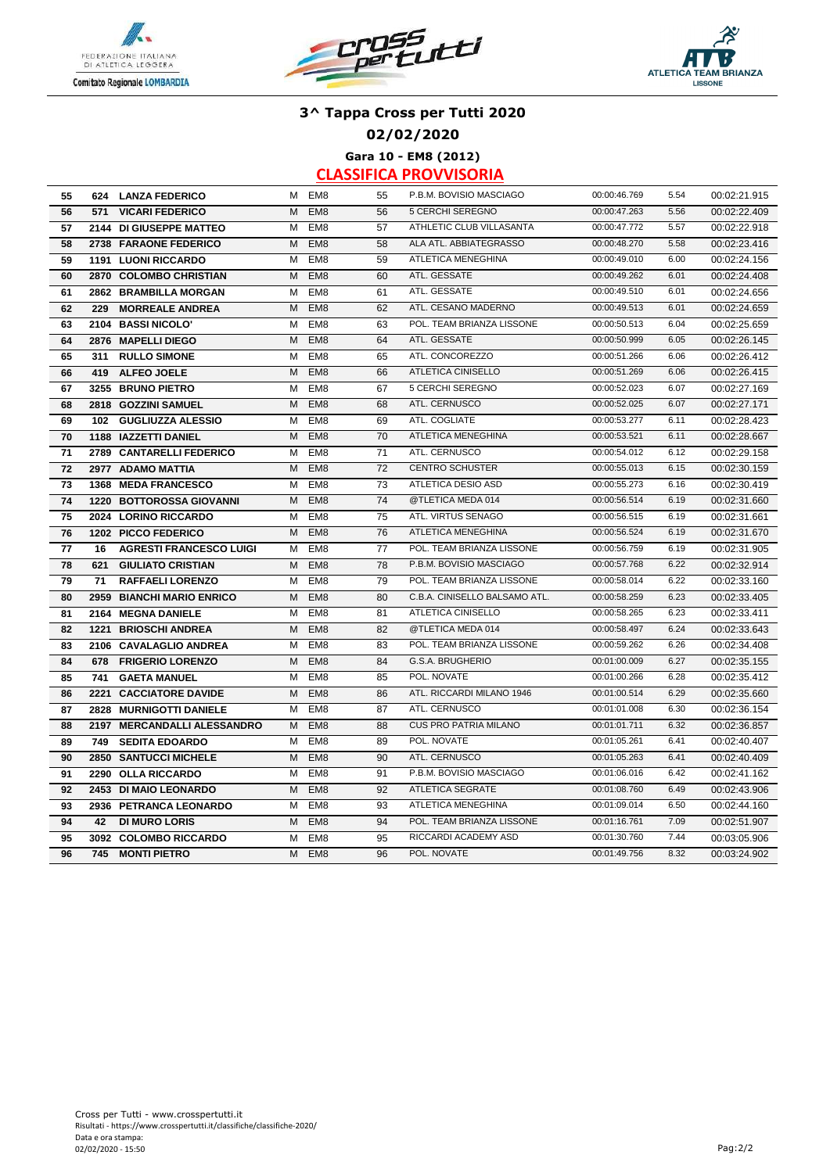





#### **02/02/2020**

**Gara 10 - EM8 (2012)**

| 55 |     | 624 LANZA FEDERICO              | м | EM <sub>8</sub> | 55 | P.B.M. BOVISIO MASCIAGO       | 00:00:46.769 | 5.54 | 00:02:21.915 |
|----|-----|---------------------------------|---|-----------------|----|-------------------------------|--------------|------|--------------|
| 56 | 571 | <b>VICARI FEDERICO</b>          | M | EM <sub>8</sub> | 56 | 5 CERCHI SEREGNO              | 00:00:47.263 | 5.56 | 00:02:22.409 |
| 57 |     | 2144 DI GIUSEPPE MATTEO         | M | EM <sub>8</sub> | 57 | ATHLETIC CLUB VILLASANTA      | 00:00:47.772 | 5.57 | 00:02:22.918 |
| 58 |     | 2738 FARAONE FEDERICO           | M | EM <sub>8</sub> | 58 | ALA ATL. ABBIATEGRASSO        | 00:00:48.270 | 5.58 | 00:02:23.416 |
| 59 |     | <b>1191 LUONI RICCARDO</b>      | M | EM <sub>8</sub> | 59 | <b>ATLETICA MENEGHINA</b>     | 00:00:49.010 | 6.00 | 00:02:24.156 |
| 60 |     | 2870 COLOMBO CHRISTIAN          | M | EM <sub>8</sub> | 60 | ATL. GESSATE                  | 00:00:49.262 | 6.01 | 00:02:24.408 |
| 61 |     | 2862 BRAMBILLA MORGAN           | м | EM <sub>8</sub> | 61 | ATL. GESSATE                  | 00:00:49.510 | 6.01 | 00:02:24.656 |
| 62 | 229 | <b>MORREALE ANDREA</b>          | M | EM <sub>8</sub> | 62 | ATL. CESANO MADERNO           | 00:00:49.513 | 6.01 | 00:02:24.659 |
| 63 |     | 2104 BASSI NICOLO'              | М | EM <sub>8</sub> | 63 | POL. TEAM BRIANZA LISSONE     | 00:00:50.513 | 6.04 | 00:02:25.659 |
| 64 |     | 2876 MAPELLI DIEGO              | M | EM <sub>8</sub> | 64 | ATL. GESSATE                  | 00:00:50.999 | 6.05 | 00:02:26.145 |
| 65 | 311 | <b>RULLO SIMONE</b>             | M | EM <sub>8</sub> | 65 | ATL. CONCOREZZO               | 00:00:51.266 | 6.06 | 00:02:26.412 |
| 66 | 419 | <b>ALFEO JOELE</b>              | M | EM <sub>8</sub> | 66 | <b>ATLETICA CINISELLO</b>     | 00:00:51.269 | 6.06 | 00:02:26.415 |
| 67 |     | 3255 BRUNO PIETRO               | м | EM <sub>8</sub> | 67 | 5 CERCHI SEREGNO              | 00:00:52.023 | 6.07 | 00:02:27.169 |
| 68 |     | 2818 GOZZINI SAMUEL             | M | EM <sub>8</sub> | 68 | ATL. CERNUSCO                 | 00:00:52.025 | 6.07 | 00:02:27.171 |
| 69 | 102 | <b>GUGLIUZZA ALESSIO</b>        | M | EM <sub>8</sub> | 69 | ATL. COGLIATE                 | 00:00:53.277 | 6.11 | 00:02:28.423 |
| 70 |     | 1188 IAZZETTI DANIEL            | M | EM <sub>8</sub> | 70 | ATLETICA MENEGHINA            | 00:00:53.521 | 6.11 | 00:02:28.667 |
| 71 |     | 2789 CANTARELLI FEDERICO        | M | EM <sub>8</sub> | 71 | ATL. CERNUSCO                 | 00:00:54.012 | 6.12 | 00:02:29.158 |
| 72 |     | 2977 ADAMO MATTIA               | M | EM <sub>8</sub> | 72 | <b>CENTRO SCHUSTER</b>        | 00:00:55.013 | 6.15 | 00:02:30.159 |
| 73 |     | 1368 MEDA FRANCESCO             | M | EM <sub>8</sub> | 73 | ATLETICA DESIO ASD            | 00:00:55.273 | 6.16 | 00:02:30.419 |
| 74 |     | <b>1220 BOTTOROSSA GIOVANNI</b> | M | EM <sub>8</sub> | 74 | @TLETICA MEDA 014             | 00:00:56.514 | 6.19 | 00:02:31.660 |
| 75 |     | 2024 LORINO RICCARDO            | M | EM <sub>8</sub> | 75 | ATL. VIRTUS SENAGO            | 00:00:56.515 | 6.19 | 00:02:31.661 |
| 76 |     | 1202 PICCO FEDERICO             | M | EM <sub>8</sub> | 76 | <b>ATLETICA MENEGHINA</b>     | 00:00:56.524 | 6.19 | 00:02:31.670 |
| 77 | 16  | <b>AGRESTI FRANCESCO LUIGI</b>  | м | EM8             | 77 | POL. TEAM BRIANZA LISSONE     | 00:00:56.759 | 6.19 | 00:02:31.905 |
| 78 | 621 | <b>GIULIATO CRISTIAN</b>        | M | EM <sub>8</sub> | 78 | P.B.M. BOVISIO MASCIAGO       | 00:00:57.768 | 6.22 | 00:02:32.914 |
| 79 | 71  | <b>RAFFAELI LORENZO</b>         | M | EM <sub>8</sub> | 79 | POL. TEAM BRIANZA LISSONE     | 00:00:58.014 | 6.22 | 00:02:33.160 |
| 80 |     | 2959 BIANCHI MARIO ENRICO       | M | EM <sub>8</sub> | 80 | C.B.A. CINISELLO BALSAMO ATL. | 00:00:58.259 | 6.23 | 00:02:33.405 |
| 81 |     | 2164 MEGNA DANIELE              | м | EM <sub>8</sub> | 81 | ATLETICA CINISELLO            | 00:00:58.265 | 6.23 | 00:02:33.411 |
| 82 |     | <b>1221 BRIOSCHI ANDREA</b>     | M | EM <sub>8</sub> | 82 | @TLETICA MEDA 014             | 00:00:58.497 | 6.24 | 00:02:33.643 |
| 83 |     | 2106 CAVALAGLIO ANDREA          | M | EM <sub>8</sub> | 83 | POL. TEAM BRIANZA LISSONE     | 00:00:59.262 | 6.26 | 00:02:34.408 |
| 84 | 678 | <b>FRIGERIO LORENZO</b>         | M | EM <sub>8</sub> | 84 | G.S.A. BRUGHERIO              | 00:01:00.009 | 6.27 | 00:02:35.155 |
| 85 | 741 | <b>GAETA MANUEL</b>             | м | EM <sub>8</sub> | 85 | POL. NOVATE                   | 00:01:00.266 | 6.28 | 00:02:35.412 |
| 86 |     | 2221 CACCIATORE DAVIDE          | M | EM <sub>8</sub> | 86 | ATL. RICCARDI MILANO 1946     | 00:01:00.514 | 6.29 | 00:02:35.660 |
| 87 |     | 2828 MURNIGOTTI DANIELE         | M | EM <sub>8</sub> | 87 | ATL. CERNUSCO                 | 00:01:01.008 | 6.30 | 00:02:36.154 |
| 88 |     | 2197 MERCANDALLI ALESSANDRO     | M | EM <sub>8</sub> | 88 | <b>CUS PRO PATRIA MILANO</b>  | 00:01:01.711 | 6.32 | 00:02:36.857 |
| 89 | 749 | <b>SEDITA EDOARDO</b>           | M | EM <sub>8</sub> | 89 | POL. NOVATE                   | 00:01:05.261 | 6.41 | 00:02:40.407 |
| 90 |     | 2850 SANTUCCI MICHELE           | м | EM <sub>8</sub> | 90 | ATL. CERNUSCO                 | 00:01:05.263 | 6.41 | 00:02:40.409 |
| 91 |     | 2290 OLLA RICCARDO              | M | EM <sub>8</sub> | 91 | P.B.M. BOVISIO MASCIAGO       | 00:01:06.016 | 6.42 | 00:02:41.162 |
| 92 |     | 2453 DI MAIO LEONARDO           | M | EM <sub>8</sub> | 92 | <b>ATLETICA SEGRATE</b>       | 00:01:08.760 | 6.49 | 00:02:43.906 |
| 93 |     | 2936 PETRANCA LEONARDO          | M | EM <sub>8</sub> | 93 | ATLETICA MENEGHINA            | 00:01:09.014 | 6.50 | 00:02:44.160 |
| 94 | 42  | <b>DI MURO LORIS</b>            | м | EM <sub>8</sub> | 94 | POL. TEAM BRIANZA LISSONE     | 00:01:16.761 | 7.09 | 00:02:51.907 |
| 95 |     | 3092 COLOMBO RICCARDO           | м | EM <sub>8</sub> | 95 | RICCARDI ACADEMY ASD          | 00:01:30.760 | 7.44 | 00:03:05.906 |
| 96 | 745 | <b>MONTI PIETRO</b>             | M | EM <sub>8</sub> | 96 | POL. NOVATE                   | 00:01:49.756 | 8.32 | 00:03:24.902 |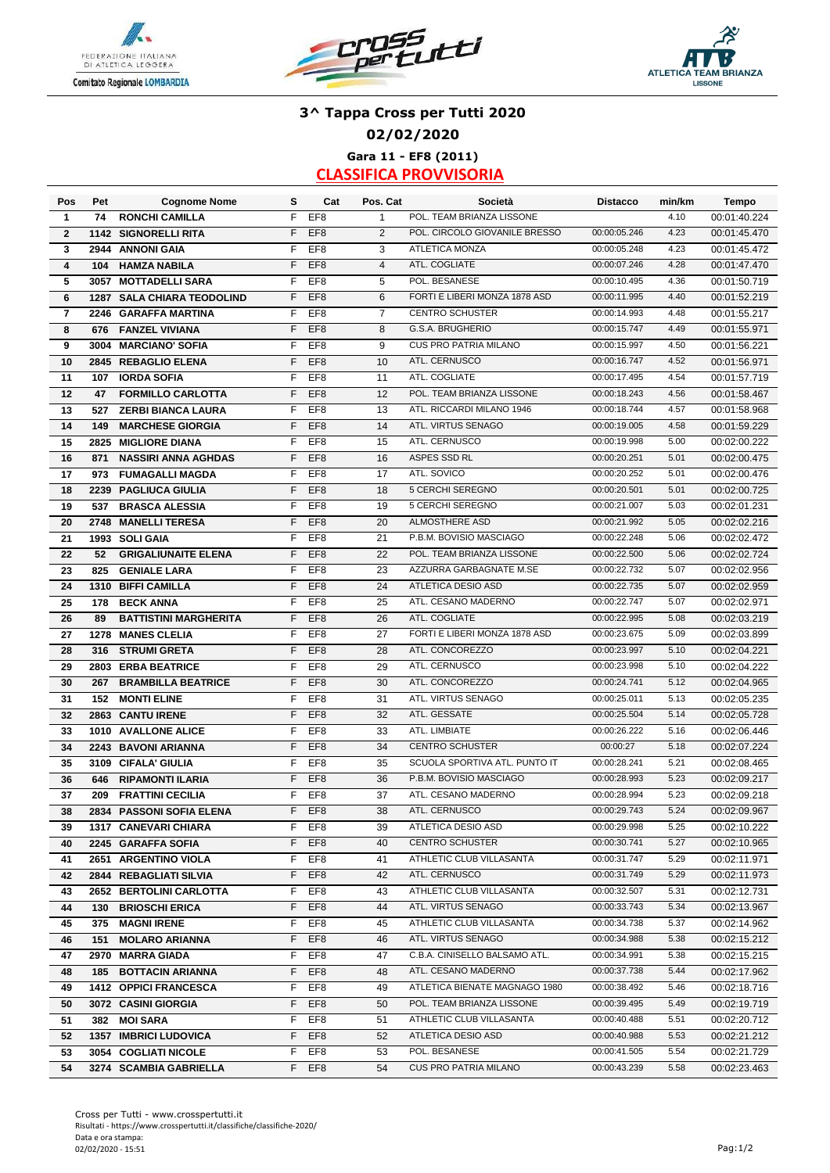





## **3^ Tappa Cross per Tutti 2020 02/02/2020 Gara 11 - EF8 (2011)**

| Pos                     | Pet  | <b>Cognome Nome</b>               | s  | Cat             | Pos. Cat       | Società                       | <b>Distacco</b> | min/km | <b>Tempo</b> |
|-------------------------|------|-----------------------------------|----|-----------------|----------------|-------------------------------|-----------------|--------|--------------|
| 1                       | 74   | <b>RONCHI CAMILLA</b>             | F  | EF <sub>8</sub> | $\mathbf{1}$   | POL. TEAM BRIANZA LISSONE     |                 | 4.10   | 00:01:40.224 |
| $\overline{2}$          | 1142 | <b>SIGNORELLI RITA</b>            | F  | EF <sub>8</sub> | 2              | POL. CIRCOLO GIOVANILE BRESSO | 00:00:05.246    | 4.23   | 00:01:45.470 |
| 3                       |      | 2944 ANNONI GAIA                  | F  | EF <sub>8</sub> | 3              | <b>ATLETICA MONZA</b>         | 00:00:05.248    | 4.23   | 00:01:45.472 |
| $\overline{\mathbf{4}}$ | 104  | <b>HAMZA NABILA</b>               | F  | EF <sub>8</sub> | $\overline{4}$ | ATL. COGLIATE                 | 00:00:07.246    | 4.28   | 00:01:47.470 |
| 5                       | 3057 | <b>MOTTADELLI SARA</b>            | F  | EF <sub>8</sub> | 5              | POL. BESANESE                 | 00:00:10.495    | 4.36   | 00:01:50.719 |
| 6                       |      | <b>1287 SALA CHIARA TEODOLIND</b> | F  | EF <sub>8</sub> | 6              | FORTI E LIBERI MONZA 1878 ASD | 00:00:11.995    | 4.40   | 00:01:52.219 |
| 7                       |      | 2246 GARAFFA MARTINA              | F  | EF <sub>8</sub> | 7              | <b>CENTRO SCHUSTER</b>        | 00:00:14.993    | 4.48   | 00:01:55.217 |
| 8                       | 676  | <b>FANZEL VIVIANA</b>             | F  | EF <sub>8</sub> | 8              | G.S.A. BRUGHERIO              | 00:00:15.747    | 4.49   | 00:01:55.971 |
| 9                       | 3004 | <b>MARCIANO' SOFIA</b>            | F  | EF <sub>8</sub> | 9              | <b>CUS PRO PATRIA MILANO</b>  | 00:00:15.997    | 4.50   | 00:01:56.221 |
| 10                      |      | 2845 REBAGLIO ELENA               | F  | EF <sub>8</sub> | 10             | ATL. CERNUSCO                 | 00:00:16.747    | 4.52   | 00:01:56.971 |
| 11                      | 107  | <b>IORDA SOFIA</b>                | F  | EF <sub>8</sub> | 11             | ATL. COGLIATE                 | 00:00:17.495    | 4.54   | 00:01:57.719 |
| 12                      | 47   | <b>FORMILLO CARLOTTA</b>          | F  | EF <sub>8</sub> | 12             | POL. TEAM BRIANZA LISSONE     | 00:00:18.243    | 4.56   | 00:01:58.467 |
| 13                      | 527  | <b>ZERBI BIANCA LAURA</b>         | F  | EF <sub>8</sub> | 13             | ATL. RICCARDI MILANO 1946     | 00:00:18.744    | 4.57   | 00:01:58.968 |
| 14                      | 149  | <b>MARCHESE GIORGIA</b>           | F  | EF <sub>8</sub> | 14             | ATL. VIRTUS SENAGO            | 00:00:19.005    | 4.58   | 00:01:59.229 |
| 15                      | 2825 | <b>MIGLIORE DIANA</b>             | F  | EF <sub>8</sub> | 15             | ATL. CERNUSCO                 | 00:00:19.998    | 5.00   | 00:02:00.222 |
| 16                      | 871  | <b>NASSIRI ANNA AGHDAS</b>        | F  | EF <sub>8</sub> | 16             | ASPES SSD RL                  | 00:00:20.251    | 5.01   | 00:02:00.475 |
| 17                      | 973  | <b>FUMAGALLI MAGDA</b>            | F  | EF <sub>8</sub> | 17             | ATL. SOVICO                   | 00:00:20.252    | 5.01   | 00:02:00.476 |
| 18                      | 2239 | <b>PAGLIUCA GIULIA</b>            | F  | EF <sub>8</sub> | 18             | 5 CERCHI SEREGNO              | 00:00:20.501    | 5.01   | 00:02:00.725 |
| 19                      | 537  | <b>BRASCA ALESSIA</b>             | F  | EF <sub>8</sub> | 19             | 5 CERCHI SEREGNO              | 00:00:21.007    | 5.03   | 00:02:01.231 |
| 20                      | 2748 | <b>MANELLI TERESA</b>             | F  | EF <sub>8</sub> | 20             | ALMOSTHERE ASD                | 00:00:21.992    | 5.05   | 00:02:02.216 |
| 21                      |      | 1993 SOLI GAIA                    | F  | EF <sub>8</sub> | 21             | P.B.M. BOVISIO MASCIAGO       | 00:00:22.248    | 5.06   | 00:02:02.472 |
| 22                      | 52   | <b>GRIGALIUNAITE ELENA</b>        | F  | EF <sub>8</sub> | 22             | POL. TEAM BRIANZA LISSONE     | 00:00:22.500    | 5.06   | 00:02:02.724 |
| 23                      | 825  | <b>GENIALE LARA</b>               | F  | EF8             | 23             | AZZURRA GARBAGNATE M.SE       | 00:00:22.732    | 5.07   | 00:02:02.956 |
| 24                      |      | 1310 BIFFI CAMILLA                | F  | EF <sub>8</sub> | 24             | ATLETICA DESIO ASD            | 00:00:22.735    | 5.07   | 00:02:02.959 |
| 25                      | 178  | <b>BECK ANNA</b>                  | F  | EF <sub>8</sub> | 25             | ATL. CESANO MADERNO           | 00:00:22.747    | 5.07   | 00:02:02.971 |
| 26                      | 89   | <b>BATTISTINI MARGHERITA</b>      | F  | EF <sub>8</sub> | 26             | ATL. COGLIATE                 | 00:00:22.995    | 5.08   | 00:02:03.219 |
| 27                      | 1278 | <b>MANES CLELIA</b>               | F  | EF <sub>8</sub> | 27             | FORTI E LIBERI MONZA 1878 ASD | 00:00:23.675    | 5.09   | 00:02:03.899 |
| 28                      | 316  | <b>STRUMI GRETA</b>               | F  | EF <sub>8</sub> | 28             | ATL. CONCOREZZO               | 00:00:23.997    | 5.10   | 00:02:04.221 |
| 29                      | 2803 | <b>ERBA BEATRICE</b>              | F  | EF <sub>8</sub> | 29             | ATL. CERNUSCO                 | 00:00:23.998    | 5.10   | 00:02:04.222 |
| 30                      | 267  | <b>BRAMBILLA BEATRICE</b>         | F  | EF <sub>8</sub> | 30             | ATL. CONCOREZZO               | 00:00:24.741    | 5.12   | 00:02:04.965 |
| 31                      | 152  | <b>MONTI ELINE</b>                | F  | EF <sub>8</sub> | 31             | ATL. VIRTUS SENAGO            | 00:00:25.011    | 5.13   | 00:02:05.235 |
| 32                      |      | 2863 CANTU IRENE                  | F  | EF <sub>8</sub> | 32             | ATL. GESSATE                  | 00:00:25.504    | 5.14   | 00:02:05.728 |
| 33                      | 1010 | <b>AVALLONE ALICE</b>             | F  | EF <sub>8</sub> | 33             | ATL. LIMBIATE                 | 00:00:26.222    | 5.16   | 00:02:06.446 |
| 34                      |      | 2243 BAVONI ARIANNA               | F  | EF <sub>8</sub> | 34             | <b>CENTRO SCHUSTER</b>        | 00:00:27        | 5.18   | 00:02:07.224 |
| 35                      |      | 3109 CIFALA' GIULIA               | F  | EF <sub>8</sub> | 35             | SCUOLA SPORTIVA ATL. PUNTO IT | 00:00:28.241    | 5.21   | 00:02:08.465 |
| 36                      | 646  | <b>RIPAMONTI ILARIA</b>           | F  | EF <sub>8</sub> | 36             | P.B.M. BOVISIO MASCIAGO       | 00:00:28.993    | 5.23   | 00:02:09.217 |
| 37                      | 209  | <b>FRATTINI CECILIA</b>           | F  | EF <sub>8</sub> | 37             | ATL. CESANO MADERNO           | 00:00:28.994    | 5.23   | 00:02:09.218 |
| 38                      |      | 2834 PASSONI SOFIA ELENA          | F  | EF <sub>8</sub> | 38             | ATL. CERNUSCO                 | 00:00:29.743    | 5.24   | 00:02:09.967 |
| 39                      |      | 1317 CANEVARI CHIARA              |    | F EF8           | 39             | ATLETICA DESIO ASD            | 00:00:29.998    | 5.25   | 00:02:10.222 |
| 40                      |      | 2245 GARAFFA SOFIA                | F. | EF8             | 40             | <b>CENTRO SCHUSTER</b>        | 00:00:30.741    | 5.27   | 00:02:10.965 |
| 41                      |      | 2651 ARGENTINO VIOLA              | F. | EF8             | 41             | ATHLETIC CLUB VILLASANTA      | 00:00:31.747    | 5.29   | 00:02:11.971 |
| 42                      |      | 2844 REBAGLIATI SILVIA            | F. | EF8             | 42             | ATL. CERNUSCO                 | 00:00:31.749    | 5.29   | 00:02:11.973 |
| 43                      |      | 2652 BERTOLINI CARLOTTA           | F. | EF8             | 43             | ATHLETIC CLUB VILLASANTA      | 00:00:32.507    | 5.31   | 00:02:12.731 |
| 44                      |      | 130 BRIOSCHI ERICA                | F. | EF8             | 44             | ATL. VIRTUS SENAGO            | 00:00:33.743    | 5.34   | 00:02:13.967 |
| 45                      |      | 375 MAGNI IRENE                   |    | F EF8           | 45             | ATHLETIC CLUB VILLASANTA      | 00:00:34.738    | 5.37   | 00:02:14.962 |
| 46                      | 151  | <b>MOLARO ARIANNA</b>             | F. | EF <sub>8</sub> | 46             | ATL. VIRTUS SENAGO            | 00:00:34.988    | 5.38   | 00:02:15.212 |
| 47                      |      | 2970 MARRA GIADA                  | F. | EF8             | 47             | C.B.A. CINISELLO BALSAMO ATL. | 00:00:34.991    | 5.38   | 00:02:15.215 |
| 48                      |      | <b>185 BOTTACIN ARIANNA</b>       | F. | EF8             | 48             | ATL. CESANO MADERNO           | 00:00:37.738    | 5.44   | 00:02:17.962 |
| 49                      |      | <b>1412 OPPICI FRANCESCA</b>      | F. | EF8             | 49             | ATLETICA BIENATE MAGNAGO 1980 | 00:00:38.492    | 5.46   | 00:02:18.716 |
| 50                      |      | 3072 CASINI GIORGIA               | F. | EF <sub>8</sub> | 50             | POL. TEAM BRIANZA LISSONE     | 00:00:39.495    | 5.49   | 00:02:19.719 |
| 51                      |      | 382 MOI SARA                      | F. | EF8             | 51             | ATHLETIC CLUB VILLASANTA      | 00:00:40.488    | 5.51   | 00:02:20.712 |
| 52                      |      | <b>1357 IMBRICI LUDOVICA</b>      | F. | EF8             | 52             | ATLETICA DESIO ASD            | 00:00:40.988    | 5.53   | 00:02:21.212 |
| 53                      |      | 3054 COGLIATI NICOLE              | F. | EF8             | 53             | POL. BESANESE                 | 00:00:41.505    | 5.54   | 00:02:21.729 |
| 54                      |      | 3274 SCAMBIA GABRIELLA            | F. | EF8             | 54             | CUS PRO PATRIA MILANO         | 00:00:43.239    | 5.58   | 00:02:23.463 |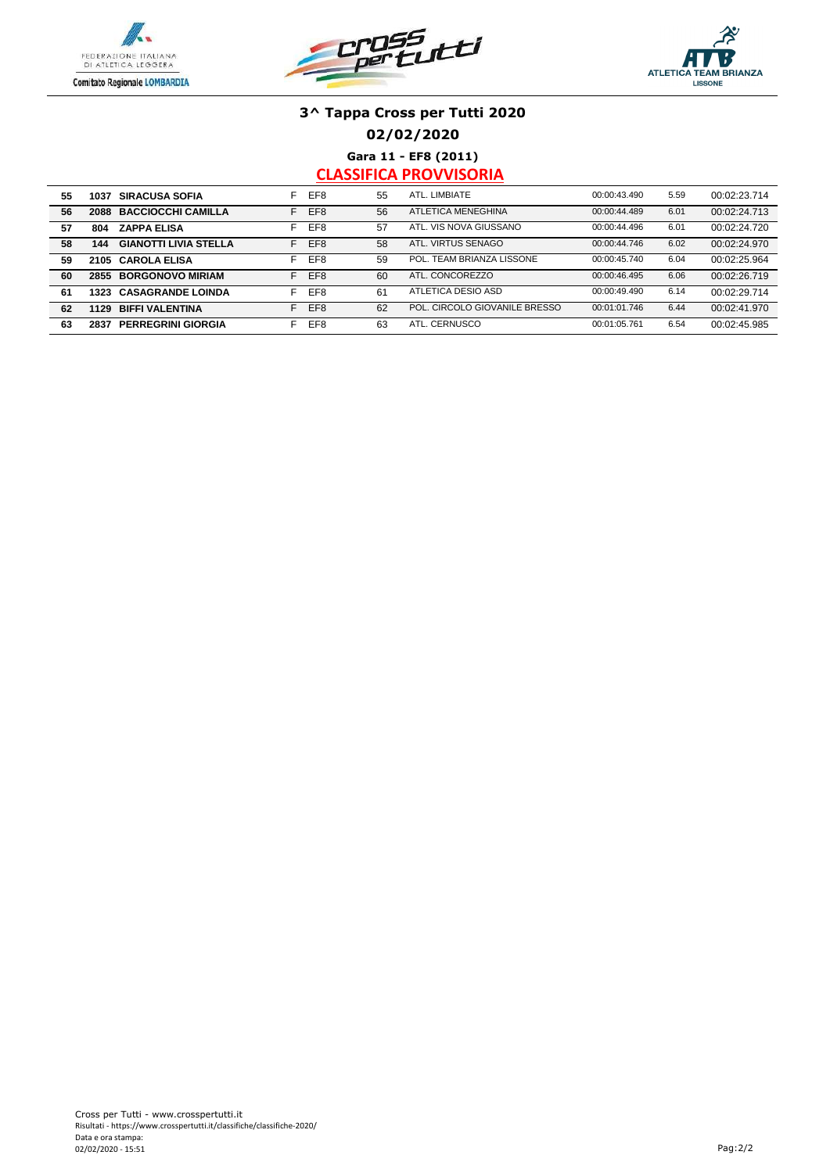





**02/02/2020**

**Gara 11 - EF8 (2011)**

| 55 | 1037 | <b>SIRACUSA SOFIA</b>        | F. | EF <sub>8</sub> | 55 | ATL. LIMBIATE                 | 00:00:43.490 | 5.59 | 00:02:23.714 |
|----|------|------------------------------|----|-----------------|----|-------------------------------|--------------|------|--------------|
| 56 | 2088 | <b>BACCIOCCHI CAMILLA</b>    | F. | EF <sub>8</sub> | 56 | ATLETICA MENEGHINA            | 00:00:44.489 | 6.01 | 00:02:24.713 |
| 57 | 804  | <b>ZAPPA ELISA</b>           | F  | EF <sub>8</sub> | 57 | ATL. VIS NOVA GIUSSANO        | 00:00:44.496 | 6.01 | 00:02:24.720 |
| 58 | 144  | <b>GIANOTTI LIVIA STELLA</b> | F  | EF <sub>8</sub> | 58 | ATL, VIRTUS SENAGO            | 00:00:44.746 | 6.02 | 00:02:24.970 |
| 59 |      | 2105 CAROLA ELISA            | F  | EF8             | 59 | POL. TEAM BRIANZA LISSONE     | 00:00:45.740 | 6.04 | 00:02:25.964 |
| 60 | 2855 | <b>BORGONOVO MIRIAM</b>      | F. | EF8             | 60 | ATL. CONCOREZZO               | 00:00:46.495 | 6.06 | 00:02:26.719 |
| 61 | 1323 | <b>CASAGRANDE LOINDA</b>     | F. | EF8             | 61 | ATLETICA DESIO ASD            | 00:00:49.490 | 6.14 | 00:02:29.714 |
| 62 | 1129 | <b>BIFFI VALENTINA</b>       | F. | EF8             | 62 | POL. CIRCOLO GIOVANILE BRESSO | 00:01:01.746 | 6.44 | 00:02:41.970 |
| 63 | 2837 | <b>PERREGRINI GIORGIA</b>    | F  | EF8             | 63 | ATL. CERNUSCO                 | 00:01:05.761 | 6.54 | 00:02:45.985 |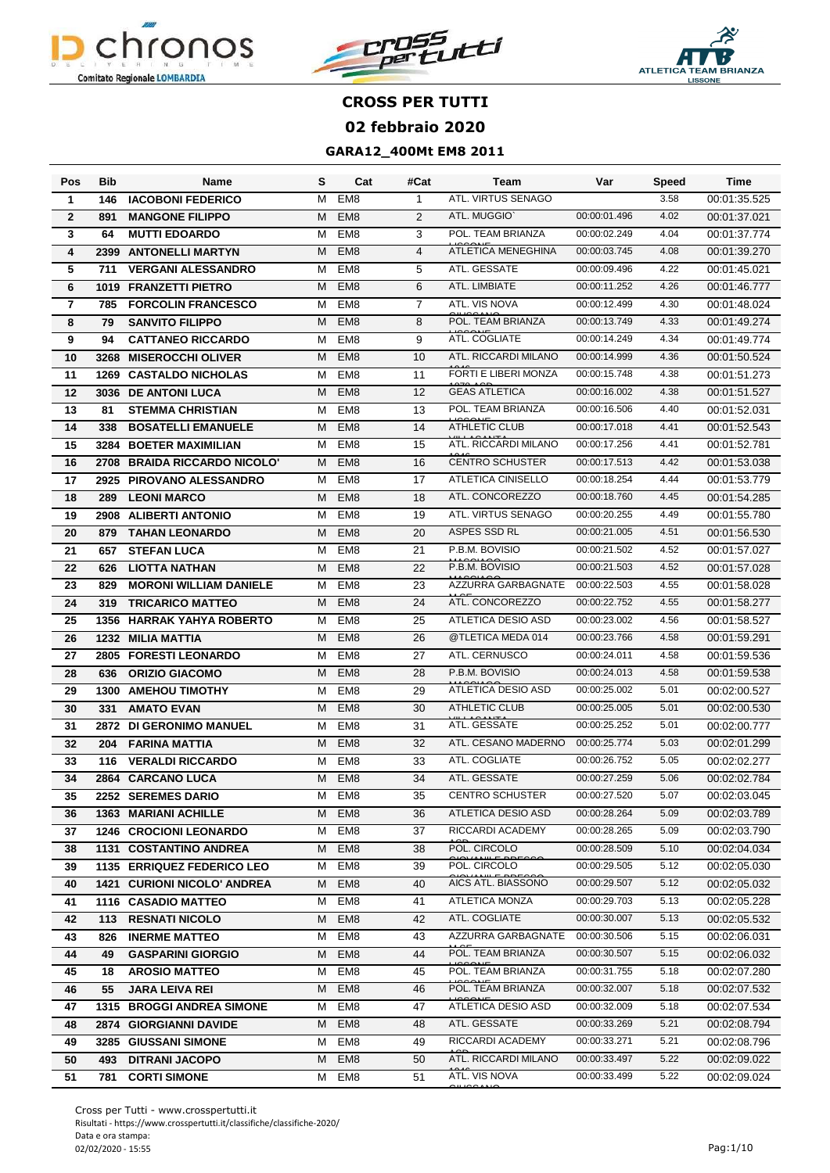





| Pos            | <b>Bib</b> | Name                             | s | Cat             | #Cat            | Team                            | Var          | Speed | Time         |
|----------------|------------|----------------------------------|---|-----------------|-----------------|---------------------------------|--------------|-------|--------------|
| 1              | 146        | <b>IACOBONI FEDERICO</b>         | м | EM <sub>8</sub> | 1               | ATL. VIRTUS SENAGO              |              | 3.58  | 00:01:35.525 |
| $\overline{2}$ | 891        | <b>MANGONE FILIPPO</b>           | M | EM <sub>8</sub> | $\overline{2}$  | ATL. MUGGIO'                    | 00:00:01.496 | 4.02  | 00:01:37.021 |
| 3              | 64         | <b>MUTTI EDOARDO</b>             | М | EM <sub>8</sub> | 3               | POL. TEAM BRIANZA               | 00:00:02.249 | 4.04  | 00:01:37.774 |
| 4              | 2399       | <b>ANTONELLI MARTYN</b>          | M | EM <sub>8</sub> | $\overline{4}$  | ATLETICA MENEGHINA              | 00:00:03.745 | 4.08  | 00:01:39.270 |
| 5              | 711        | <b>VERGANI ALESSANDRO</b>        | M | EM <sub>8</sub> | 5               | ATL. GESSATE                    | 00:00:09.496 | 4.22  | 00:01:45.021 |
| 6              | 1019       | <b>FRANZETTI PIETRO</b>          | м | EM <sub>8</sub> | 6               | ATL. LIMBIATE                   | 00:00:11.252 | 4.26  | 00:01:46.777 |
| 7              | 785        | <b>FORCOLIN FRANCESCO</b>        | M | EM <sub>8</sub> | $\overline{7}$  | ATL. VIS NOVA                   | 00:00:12.499 | 4.30  | 00:01:48.024 |
| 8              | 79         | <b>SANVITO FILIPPO</b>           | M | EM <sub>8</sub> | 8               | POL. TEAM BRIANZA               | 00:00:13.749 | 4.33  | 00:01:49.274 |
| 9              | 94         | <b>CATTANEO RICCARDO</b>         | M | EM <sub>8</sub> | 9               | ATL. COGLIATE                   | 00:00:14.249 | 4.34  | 00:01:49.774 |
| 10             | 3268       | <b>MISEROCCHI OLIVER</b>         | M | EM <sub>8</sub> | 10              | ATL. RICCARDI MILANO            | 00:00:14.999 | 4.36  | 00:01:50.524 |
| 11             | 1269       | <b>CASTALDO NICHOLAS</b>         | М | EM <sub>8</sub> | 11              | <b>FORTI E LIBERI MONZA</b>     | 00:00:15.748 | 4.38  | 00:01:51.273 |
| 12             | 3036       | <b>DE ANTONI LUCA</b>            | M | EM <sub>8</sub> | 12              | <b>GEAS ATLETICA</b>            | 00:00:16.002 | 4.38  | 00:01:51.527 |
| 13             | 81         | <b>STEMMA CHRISTIAN</b>          | М | EM <sub>8</sub> | 13              | POL. TEAM BRIANZA               | 00:00:16.506 | 4.40  | 00:01:52.031 |
| 14             | 338        | <b>BOSATELLI EMANUELE</b>        | M | EM <sub>8</sub> | 14              | <b>ATHLETIC CLUB</b>            | 00:00:17.018 | 4.41  | 00:01:52.543 |
| 15             |            | 3284 BOETER MAXIMILIAN           | М | EM <sub>8</sub> | 15              | ATL. RICCARDI MILANO            | 00:00:17.256 | 4.41  | 00:01:52.781 |
| 16             | 2708       | <b>BRAIDA RICCARDO NICOLO'</b>   | м | EM <sub>8</sub> | 16              | <b>CENTRO SCHUSTER</b>          | 00:00:17.513 | 4.42  | 00:01:53.038 |
| 17             | 2925       | <b>PIROVANO ALESSANDRO</b>       | м | EM <sub>8</sub> | 17              | <b>ATLETICA CINISELLO</b>       | 00:00:18.254 | 4.44  | 00:01:53.779 |
| 18             | 289        | <b>LEONI MARCO</b>               | м | EM <sub>8</sub> | 18              | ATL. CONCOREZZO                 | 00:00:18.760 | 4.45  | 00:01:54.285 |
| 19             | 2908       | <b>ALIBERTI ANTONIO</b>          | м | EM <sub>8</sub> | 19              | ATL. VIRTUS SENAGO              | 00:00:20.255 | 4.49  | 00:01:55.780 |
| 20             | 879        | <b>TAHAN LEONARDO</b>            | M | EM <sub>8</sub> | 20              | ASPES SSD RL                    | 00:00:21.005 | 4.51  | 00:01:56.530 |
| 21             | 657        | <b>STEFAN LUCA</b>               | М | EM <sub>8</sub> | 21              | P.B.M. BOVISIO                  | 00:00:21.502 | 4.52  | 00:01:57.027 |
| 22             | 626        | <b>LIOTTA NATHAN</b>             | м | EM <sub>8</sub> | 22              | P.B.M. BOVISIO                  | 00:00:21.503 | 4.52  | 00:01:57.028 |
| 23             | 829        | <b>MORONI WILLIAM DANIELE</b>    | м | EM <sub>8</sub> | 23              | AZZURRA GARBAGNATE              | 00:00:22.503 | 4.55  | 00:01:58.028 |
| 24             | 319        | <b>TRICARICO MATTEO</b>          | M | EM <sub>8</sub> | 24              | ATL. CONCOREZZO                 | 00:00:22.752 | 4.55  | 00:01:58.277 |
| 25             | 1356       | <b>HARRAK YAHYA ROBERTO</b>      | м | EM <sub>8</sub> | 25              | ATLETICA DESIO ASD              | 00:00:23.002 | 4.56  | 00:01:58.527 |
| 26             | 1232       | <b>MILIA MATTIA</b>              | M | EM <sub>8</sub> | 26              | @TLETICA MEDA 014               | 00:00:23.766 | 4.58  | 00:01:59.291 |
| 27             | 2805       | <b>FORESTI LEONARDO</b>          | M | EM <sub>8</sub> | 27              | ATL. CERNUSCO                   | 00:00:24.011 | 4.58  | 00:01:59.536 |
| 28             | 636        | <b>ORIZIO GIACOMO</b>            | M | EM <sub>8</sub> | 28              | P.B.M. BOVISIO                  | 00:00:24.013 | 4.58  | 00:01:59.538 |
| 29             | 1300       | <b>AMEHOU TIMOTHY</b>            | м | EM <sub>8</sub> | 29              | <b>ATLETICA DESIO ASD</b>       | 00:00:25.002 | 5.01  | 00:02:00.527 |
| 30             | 331        | <b>AMATO EVAN</b>                | M | EM <sub>8</sub> | 30              | <b>ATHLETIC CLUB</b>            | 00:00:25.005 | 5.01  | 00:02:00.530 |
| 31             | 2872       | <b>DI GERONIMO MANUEL</b>        | м | EM <sub>8</sub> | 31              | ATL. GESSATE                    | 00:00:25.252 | 5.01  | 00:02:00.777 |
| 32             | 204        | <b>FARINA MATTIA</b>             | M | EM <sub>8</sub> | 32              | ATL. CESANO MADERNO             | 00:00:25.774 | 5.03  | 00:02:01.299 |
| 33             | 116        | <b>VERALDI RICCARDO</b>          | м | EM <sub>8</sub> | $\overline{33}$ | ATL. COGLIATE                   | 00:00:26.752 | 5.05  | 00:02:02.277 |
| 34             |            | 2864 CARCANO LUCA                | M | EM <sub>8</sub> | 34              | ATL. GESSATE                    | 00:00:27.259 | 5.06  | 00:02:02.784 |
| 35             |            | 2252 SEREMES DARIO               | м | EM8             | 35              | <b>CENTRO SCHUSTER</b>          | 00:00:27.520 | 5.07  | 00:02:03.045 |
| 36             |            | <b>1363 MARIANI ACHILLE</b>      | М | EM <sub>8</sub> | 36              | ATLETICA DESIO ASD              | 00:00:28.264 | 5.09  | 00:02:03.789 |
| 37             |            | <b>1246 CROCIONI LEONARDO</b>    | м | EM8             | 37              | RICCARDI ACADEMY                | 00:00:28.265 | 5.09  | 00:02:03.790 |
| 38             |            | 1131 COSTANTINO ANDREA           | M | EM <sub>8</sub> | 38              | POL. CIRCOLO                    | 00:00:28.509 | 5.10  | 00:02:04.034 |
| 39             |            | 1135 ERRIQUEZ FEDERICO LEO       | М | EM <sub>8</sub> | 39              | POL. CIRCOLO                    | 00:00:29.505 | 5.12  | 00:02:05.030 |
| 40             | 1421       | <b>CURIONI NICOLO' ANDREA</b>    | М | EM <sub>8</sub> | 40              | AICS ATL. BIASSONO              | 00:00:29.507 | 5.12  | 00:02:05.032 |
| 41             |            | 1116 CASADIO MATTEO              | М | EM <sub>8</sub> | 41              | ATLETICA MONZA                  | 00:00:29.703 | 5.13  | 00:02:05.228 |
| 42             | 113        | <b>RESNATI NICOLO</b>            | м | EM <sub>8</sub> | 42              | ATL. COGLIATE                   | 00:00:30.007 | 5.13  | 00:02:05.532 |
| 43             | 826        | <b>INERME MATTEO</b>             | м | EM8             | 43              | AZZURRA GARBAGNATE 00:00:30.506 |              | 5.15  | 00:02:06.031 |
| 44             | 49         | <b>GASPARINI GIORGIO</b>         | м | EM <sub>8</sub> | 44              | POL. TEAM BRIANZA               | 00:00:30.507 | 5.15  | 00:02:06.032 |
| 45             | 18         | <b>AROSIO MATTEO</b>             | м | EM8             | 45              | POL. TEAM BRIANZA               | 00:00:31.755 | 5.18  | 00:02:07.280 |
| 46             | 55         | <b>JARA LEIVA REI</b>            | м | EM <sub>8</sub> | 46              | POL. TEAM BRIANZA               | 00:00:32.007 | 5.18  | 00:02:07.532 |
| 47             |            | <b>1315 BROGGI ANDREA SIMONE</b> |   | M EM8           | 47              | ATLETICA DESIO ASD              | 00:00:32.009 | 5.18  | 00:02:07.534 |
| 48             |            | 2874 GIORGIANNI DAVIDE           | M | EM <sub>8</sub> | 48              | ATL. GESSATE                    | 00:00:33.269 | 5.21  | 00:02:08.794 |
| 49             | 3285       | <b>GIUSSANI SIMONE</b>           | м | EM <sub>8</sub> | 49              | RICCARDI ACADEMY                | 00:00:33.271 | 5.21  | 00:02:08.796 |
| 50             | 493        | <b>DITRANI JACOPO</b>            | М | EM <sub>8</sub> | 50              | ATL. RICCARDI MILANO            | 00:00:33.497 | 5.22  | 00:02:09.022 |
| 51             | 781        | <b>CORTI SIMONE</b>              | М | EM8             | 51              | ATL. VIS NOVA                   | 00:00:33.499 | 5.22  | 00:02:09.024 |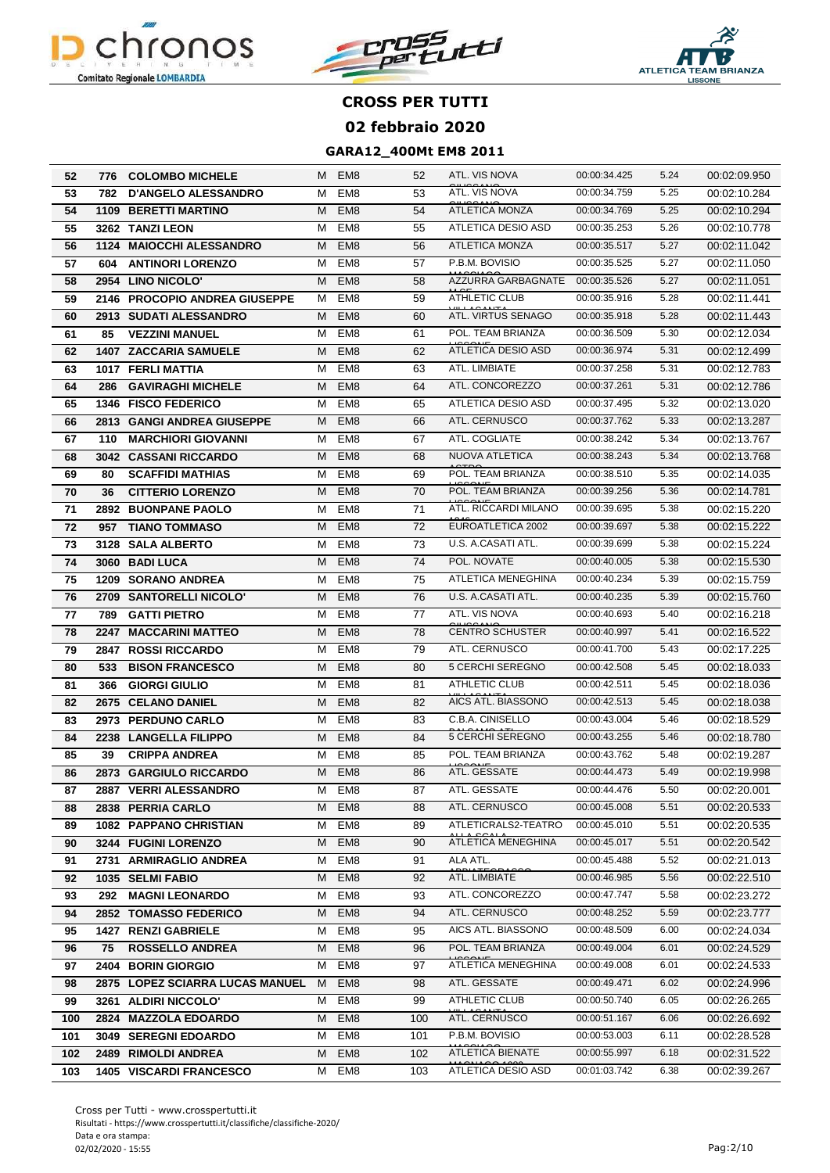





| 52  |      | 776 COLOMBO MICHELE               |   | M EM8           | 52  | ATL. VIS NOVA             | 00:00:34.425 | 5.24 | 00:02:09.950 |
|-----|------|-----------------------------------|---|-----------------|-----|---------------------------|--------------|------|--------------|
| 53  | 782  | <b>D'ANGELO ALESSANDRO</b>        | м | EM <sub>8</sub> | 53  | ATL. VIS NOVA             | 00:00:34.759 | 5.25 | 00:02:10.284 |
| 54  |      | <b>1109 BERETTI MARTINO</b>       | м | EM <sub>8</sub> | 54  | <b>ATLETICA MONZA</b>     | 00:00:34.769 | 5.25 | 00:02:10.294 |
| 55  |      | 3262 TANZI LEON                   | м | EM <sub>8</sub> | 55  | ATLETICA DESIO ASD        | 00:00:35.253 | 5.26 | 00:02:10.778 |
| 56  |      | 1124 MAIOCCHI ALESSANDRO          | M | EM <sub>8</sub> | 56  | ATLETICA MONZA            | 00:00:35.517 | 5.27 | 00:02:11.042 |
| 57  | 604  | <b>ANTINORI LORENZO</b>           | м | EM <sub>8</sub> | 57  | P.B.M. BOVISIO            | 00:00:35.525 | 5.27 | 00:02:11.050 |
| 58  |      | 2954 LINO NICOLO'                 | м | EM <sub>8</sub> | 58  | AZZURRA GARBAGNATE        | 00:00:35.526 | 5.27 | 00:02:11.051 |
| 59  |      | 2146 PROCOPIO ANDREA GIUSEPPE     | м | EM <sub>8</sub> | 59  | <b>ATHLETIC CLUB</b>      | 00:00:35.916 | 5.28 | 00:02:11.441 |
| 60  |      | 2913 SUDATI ALESSANDRO            | м | EM <sub>8</sub> | 60  | ATL. VIRTUS SENAGO        | 00:00:35.918 | 5.28 | 00:02:11.443 |
| 61  | 85   | <b>VEZZINI MANUEL</b>             | м | EM <sub>8</sub> | 61  | POL. TEAM BRIANZA         | 00:00:36.509 | 5.30 | 00:02:12.034 |
| 62  |      | <b>1407 ZACCARIA SAMUELE</b>      | м | EM <sub>8</sub> | 62  | ATLETICA DESIO ASD        | 00:00:36.974 | 5.31 | 00:02:12.499 |
| 63  |      | 1017 FERLI MATTIA                 | м | EM <sub>8</sub> | 63  | ATL. LIMBIATE             | 00:00:37.258 | 5.31 | 00:02:12.783 |
| 64  | 286  | <b>GAVIRAGHI MICHELE</b>          | м | EM <sub>8</sub> | 64  | ATL. CONCOREZZO           | 00:00:37.261 | 5.31 | 00:02:12.786 |
| 65  |      | <b>1346 FISCO FEDERICO</b>        | м | EM8             | 65  | ATLETICA DESIO ASD        | 00:00:37.495 | 5.32 | 00:02:13.020 |
| 66  |      | <b>2813 GANGI ANDREA GIUSEPPE</b> | м | EM <sub>8</sub> | 66  | ATL. CERNUSCO             | 00:00:37.762 | 5.33 | 00:02:13.287 |
| 67  | 110  | <b>MARCHIORI GIOVANNI</b>         | M | EM <sub>8</sub> | 67  | ATL. COGLIATE             | 00:00:38.242 | 5.34 | 00:02:13.767 |
| 68  |      | <b>3042 CASSANI RICCARDO</b>      | м | EM <sub>8</sub> | 68  | NUOVA ATLETICA            | 00:00:38.243 | 5.34 | 00:02:13.768 |
| 69  | 80   | <b>SCAFFIDI MATHIAS</b>           | м | EM <sub>8</sub> | 69  | POL. TEAM BRIANZA         | 00:00:38.510 | 5.35 | 00:02:14.035 |
| 70  | 36   | <b>CITTERIO LORENZO</b>           | м | EM <sub>8</sub> | 70  | POL. TEAM BRIANZA         | 00:00:39.256 | 5.36 | 00:02:14.781 |
| 71  | 2892 | <b>BUONPANE PAOLO</b>             | м | EM <sub>8</sub> | 71  | ATL. RICCARDI MILANO      | 00:00:39.695 | 5.38 | 00:02:15.220 |
| 72  | 957  | <b>TIANO TOMMASO</b>              | м | EM <sub>8</sub> | 72  | EUROATLETICA 2002         | 00:00:39.697 | 5.38 | 00:02:15.222 |
| 73  |      | 3128 SALA ALBERTO                 | М | EM <sub>8</sub> | 73  | U.S. A.CASATI ATL.        | 00:00:39.699 | 5.38 | 00:02:15.224 |
| 74  |      | 3060 BADI LUCA                    | M | EM <sub>8</sub> | 74  | POL. NOVATE               | 00:00:40.005 | 5.38 | 00:02:15.530 |
| 75  |      | <b>1209 SORANO ANDREA</b>         | м | EM <sub>8</sub> | 75  | ATLETICA MENEGHINA        | 00:00:40.234 | 5.39 | 00:02:15.759 |
| 76  |      | 2709 SANTORELLI NICOLO'           | м | EM <sub>8</sub> | 76  | U.S. A.CASATI ATL.        | 00:00:40.235 | 5.39 | 00:02:15.760 |
| 77  | 789  | <b>GATTI PIETRO</b>               | м | EM <sub>8</sub> | 77  | ATL. VIS NOVA             | 00:00:40.693 | 5.40 | 00:02:16.218 |
| 78  |      | 2247 MACCARINI MATTEO             | м | EM <sub>8</sub> | 78  | <b>CENTRO SCHUSTER</b>    | 00:00:40.997 | 5.41 | 00:02:16.522 |
| 79  |      | 2847 ROSSI RICCARDO               | м | EM <sub>8</sub> | 79  | ATL. CERNUSCO             | 00:00:41.700 | 5.43 | 00:02:17.225 |
| 80  | 533  | <b>BISON FRANCESCO</b>            | м | EM <sub>8</sub> | 80  | 5 CERCHI SEREGNO          | 00:00:42.508 | 5.45 | 00:02:18.033 |
| 81  | 366  | <b>GIORGI GIULIO</b>              | м | EM <sub>8</sub> | 81  | <b>ATHLETIC CLUB</b>      | 00:00:42.511 | 5.45 | 00:02:18.036 |
| 82  | 2675 | <b>CELANO DANIEL</b>              | М | EM <sub>8</sub> | 82  | AICS ATL. BIASSONO        | 00:00:42.513 | 5.45 | 00:02:18.038 |
| 83  |      | 2973 PERDUNO CARLO                | м | EM8             | 83  | C.B.A. CINISELLO          | 00:00:43.004 | 5.46 | 00:02:18.529 |
| 84  |      | 2238 LANGELLA FILIPPO             | м | EM <sub>8</sub> | 84  | 5 CERCHI SEREGNO          | 00:00:43.255 | 5.46 | 00:02:18.780 |
| 85  | 39   | <b>CRIPPA ANDREA</b>              | м | EM <sub>8</sub> | 85  | POL. TEAM BRIANZA         | 00:00:43.762 | 5.48 | 00:02:19.287 |
| 86  |      | 2873 GARGIULO RICCARDO            | M | EM <sub>8</sub> | 86  | ATL. GESSATE              | 00:00:44.473 | 5.49 | 00:02:19.998 |
| 87  |      | 2887   VERRI ALESSANDRO           | M | EM8             | 87  | ATL. GESSATE              | 00:00:44.476 | 5.50 | 00:02:20.001 |
| 88  |      | 2838 PERRIA CARLO                 | М | EM <sub>8</sub> | 88  | ATL. CERNUSCO             | 00:00:45.008 | 5.51 | 00:02:20.533 |
| 89  |      | 1082 PAPPANO CHRISTIAN            | M | EM <sub>8</sub> | 89  | ATLETICRALS2-TEATRO       | 00:00:45.010 | 5.51 | 00:02:20.535 |
| 90  |      | 3244 FUGINI LORENZO               | м | EM <sub>8</sub> | 90  | <b>ATLETICA MENEGHINA</b> | 00:00:45.017 | 5.51 | 00:02:20.542 |
| 91  |      | 2731 ARMIRAGLIO ANDREA            | м | EM <sub>8</sub> | 91  | ALA ATL.                  | 00:00:45.488 | 5.52 | 00:02:21.013 |
| 92  |      | 1035 SELMI FABIO                  | M | EM <sub>8</sub> | 92  | ATL. LIMBIATE             | 00:00:46.985 | 5.56 | 00:02:22.510 |
| 93  | 292  | <b>MAGNI LEONARDO</b>             | M | EM <sub>8</sub> | 93  | ATL. CONCOREZZO           | 00:00:47.747 | 5.58 | 00:02:23.272 |
| 94  |      | 2852 TOMASSO FEDERICO             | м | EM <sub>8</sub> | 94  | ATL. CERNUSCO             | 00:00:48.252 | 5.59 | 00:02:23.777 |
| 95  |      | 1427 RENZI GABRIELE               | м | EM <sub>8</sub> | 95  | AICS ATL. BIASSONO        | 00:00:48.509 | 6.00 | 00:02:24.034 |
| 96  | 75   | <b>ROSSELLO ANDREA</b>            | м | EM <sub>8</sub> | 96  | POL. TEAM BRIANZA         | 00:00:49.004 | 6.01 | 00:02:24.529 |
| 97  |      | 2404 BORIN GIORGIO                | м | EM8             | 97  | <b>ATLETICA MENEGHINA</b> | 00:00:49.008 | 6.01 | 00:02:24.533 |
| 98  |      | 2875 LOPEZ SCIARRA LUCAS MANUEL   | M | EM <sub>8</sub> | 98  | ATL. GESSATE              | 00:00:49.471 | 6.02 | 00:02:24.996 |
| 99  |      | 3261 ALDIRI NICCOLO'              | м | EM8             | 99  | ATHLETIC CLUB             | 00:00:50.740 | 6.05 | 00:02:26.265 |
| 100 | 2824 | <b>MAZZOLA EDOARDO</b>            | м | EM <sub>8</sub> | 100 | ATL. CERNUSCO             | 00:00:51.167 | 6.06 | 00:02:26.692 |
| 101 |      | <b>3049 SEREGNI EDOARDO</b>       | м | EM8             | 101 | P.B.M. BOVISIO            | 00:00:53.003 | 6.11 | 00:02:28.528 |
| 102 |      | 2489 RIMOLDI ANDREA               | М | EM <sub>8</sub> | 102 | <b>ATLETICA BIENATE</b>   | 00:00:55.997 | 6.18 | 00:02:31.522 |
| 103 |      | <b>1405 VISCARDI FRANCESCO</b>    | м | EM8             | 103 | <b>ATLETICA DESIO ASD</b> | 00:01:03.742 | 6.38 | 00:02:39.267 |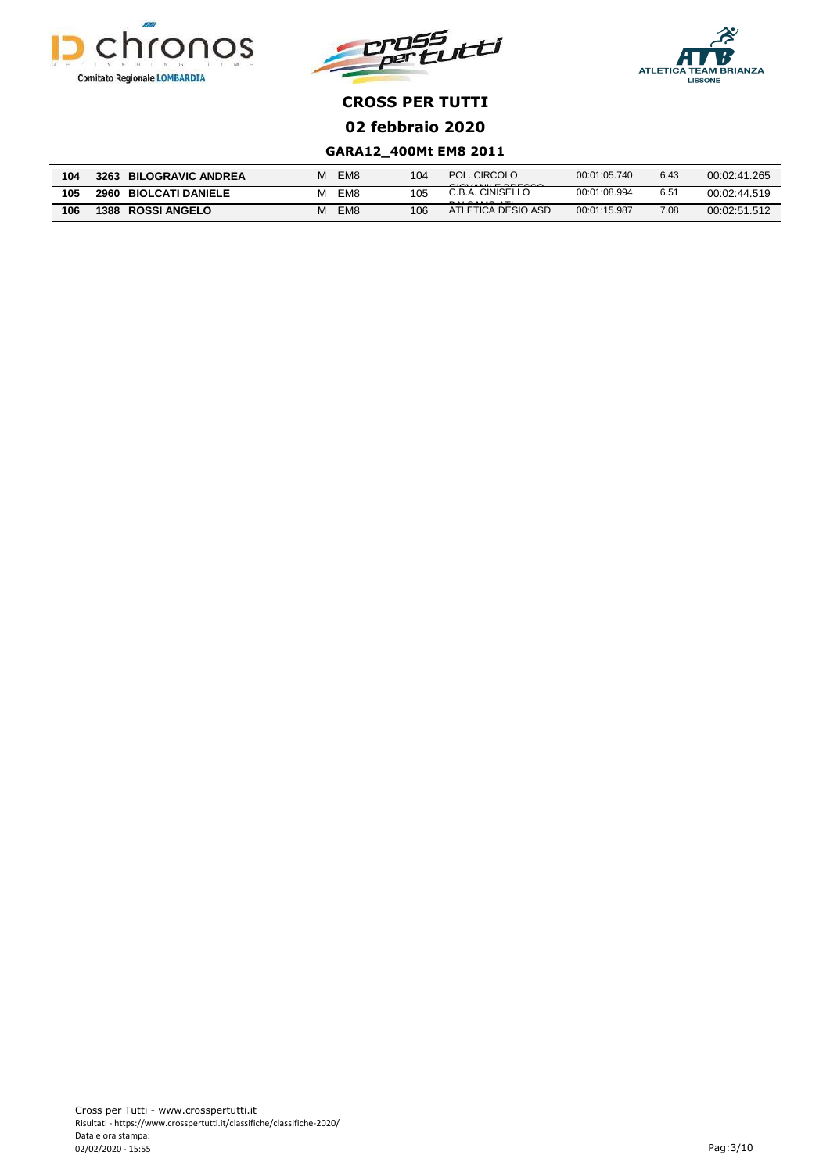





| 104 | 3263<br><b>BILOGRAVIC ANDREA</b> | EM8 | 104 | POL. CIRCOLO<br>Q(0)                                                                   | 00:01:05.740 | 6.43 | 00:02:41.265 |
|-----|----------------------------------|-----|-----|----------------------------------------------------------------------------------------|--------------|------|--------------|
| 105 | 2960<br><b>BIOLCATI DANIELE</b>  | EM8 | 105 | C.B.A. CINISELLO<br>$P$ <sub>A</sub> $P$ <sup><math>A</math></sup> $R$ $P$ $R$ $R$ $R$ | 00:01:08.994 | 6.51 | 00:02:44.519 |
| 106 | 1388<br><b>ROSSI ANGELO</b>      | EM8 | 106 | ATLETICA DESIO ASD                                                                     | 00:01:15.987 | 7.08 | 00:02:51.512 |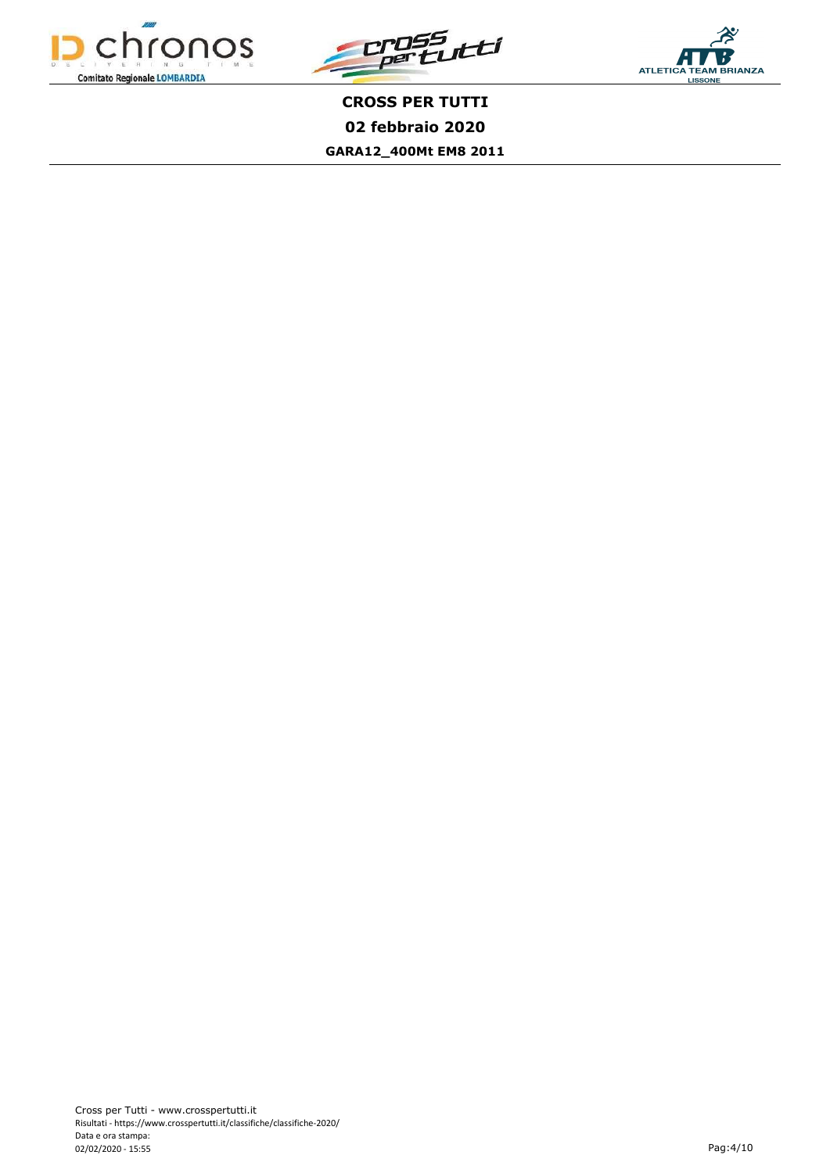



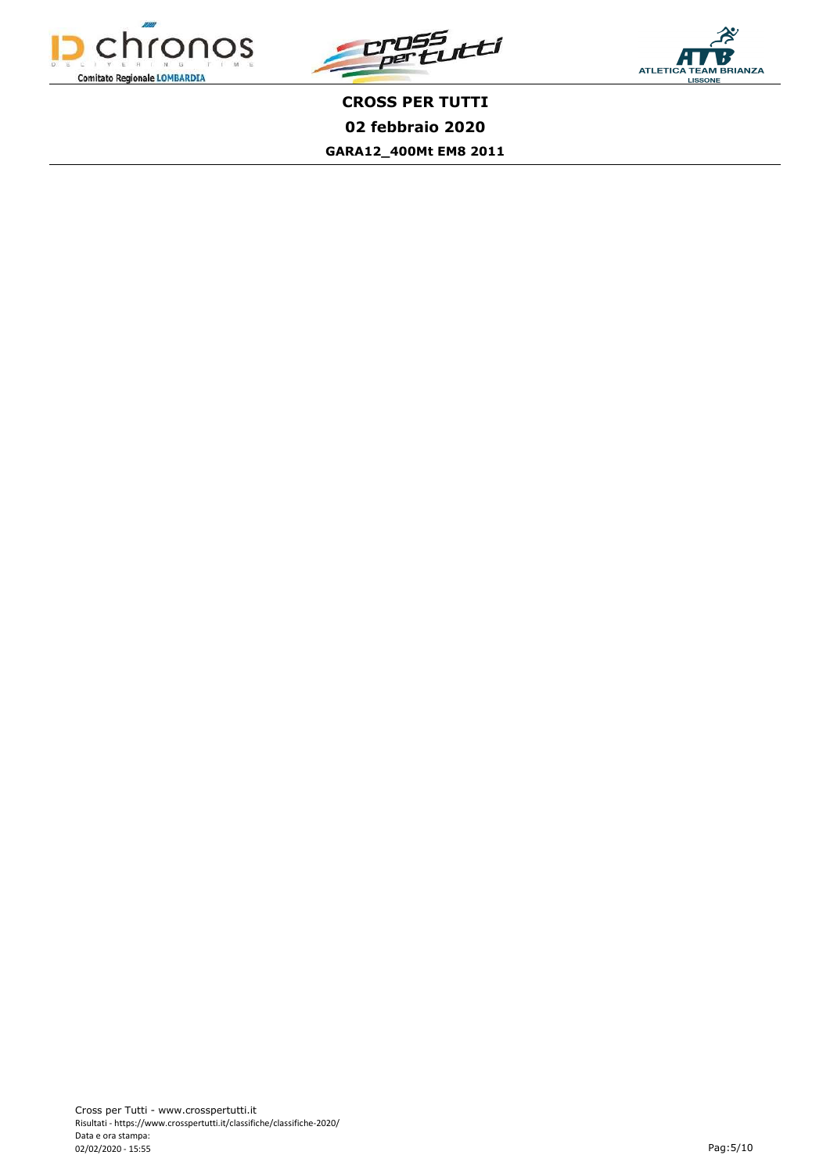



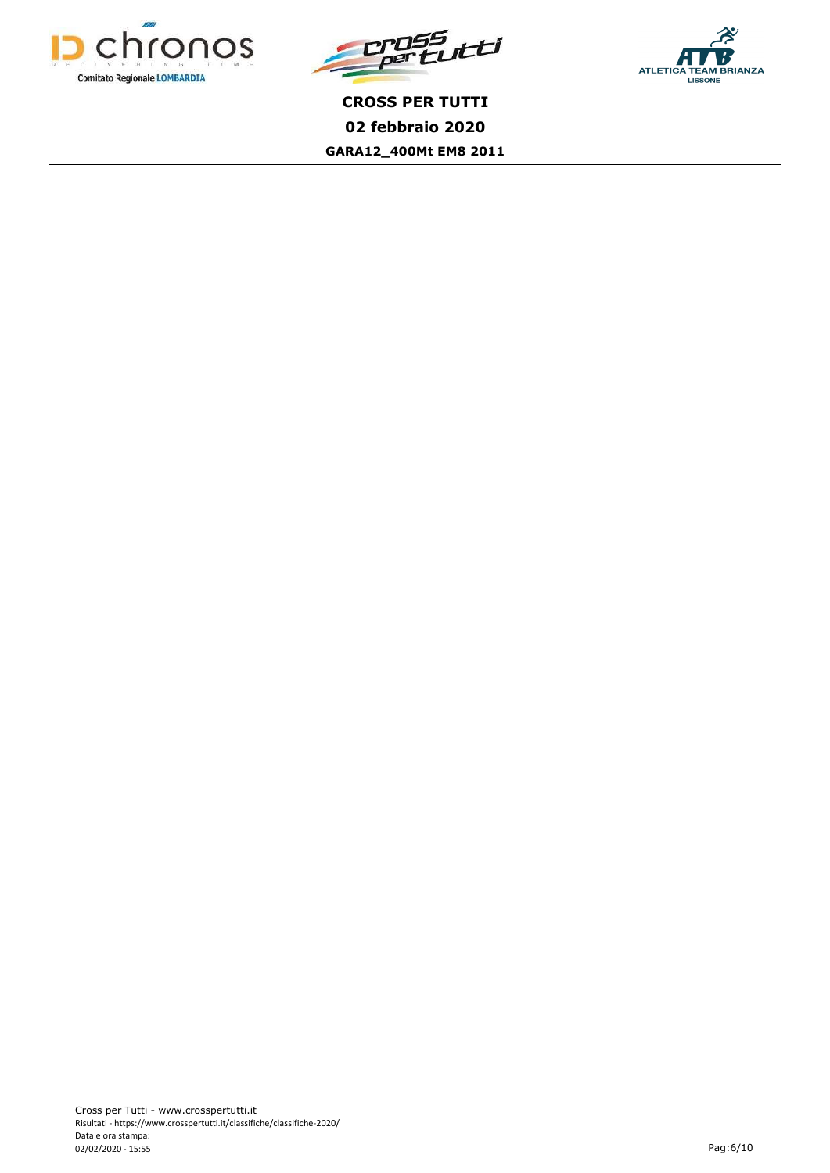



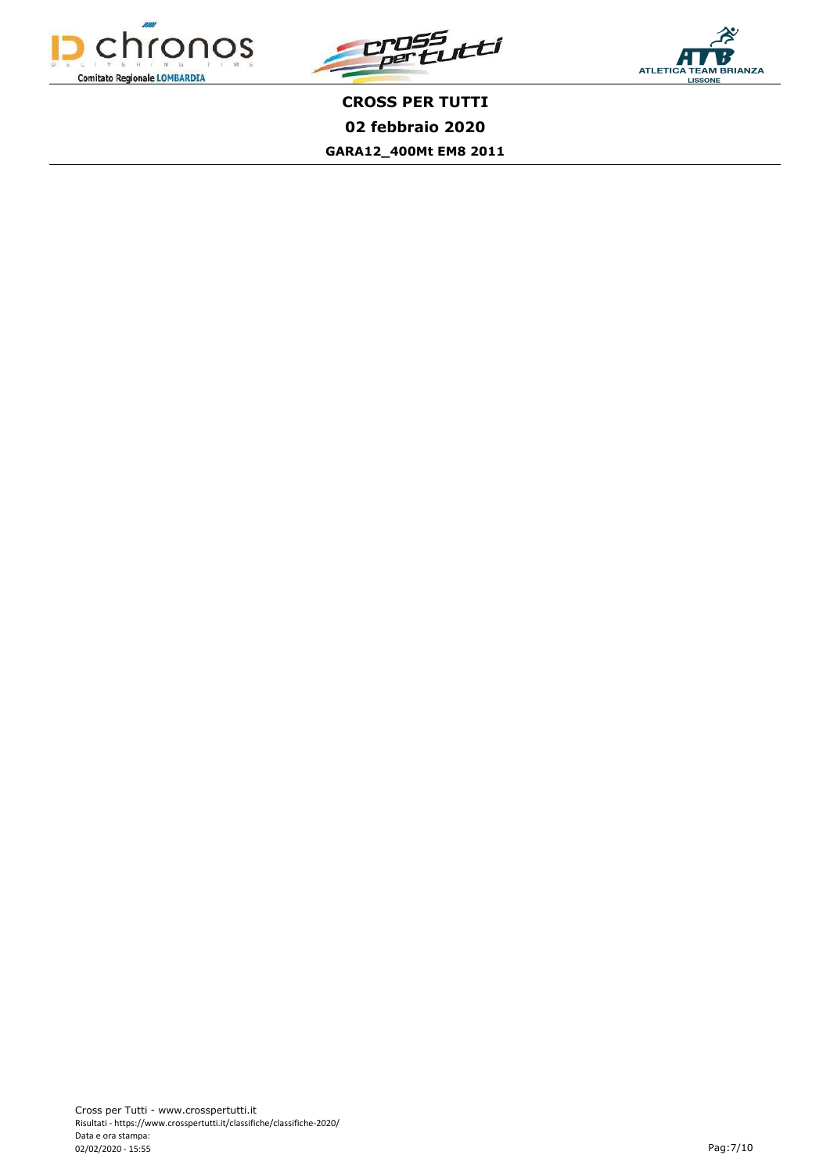



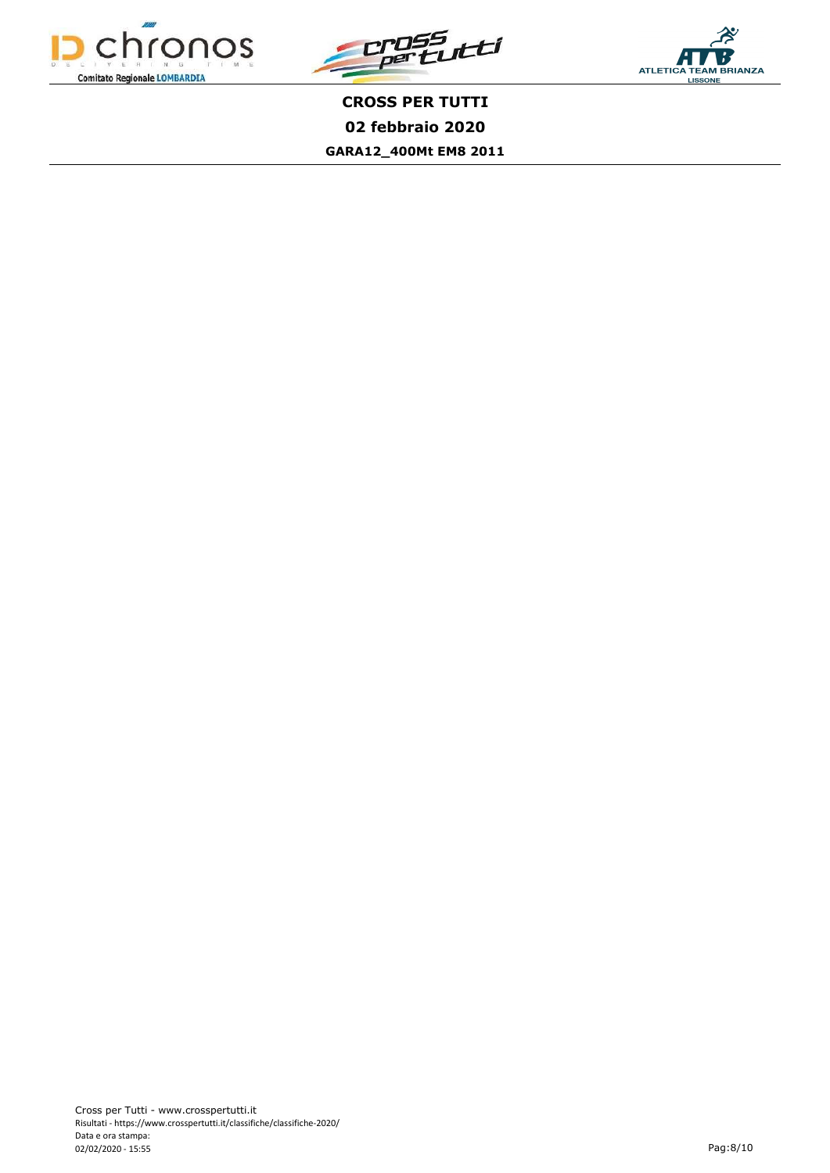



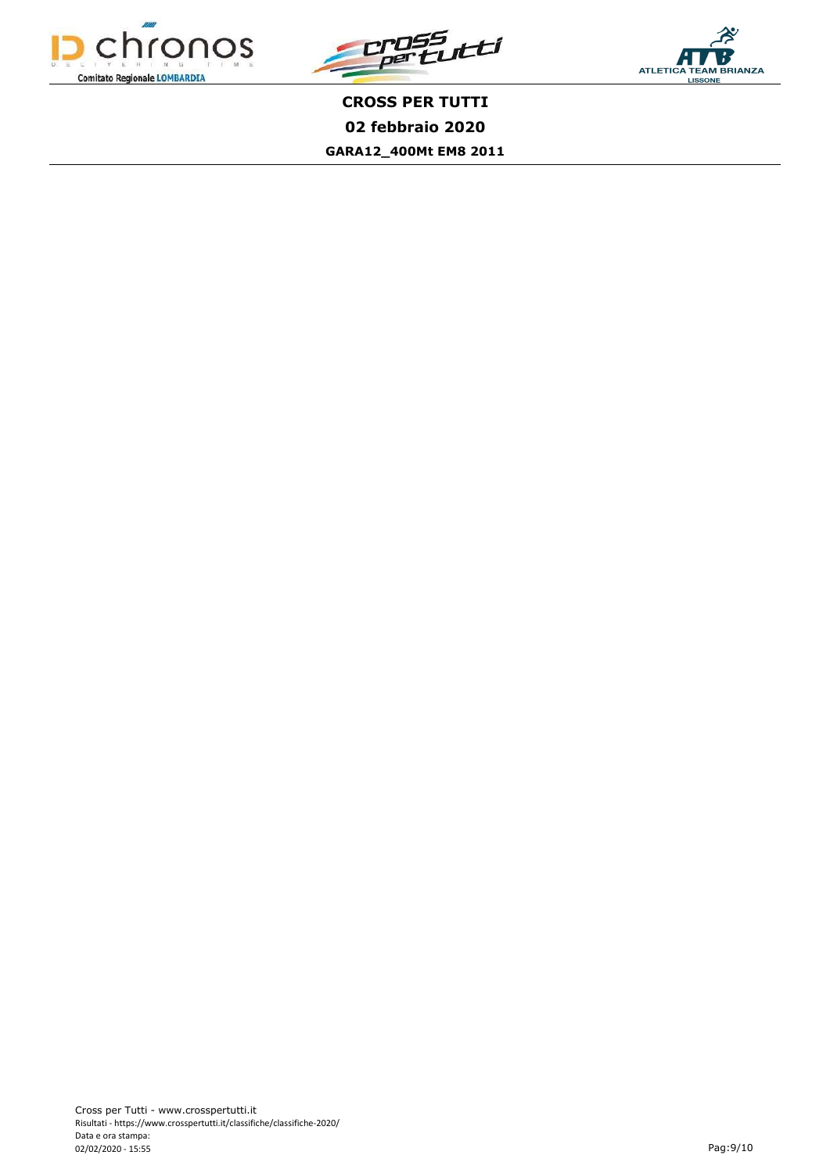



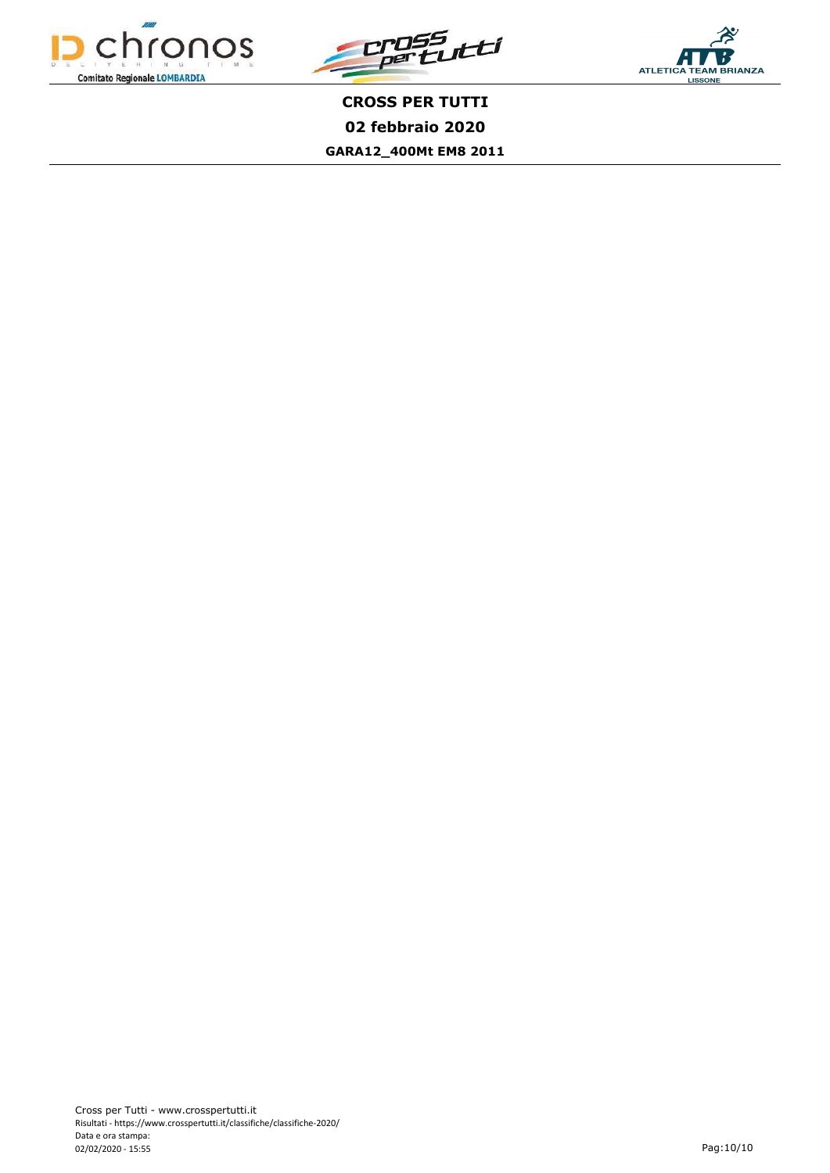



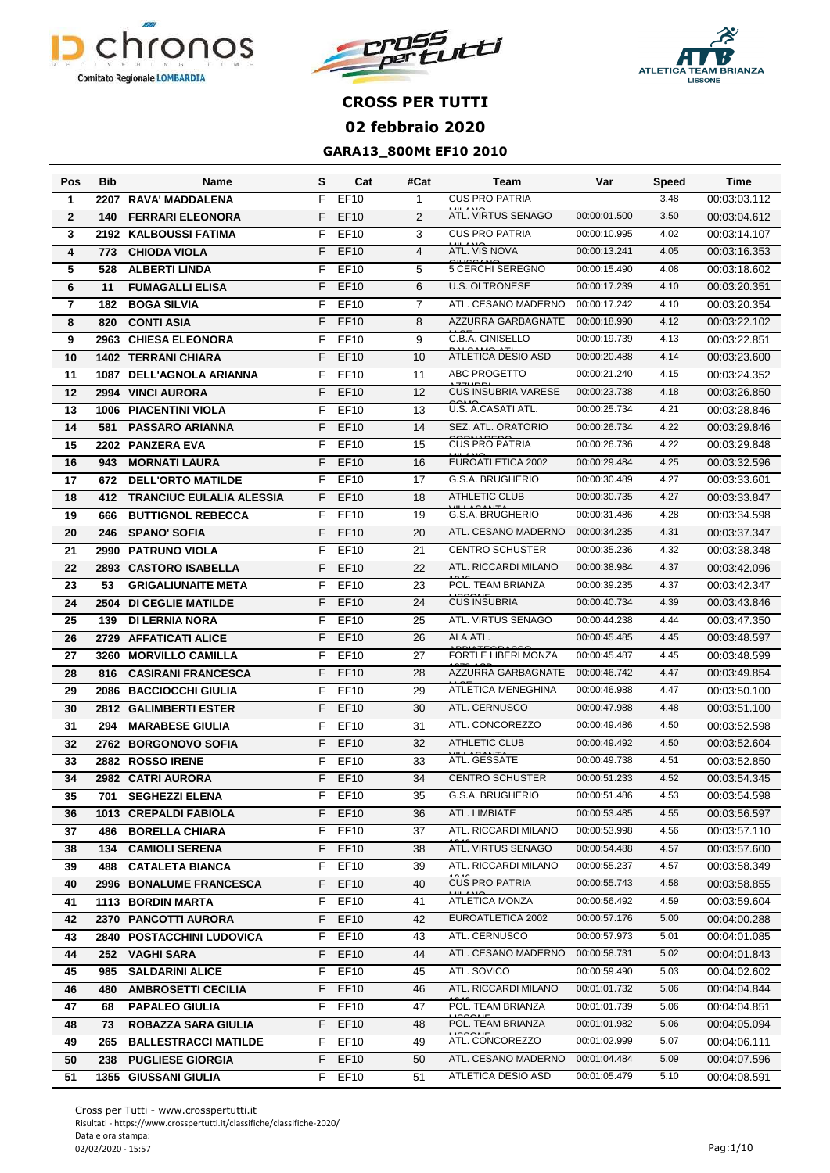





| Pos                     | <b>Bib</b> | Name                            | s  | Cat              | #Cat           | Team                       | Var          | Speed | Time         |
|-------------------------|------------|---------------------------------|----|------------------|----------------|----------------------------|--------------|-------|--------------|
| $\mathbf 1$             | 2207       | RAVA' MADDALENA                 | F  | EF10             | $\mathbf{1}$   | <b>CUS PRO PATRIA</b>      |              | 3.48  | 00:03:03.112 |
| $\overline{2}$          | 140        | <b>FERRARI ELEONORA</b>         | F  | <b>EF10</b>      | 2              | ATL. VIRTUS SENAGO         | 00:00:01.500 | 3.50  | 00:03:04.612 |
| 3                       |            | 2192 KALBOUSSI FATIMA           | F  | EF10             | 3              | <b>CUS PRO PATRIA</b>      | 00:00:10.995 | 4.02  | 00:03:14.107 |
| 4                       | 773        | <b>CHIODA VIOLA</b>             | F  | <b>EF10</b>      | $\overline{4}$ | ATL. VIS NOVA              | 00:00:13.241 | 4.05  | 00:03:16.353 |
| 5                       | 528        | <b>ALBERTI LINDA</b>            | F  | <b>EF10</b>      | 5              | <b>5 CERCHI SEREGNO</b>    | 00:00:15.490 | 4.08  | 00:03:18.602 |
| 6                       | 11         | <b>FUMAGALLI ELISA</b>          | F  | <b>EF10</b>      | 6              | <b>U.S. OLTRONESE</b>      | 00:00:17.239 | 4.10  | 00:03:20.351 |
| $\overline{\mathbf{r}}$ | 182        | <b>BOGA SILVIA</b>              | F  | EF10             | $\overline{7}$ | ATL. CESANO MADERNO        | 00:00:17.242 | 4.10  | 00:03:20.354 |
| 8                       | 820        | <b>CONTI ASIA</b>               | F  | <b>EF10</b>      | 8              | AZZURRA GARBAGNATE         | 00:00:18.990 | 4.12  | 00:03:22.102 |
| 9                       | 2963       | <b>CHIESA ELEONORA</b>          | F  | EF10             | 9              | C.B.A. CINISELLO           | 00:00:19.739 | 4.13  | 00:03:22.851 |
| 10                      |            | <b>1402 TERRANI CHIARA</b>      | F  | EF10             | 10             | ATLETICA DESIO ASD         | 00:00:20.488 | 4.14  | 00:03:23.600 |
| 11                      | 1087       | <b>DELL'AGNOLA ARIANNA</b>      | F  | EF10             | 11             | ABC PROGETTO               | 00:00:21.240 | 4.15  | 00:03:24.352 |
| 12                      | 2994       | <b>VINCI AURORA</b>             | F  | <b>EF10</b>      | 12             | <b>CUS INSUBRIA VARESE</b> | 00:00:23.738 | 4.18  | 00:03:26.850 |
| 13                      | 1006       | <b>PIACENTINI VIOLA</b>         | F  | EF10             | 13             | U.S. A.CASATI ATL.         | 00:00:25.734 | 4.21  | 00:03:28.846 |
| 14                      | 581        | <b>PASSARO ARIANNA</b>          | F  | <b>EF10</b>      | 14             | SEZ. ATL. ORATORIO         | 00:00:26.734 | 4.22  | 00:03:29.846 |
| 15                      |            | 2202 PANZERA EVA                | F  | EF10             | 15             | <b>CUS PRO PATRIA</b>      | 00:00:26.736 | 4.22  | 00:03:29.848 |
| 16                      | 943        | <b>MORNATI LAURA</b>            | F  | <b>EF10</b>      | 16             | EUROATLETICA 2002          | 00:00:29.484 | 4.25  | 00:03:32.596 |
| 17                      | 672        | <b>DELL'ORTO MATILDE</b>        | F  | EF10             | 17             | G.S.A. BRUGHERIO           | 00:00:30.489 | 4.27  | 00:03:33.601 |
| 18                      | 412        | <b>TRANCIUC EULALIA ALESSIA</b> | F  | EF10             | 18             | <b>ATHLETIC CLUB</b>       | 00:00:30.735 | 4.27  | 00:03:33.847 |
| 19                      | 666        | <b>BUTTIGNOL REBECCA</b>        | F  | <b>EF10</b>      | 19             | G.S.A. BRUGHERIO           | 00:00:31.486 | 4.28  | 00:03:34.598 |
| 20                      | 246        | <b>SPANO' SOFIA</b>             | F  | EF10             | 20             | ATL. CESANO MADERNO        | 00:00:34.235 | 4.31  | 00:03:37.347 |
| 21                      | 2990       | <b>PATRUNO VIOLA</b>            | F  | EF10             | 21             | <b>CENTRO SCHUSTER</b>     | 00:00:35.236 | 4.32  | 00:03:38.348 |
| 22                      | 2893       | <b>CASTORO ISABELLA</b>         | F  | <b>EF10</b>      | 22             | ATL. RICCARDI MILANO       | 00:00:38.984 | 4.37  | 00:03:42.096 |
| 23                      | 53         | <b>GRIGALIUNAITE META</b>       | F  | EF10             | 23             | POL. TEAM BRIANZA          | 00:00:39.235 | 4.37  | 00:03:42.347 |
| 24                      | 2504       | <b>DI CEGLIE MATILDE</b>        | F  | <b>EF10</b>      | 24             | <b>CUS INSUBRIA</b>        | 00:00:40.734 | 4.39  | 00:03:43.846 |
| 25                      | 139        | <b>DI LERNIA NORA</b>           | F  | EF10             | 25             | ATL. VIRTUS SENAGO         | 00:00:44.238 | 4.44  | 00:03:47.350 |
| 26                      | 2729       | <b>AFFATICATI ALICE</b>         | F  | <b>EF10</b>      | 26             | ALA ATL.                   | 00:00:45.485 | 4.45  | 00:03:48.597 |
| 27                      | 3260       | <b>MORVILLO CAMILLA</b>         | F  | EF10             | 27             | FORTI E LIBERI MONZA       | 00:00:45.487 | 4.45  | 00:03:48.599 |
| 28                      | 816        | <b>CASIRANI FRANCESCA</b>       | F  | EF10             | 28             | AZZURRA GARBAGNATE         | 00:00:46.742 | 4.47  | 00:03:49.854 |
| 29                      | 2086       | <b>BACCIOCCHI GIULIA</b>        | F  | EF10             | 29             | ATLETICA MENEGHINA         | 00:00:46.988 | 4.47  | 00:03:50.100 |
| 30                      | 2812       | <b>GALIMBERTI ESTER</b>         | F  | EF10             | 30             | ATL. CERNUSCO              | 00:00:47.988 | 4.48  | 00:03:51.100 |
| 31                      | 294        | <b>MARABESE GIULIA</b>          | F  | EF10             | 31             | ATL. CONCOREZZO            | 00:00:49.486 | 4.50  | 00:03:52.598 |
| 32                      | 2762       | <b>BORGONOVO SOFIA</b>          | F  | <b>EF10</b>      | 32             | <b>ATHLETIC CLUB</b>       | 00:00:49.492 | 4.50  | 00:03:52.604 |
| 33                      | 2882       | <b>ROSSO IRENE</b>              | F  | EF10             | 33             | ATL. GESSATE               | 00:00:49.738 | 4.51  | 00:03:52.850 |
| 34                      |            | 2982 CATRI AURORA               | F  | EF10             | 34             | <b>CENTRO SCHUSTER</b>     | 00:00:51.233 | 4.52  | 00:03:54.345 |
| 35                      | 701        | <b>SEGHEZZI ELENA</b>           | F. | EF10             | 35             | G.S.A. BRUGHERIO           | 00:00:51.486 | 4.53  | 00:03:54.598 |
| 36                      |            | 1013 CREPALDI FABIOLA           | F. | EF <sub>10</sub> | 36             | ATL. LIMBIATE              | 00:00:53.485 | 4.55  | 00:03:56.597 |
| 37                      | 486        | <b>BORELLA CHIARA</b>           | F  | <b>EF10</b>      | 37             | ATL. RICCARDI MILANO       | 00:00:53.998 | 4.56  | 00:03:57.110 |
| 38                      | 134        | <b>CAMIOLI SERENA</b>           | F  | <b>EF10</b>      | 38             | ATL. VIRTUS SENAGO         | 00:00:54.488 | 4.57  | 00:03:57.600 |
| 39                      | 488        | <b>CATALETA BIANCA</b>          | F  | EF10             | 39             | ATL. RICCARDI MILANO       | 00:00:55.237 | 4.57  | 00:03:58.349 |
| 40                      | 2996       | <b>BONALUME FRANCESCA</b>       | F. | <b>EF10</b>      | 40             | <b>CUS PRO PATRIA</b>      | 00:00:55.743 | 4.58  | 00:03:58.855 |
| 41                      |            | 1113 BORDIN MARTA               | F  | EF10             | 41             | ATLETICA MONZA             | 00:00:56.492 | 4.59  | 00:03:59.604 |
| 42                      | 2370       | <b>PANCOTTI AURORA</b>          | F. | EF10             | 42             | EUROATLETICA 2002          | 00:00:57.176 | 5.00  | 00:04:00.288 |
| 43                      | 2840       | <b>POSTACCHINI LUDOVICA</b>     | F  | <b>EF10</b>      | 43             | ATL. CERNUSCO              | 00:00:57.973 | 5.01  | 00:04:01.085 |
| 44                      | 252        | <b>VAGHI SARA</b>               | F. | <b>EF10</b>      | 44             | ATL. CESANO MADERNO        | 00:00:58.731 | 5.02  | 00:04:01.843 |
| 45                      | 985        | <b>SALDARINI ALICE</b>          | F. | <b>EF10</b>      | 45             | ATL. SOVICO                | 00:00:59.490 | 5.03  | 00:04:02.602 |
| 46                      | 480        | <b>AMBROSETTI CECILIA</b>       | F. | <b>EF10</b>      | 46             | ATL. RICCARDI MILANO       | 00:01:01.732 | 5.06  | 00:04:04.844 |
| 47                      | 68         | <b>PAPALEO GIULIA</b>           | F  | <b>EF10</b>      | 47             | POL. TEAM BRIANZA          | 00:01:01.739 | 5.06  | 00:04:04.851 |
| 48                      | 73         | <b>ROBAZZA SARA GIULIA</b>      | F. | <b>EF10</b>      | 48             | POL. TEAM BRIANZA          | 00:01:01.982 | 5.06  | 00:04:05.094 |
| 49                      | 265        | <b>BALLESTRACCI MATILDE</b>     | F. | EF10             | 49             | ATL. CONCOREZZO            | 00:01:02.999 | 5.07  | 00:04:06.111 |
| 50                      | 238        | <b>PUGLIESE GIORGIA</b>         |    | F EF10           | 50             | ATL. CESANO MADERNO        | 00:01:04.484 | 5.09  | 00:04:07.596 |
| 51                      |            | <b>1355 GIUSSANI GIULIA</b>     |    | F EF10           | 51             | ATLETICA DESIO ASD         | 00:01:05.479 | 5.10  | 00:04:08.591 |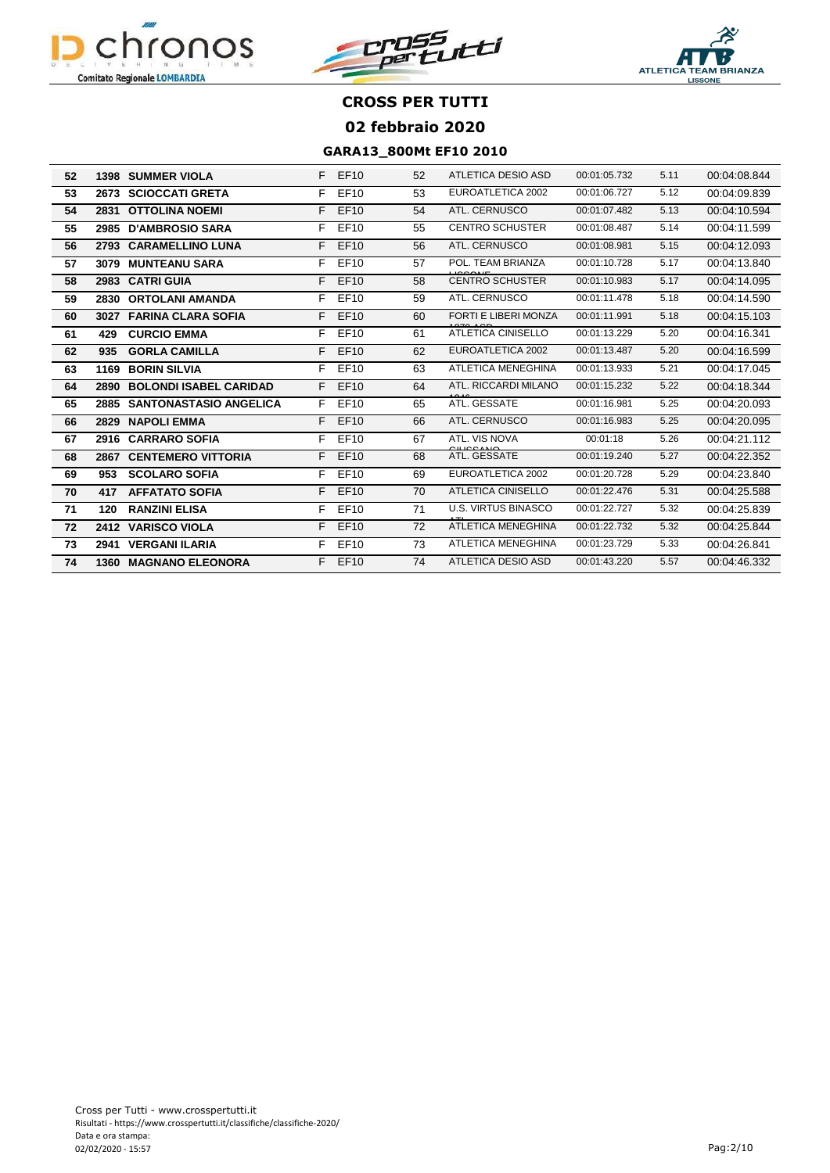





| 52 | 1398 | <b>SUMMER VIOLA</b>           | F  | EF10        | 52 | ATLETICA DESIO ASD          | 00:01:05.732 | 5.11 | 00:04:08.844 |
|----|------|-------------------------------|----|-------------|----|-----------------------------|--------------|------|--------------|
| 53 | 2673 | <b>SCIOCCATI GRETA</b>        | F  | EF10        | 53 | EUROATLETICA 2002           | 00:01:06.727 | 5.12 | 00:04:09.839 |
| 54 | 2831 | <b>OTTOLINA NOEMI</b>         | F. | <b>EF10</b> | 54 | ATL. CERNUSCO               | 00:01:07.482 | 5.13 | 00:04:10.594 |
| 55 | 2985 | <b>D'AMBROSIO SARA</b>        | F  | EF10        | 55 | <b>CENTRO SCHUSTER</b>      | 00:01:08.487 | 5.14 | 00:04:11.599 |
| 56 | 2793 | <b>CARAMELLINO LUNA</b>       | F. | <b>EF10</b> | 56 | ATL. CERNUSCO               | 00:01:08.981 | 5.15 | 00:04:12.093 |
| 57 | 3079 | <b>MUNTEANU SARA</b>          | F  | <b>EF10</b> | 57 | POL. TEAM BRIANZA           | 00:01:10.728 | 5.17 | 00:04:13.840 |
| 58 | 2983 | <b>CATRI GUIA</b>             | F. | <b>EF10</b> | 58 | <b>CENTRO SCHUSTER</b>      | 00:01:10.983 | 5.17 | 00:04:14.095 |
| 59 | 2830 | <b>ORTOLANI AMANDA</b>        | F  | EF10        | 59 | ATL. CERNUSCO               | 00:01:11.478 | 5.18 | 00:04:14.590 |
| 60 | 3027 | <b>FARINA CLARA SOFIA</b>     | F  | <b>EF10</b> | 60 | <b>FORTI E LIBERI MONZA</b> | 00:01:11.991 | 5.18 | 00:04:15.103 |
| 61 | 429  | <b>CURCIO EMMA</b>            | F  | EF10        | 61 | <b>ATLETICA CINISELLO</b>   | 00:01:13.229 | 5.20 | 00:04:16.341 |
| 62 | 935  | <b>GORLA CAMILLA</b>          | F. | <b>EF10</b> | 62 | <b>EUROATLETICA 2002</b>    | 00:01:13.487 | 5.20 | 00:04:16.599 |
| 63 | 1169 | <b>BORIN SILVIA</b>           | F  | EF10        | 63 | <b>ATLETICA MENEGHINA</b>   | 00:01:13.933 | 5.21 | 00:04:17.045 |
| 64 | 2890 | <b>BOLONDI ISABEL CARIDAD</b> | F. | <b>EF10</b> | 64 | ATL. RICCARDI MILANO        | 00:01:15.232 | 5.22 | 00:04:18.344 |
| 65 | 2885 | <b>SANTONASTASIO ANGELICA</b> | F. | EF10        | 65 | ATL. GESSATE                | 00:01:16.981 | 5.25 | 00:04:20.093 |
| 66 | 2829 | <b>NAPOLI EMMA</b>            | F  | <b>EF10</b> | 66 | <b>ATL. CERNUSCO</b>        | 00:01:16.983 | 5.25 | 00:04:20.095 |
| 67 | 2916 | <b>CARRARO SOFIA</b>          | F  | EF10        | 67 | ATL. VIS NOVA               | 00:01:18     | 5.26 | 00:04:21.112 |
| 68 | 2867 | <b>CENTEMERO VITTORIA</b>     | F  | <b>EF10</b> | 68 | ATL. GESSATE                | 00:01:19.240 | 5.27 | 00:04:22.352 |
| 69 | 953  | <b>SCOLARO SOFIA</b>          | F. | EF10        | 69 | EUROATLETICA 2002           | 00:01:20.728 | 5.29 | 00:04:23.840 |
| 70 | 417  | <b>AFFATATO SOFIA</b>         | F  | <b>EF10</b> | 70 | <b>ATLETICA CINISELLO</b>   | 00:01:22.476 | 5.31 | 00:04:25.588 |
| 71 | 120  | <b>RANZINI ELISA</b>          | F  | EF10        | 71 | <b>U.S. VIRTUS BINASCO</b>  | 00:01:22.727 | 5.32 | 00:04:25.839 |
| 72 |      | 2412 VARISCO VIOLA            | F  | EF10        | 72 | <b>ATLETICA MENEGHINA</b>   | 00:01:22.732 | 5.32 | 00:04:25.844 |
| 73 | 2941 | <b>VERGANI ILARIA</b>         | F  | EF10        | 73 | <b>ATLETICA MENEGHINA</b>   | 00:01:23.729 | 5.33 | 00:04:26.841 |
| 74 | 1360 | <b>MAGNANO ELEONORA</b>       |    | F EF10      | 74 | <b>ATLETICA DESIO ASD</b>   | 00:01:43.220 | 5.57 | 00:04:46.332 |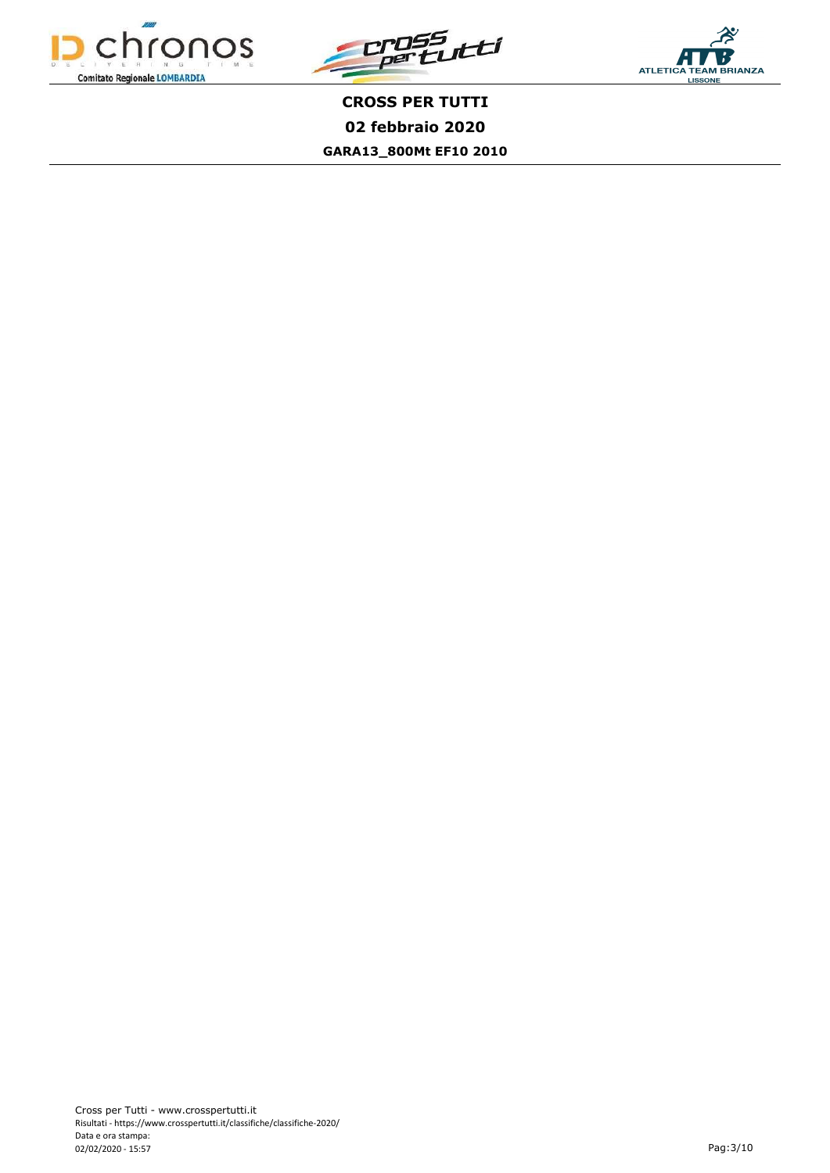



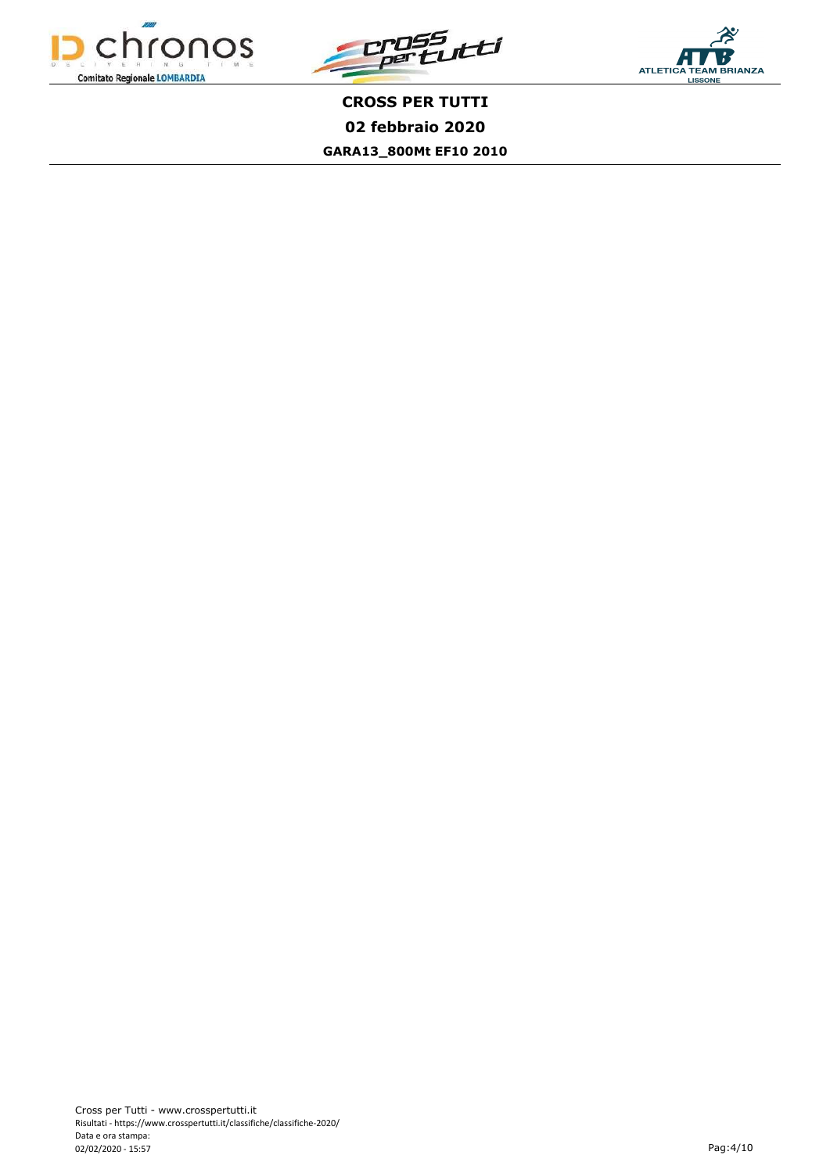



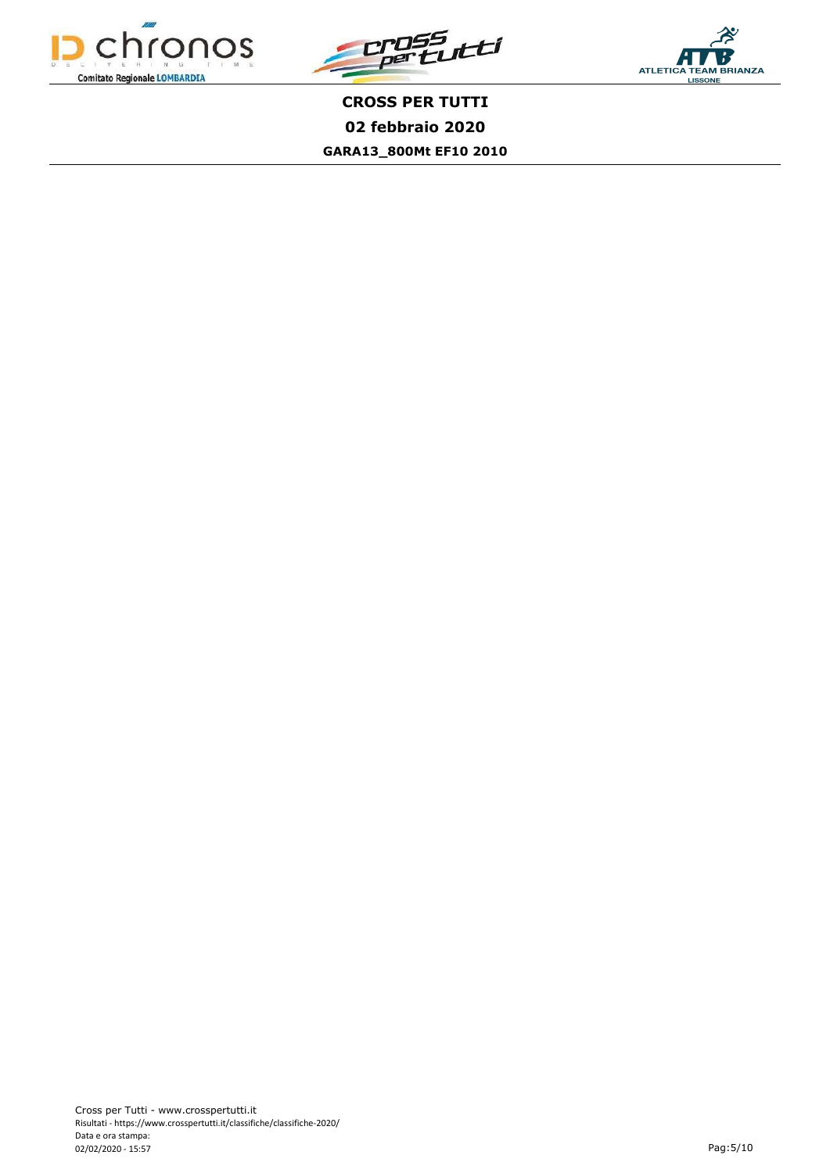



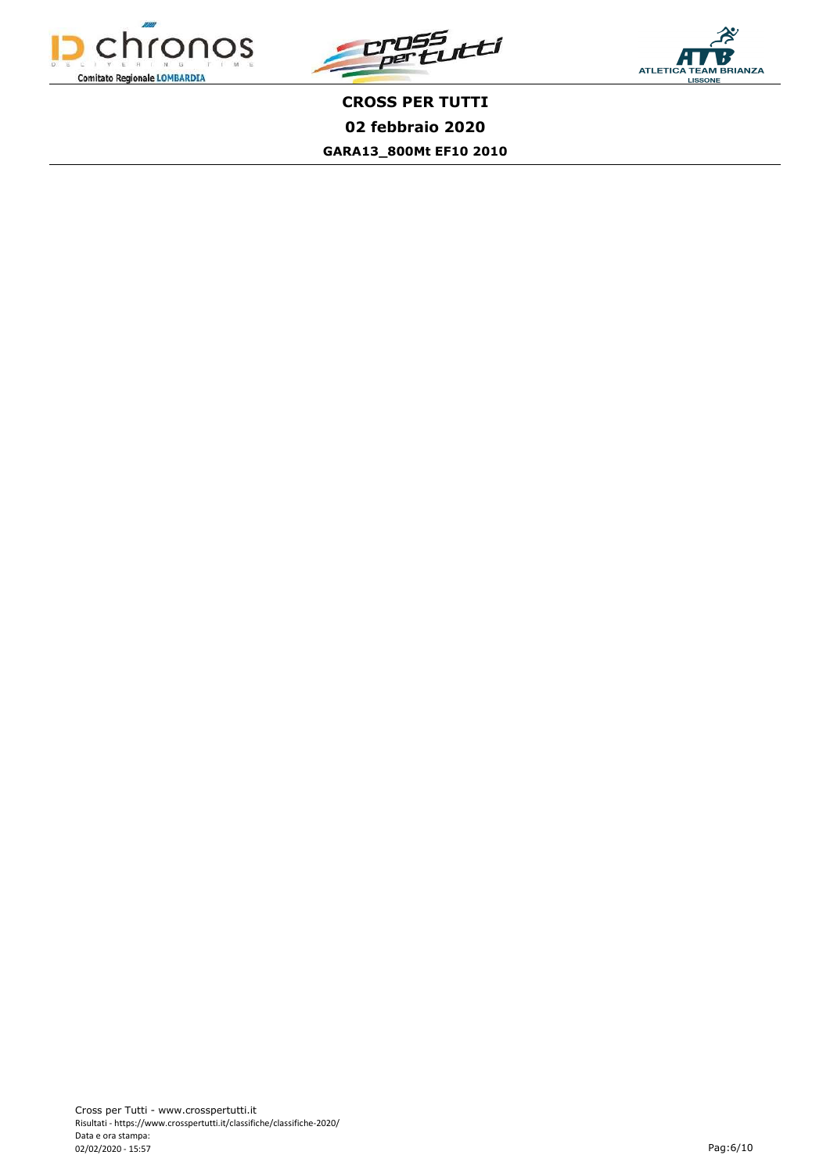



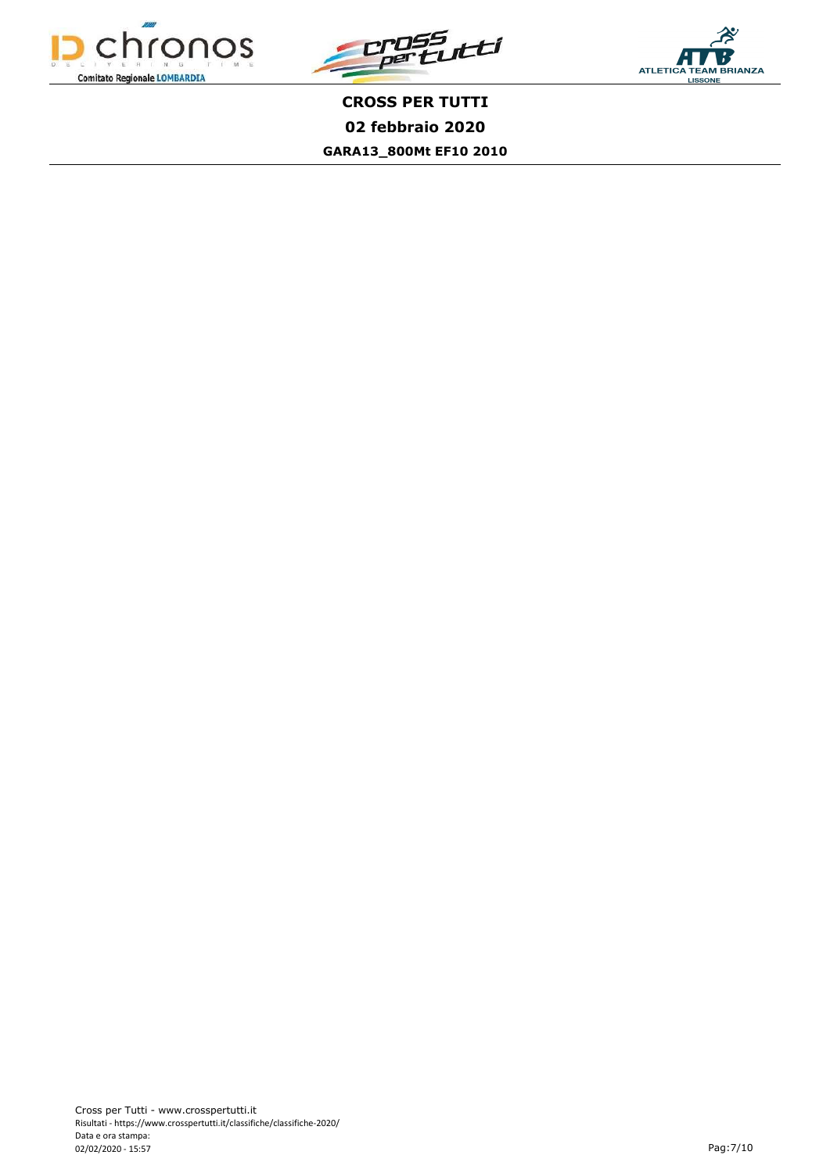



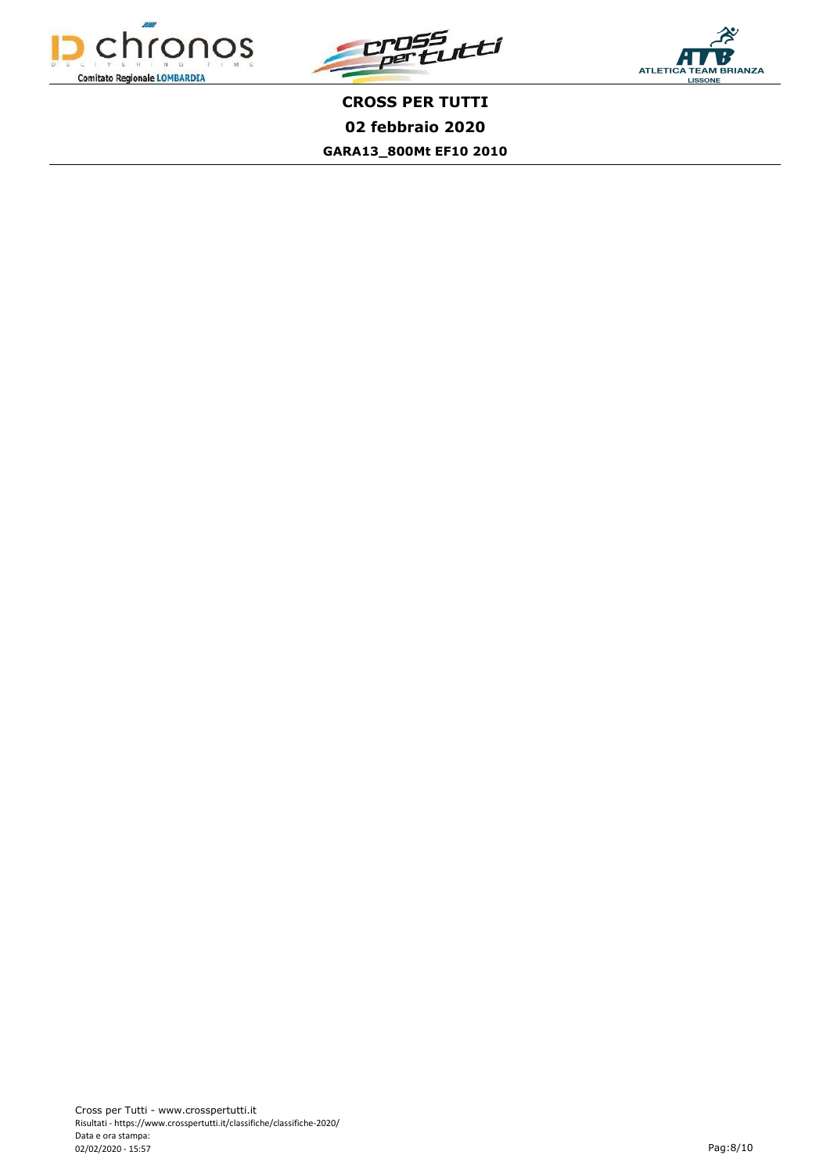



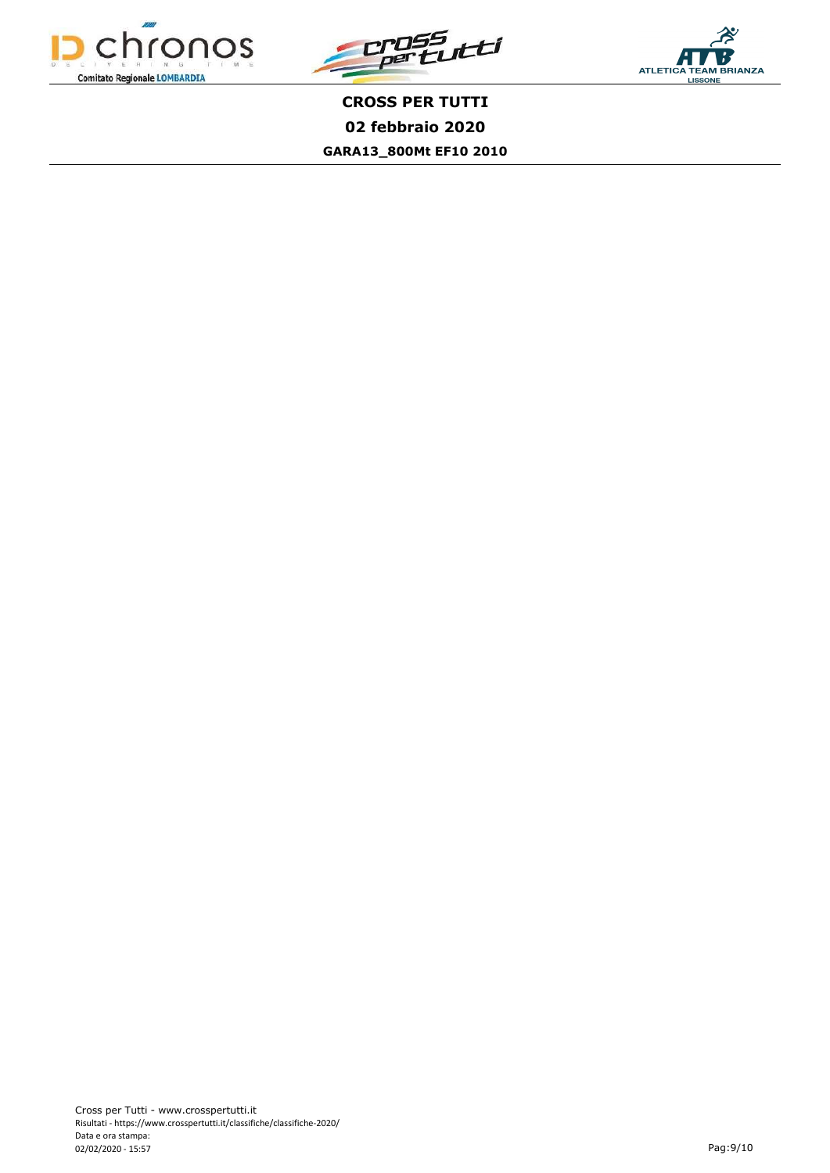



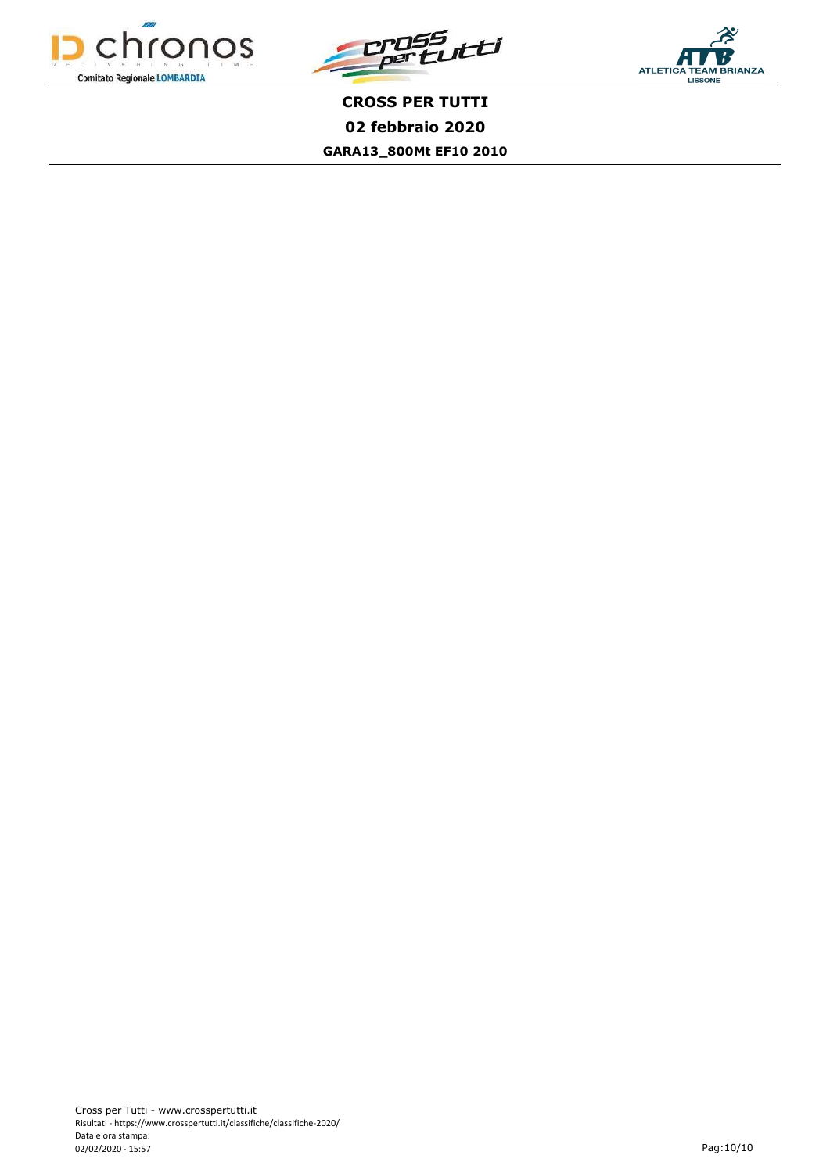



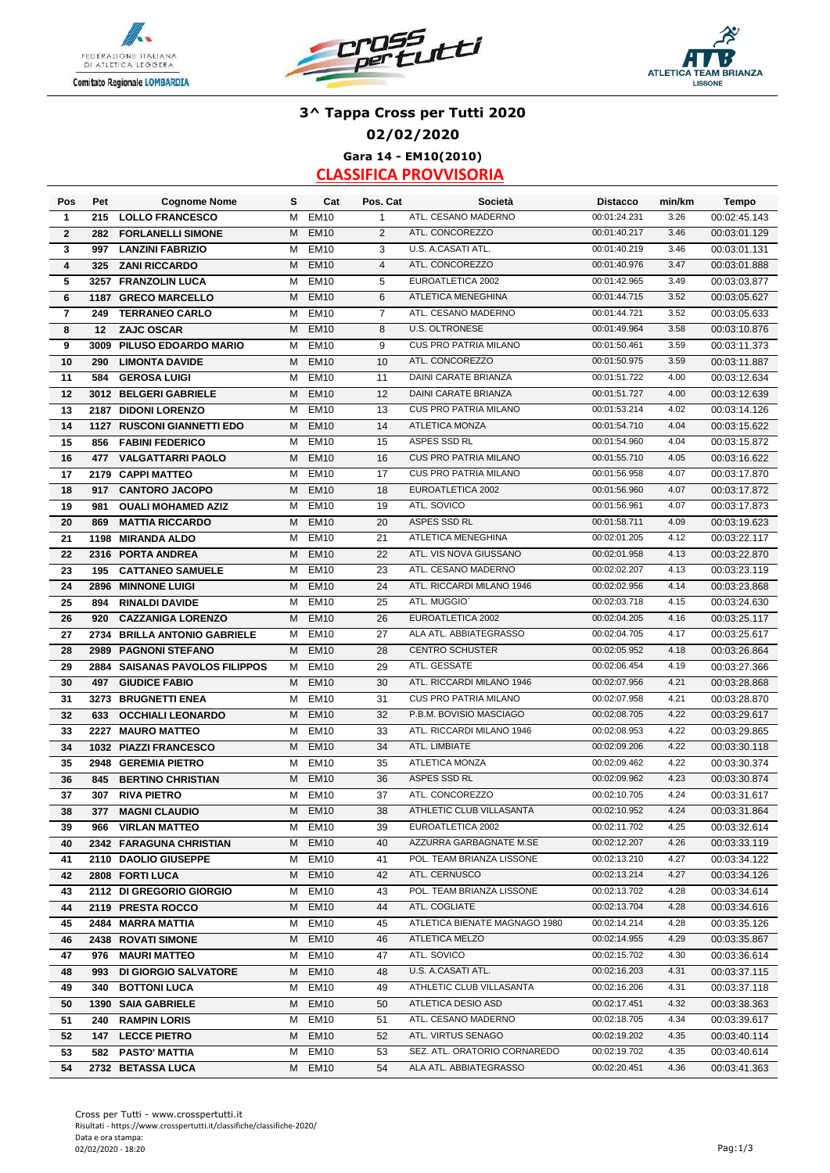





# **3^ Tappa Cross per Tutti 2020 02/02/2020 Gara 14 - EM10(2010)**

| Pos                     | Pet  | <b>Cognome Nome</b>            | s | Cat              | Pos. Cat       | Società                       | <b>Distacco</b>              | min/km | <b>Tempo</b> |
|-------------------------|------|--------------------------------|---|------------------|----------------|-------------------------------|------------------------------|--------|--------------|
| 1                       | 215  | <b>LOLLO FRANCESCO</b>         | м | <b>EM10</b>      | $\mathbf{1}$   | ATL. CESANO MADERNO           | 00:01:24.231                 | 3.26   | 00:02:45.143 |
| $\mathbf{2}$            | 282  | <b>FORLANELLI SIMONE</b>       | M | <b>EM10</b>      | $\overline{2}$ | ATL. CONCOREZZO               | 00:01:40.217                 | 3.46   | 00:03:01.129 |
| 3                       | 997  | <b>LANZINI FABRIZIO</b>        | м | <b>EM10</b>      | 3              | U.S. A.CASATI ATL.            | 00:01:40.219                 | 3.46   | 00:03:01.131 |
| $\overline{\mathbf{4}}$ | 325  | <b>ZANI RICCARDO</b>           | M | <b>EM10</b>      | $\overline{4}$ | ATL. CONCOREZZO               | 00:01:40.976                 | 3.47   | 00:03:01.888 |
| 5                       |      | 3257 FRANZOLIN LUCA            | м | <b>EM10</b>      | 5              | EUROATLETICA 2002             | 00:01:42.965                 | 3.49   | 00:03:03.877 |
| 6                       |      | 1187 GRECO MARCELLO            | М | <b>EM10</b>      | 6              | ATLETICA MENEGHINA            | 00:01:44.715                 | 3.52   | 00:03:05.627 |
| 7                       | 249  | <b>TERRANEO CARLO</b>          | м | <b>EM10</b>      | $\overline{7}$ | ATL. CESANO MADERNO           | 00:01:44.721                 | 3.52   | 00:03:05.633 |
| 8                       | 12   | <b>ZAJC OSCAR</b>              | М | <b>EM10</b>      | 8              | <b>U.S. OLTRONESE</b>         | 00:01:49.964                 | 3.58   | 00:03:10.876 |
| 9                       |      | 3009 PILUSO EDOARDO MARIO      | м | <b>EM10</b>      | 9              | CUS PRO PATRIA MILANO         | 00:01:50.461                 | 3.59   | 00:03:11.373 |
| 10                      | 290  | <b>LIMONTA DAVIDE</b>          | M | <b>EM10</b>      | 10             | ATL. CONCOREZZO               | 00:01:50.975                 | 3.59   | 00:03:11.887 |
| 11                      | 584  | <b>GEROSA LUIGI</b>            | м | <b>EM10</b>      | 11             | DAINI CARATE BRIANZA          | 00:01:51.722                 | 4.00   | 00:03:12.634 |
| 12                      |      | 3012 BELGERI GABRIELE          | M | <b>EM10</b>      | 12             | DAINI CARATE BRIANZA          | 00:01:51.727                 | 4.00   | 00:03:12.639 |
| 13                      | 2187 | <b>DIDONI LORENZO</b>          | м | <b>EM10</b>      | 13             | <b>CUS PRO PATRIA MILANO</b>  | 00:01:53.214                 | 4.02   | 00:03:14.126 |
| 14                      |      | 1127 RUSCONI GIANNETTI EDO     | M | <b>EM10</b>      | 14             | ATLETICA MONZA                | 00:01:54.710                 | 4.04   | 00:03:15.622 |
| 15                      | 856  | <b>FABINI FEDERICO</b>         | м | <b>EM10</b>      | 15             | ASPES SSD RL                  | 00:01:54.960                 | 4.04   | 00:03:15.872 |
| 16                      | 477  | <b>VALGATTARRI PAOLO</b>       | M | <b>EM10</b>      | 16             | <b>CUS PRO PATRIA MILANO</b>  | 00:01:55.710                 | 4.05   | 00:03:16.622 |
| 17                      |      | 2179 CAPPI MATTEO              | м | <b>EM10</b>      | 17             | <b>CUS PRO PATRIA MILANO</b>  | 00:01:56.958                 | 4.07   | 00:03:17.870 |
| 18                      | 917  | <b>CANTORO JACOPO</b>          | M | <b>EM10</b>      | 18             | EUROATLETICA 2002             | 00:01:56.960                 | 4.07   | 00:03:17.872 |
| 19                      | 981  | <b>OUALI MOHAMED AZIZ</b>      | м | <b>EM10</b>      | 19             | ATL. SOVICO                   | 00:01:56.961                 | 4.07   | 00:03:17.873 |
| 20                      | 869  | <b>MATTIA RICCARDO</b>         | M | <b>EM10</b>      | 20             | ASPES SSD RL                  | 00:01:58.711                 | 4.09   | 00:03:19.623 |
| 21                      |      | 1198 MIRANDA ALDO              | м | <b>EM10</b>      | 21             | <b>ATLETICA MENEGHINA</b>     | 00:02:01.205                 | 4.12   | 00:03:22.117 |
| 22                      |      | 2316 PORTA ANDREA              | M | <b>EM10</b>      | 22             | ATL. VIS NOVA GIUSSANO        | 00:02:01.958                 | 4.13   | 00:03:22.870 |
| 23                      | 195  | <b>CATTANEO SAMUELE</b>        | м | <b>EM10</b>      | 23             | ATL. CESANO MADERNO           | 00:02:02.207                 | 4.13   | 00:03:23.119 |
| 24                      | 2896 | <b>MINNONE LUIGI</b>           | M | <b>EM10</b>      | 24             | ATL. RICCARDI MILANO 1946     | 00:02:02.956                 | 4.14   | 00:03:23.868 |
| 25                      | 894  | <b>RINALDI DAVIDE</b>          | м | <b>EM10</b>      | 25             | ATL. MUGGIO'                  | 00:02:03.718                 | 4.15   | 00:03:24.630 |
| 26                      | 920  | <b>CAZZANIGA LORENZO</b>       | м | <b>EM10</b>      | 26             | EUROATLETICA 2002             | 00:02:04.205                 | 4.16   | 00:03:25.117 |
| 27                      | 2734 | <b>BRILLA ANTONIO GABRIELE</b> | м | <b>EM10</b>      | 27             | ALA ATL. ABBIATEGRASSO        | 00:02:04.705                 | 4.17   | 00:03:25.617 |
| 28                      | 2989 | <b>PAGNONI STEFANO</b>         | M | <b>EM10</b>      | 28             | <b>CENTRO SCHUSTER</b>        | 00:02:05.952                 | 4.18   | 00:03:26.864 |
| 29                      |      | 2884 SAISANAS PAVOLOS FILIPPOS | м | <b>EM10</b>      | 29             | ATL. GESSATE                  | 00:02:06.454                 | 4.19   | 00:03:27.366 |
| 30                      | 497  | <b>GIUDICE FABIO</b>           | M | <b>EM10</b>      | 30             | ATL. RICCARDI MILANO 1946     | 00:02:07.956                 | 4.21   | 00:03:28.868 |
| 31                      |      | 3273 BRUGNETTI ENEA            | м | <b>EM10</b>      | 31             | <b>CUS PRO PATRIA MILANO</b>  | 00:02:07.958                 | 4.21   | 00:03:28.870 |
| 32                      | 633  | <b>OCCHIALI LEONARDO</b>       | M | <b>EM10</b>      | 32             | P.B.M. BOVISIO MASCIAGO       | 00:02:08.705                 | 4.22   | 00:03:29.617 |
| 33                      |      | 2227 MAURO MATTEO              | м | <b>EM10</b>      | 33             | ATL. RICCARDI MILANO 1946     | 00:02:08.953                 | 4.22   | 00:03:29.865 |
| 34                      |      | 1032 PIAZZI FRANCESCO          | M | <b>EM10</b>      | 34             | ATL. LIMBIATE                 | 00:02:09.206                 | 4.22   | 00:03:30.118 |
| 35                      |      | 2948 GEREMIA PIETRO            | м | <b>EM10</b>      | 35             | <b>ATLETICA MONZA</b>         | 00:02:09.462                 | 4.22   | 00:03:30.374 |
| 36                      | 845  | <b>BERTINO CHRISTIAN</b>       | M | <b>EM10</b>      | 36             | ASPES SSD RL                  | 00:02:09.962                 | 4.23   | 00:03:30.874 |
| 37                      | 307  | <b>RIVA PIETRO</b>             | м | <b>EM10</b>      | 37             | ATL. CONCOREZZO               | 00:02:10.705                 | 4.24   | 00:03:31.617 |
| 38                      | 377  | <b>MAGNI CLAUDIO</b>           | М | <b>EM10</b>      | 38             | ATHLETIC CLUB VILLASANTA      | 00:02:10.952                 | 4.24   | 00:03:31.864 |
| 39                      |      | 966 VIRLAN MATTEO              |   | M EM10           | 39             | EUROATLETICA 2002             | 00:02:11.702                 | 4.25   | 00:03:32.614 |
| 40                      |      | 2342 FARAGUNA CHRISTIAN        |   | M EM10           | 40             | AZZURRA GARBAGNATE M.SE       | 00:02:12.207                 | 4.26   | 00:03:33.119 |
| 41                      |      | 2110 DAOLIO GIUSEPPE           | м | EM <sub>10</sub> | 41             | POL. TEAM BRIANZA LISSONE     | 00:02:13.210                 | 4.27   | 00:03:34.122 |
| 42                      |      | 2808 FORTI LUCA                |   | M EM10           | 42             | ATL. CERNUSCO                 | 00:02:13.214                 | 4.27   | 00:03:34.126 |
|                         |      | 2112 DI GREGORIO GIORGIO       | М | <b>EM10</b>      | 43             | POL. TEAM BRIANZA LISSONE     | 00:02:13.702                 | 4.28   | 00:03:34.614 |
| 43                      |      |                                |   | <b>EM10</b>      |                | ATL. COGLIATE                 | 00:02:13.704                 | 4.28   |              |
| 44                      |      | 2119 PRESTA ROCCO              | M |                  | 44             | ATLETICA BIENATE MAGNAGO 1980 | 00:02:14.214                 | 4.28   | 00:03:34.616 |
| 45                      |      | 2484 MARRA MATTIA              |   | M EM10           | 45             |                               |                              |        | 00:03:35.126 |
| 46                      |      | 2438 ROVATI SIMONE             |   | M EM10           | 46             | ATLETICA MELZO                | 00:02:14.955<br>00:02:15.702 | 4.29   | 00:03:35.867 |
| 47                      |      | 976 MAURI MATTEO               |   | M EM10           | 47             | ATL. SOVICO                   |                              | 4.30   | 00:03:36.614 |
| 48                      | 993  | <b>DI GIORGIO SALVATORE</b>    | M | <b>EM10</b>      | 48             | U.S. A.CASATI ATL.            | 00:02:16.203                 | 4.31   | 00:03:37.115 |
| 49                      | 340  | <b>BOTTONI LUCA</b>            | M | EM10             | 49             | ATHLETIC CLUB VILLASANTA      | 00:02:16.206                 | 4.31   | 00:03:37.118 |
| 50                      |      | 1390 SAIA GABRIELE             | M | EM <sub>10</sub> | 50             | ATLETICA DESIO ASD            | 00:02:17.451                 | 4.32   | 00:03:38.363 |
| 51                      |      | 240 RAMPIN LORIS               | м | <b>EM10</b>      | 51             | ATL. CESANO MADERNO           | 00:02:18.705                 | 4.34   | 00:03:39.617 |
| 52                      |      | 147 LECCE PIETRO               | M | <b>EM10</b>      | 52             | ATL. VIRTUS SENAGO            | 00:02:19.202                 | 4.35   | 00:03:40.114 |
| 53                      |      | 582 PASTO' MATTIA              |   | M EM10           | 53             | SEZ. ATL. ORATORIO CORNAREDO  | 00:02:19.702                 | 4.35   | 00:03:40.614 |
| 54                      |      | 2732 BETASSA LUCA              |   | M EM10           | 54             | ALA ATL. ABBIATEGRASSO        | 00:02:20.451                 | 4.36   | 00:03:41.363 |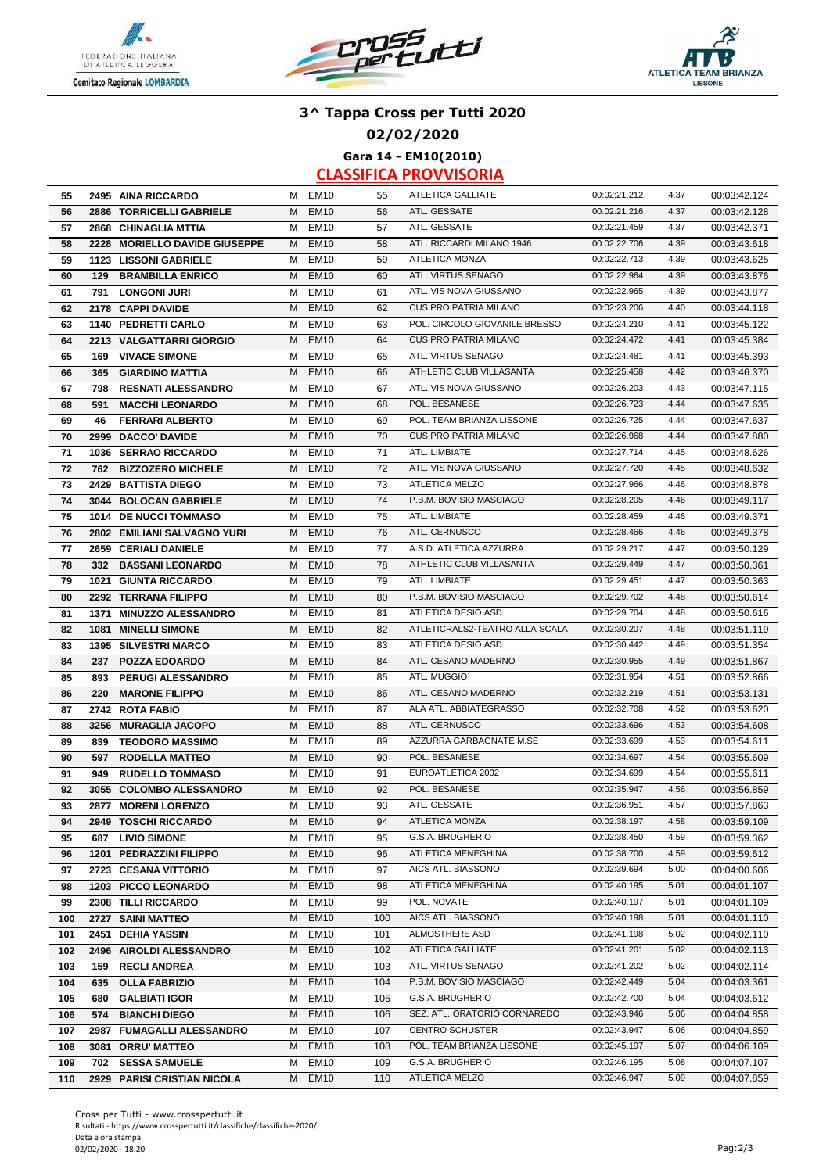





**02/02/2020**

**Gara 14 - EM10(2010)**

| 55  | 2495 AINA RICCARDO              |   | M EM10           | 55  | ATLETICA GALLIATE              | 00:02:21.212 | 4.37         | 00:03:42.124                 |
|-----|---------------------------------|---|------------------|-----|--------------------------------|--------------|--------------|------------------------------|
| 56  | 2886 TORRICELLI GABRIELE        | M | <b>EM10</b>      | 56  | ATL. GESSATE                   | 00:02:21.216 | 4.37         | 00:03:42.128                 |
| 57  | 2868 CHINAGLIA MTTIA            |   | M EM10           | 57  | ATL. GESSATE                   | 00:02:21.459 | 4.37         | 00:03:42.371                 |
| 58  | 2228 MORIELLO DAVIDE GIUSEPPE   | M | <b>EM10</b>      | 58  | ATL. RICCARDI MILANO 1946      | 00:02:22.706 | 4.39         | 00:03:43.618                 |
| 59  | 1123 LISSONI GABRIELE           | м | <b>EM10</b>      | 59  | <b>ATLETICA MONZA</b>          | 00:02:22.713 | 4.39         | 00:03:43.625                 |
| 60  | <b>129 BRAMBILLA ENRICO</b>     | м | <b>EM10</b>      | 60  | ATL. VIRTUS SENAGO             | 00:02:22.964 | 4.39         | 00:03:43.876                 |
| 61  | 791<br><b>LONGONI JURI</b>      | м | <b>EM10</b>      | 61  | ATL. VIS NOVA GIUSSANO         | 00:02:22.965 | 4.39         | 00:03:43.877                 |
| 62  | 2178 CAPPI DAVIDE               | м | <b>EM10</b>      | 62  | <b>CUS PRO PATRIA MILANO</b>   | 00:02:23.206 | 4.40         | 00:03:44.118                 |
| 63  | 1140 PEDRETTI CARLO             | м | <b>EM10</b>      | 63  | POL. CIRCOLO GIOVANILE BRESSO  | 00:02:24.210 | 4.41         | 00:03:45.122                 |
| 64  | 2213 VALGATTARRI GIORGIO        | м | <b>EM10</b>      | 64  | <b>CUS PRO PATRIA MILANO</b>   | 00:02:24.472 | 4.41         | 00:03:45.384                 |
| 65  | <b>VIVACE SIMONE</b><br>169     | М | <b>EM10</b>      | 65  | ATL. VIRTUS SENAGO             | 00:02:24.481 | 4.41         | 00:03:45.393                 |
| 66  | 365<br><b>GIARDINO MATTIA</b>   | м | <b>EM10</b>      | 66  | ATHLETIC CLUB VILLASANTA       | 00:02:25.458 | 4.42         | 00:03:46.370                 |
| 67  | 798 RESNATI ALESSANDRO          | м | EM <sub>10</sub> | 67  | ATL. VIS NOVA GIUSSANO         | 00:02:26.203 | 4.43         | 00:03:47.115                 |
| 68  | <b>MACCHI LEONARDO</b><br>591   | М | <b>EM10</b>      | 68  | POL. BESANESE                  | 00:02:26.723 | 4.44         | 00:03:47.635                 |
| 69  | <b>FERRARI ALBERTO</b><br>46    | M | <b>EM10</b>      | 69  | POL. TEAM BRIANZA LISSONE      | 00:02:26.725 | 4.44         | 00:03:47.637                 |
| 70  | 2999 DACCO' DAVIDE              | M | <b>EM10</b>      | 70  | <b>CUS PRO PATRIA MILANO</b>   | 00:02:26.968 | 4.44         | 00:03:47.880                 |
| 71  | 1036 SERRAO RICCARDO            | м | <b>EM10</b>      | 71  | ATL. LIMBIATE                  | 00:02:27.714 | 4.45         | 00:03:48.626                 |
| 72  | 762<br><b>BIZZOZERO MICHELE</b> | м | <b>EM10</b>      | 72  | ATL. VIS NOVA GIUSSANO         | 00:02:27.720 | 4.45         | 00:03:48.632                 |
| 73  | 2429 BATTISTA DIEGO             | м | <b>EM10</b>      | 73  | <b>ATLETICA MELZO</b>          | 00:02:27.966 | 4.46         | 00:03:48.878                 |
| 74  | 3044 BOLOCAN GABRIELE           | м | <b>EM10</b>      | 74  | P.B.M. BOVISIO MASCIAGO        | 00:02:28.205 | 4.46         | 00:03:49.117                 |
| 75  | 1014 DE NUCCI TOMMASO           | м | <b>EM10</b>      | 75  | ATL. LIMBIATE                  | 00:02:28.459 | 4.46         | 00:03:49.371                 |
| 76  | 2802 EMILIANI SALVAGNO YURI     | M | <b>EM10</b>      | 76  | ATL. CERNUSCO                  | 00:02:28.466 | 4.46         | 00:03:49.378                 |
| 77  | 2659 CERIALI DANIELE            | м | <b>EM10</b>      | 77  | A.S.D. ATLETICA AZZURRA        | 00:02:29.217 | 4.47         | 00:03:50.129                 |
| 78  | 332 BASSANI LEONARDO            | м | <b>EM10</b>      | 78  | ATHLETIC CLUB VILLASANTA       | 00:02:29.449 | 4.47         | 00:03:50.361                 |
| 79  | <b>1021 GIUNTA RICCARDO</b>     | м | <b>EM10</b>      | 79  | ATL. LIMBIATE                  | 00:02:29.451 | 4.47         | 00:03:50.363                 |
| 80  | 2292 TERRANA FILIPPO            | M | <b>EM10</b>      | 80  | P.B.M. BOVISIO MASCIAGO        | 00:02:29.702 | 4.48         | 00:03:50.614                 |
| 81  | 1371 MINUZZO ALESSANDRO         | м | EM10             | 81  | ATLETICA DESIO ASD             | 00:02:29.704 | 4.48         | 00:03:50.616                 |
| 82  | 1081 MINELLI SIMONE             | M | <b>EM10</b>      | 82  | ATLETICRALS2-TEATRO ALLA SCALA | 00:02:30.207 | 4.48         | 00:03:51.119                 |
| 83  | <b>1395 SILVESTRI MARCO</b>     | м | <b>EM10</b>      | 83  | ATLETICA DESIO ASD             | 00:02:30.442 | 4.49         | 00:03:51.354                 |
| 84  | 237<br><b>POZZA EDOARDO</b>     | м | <b>EM10</b>      | 84  | ATL. CESANO MADERNO            | 00:02:30.955 | 4.49         | 00:03:51.867                 |
| 85  | 893<br><b>PERUGI ALESSANDRO</b> | М | <b>EM10</b>      | 85  | ATL. MUGGIO'                   | 00:02:31.954 | 4.51         | 00:03:52.866                 |
| 86  | <b>MARONE FILIPPO</b><br>220    | M | <b>EM10</b>      | 86  | ATL. CESANO MADERNO            | 00:02:32.219 | 4.51         | 00:03:53.131                 |
| 87  | 2742 ROTA FABIO                 | м | <b>EM10</b>      | 87  | ALA ATL. ABBIATEGRASSO         | 00:02:32.708 | 4.52         | 00:03:53.620                 |
| 88  | 3256 MURAGLIA JACOPO            | M | <b>EM10</b>      | 88  | ATL. CERNUSCO                  | 00:02:33.696 | 4.53         | 00:03:54.608                 |
| 89  | 839<br><b>TEODORO MASSIMO</b>   | м | <b>EM10</b>      | 89  | AZZURRA GARBAGNATE M.SE        | 00:02:33.699 | 4.53         | 00:03:54.611                 |
| 90  | <b>RODELLA MATTEO</b><br>597    | м | <b>EM10</b>      | 90  | POL. BESANESE                  | 00:02:34.697 | 4.54         | 00:03:55.609                 |
| 91  | <b>RUDELLO TOMMASO</b><br>949   | м | <b>EM10</b>      | 91  | EUROATLETICA 2002              | 00:02:34.699 | 4.54         | 00:03:55.611                 |
| 92  | 3055 COLOMBO ALESSANDRO         | м | <b>EM10</b>      | 92  | POL. BESANESE                  | 00:02:35.947 | 4.56         | 00:03:56.859                 |
| 93  | 2877 MORENI LORENZO             | м | <b>EM10</b>      | 93  | ATL. GESSATE                   | 00:02:36.951 | 4.57         | 00:03:57.863                 |
| 94  | 2949 TOSCHI RICCARDO            |   | M EM10           | 94  | ATLETICA MONZA                 | 00:02:38.197 | 4.58         | 00:03:59.109                 |
| 95  | 687 LIVIO SIMONE                |   | M EM10           | 95  | G.S.A. BRUGHERIO               | 00:02:38.450 | 4.59         | 00:03:59.362                 |
| 96  | 1201 PEDRAZZINI FILIPPO         |   | M EM10           | 96  | ATLETICA MENEGHINA             | 00:02:38.700 | 4.59         | 00:03:59.612                 |
| 97  | 2723 CESANA VITTORIO            | М | <b>EM10</b>      | 97  | AICS ATL. BIASSONO             | 00:02:39.694 | 5.00         | 00:04:00.606                 |
| 98  | 1203 PICCO LEONARDO             | M | <b>EM10</b>      | 98  | ATLETICA MENEGHINA             | 00:02:40.195 | 5.01         | 00:04:01.107                 |
| 99  | 2308 TILLI RICCARDO             | м | <b>EM10</b>      | 99  | POL. NOVATE                    | 00:02:40.197 | 5.01         | 00:04:01.109                 |
| 100 | 2727 SAINI MATTEO               | M | <b>EM10</b>      | 100 | AICS ATL. BIASSONO             | 00:02:40.198 | 5.01         | 00:04:01.110                 |
| 101 | 2451 DEHIA YASSIN               | М | <b>EM10</b>      | 101 | ALMOSTHERE ASD                 | 00:02:41.198 | 5.02         | 00:04:02.110                 |
|     |                                 | M | <b>EM10</b>      | 102 | ATLETICA GALLIATE              | 00:02:41.201 |              |                              |
| 102 | 2496 AIROLDI ALESSANDRO         |   | <b>EM10</b>      |     | ATL. VIRTUS SENAGO             | 00:02:41.202 | 5.02<br>5.02 | 00:04:02.113                 |
| 103 | <b>RECLI ANDREA</b><br>159      | м | <b>EM10</b>      | 103 | P.B.M. BOVISIO MASCIAGO        | 00:02:42.449 | 5.04         | 00:04:02.114<br>00:04:03.361 |
| 104 | 635 OLLA FABRIZIO               | M | <b>EM10</b>      | 104 | G.S.A. BRUGHERIO               |              | 5.04         |                              |
| 105 | <b>GALBIATI IGOR</b><br>680     | М |                  | 105 | SEZ. ATL. ORATORIO CORNAREDO   | 00:02:42.700 |              | 00:04:03.612                 |
| 106 | 574 BIANCHI DIEGO               |   | M EM10           | 106 |                                | 00:02:43.946 | 5.06         | 00:04:04.858                 |
| 107 | 2987 FUMAGALLI ALESSANDRO       | M | <b>EM10</b>      | 107 | <b>CENTRO SCHUSTER</b>         | 00:02:43.947 | 5.06         | 00:04:04.859                 |
| 108 | 3081 ORRU' MATTEO               |   | M EM10           | 108 | POL. TEAM BRIANZA LISSONE      | 00:02:45.197 | 5.07         | 00:04:06.109                 |
| 109 | 702 SESSA SAMUELE               | М | EM <sub>10</sub> | 109 | G.S.A. BRUGHERIO               | 00:02:46.195 | 5.08         | 00:04:07.107                 |
| 110 | 2929 PARISI CRISTIAN NICOLA     |   | M EM10           | 110 | ATLETICA MELZO                 | 00:02:46.947 | 5.09         | 00:04:07.859                 |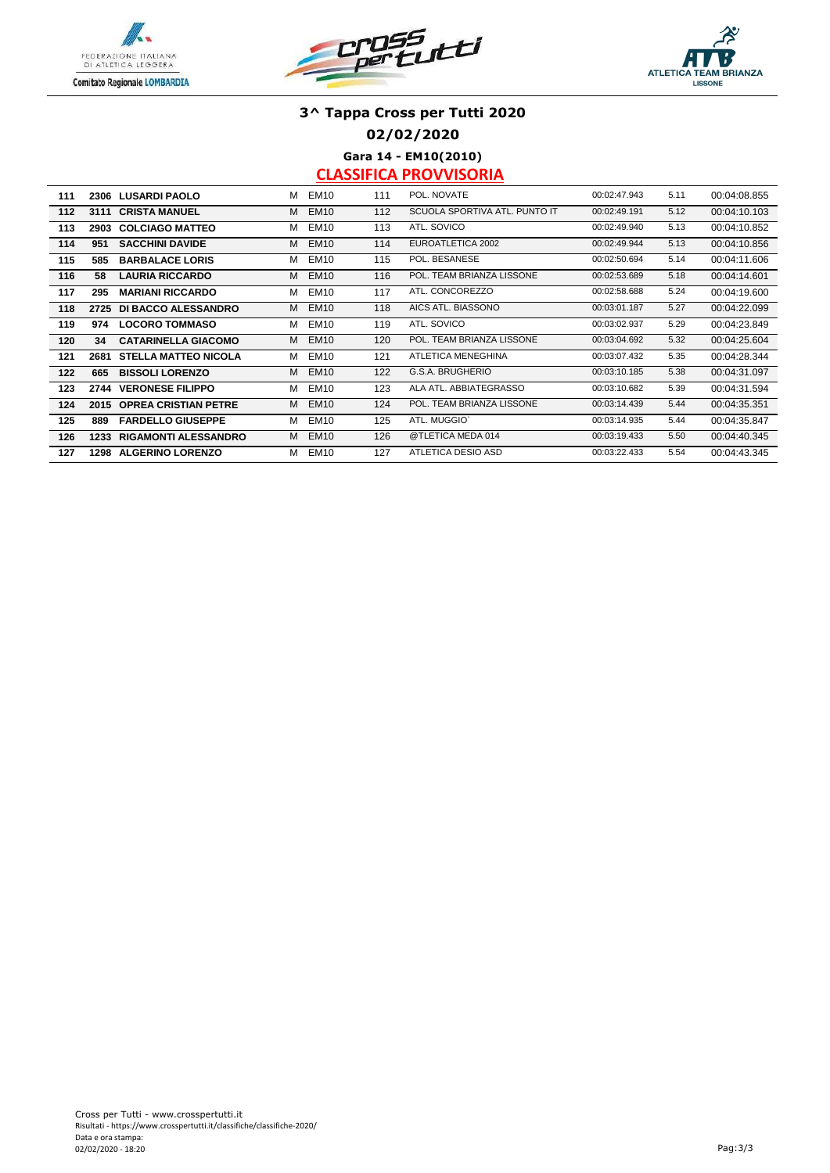





**02/02/2020**

**Gara 14 - EM10(2010)**

| 111 | 2306 | <b>LUSARDI PAOLO</b>        | м | EM <sub>10</sub> | 111 | POL. NOVATE                   | 00:02:47.943 | 5.11 | 00:04:08.855 |
|-----|------|-----------------------------|---|------------------|-----|-------------------------------|--------------|------|--------------|
| 112 | 3111 | <b>CRISTA MANUEL</b>        | м | <b>EM10</b>      | 112 | SCUOLA SPORTIVA ATL. PUNTO IT | 00:02:49.191 | 5.12 | 00:04:10.103 |
| 113 | 2903 | <b>COLCIAGO MATTEO</b>      | м | <b>EM10</b>      | 113 | ATL. SOVICO                   | 00:02:49.940 | 5.13 | 00:04:10.852 |
| 114 | 951  | <b>SACCHINI DAVIDE</b>      | м | <b>EM10</b>      | 114 | EUROATLETICA 2002             | 00:02:49.944 | 5.13 | 00:04:10.856 |
| 115 | 585  | <b>BARBALACE LORIS</b>      | м | <b>EM10</b>      | 115 | POL. BESANESE                 | 00:02:50.694 | 5.14 | 00:04:11.606 |
| 116 | 58   | <b>LAURIA RICCARDO</b>      | м | <b>EM10</b>      | 116 | POL. TEAM BRIANZA LISSONE     | 00:02:53.689 | 5.18 | 00:04:14.601 |
| 117 | 295  | <b>MARIANI RICCARDO</b>     | м | <b>EM10</b>      | 117 | ATL. CONCOREZZO               | 00:02:58.688 | 5.24 | 00:04:19.600 |
| 118 | 2725 | DI BACCO ALESSANDRO         | м | <b>EM10</b>      | 118 | AICS ATL. BIASSONO            | 00:03:01.187 | 5.27 | 00:04:22.099 |
| 119 | 974  | <b>LOCORO TOMMASO</b>       | М | <b>EM10</b>      | 119 | ATL. SOVICO                   | 00:03:02.937 | 5.29 | 00:04:23.849 |
| 120 | 34   | <b>CATARINELLA GIACOMO</b>  | м | <b>EM10</b>      | 120 | POL. TEAM BRIANZA LISSONE     | 00:03:04.692 | 5.32 | 00:04:25.604 |
| 121 | 2681 | <b>STELLA MATTEO NICOLA</b> | м | <b>EM10</b>      | 121 | ATLETICA MENEGHINA            | 00:03:07.432 | 5.35 | 00:04:28.344 |
| 122 | 665  | <b>BISSOLI LORENZO</b>      | м | <b>EM10</b>      | 122 | G.S.A. BRUGHERIO              | 00:03:10.185 | 5.38 | 00:04:31.097 |
| 123 | 2744 | <b>VERONESE FILIPPO</b>     | м | <b>EM10</b>      | 123 | ALA ATL. ABBIATEGRASSO        | 00:03:10.682 | 5.39 | 00:04:31.594 |
| 124 | 2015 | <b>OPREA CRISTIAN PETRE</b> | м | <b>EM10</b>      | 124 | POL. TEAM BRIANZA LISSONE     | 00:03:14.439 | 5.44 | 00:04:35.351 |
| 125 | 889  | <b>FARDELLO GIUSEPPE</b>    | м | <b>EM10</b>      | 125 | ATL. MUGGIO'                  | 00:03:14.935 | 5.44 | 00:04:35.847 |
| 126 | 1233 | <b>RIGAMONTI ALESSANDRO</b> | м | <b>EM10</b>      | 126 | @TLETICA MEDA 014             | 00:03:19.433 | 5.50 | 00:04:40.345 |
| 127 | 1298 | <b>ALGERINO LORENZO</b>     | м | <b>EM10</b>      | 127 | ATLETICA DESIO ASD            | 00:03:22.433 | 5.54 | 00:04:43.345 |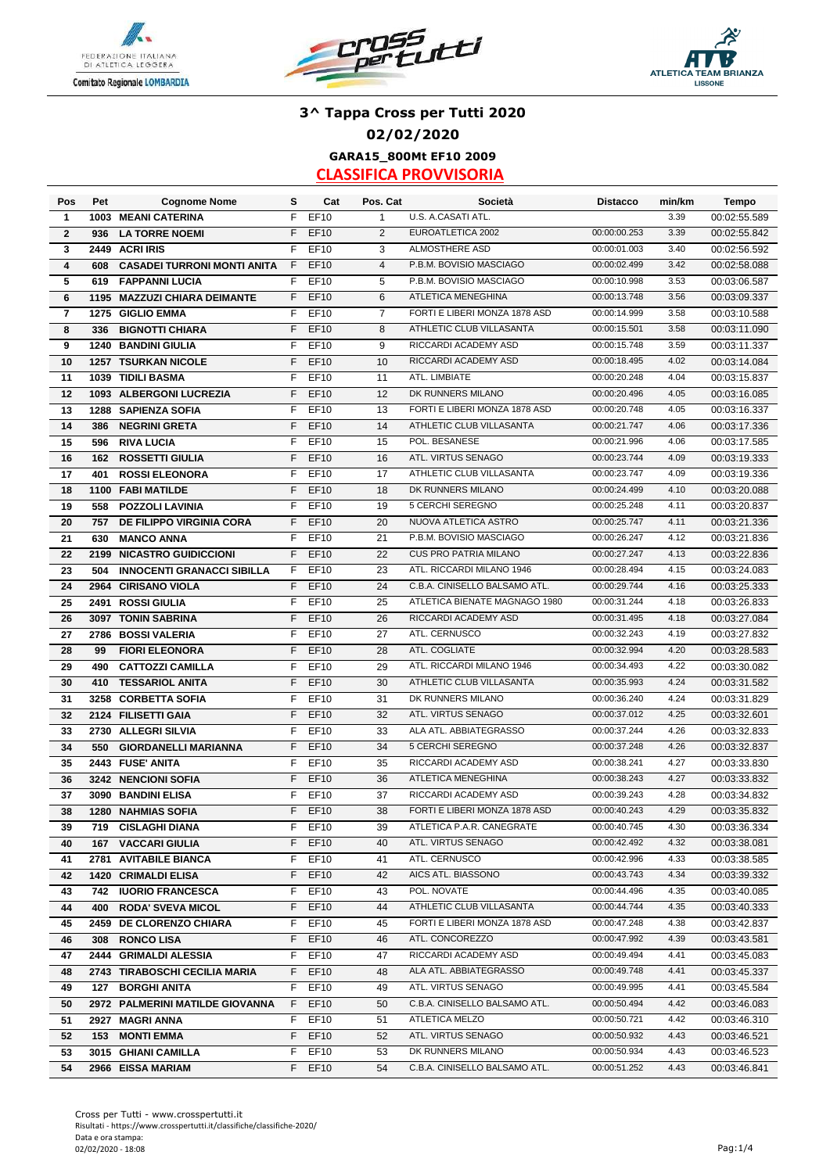





### **3^ Tappa Cross per Tutti 2020 02/02/2020 GARA15\_800Mt EF10 2009**

| Pos          | Pet  | <b>Cognome Nome</b>                | s  | Cat         | Pos. Cat       | Società                       | <b>Distacco</b> | min/km | Tempo        |
|--------------|------|------------------------------------|----|-------------|----------------|-------------------------------|-----------------|--------|--------------|
| 1            |      | 1003 MEANI CATERINA                | F  | <b>EF10</b> | $\mathbf{1}$   | U.S. A.CASATI ATL.            |                 | 3.39   | 00:02:55.589 |
| $\mathbf{2}$ | 936  | <b>LA TORRE NOEMI</b>              | F  | <b>EF10</b> | 2              | EUROATLETICA 2002             | 00:00:00.253    | 3.39   | 00:02:55.842 |
| 3            |      | 2449 ACRI IRIS                     | F  | EF10        | 3              | ALMOSTHERE ASD                | 00:00:01.003    | 3.40   | 00:02:56.592 |
| 4            | 608  | <b>CASADEI TURRONI MONTI ANITA</b> | F  | EF10        | $\overline{4}$ | P.B.M. BOVISIO MASCIAGO       | 00:00:02.499    | 3.42   | 00:02:58.088 |
| 5            | 619  | <b>FAPPANNI LUCIA</b>              | F  | EF10        | 5              | P.B.M. BOVISIO MASCIAGO       | 00:00:10.998    | 3.53   | 00:03:06.587 |
| 6            | 1195 | <b>MAZZUZI CHIARA DEIMANTE</b>     | F  | <b>EF10</b> | 6              | ATLETICA MENEGHINA            | 00:00:13.748    | 3.56   | 00:03:09.337 |
| 7            |      | 1275 GIGLIO EMMA                   | F  | EF10        | $\overline{7}$ | FORTI E LIBERI MONZA 1878 ASD | 00:00:14.999    | 3.58   | 00:03:10.588 |
| 8            | 336  | <b>BIGNOTTI CHIARA</b>             | F  | <b>EF10</b> | 8              | ATHLETIC CLUB VILLASANTA      | 00:00:15.501    | 3.58   | 00:03:11.090 |
| 9            | 1240 | <b>BANDINI GIULIA</b>              | F  | EF10        | 9              | RICCARDI ACADEMY ASD          | 00:00:15.748    | 3.59   | 00:03:11.337 |
| 10           |      | <b>1257 TSURKAN NICOLE</b>         | F  | <b>EF10</b> | 10             | RICCARDI ACADEMY ASD          | 00:00:18.495    | 4.02   | 00:03:14.084 |
| 11           |      | 1039 TIDILI BASMA                  | F. | EF10        | 11             | ATL. LIMBIATE                 | 00:00:20.248    | 4.04   | 00:03:15.837 |
| 12           |      | 1093 ALBERGONI LUCREZIA            | F  | <b>EF10</b> | 12             | DK RUNNERS MILANO             | 00:00:20.496    | 4.05   | 00:03:16.085 |
| 13           |      | 1288 SAPIENZA SOFIA                | F  | <b>EF10</b> | 13             | FORTI E LIBERI MONZA 1878 ASD | 00:00:20.748    | 4.05   | 00:03:16.337 |
| 14           | 386  | <b>NEGRINI GRETA</b>               | F  | <b>EF10</b> | 14             | ATHLETIC CLUB VILLASANTA      | 00:00:21.747    | 4.06   | 00:03:17.336 |
| 15           | 596  | <b>RIVA LUCIA</b>                  | F  | <b>EF10</b> | 15             | POL. BESANESE                 | 00:00:21.996    | 4.06   | 00:03:17.585 |
| 16           | 162  | <b>ROSSETTI GIULIA</b>             | F  | EF10        | 16             | ATL. VIRTUS SENAGO            | 00:00:23.744    | 4.09   | 00:03:19.333 |
| 17           | 401  | <b>ROSSI ELEONORA</b>              | F  | <b>EF10</b> | 17             | ATHLETIC CLUB VILLASANTA      | 00:00:23.747    | 4.09   | 00:03:19.336 |
| 18           | 1100 | <b>FABI MATILDE</b>                | F  | EF10        | 18             | DK RUNNERS MILANO             | 00:00:24.499    | 4.10   | 00:03:20.088 |
| 19           | 558  | <b>POZZOLI LAVINIA</b>             | F  | EF10        | 19             | 5 CERCHI SEREGNO              | 00:00:25.248    | 4.11   | 00:03:20.837 |
| 20           | 757  | <b>DE FILIPPO VIRGINIA CORA</b>    | F  | <b>EF10</b> | 20             | NUOVA ATLETICA ASTRO          | 00:00:25.747    | 4.11   | 00:03:21.336 |
| 21           | 630  | <b>MANCO ANNA</b>                  | F  | EF10        | 21             | P.B.M. BOVISIO MASCIAGO       | 00:00:26.247    | 4.12   | 00:03:21.836 |
| 22           | 2199 | <b>NICASTRO GUIDICCIONI</b>        | F. | EF10        | 22             | <b>CUS PRO PATRIA MILANO</b>  | 00:00:27.247    | 4.13   | 00:03:22.836 |
| 23           | 504  | <b>INNOCENTI GRANACCI SIBILLA</b>  | F. | EF10        | 23             | ATL. RICCARDI MILANO 1946     | 00:00:28.494    | 4.15   | 00:03:24.083 |
| 24           |      | 2964 CIRISANO VIOLA                | F  | <b>EF10</b> | 24             | C.B.A. CINISELLO BALSAMO ATL. | 00:00:29.744    | 4.16   | 00:03:25.333 |
| 25           |      | 2491 ROSSI GIULIA                  | F  | EF10        | 25             | ATLETICA BIENATE MAGNAGO 1980 | 00:00:31.244    | 4.18   | 00:03:26.833 |
| 26           |      | 3097 TONIN SABRINA                 | F  | <b>EF10</b> | 26             | RICCARDI ACADEMY ASD          | 00:00:31.495    | 4.18   | 00:03:27.084 |
| 27           |      | 2786 BOSSI VALERIA                 | F  | <b>EF10</b> | 27             | ATL. CERNUSCO                 | 00:00:32.243    | 4.19   | 00:03:27.832 |
| 28           | 99   | <b>FIORI ELEONORA</b>              | F  | <b>EF10</b> | 28             | ATL. COGLIATE                 | 00:00:32.994    | 4.20   | 00:03:28.583 |
| 29           | 490  | <b>CATTOZZI CAMILLA</b>            | F  | EF10        | 29             | ATL. RICCARDI MILANO 1946     | 00:00:34.493    | 4.22   | 00:03:30.082 |
| 30           | 410  | <b>TESSARIOL ANITA</b>             | F  | EF10        | 30             | ATHLETIC CLUB VILLASANTA      | 00:00:35.993    | 4.24   | 00:03:31.582 |
| 31           | 3258 | <b>CORBETTA SOFIA</b>              | F  | EF10        | 31             | DK RUNNERS MILANO             | 00:00:36.240    | 4.24   | 00:03:31.829 |
| 32           |      | 2124 FILISETTI GAIA                | F  | <b>EF10</b> | 32             | ATL. VIRTUS SENAGO            | 00:00:37.012    | 4.25   | 00:03:32.601 |
| 33           |      | 2730 ALLEGRI SILVIA                | F  | <b>EF10</b> | 33             | ALA ATL. ABBIATEGRASSO        | 00:00:37.244    | 4.26   | 00:03:32.833 |
| 34           | 550  | <b>GIORDANELLI MARIANNA</b>        | F  | EF10        | 34             | 5 CERCHI SEREGNO              | 00:00:37.248    | 4.26   | 00:03:32.837 |
| 35           |      | 2443 FUSE' ANITA                   | F  | EF10        | 35             | RICCARDI ACADEMY ASD          | 00:00:38.241    | 4.27   | 00:03:33.830 |
| 36           |      | 3242 NENCIONI SOFIA                | F  | <b>EF10</b> | 36             | <b>ATLETICA MENEGHINA</b>     | 00:00:38.243    | 4.27   | 00:03:33.832 |
| 37           |      | 3090 BANDINI ELISA                 | F  | EF10        | 37             | RICCARDI ACADEMY ASD          | 00:00:39.243    | 4.28   | 00:03:34.832 |
| 38           |      | <b>1280 NAHMIAS SOFIA</b>          | F. | <b>EF10</b> | 38             | FORTI E LIBERI MONZA 1878 ASD | 00:00:40.243    | 4.29   | 00:03:35.832 |
| 39           |      | 719 CISLAGHI DIANA                 |    | F EF10      | 39             | ATLETICA P.A.R. CANEGRATE     | 00:00:40.745    | 4.30   | 00:03:36.334 |
| 40           |      | <b>167 VACCARI GIULIA</b>          | F. | <b>EF10</b> | 40             | ATL. VIRTUS SENAGO            | 00:00:42.492    | 4.32   | 00:03:38.081 |
|              |      | 2781 AVITABILE BIANCA              | F. | EF10        | 41             | ATL. CERNUSCO                 | 00:00:42.996    | 4.33   | 00:03:38.585 |
| 41<br>42     |      | 1420 CRIMALDI ELISA                | F. | EF10        | 42             | AICS ATL. BIASSONO            | 00:00:43.743    | 4.34   | 00:03:39.332 |
| 43           |      | 742 IUORIO FRANCESCA               | F  | EF10        | 43             | POL. NOVATE                   | 00:00:44.496    | 4.35   | 00:03:40.085 |
| 44           | 400  | <b>RODA' SVEVA MICOL</b>           | F. | <b>EF10</b> | 44             | ATHLETIC CLUB VILLASANTA      | 00:00:44.744    | 4.35   | 00:03:40.333 |
| 45           |      | 2459 DE CLORENZO CHIARA            | F  | EF10        | 45             | FORTI E LIBERI MONZA 1878 ASD | 00:00:47.248    | 4.38   | 00:03:42.837 |
| 46           |      | 308 RONCO LISA                     | F. | EF10        | 46             | ATL. CONCOREZZO               | 00:00:47.992    | 4.39   | 00:03:43.581 |
|              |      | 2444 GRIMALDI ALESSIA              |    |             |                | RICCARDI ACADEMY ASD          | 00:00:49.494    | 4.41   |              |
| 47           |      |                                    | F. | EF10        | 47             | ALA ATL. ABBIATEGRASSO        |                 |        | 00:03:45.083 |
| 48           |      | 2743 TIRABOSCHI CECILIA MARIA      | F. | <b>EF10</b> | 48             |                               | 00:00:49.748    | 4.41   | 00:03:45.337 |
| 49           |      | <b>127 BORGHI ANITA</b>            |    | F EF10      | 49             | ATL. VIRTUS SENAGO            | 00:00:49.995    | 4.41   | 00:03:45.584 |
| 50           |      | 2972 PALMERINI MATILDE GIOVANNA    | F. | EF10        | 50             | C.B.A. CINISELLO BALSAMO ATL. | 00:00:50.494    | 4.42   | 00:03:46.083 |
| 51           |      | 2927 MAGRI ANNA                    | F. | EF10        | 51             | ATLETICA MELZO                | 00:00:50.721    | 4.42   | 00:03:46.310 |
| 52           |      | <b>153 MONTI EMMA</b>              | F  | <b>EF10</b> | 52             | ATL. VIRTUS SENAGO            | 00:00:50.932    | 4.43   | 00:03:46.521 |
| 53           |      | 3015 GHIANI CAMILLA                | F. | <b>EF10</b> | 53             | DK RUNNERS MILANO             | 00:00:50.934    | 4.43   | 00:03:46.523 |
| 54           |      | 2966 EISSA MARIAM                  | F. | <b>EF10</b> | 54             | C.B.A. CINISELLO BALSAMO ATL. | 00:00:51.252    | 4.43   | 00:03:46.841 |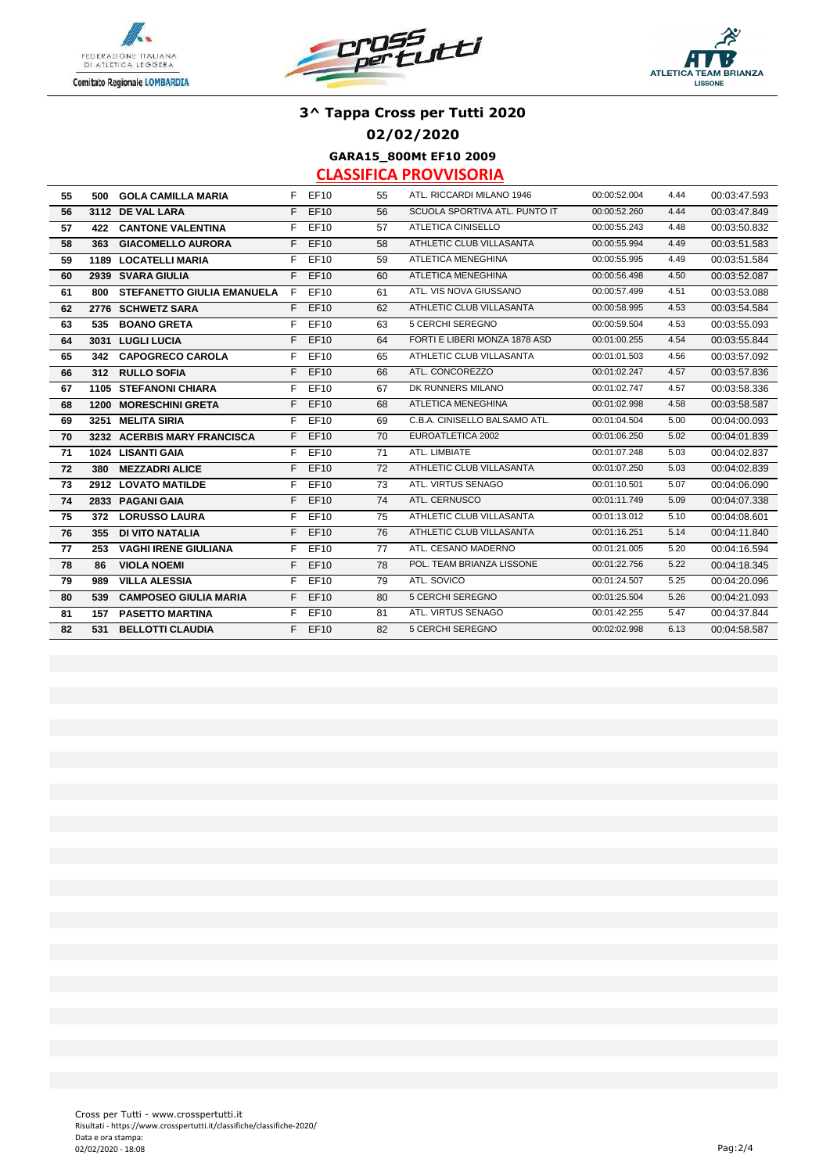





**02/02/2020**

**GARA15\_800Mt EF10 2009**

| 55 |     | 500 GOLA CAMILLA MARIA            |    | F EF10   | 55 | ATL. RICCARDI MILANO 1946     | 00:00:52.004 | 4.44 | 00:03:47.593 |
|----|-----|-----------------------------------|----|----------|----|-------------------------------|--------------|------|--------------|
| 56 |     | 3112 DE VAL LARA                  |    | F EF10   | 56 | SCUOLA SPORTIVA ATL. PUNTO IT | 00:00:52.260 | 4.44 | 00:03:47.849 |
| 57 |     | <b>422 CANTONE VALENTINA</b>      | F. | EF10     | 57 | ATLETICA CINISELLO            | 00:00:55.243 | 4.48 | 00:03:50.832 |
| 58 | 363 | <b>GIACOMELLO AURORA</b>          | F. | EF10     | 58 | ATHLETIC CLUB VILLASANTA      | 00:00:55.994 | 4.49 | 00:03:51.583 |
| 59 |     | <b>1189 LOCATELLI MARIA</b>       |    | F EF10   | 59 | ATLETICA MENEGHINA            | 00:00:55.995 | 4.49 | 00:03:51.584 |
| 60 |     | 2939 SVARA GIULIA                 |    | F EF10   | 60 | ATLETICA MENEGHINA            | 00:00:56.498 | 4.50 | 00:03:52.087 |
| 61 | 800 | <b>STEFANETTO GIULIA EMANUELA</b> | F  | EF10     | 61 | ATL. VIS NOVA GIUSSANO        | 00:00:57.499 | 4.51 | 00:03:53.088 |
| 62 |     | 2776 SCHWETZ SARA                 |    | F EF10   | 62 | ATHLETIC CLUB VILLASANTA      | 00:00:58.995 | 4.53 | 00:03:54.584 |
| 63 |     | 535 BOANO GRETA                   | F. | EF10     | 63 | 5 CERCHI SEREGNO              | 00:00:59.504 | 4.53 | 00:03:55.093 |
| 64 |     | 3031 LUGLI LUCIA                  |    | $F$ EF10 | 64 | FORTI E LIBERI MONZA 1878 ASD | 00:01:00.255 | 4.54 | 00:03:55.844 |
| 65 |     | 342 CAPOGRECO CAROLA              |    | F EF10   | 65 | ATHLETIC CLUB VILLASANTA      | 00:01:01.503 | 4.56 | 00:03:57.092 |
| 66 |     | 312 RULLO SOFIA                   |    | F EF10   | 66 | ATL. CONCOREZZO               | 00:01:02.247 | 4.57 | 00:03:57.836 |
| 67 |     | <b>1105 STEFANONI CHIARA</b>      |    | F EF10   | 67 | DK RUNNERS MILANO             | 00:01:02.747 | 4.57 | 00:03:58.336 |
| 68 |     | <b>1200 MORESCHINI GRETA</b>      |    | F EF10   | 68 | ATLETICA MENEGHINA            | 00:01:02.998 | 4.58 | 00:03:58.587 |
| 69 |     | 3251 MELITA SIRIA                 | F. | EF10     | 69 | C.B.A. CINISELLO BALSAMO ATL. | 00:01:04.504 | 5.00 | 00:04:00.093 |
| 70 |     | 3232 ACERBIS MARY FRANCISCA       |    | F EF10   | 70 | EUROATLETICA 2002             | 00:01:06.250 | 5.02 | 00:04:01.839 |
| 71 |     | 1024 LISANTI GAIA                 | F. | EF10     | 71 | ATL. LIMBIATE                 | 00:01:07.248 | 5.03 | 00:04:02.837 |
| 72 | 380 | <b>MEZZADRI ALICE</b>             | F. | EF10     | 72 | ATHLETIC CLUB VILLASANTA      | 00:01:07.250 | 5.03 | 00:04:02.839 |
| 73 |     | 2912 LOVATO MATILDE               | F. | EF10     | 73 | ATL. VIRTUS SENAGO            | 00:01:10.501 | 5.07 | 00:04:06.090 |
| 74 |     | 2833 PAGANI GAIA                  |    | F EF10   | 74 | ATL. CERNUSCO                 | 00:01:11.749 | 5.09 | 00:04:07.338 |
| 75 |     | 372 LORUSSO LAURA                 | F. | EF10     | 75 | ATHLETIC CLUB VILLASANTA      | 00:01:13.012 | 5.10 | 00:04:08.601 |
| 76 | 355 | <b>DI VITO NATALIA</b>            |    | $F$ EF10 | 76 | ATHLETIC CLUB VILLASANTA      | 00:01:16.251 | 5.14 | 00:04:11.840 |
| 77 | 253 | <b>VAGHI IRENE GIULIANA</b>       |    | F EF10   | 77 | ATL. CESANO MADERNO           | 00:01:21.005 | 5.20 | 00:04:16.594 |
| 78 | 86  | <b>VIOLA NOEMI</b>                | F. | EF10     | 78 | POL. TEAM BRIANZA LISSONE     | 00:01:22.756 | 5.22 | 00:04:18.345 |
| 79 | 989 | <b>VILLA ALESSIA</b>              | F. | EF10     | 79 | ATL. SOVICO                   | 00:01:24.507 | 5.25 | 00:04:20.096 |
| 80 | 539 | <b>CAMPOSEO GIULIA MARIA</b>      |    | F EF10   | 80 | 5 CERCHI SEREGNO              | 00:01:25.504 | 5.26 | 00:04:21.093 |
| 81 |     | <b>157 PASETTO MARTINA</b>        | F. | EF10     | 81 | ATL. VIRTUS SENAGO            | 00:01:42.255 | 5.47 | 00:04:37.844 |
| 82 | 531 | <b>BELLOTTI CLAUDIA</b>           |    | $F$ EF10 | 82 | 5 CERCHI SEREGNO              | 00:02:02.998 | 6.13 | 00:04:58.587 |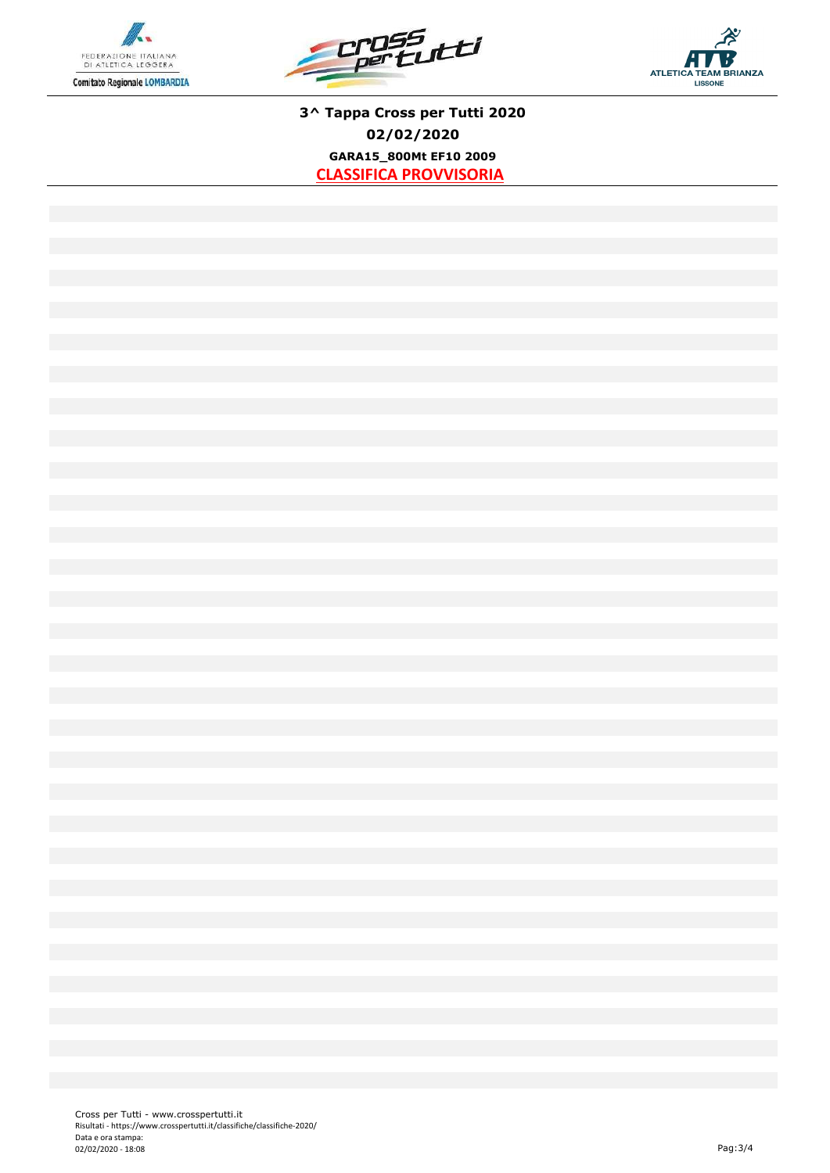





**3^ Tappa Cross per Tutti 2020 02/02/2020 GARA15\_800Mt EF10 2009 CLASSIFICA PROVVISORIA**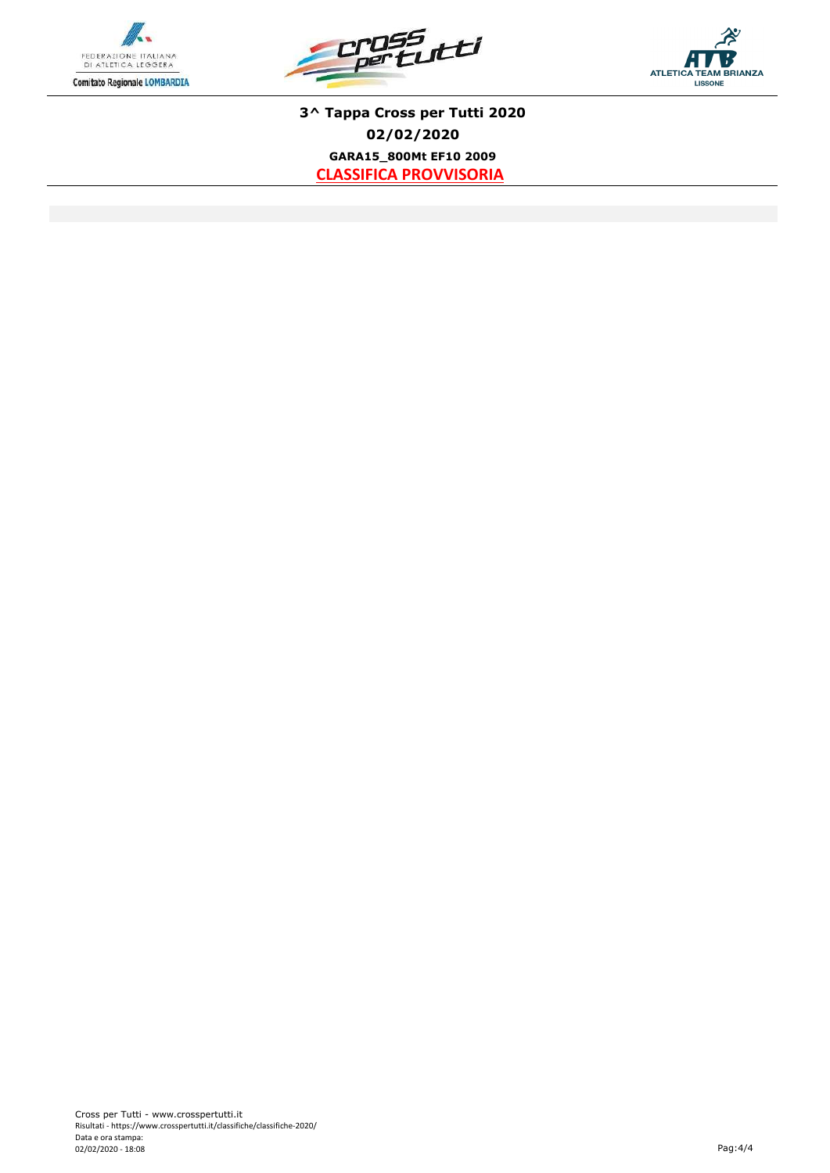





**3^ Tappa Cross per Tutti 2020 02/02/2020 GARA15\_800Mt EF10 2009 CLASSIFICA PROVVISORIA**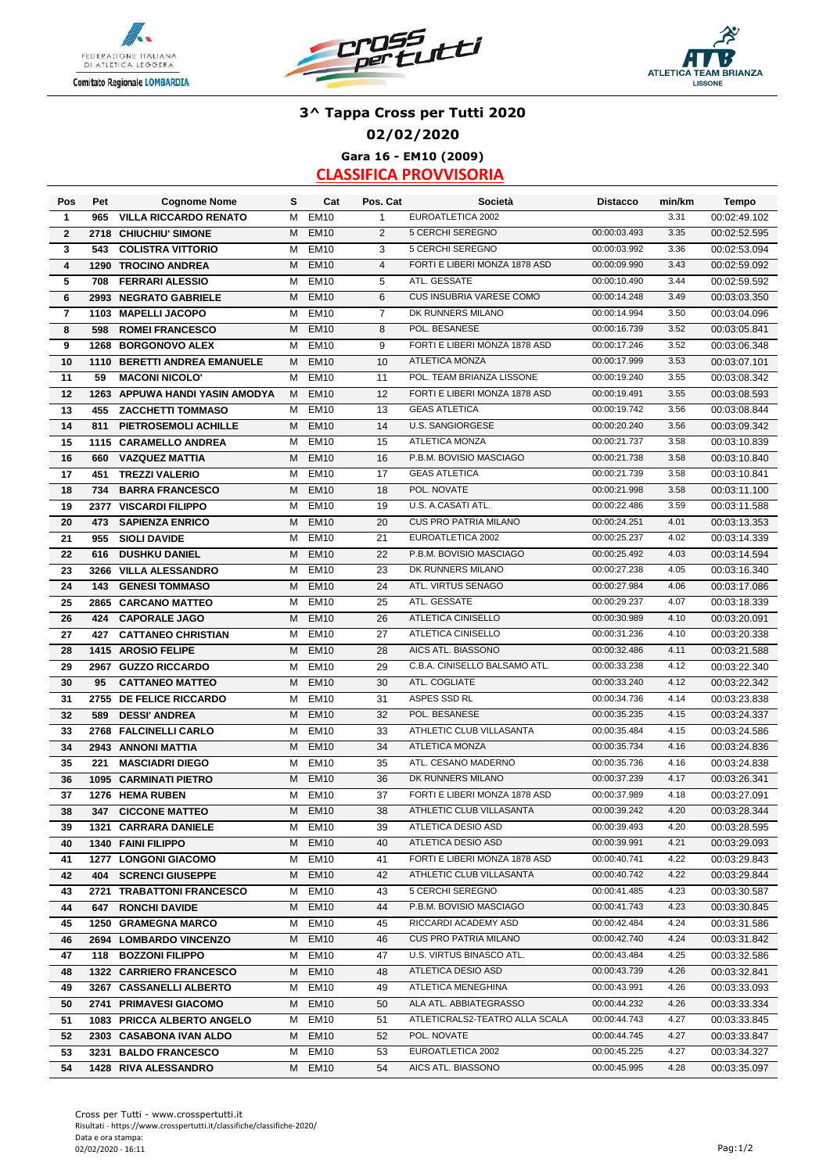





### **3^ Tappa Cross per Tutti 2020 02/02/2020 Gara 16 - EM10 (2009)**

| Pos          | Pet  | <b>Cognome Nome</b>                           | s | Cat         | Pos. Cat       | Società                         | <b>Distacco</b> | min/km | Tempo        |
|--------------|------|-----------------------------------------------|---|-------------|----------------|---------------------------------|-----------------|--------|--------------|
| 1            | 965  | <b>VILLA RICCARDO RENATO</b>                  | M | <b>EM10</b> | $\mathbf{1}$   | EUROATLETICA 2002               |                 | 3.31   | 00:02:49.102 |
| $\mathbf{2}$ | 2718 | <b>CHIUCHIU' SIMONE</b>                       | M | <b>EM10</b> | 2              | 5 CERCHI SEREGNO                | 00:00:03.493    | 3.35   | 00:02:52.595 |
| 3            | 543  | <b>COLISTRA VITTORIO</b>                      | M | <b>EM10</b> | 3              | 5 CERCHI SEREGNO                | 00:00:03.992    | 3.36   | 00:02:53.094 |
| 4            | 1290 | <b>TROCINO ANDREA</b>                         | M | <b>EM10</b> | $\overline{4}$ | FORTI E LIBERI MONZA 1878 ASD   | 00:00:09.990    | 3.43   | 00:02:59.092 |
| 5            | 708  | <b>FERRARI ALESSIO</b>                        | M | <b>EM10</b> | 5              | ATL. GESSATE                    | 00:00:10.490    | 3.44   | 00:02:59.592 |
| 6            | 2993 | <b>NEGRATO GABRIELE</b>                       | M | <b>EM10</b> | 6              | <b>CUS INSUBRIA VARESE COMO</b> | 00:00:14.248    | 3.49   | 00:03:03.350 |
| 7            | 1103 | <b>MAPELLI JACOPO</b>                         | M | <b>EM10</b> | $\overline{7}$ | DK RUNNERS MILANO               | 00:00:14.994    | 3.50   | 00:03:04.096 |
| 8            | 598  | <b>ROMEI FRANCESCO</b>                        | м | <b>EM10</b> | 8              | POL. BESANESE                   | 00:00:16.739    | 3.52   | 00:03:05.841 |
| 9            | 1268 | <b>BORGONOVO ALEX</b>                         | м | <b>EM10</b> | 9              | FORTI E LIBERI MONZA 1878 ASD   | 00:00:17.246    | 3.52   | 00:03:06.348 |
| 10           |      | 1110 BERETTI ANDREA EMANUELE                  | м | <b>EM10</b> | 10             | <b>ATLETICA MONZA</b>           | 00:00:17.999    | 3.53   | 00:03:07.101 |
| 11           | 59   | <b>MACONI NICOLO'</b>                         | м | <b>EM10</b> | 11             | POL. TEAM BRIANZA LISSONE       | 00:00:19.240    | 3.55   | 00:03:08.342 |
| 12           |      | 1263 APPUWA HANDI YASIN AMODYA                | M | <b>EM10</b> | 12             | FORTI E LIBERI MONZA 1878 ASD   | 00:00:19.491    | 3.55   | 00:03:08.593 |
| 13           | 455  | <b>ZACCHETTI TOMMASO</b>                      | м | <b>EM10</b> | 13             | <b>GEAS ATLETICA</b>            | 00:00:19.742    | 3.56   | 00:03:08.844 |
| 14           | 811  | PIETROSEMOLI ACHILLE                          | M | <b>EM10</b> | 14             | <b>U.S. SANGIORGESE</b>         | 00:00:20.240    | 3.56   | 00:03:09.342 |
| 15           |      | 1115 CARAMELLO ANDREA                         | м | <b>EM10</b> | 15             | <b>ATLETICA MONZA</b>           | 00:00:21.737    | 3.58   | 00:03:10.839 |
| 16           | 660  | <b>VAZQUEZ MATTIA</b>                         | M | <b>EM10</b> | 16             | P.B.M. BOVISIO MASCIAGO         | 00:00:21.738    | 3.58   | 00:03:10.840 |
| 17           | 451  | <b>TREZZI VALERIO</b>                         | M | <b>EM10</b> | 17             | <b>GEAS ATLETICA</b>            | 00:00:21.739    | 3.58   | 00:03:10.841 |
| 18           | 734  | <b>BARRA FRANCESCO</b>                        | M | <b>EM10</b> | 18             | POL. NOVATE                     | 00:00:21.998    | 3.58   | 00:03:11.100 |
| 19           |      | 2377 VISCARDI FILIPPO                         | M | <b>EM10</b> | 19             | U.S. A.CASATI ATL.              | 00:00:22.486    | 3.59   | 00:03:11.588 |
| 20           | 473  | <b>SAPIENZA ENRICO</b>                        | M | <b>EM10</b> | 20             | <b>CUS PRO PATRIA MILANO</b>    | 00:00:24.251    | 4.01   | 00:03:13.353 |
| 21           | 955  | <b>SIOLI DAVIDE</b>                           | м | <b>EM10</b> | 21             | EUROATLETICA 2002               | 00:00:25.237    | 4.02   | 00:03:14.339 |
| 22           | 616  | <b>DUSHKU DANIEL</b>                          | M | <b>EM10</b> | 22             | P.B.M. BOVISIO MASCIAGO         | 00:00:25.492    | 4.03   | 00:03:14.594 |
| 23           | 3266 | <b>VILLA ALESSANDRO</b>                       | М | <b>EM10</b> | 23             | DK RUNNERS MILANO               | 00:00:27.238    | 4.05   | 00:03:16.340 |
| 24           |      | <b>143 GENESI TOMMASO</b>                     | M | <b>EM10</b> | 24             | ATL. VIRTUS SENAGO              | 00:00:27.984    | 4.06   | 00:03:17.086 |
| 25           |      | 2865 CARCANO MATTEO                           | M | <b>EM10</b> | 25             | ATL. GESSATE                    | 00:00:29.237    | 4.07   | 00:03:18.339 |
| 26           | 424  | <b>CAPORALE JAGO</b>                          | M | <b>EM10</b> | 26             | ATLETICA CINISELLO              | 00:00:30.989    | 4.10   | 00:03:20.091 |
| 27           | 427  | <b>CATTANEO CHRISTIAN</b>                     | M | <b>EM10</b> | 27             | ATLETICA CINISELLO              | 00:00:31.236    | 4.10   | 00:03:20.338 |
| 28           | 1415 | <b>AROSIO FELIPE</b>                          | M | <b>EM10</b> | 28             | AICS ATL. BIASSONO              | 00:00:32.486    | 4.11   | 00:03:21.588 |
| 29           | 2967 | <b>GUZZO RICCARDO</b>                         | М | <b>EM10</b> | 29             | C.B.A. CINISELLO BALSAMO ATL.   | 00:00:33.238    | 4.12   | 00:03:22.340 |
| 30           | 95   | <b>CATTANEO MATTEO</b>                        | M | <b>EM10</b> | 30             | ATL. COGLIATE                   | 00:00:33.240    | 4.12   | 00:03:22.342 |
| 31           |      | 2755 DE FELICE RICCARDO                       | М | <b>EM10</b> | 31             | ASPES SSD RL                    | 00:00:34.736    | 4.14   | 00:03:23.838 |
| 32           | 589  | <b>DESSI' ANDREA</b>                          | M | <b>EM10</b> | 32             | POL. BESANESE                   | 00:00:35.235    | 4.15   | 00:03:24.337 |
| 33           | 2768 | <b>FALCINELLI CARLO</b>                       | м | <b>EM10</b> | 33             | ATHLETIC CLUB VILLASANTA        | 00:00:35.484    | 4.15   | 00:03:24.586 |
| 34           |      | 2943 ANNONI MATTIA                            | M | <b>EM10</b> | 34             | <b>ATLETICA MONZA</b>           | 00:00:35.734    | 4.16   | 00:03:24.836 |
| 35           | 221  | <b>MASCIADRI DIEGO</b>                        | М | <b>EM10</b> | 35             | ATL. CESANO MADERNO             | 00:00:35.736    | 4.16   | 00:03:24.838 |
| 36           |      | <b>1095 CARMINATI PIETRO</b>                  | M | <b>EM10</b> | 36             | DK RUNNERS MILANO               | 00:00:37.239    | 4.17   | 00:03:26.341 |
| 37           |      | 1276 HEMA RUBEN                               | M | <b>EM10</b> | 37             | FORTI E LIBERI MONZA 1878 ASD   | 00:00:37.989    | 4.18   | 00:03:27.091 |
| 38           |      | 347 CICCONE MATTEO                            | M | <b>EM10</b> | 38             | ATHLETIC CLUB VILLASANTA        | 00:00:39.242    | 4.20   | 00:03:28.344 |
| 39           |      | 1321 CARRARA DANIELE                          |   | M EM10      | 39             | ATLETICA DESIO ASD              | 00:00:39.493    | 4.20   | 00:03:28.595 |
| 40           |      | 1340 FAINI FILIPPO                            | М | <b>EM10</b> | 40             | ATLETICA DESIO ASD              | 00:00:39.991    | 4.21   | 00:03:29.093 |
|              |      | 1277 LONGONI GIACOMO                          | м | <b>EM10</b> | 41             | FORTI E LIBERI MONZA 1878 ASD   | 00:00:40.741    | 4.22   | 00:03:29.843 |
| 41<br>42     |      | <b>404 SCRENCI GIUSEPPE</b>                   | М | <b>EM10</b> | 42             | ATHLETIC CLUB VILLASANTA        | 00:00:40.742    | 4.22   | 00:03:29.844 |
| 43           |      | 2721 TRABATTONI FRANCESCO                     | м | <b>EM10</b> | 43             | 5 CERCHI SEREGNO                | 00:00:41.485    | 4.23   | 00:03:30.587 |
| 44           |      | <b>647 RONCHI DAVIDE</b>                      | M | <b>EM10</b> | 44             | P.B.M. BOVISIO MASCIAGO         | 00:00:41.743    | 4.23   | 00:03:30.845 |
|              |      | 1250 GRAMEGNA MARCO                           | м | <b>EM10</b> | 45             | RICCARDI ACADEMY ASD            | 00:00:42.484    | 4.24   | 00:03:31.586 |
| 45           |      |                                               |   |             |                | <b>CUS PRO PATRIA MILANO</b>    | 00:00:42.740    | 4.24   |              |
| 46           |      | 2694 LOMBARDO VINCENZO<br>118 BOZZONI FILIPPO | M | <b>EM10</b> | 46             | U.S. VIRTUS BINASCO ATL.        | 00:00:43.484    | 4.25   | 00:03:31.842 |
| 47           |      |                                               | M | <b>EM10</b> | 47             | ATLETICA DESIO ASD              | 00:00:43.739    | 4.26   | 00:03:32.586 |
| 48           |      | 1322 CARRIERO FRANCESCO                       |   | M EM10      | 48             |                                 |                 |        | 00:03:32.841 |
| 49           |      | 3267 CASSANELLI ALBERTO                       | M | <b>EM10</b> | 49             | ATLETICA MENEGHINA              | 00:00:43.991    | 4.26   | 00:03:33.093 |
| 50           |      | 2741 PRIMAVESI GIACOMO                        | M | <b>EM10</b> | 50             | ALA ATL. ABBIATEGRASSO          | 00:00:44.232    | 4.26   | 00:03:33.334 |
| 51           |      | 1083 PRICCA ALBERTO ANGELO                    | м | <b>EM10</b> | 51             | ATLETICRALS2-TEATRO ALLA SCALA  | 00:00:44.743    | 4.27   | 00:03:33.845 |
| 52           |      | 2303 CASABONA IVAN ALDO                       | M | <b>EM10</b> | 52             | POL. NOVATE                     | 00:00:44.745    | 4.27   | 00:03:33.847 |
| 53           |      | 3231 BALDO FRANCESCO                          | м | <b>EM10</b> | 53             | EUROATLETICA 2002               | 00:00:45.225    | 4.27   | 00:03:34.327 |
| 54           |      | 1428 RIVA ALESSANDRO                          | M | <b>EM10</b> | 54             | AICS ATL. BIASSONO              | 00:00:45.995    | 4.28   | 00:03:35.097 |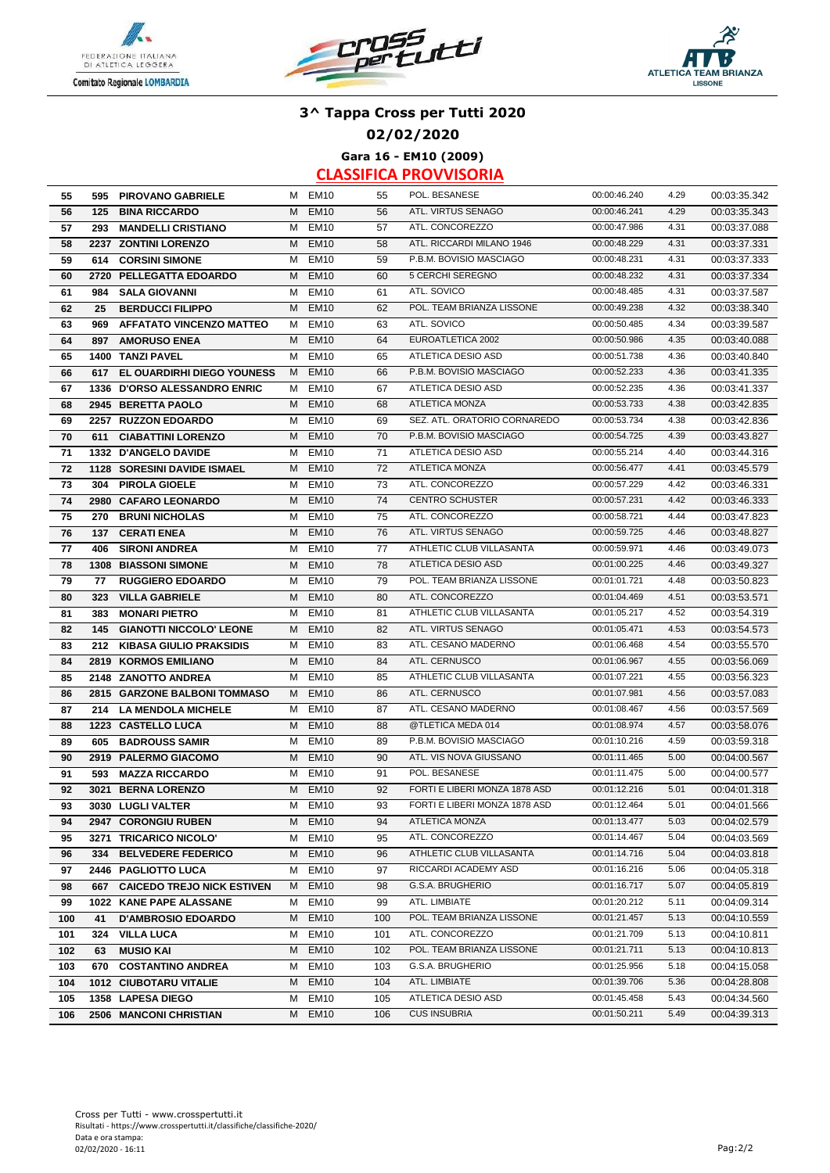





**02/02/2020**

**Gara 16 - EM10 (2009)**

| 55  |     | 595 PIROVANO GABRIELE           |   | M EM10           | 55  | POL. BESANESE                 | 00:00:46.240 | 4.29 | 00:03:35.342 |
|-----|-----|---------------------------------|---|------------------|-----|-------------------------------|--------------|------|--------------|
| 56  |     | 125 BINA RICCARDO               | M | <b>EM10</b>      | 56  | ATL. VIRTUS SENAGO            | 00:00:46.241 | 4.29 | 00:03:35.343 |
| 57  | 293 | <b>MANDELLI CRISTIANO</b>       | м | <b>EM10</b>      | 57  | ATL. CONCOREZZO               | 00:00:47.986 | 4.31 | 00:03:37.088 |
| 58  |     | 2237 ZONTINI LORENZO            | M | <b>EM10</b>      | 58  | ATL. RICCARDI MILANO 1946     | 00:00:48.229 | 4.31 | 00:03:37.331 |
| 59  | 614 | <b>CORSINI SIMONE</b>           | М | <b>EM10</b>      | 59  | P.B.M. BOVISIO MASCIAGO       | 00:00:48.231 | 4.31 | 00:03:37.333 |
| 60  |     | 2720 PELLEGATTA EDOARDO         | M | <b>EM10</b>      | 60  | 5 CERCHI SEREGNO              | 00:00:48.232 | 4.31 | 00:03:37.334 |
| 61  | 984 | <b>SALA GIOVANNI</b>            | м | <b>EM10</b>      | 61  | ATL. SOVICO                   | 00:00:48.485 | 4.31 | 00:03:37.587 |
| 62  | 25  | <b>BERDUCCI FILIPPO</b>         | M | <b>EM10</b>      | 62  | POL. TEAM BRIANZA LISSONE     | 00:00:49.238 | 4.32 | 00:03:38.340 |
| 63  | 969 | <b>AFFATATO VINCENZO MATTEO</b> | м | <b>EM10</b>      | 63  | ATL. SOVICO                   | 00:00:50.485 | 4.34 | 00:03:39.587 |
| 64  | 897 | <b>AMORUSO ENEA</b>             | M | <b>EM10</b>      | 64  | EUROATLETICA 2002             | 00:00:50.986 | 4.35 | 00:03:40.088 |
| 65  |     | 1400 TANZI PAVEL                | M | <b>EM10</b>      | 65  | ATLETICA DESIO ASD            | 00:00:51.738 | 4.36 | 00:03:40.840 |
| 66  |     | 617 EL OUARDIRHI DIEGO YOUNESS  | M | <b>EM10</b>      | 66  | P.B.M. BOVISIO MASCIAGO       | 00:00:52.233 | 4.36 | 00:03:41.335 |
| 67  |     | 1336 D'ORSO ALESSANDRO ENRIC    |   | M EM10           | 67  | ATLETICA DESIO ASD            | 00:00:52.235 | 4.36 | 00:03:41.337 |
| 68  |     | 2945 BERETTA PAOLO              | M | <b>EM10</b>      | 68  | <b>ATLETICA MONZA</b>         | 00:00:53.733 | 4.38 | 00:03:42.835 |
| 69  |     | 2257 RUZZON EDOARDO             | м | <b>EM10</b>      | 69  | SEZ. ATL. ORATORIO CORNAREDO  | 00:00:53.734 | 4.38 | 00:03:42.836 |
| 70  | 611 | <b>CIABATTINI LORENZO</b>       | M | <b>EM10</b>      | 70  | P.B.M. BOVISIO MASCIAGO       | 00:00:54.725 | 4.39 | 00:03:43.827 |
| 71  |     | 1332 D'ANGELO DAVIDE            | м | <b>EM10</b>      | 71  | ATLETICA DESIO ASD            | 00:00:55.214 | 4.40 | 00:03:44.316 |
| 72  |     | 1128 SORESINI DAVIDE ISMAEL     | M | <b>EM10</b>      | 72  | <b>ATLETICA MONZA</b>         | 00:00:56.477 | 4.41 | 00:03:45.579 |
| 73  | 304 | <b>PIROLA GIOELE</b>            | м | <b>EM10</b>      | 73  | ATL. CONCOREZZO               | 00:00:57.229 | 4.42 | 00:03:46.331 |
| 74  |     | 2980 CAFARO LEONARDO            | M | <b>EM10</b>      | 74  | <b>CENTRO SCHUSTER</b>        | 00:00:57.231 | 4.42 | 00:03:46.333 |
| 75  |     | 270 BRUNI NICHOLAS              | м | <b>EM10</b>      | 75  | ATL. CONCOREZZO               | 00:00:58.721 | 4.44 | 00:03:47.823 |
| 76  | 137 | <b>CERATI ENEA</b>              | M | <b>EM10</b>      | 76  | ATL. VIRTUS SENAGO            | 00:00:59.725 | 4.46 | 00:03:48.827 |
| 77  | 406 | <b>SIRONI ANDREA</b>            | м | <b>EM10</b>      | 77  | ATHLETIC CLUB VILLASANTA      | 00:00:59.971 | 4.46 | 00:03:49.073 |
| 78  |     | <b>1308 BIASSONI SIMONE</b>     | M | <b>EM10</b>      | 78  | ATLETICA DESIO ASD            | 00:01:00.225 | 4.46 | 00:03:49.327 |
| 79  | 77  | <b>RUGGIERO EDOARDO</b>         |   | M EM10           | 79  | POL. TEAM BRIANZA LISSONE     | 00:01:01.721 | 4.48 | 00:03:50.823 |
| 80  | 323 | <b>VILLA GABRIELE</b>           | M | EM <sub>10</sub> | 80  | ATL. CONCOREZZO               | 00:01:04.469 | 4.51 | 00:03:53.571 |
| 81  |     | 383 MONARI PIETRO               | м | <b>EM10</b>      | 81  | ATHLETIC CLUB VILLASANTA      | 00:01:05.217 | 4.52 | 00:03:54.319 |
| 82  | 145 | <b>GIANOTTI NICCOLO' LEONE</b>  | M | <b>EM10</b>      | 82  | ATL. VIRTUS SENAGO            | 00:01:05.471 | 4.53 | 00:03:54.573 |
| 83  | 212 | <b>KIBASA GIULIO PRAKSIDIS</b>  | м | <b>EM10</b>      | 83  | ATL. CESANO MADERNO           | 00:01:06.468 | 4.54 | 00:03:55.570 |
| 84  |     | 2819 KORMOS EMILIANO            | M | <b>EM10</b>      | 84  | ATL. CERNUSCO                 | 00:01:06.967 | 4.55 | 00:03:56.069 |
| 85  |     | 2148 ZANOTTO ANDREA             | м | <b>EM10</b>      | 85  | ATHLETIC CLUB VILLASANTA      | 00:01:07.221 | 4.55 | 00:03:56.323 |
| 86  |     | 2815 GARZONE BALBONI TOMMASO    | M | <b>EM10</b>      | 86  | ATL. CERNUSCO                 | 00:01:07.981 | 4.56 | 00:03:57.083 |
| 87  |     | 214 LA MENDOLA MICHELE          | м | <b>EM10</b>      | 87  | ATL. CESANO MADERNO           | 00:01:08.467 | 4.56 | 00:03:57.569 |
| 88  |     | 1223 CASTELLO LUCA              | M | <b>EM10</b>      | 88  | @TLETICA MEDA 014             | 00:01:08.974 | 4.57 | 00:03:58.076 |
| 89  | 605 | <b>BADROUSS SAMIR</b>           | м | <b>EM10</b>      | 89  | P.B.M. BOVISIO MASCIAGO       | 00:01:10.216 | 4.59 | 00:03:59.318 |
| 90  |     | 2919 PALERMO GIACOMO            | M | <b>EM10</b>      | 90  | ATL. VIS NOVA GIUSSANO        | 00:01:11.465 | 5.00 | 00:04:00.567 |
| 91  | 593 | <b>MAZZA RICCARDO</b>           | м | <b>EM10</b>      | 91  | POL. BESANESE                 | 00:01:11.475 | 5.00 | 00:04:00.577 |
| 92  |     | 3021 BERNA LORENZO              | м | <b>EM10</b>      | 92  | FORTI E LIBERI MONZA 1878 ASD | 00:01:12.216 | 5.01 | 00:04:01.318 |
| 93  |     | 3030 LUGLI VALTER               |   | M EM10           | 93  | FORTI E LIBERI MONZA 1878 ASD | 00:01:12.464 | 5.01 | 00:04:01.566 |
| 94  |     | 2947 CORONGIU RUBEN             |   | M EM10           | 94  | <b>ATLETICA MONZA</b>         | 00:01:13.477 | 5.03 | 00:04:02.579 |
| 95  |     | 3271 TRICARICO NICOLO'          | м | <b>EM10</b>      | 95  | ATL. CONCOREZZO               | 00:01:14.467 | 5.04 | 00:04:03.569 |
| 96  | 334 | <b>BELVEDERE FEDERICO</b>       | М | <b>EM10</b>      | 96  | ATHLETIC CLUB VILLASANTA      | 00:01:14.716 | 5.04 | 00:04:03.818 |
| 97  |     | 2446 PAGLIOTTO LUCA             | м | <b>EM10</b>      | 97  | RICCARDI ACADEMY ASD          | 00:01:16.216 | 5.06 | 00:04:05.318 |
| 98  |     | 667 CAICEDO TREJO NICK ESTIVEN  | M | <b>EM10</b>      | 98  | G.S.A. BRUGHERIO              | 00:01:16.717 | 5.07 | 00:04:05.819 |
| 99  |     | 1022 KANE PAPE ALASSANE         | м | <b>EM10</b>      | 99  | ATL. LIMBIATE                 | 00:01:20.212 | 5.11 | 00:04:09.314 |
| 100 | 41  | <b>D'AMBROSIO EDOARDO</b>       | M | <b>EM10</b>      | 100 | POL. TEAM BRIANZA LISSONE     | 00:01:21.457 | 5.13 | 00:04:10.559 |
| 101 | 324 | <b>VILLA LUCA</b>               | M | <b>EM10</b>      | 101 | ATL. CONCOREZZO               | 00:01:21.709 | 5.13 | 00:04:10.811 |
| 102 | 63  | <b>MUSIO KAI</b>                | M | <b>EM10</b>      | 102 | POL. TEAM BRIANZA LISSONE     | 00:01:21.711 | 5.13 | 00:04:10.813 |
| 103 | 670 | <b>COSTANTINO ANDREA</b>        | M | EM <sub>10</sub> | 103 | G.S.A. BRUGHERIO              | 00:01:25.956 | 5.18 | 00:04:15.058 |
| 104 |     | 1012 CIUBOTARU VITALIE          |   | M EM10           | 104 | ATL. LIMBIATE                 | 00:01:39.706 | 5.36 | 00:04:28.808 |
| 105 |     | 1358 LAPESA DIEGO               |   | M EM10           | 105 | ATLETICA DESIO ASD            | 00:01:45.458 | 5.43 | 00:04:34.560 |
| 106 |     | 2506 MANCONI CHRISTIAN          |   | M EM10           | 106 | <b>CUS INSUBRIA</b>           | 00:01:50.211 | 5.49 | 00:04:39.313 |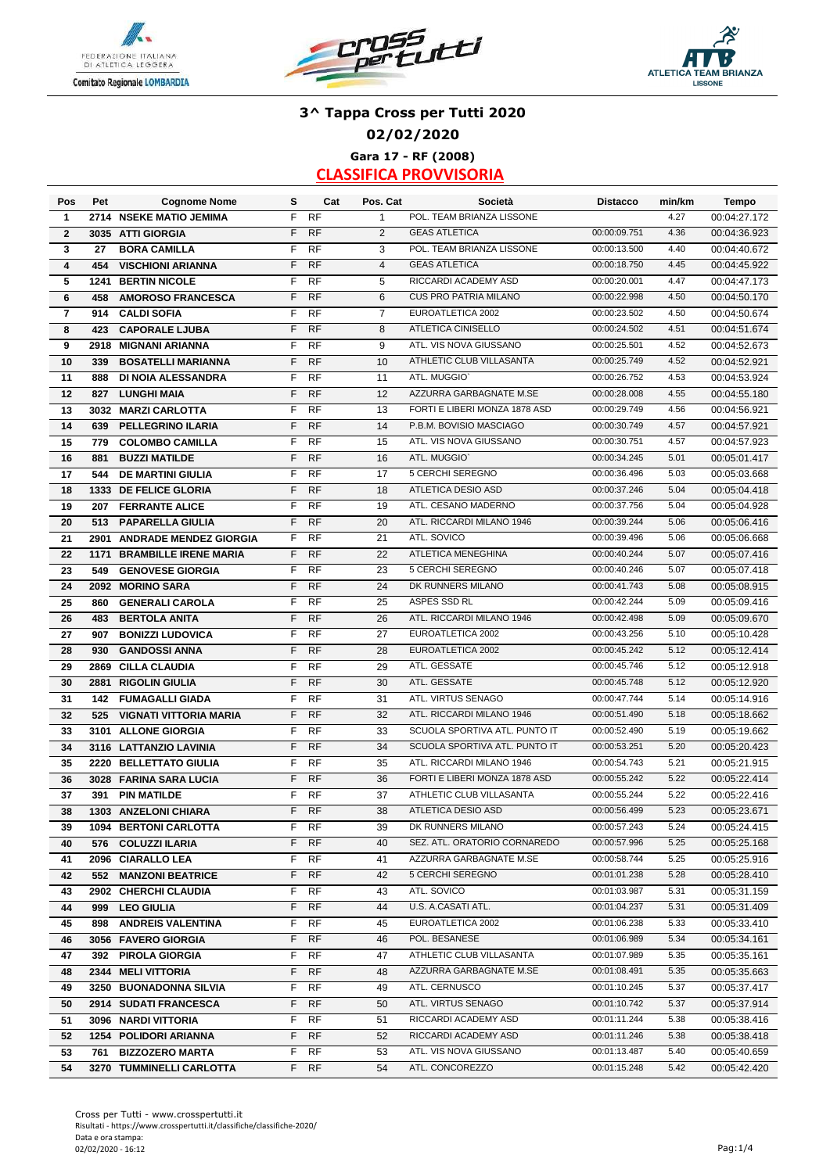





## **3^ Tappa Cross per Tutti 2020 02/02/2020 Gara 17 - RF (2008)**

| Pos            | Pet        | <b>Cognome Nome</b>                             | s      | Cat                    | Pos. Cat       | Società                                                    | <b>Distacco</b> | min/km | <b>Tempo</b> |
|----------------|------------|-------------------------------------------------|--------|------------------------|----------------|------------------------------------------------------------|-----------------|--------|--------------|
| 1              | 2714       | <b>NSEKE MATIO JEMIMA</b>                       | F      | <b>RF</b>              | $\mathbf{1}$   | POL. TEAM BRIANZA LISSONE                                  |                 | 4.27   | 00:04:27.172 |
| $\mathbf{2}$   |            | 3035 ATTI GIORGIA                               | F      | <b>RF</b>              | 2              | <b>GEAS ATLETICA</b>                                       | 00:00:09.751    | 4.36   | 00:04:36.923 |
| 3              | 27         | <b>BORA CAMILLA</b>                             | F      | <b>RF</b>              | 3              | POL. TEAM BRIANZA LISSONE                                  | 00:00:13.500    | 4.40   | 00:04:40.672 |
| 4              | 454        | <b>VISCHIONI ARIANNA</b>                        | F      | <b>RF</b>              | $\overline{4}$ | <b>GEAS ATLETICA</b>                                       | 00:00:18.750    | 4.45   | 00:04:45.922 |
| 5              | 1241       | <b>BERTIN NICOLE</b>                            | F      | <b>RF</b>              | 5              | RICCARDI ACADEMY ASD                                       | 00:00:20.001    | 4.47   | 00:04:47.173 |
| 6              | 458        | <b>AMOROSO FRANCESCA</b>                        | F      | <b>RF</b>              | 6              | <b>CUS PRO PATRIA MILANO</b>                               | 00:00:22.998    | 4.50   | 00:04:50.170 |
| $\overline{7}$ | 914        | <b>CALDI SOFIA</b>                              | F      | <b>RF</b>              | $\overline{7}$ | EUROATLETICA 2002                                          | 00:00:23.502    | 4.50   | 00:04:50.674 |
| 8              | 423        | <b>CAPORALE LJUBA</b>                           | F      | <b>RF</b>              | 8              | ATLETICA CINISELLO                                         | 00:00:24.502    | 4.51   | 00:04:51.674 |
| 9              |            | 2918 MIGNANI ARIANNA                            | F      | <b>RF</b>              | 9              | ATL. VIS NOVA GIUSSANO                                     | 00:00:25.501    | 4.52   | 00:04:52.673 |
| 10             | 339        | <b>BOSATELLI MARIANNA</b>                       | F      | <b>RF</b>              | 10             | ATHLETIC CLUB VILLASANTA                                   | 00:00:25.749    | 4.52   | 00:04:52.921 |
| 11             | 888        | <b>DI NOIA ALESSANDRA</b>                       | F      | <b>RF</b>              | 11             | ATL. MUGGIO'                                               | 00:00:26.752    | 4.53   | 00:04:53.924 |
| 12             | 827        | <b>LUNGHI MAIA</b>                              | F      | <b>RF</b>              | 12             | AZZURRA GARBAGNATE M.SE                                    | 00:00:28.008    | 4.55   | 00:04:55.180 |
| 13             |            | 3032 MARZI CARLOTTA                             | F      | <b>RF</b>              | 13             | FORTI E LIBERI MONZA 1878 ASD                              | 00:00:29.749    | 4.56   | 00:04:56.921 |
| 14             | 639        | PELLEGRINO ILARIA                               | F      | <b>RF</b>              | 14             | P.B.M. BOVISIO MASCIAGO                                    | 00:00:30.749    | 4.57   | 00:04:57.921 |
| 15             | 779        | <b>COLOMBO CAMILLA</b>                          | F      | <b>RF</b>              | 15             | ATL. VIS NOVA GIUSSANO                                     | 00:00:30.751    | 4.57   | 00:04:57.923 |
| 16             | 881        | <b>BUZZI MATILDE</b>                            | F      | <b>RF</b>              | 16             | ATL. MUGGIO'                                               | 00:00:34.245    | 5.01   | 00:05:01.417 |
| 17             | 544        | <b>DE MARTINI GIULIA</b>                        | F      | <b>RF</b>              | 17             | 5 CERCHI SEREGNO                                           | 00:00:36.496    | 5.03   | 00:05:03.668 |
| 18             |            | 1333 DE FELICE GLORIA                           | F      | <b>RF</b>              | 18             | ATLETICA DESIO ASD                                         | 00:00:37.246    | 5.04   | 00:05:04.418 |
| 19             |            | 207 FERRANTE ALICE                              | F      | <b>RF</b>              | 19             | ATL. CESANO MADERNO                                        | 00:00:37.756    | 5.04   | 00:05:04.928 |
| 20             | 513        | <b>PAPARELLA GIULIA</b>                         | F      | <b>RF</b>              | 20             | ATL. RICCARDI MILANO 1946                                  | 00:00:39.244    | 5.06   | 00:05:06.416 |
| 21             |            | 2901 ANDRADE MENDEZ GIORGIA                     | F      | <b>RF</b>              | 21             | ATL. SOVICO                                                | 00:00:39.496    | 5.06   | 00:05:06.668 |
| 22             |            | <b>1171 BRAMBILLE IRENE MARIA</b>               | F      | <b>RF</b>              | 22             | <b>ATLETICA MENEGHINA</b>                                  | 00:00:40.244    | 5.07   | 00:05:07.416 |
| 23             | 549        | <b>GENOVESE GIORGIA</b>                         | F      | <b>RF</b>              | 23             | 5 CERCHI SEREGNO                                           | 00:00:40.246    | 5.07   | 00:05:07.418 |
| 24             |            | 2092 MORINO SARA                                | F      | <b>RF</b>              | 24             | DK RUNNERS MILANO                                          | 00:00:41.743    | 5.08   | 00:05:08.915 |
| 25             | 860        | <b>GENERALI CAROLA</b>                          | F      | <b>RF</b>              | 25             | ASPES SSD RL                                               | 00:00:42.244    | 5.09   | 00:05:09.416 |
|                |            |                                                 | F      | <b>RF</b>              | 26             | ATL. RICCARDI MILANO 1946                                  | 00:00:42.498    | 5.09   | 00:05:09.670 |
| 26<br>27       | 483<br>907 | <b>BERTOLA ANITA</b><br><b>BONIZZI LUDOVICA</b> | F      | <b>RF</b>              | 27             | EUROATLETICA 2002                                          | 00:00:43.256    | 5.10   | 00:05:10.428 |
| 28             | 930        | <b>GANDOSSI ANNA</b>                            | F      | <b>RF</b>              | 28             | EUROATLETICA 2002                                          | 00:00:45.242    | 5.12   | 00:05:12.414 |
| 29             |            | <b>CILLA CLAUDIA</b>                            | F      | <b>RF</b>              | 29             | ATL. GESSATE                                               | 00:00:45.746    | 5.12   | 00:05:12.918 |
|                | 2869       |                                                 | F      | <b>RF</b>              | 30             | ATL. GESSATE                                               | 00:00:45.748    | 5.12   |              |
| 30             | 2881       | <b>RIGOLIN GIULIA</b>                           |        |                        |                | ATL. VIRTUS SENAGO                                         |                 |        | 00:05:12.920 |
| 31             | 142        | <b>FUMAGALLI GIADA</b>                          | F<br>F | <b>RF</b><br><b>RF</b> | 31             | ATL. RICCARDI MILANO 1946                                  | 00:00:47.744    | 5.14   | 00:05:14.916 |
| 32             | 525        | <b>VIGNATI VITTORIA MARIA</b>                   |        |                        | 32             |                                                            | 00:00:51.490    | 5.18   | 00:05:18.662 |
| 33             | 3101       | <b>ALLONE GIORGIA</b>                           | F      | <b>RF</b>              | 33             | SCUOLA SPORTIVA ATL. PUNTO IT                              | 00:00:52.490    | 5.19   | 00:05:19.662 |
| 34             |            | 3116 LATTANZIO LAVINIA                          | F      | <b>RF</b>              | 34             | SCUOLA SPORTIVA ATL. PUNTO IT<br>ATL. RICCARDI MILANO 1946 | 00:00:53.251    | 5.20   | 00:05:20.423 |
| 35             |            | 2220 BELLETTATO GIULIA                          | F      | <b>RF</b>              | 35             |                                                            | 00:00:54.743    | 5.21   | 00:05:21.915 |
| 36             |            | 3028 FARINA SARA LUCIA                          | F      | <b>RF</b>              | 36             | FORTI E LIBERI MONZA 1878 ASD                              | 00:00:55.242    | 5.22   | 00:05:22.414 |
| 37             |            | 391 PIN MATILDE                                 | F      | <b>RF</b>              | 37             | ATHLETIC CLUB VILLASANTA                                   | 00:00:55.244    | 5.22   | 00:05:22.416 |
| 38             |            | 1303 ANZELONI CHIARA                            | F      | <b>RF</b>              | 38             | <b>ATLETICA DESIO ASD</b>                                  | 00:00:56.499    | 5.23   | 00:05:23.671 |
| 39             |            | <b>1094 BERTONI CARLOTTA</b>                    |        | F RF                   | 39             | DK RUNNERS MILANO                                          | 00:00:57.243    | 5.24   | 00:05:24.415 |
| 40             |            | 576 COLUZZI ILARIA                              | F.     | <b>RF</b>              | 40             | SEZ. ATL. ORATORIO CORNAREDO                               | 00:00:57.996    | 5.25   | 00:05:25.168 |
| 41             |            | 2096 CIARALLO LEA                               | F.     | <b>RF</b>              | 41             | AZZURRA GARBAGNATE M.SE                                    | 00:00:58.744    | 5.25   | 00:05:25.916 |
| 42             | 552        | <b>MANZONI BEATRICE</b>                         | F      | <b>RF</b>              | 42             | 5 CERCHI SEREGNO                                           | 00:01:01.238    | 5.28   | 00:05:28.410 |
| 43             |            | 2902 CHERCHI CLAUDIA                            | F      | <b>RF</b>              | 43             | ATL. SOVICO                                                | 00:01:03.987    | 5.31   | 00:05:31.159 |
| 44             |            | 999 LEO GIULIA                                  | F.     | <b>RF</b>              | 44             | U.S. A.CASATI ATL.                                         | 00:01:04.237    | 5.31   | 00:05:31.409 |
| 45             | 898        | <b>ANDREIS VALENTINA</b>                        | F.     | RF                     | 45             | EUROATLETICA 2002                                          | 00:01:06.238    | 5.33   | 00:05:33.410 |
| 46             |            | 3056 FAVERO GIORGIA                             | F.     | <b>RF</b>              | 46             | POL. BESANESE                                              | 00:01:06.989    | 5.34   | 00:05:34.161 |
| 47             |            | 392 PIROLA GIORGIA                              | F.     | <b>RF</b>              | 47             | ATHLETIC CLUB VILLASANTA                                   | 00:01:07.989    | 5.35   | 00:05:35.161 |
| 48             |            | 2344 MELI VITTORIA                              | F      | <b>RF</b>              | 48             | AZZURRA GARBAGNATE M.SE                                    | 00:01:08.491    | 5.35   | 00:05:35.663 |
| 49             |            | 3250 BUONADONNA SILVIA                          | F      | <b>RF</b>              | 49             | ATL. CERNUSCO                                              | 00:01:10.245    | 5.37   | 00:05:37.417 |
| 50             |            | 2914 SUDATI FRANCESCA                           | F      | <b>RF</b>              | 50             | ATL. VIRTUS SENAGO                                         | 00:01:10.742    | 5.37   | 00:05:37.914 |
| 51             |            | 3096 NARDI VITTORIA                             | F      | RF                     | 51             | RICCARDI ACADEMY ASD                                       | 00:01:11.244    | 5.38   | 00:05:38.416 |
| 52             |            | 1254 POLIDORI ARIANNA                           | F.     | <b>RF</b>              | 52             | RICCARDI ACADEMY ASD                                       | 00:01:11.246    | 5.38   | 00:05:38.418 |
| 53             | 761        | <b>BIZZOZERO MARTA</b>                          | F.     | RF                     | 53             | ATL. VIS NOVA GIUSSANO                                     | 00:01:13.487    | 5.40   | 00:05:40.659 |
| 54             |            | 3270 TUMMINELLI CARLOTTA                        |        | F RF                   | 54             | ATL. CONCOREZZO                                            | 00:01:15.248    | 5.42   | 00:05:42.420 |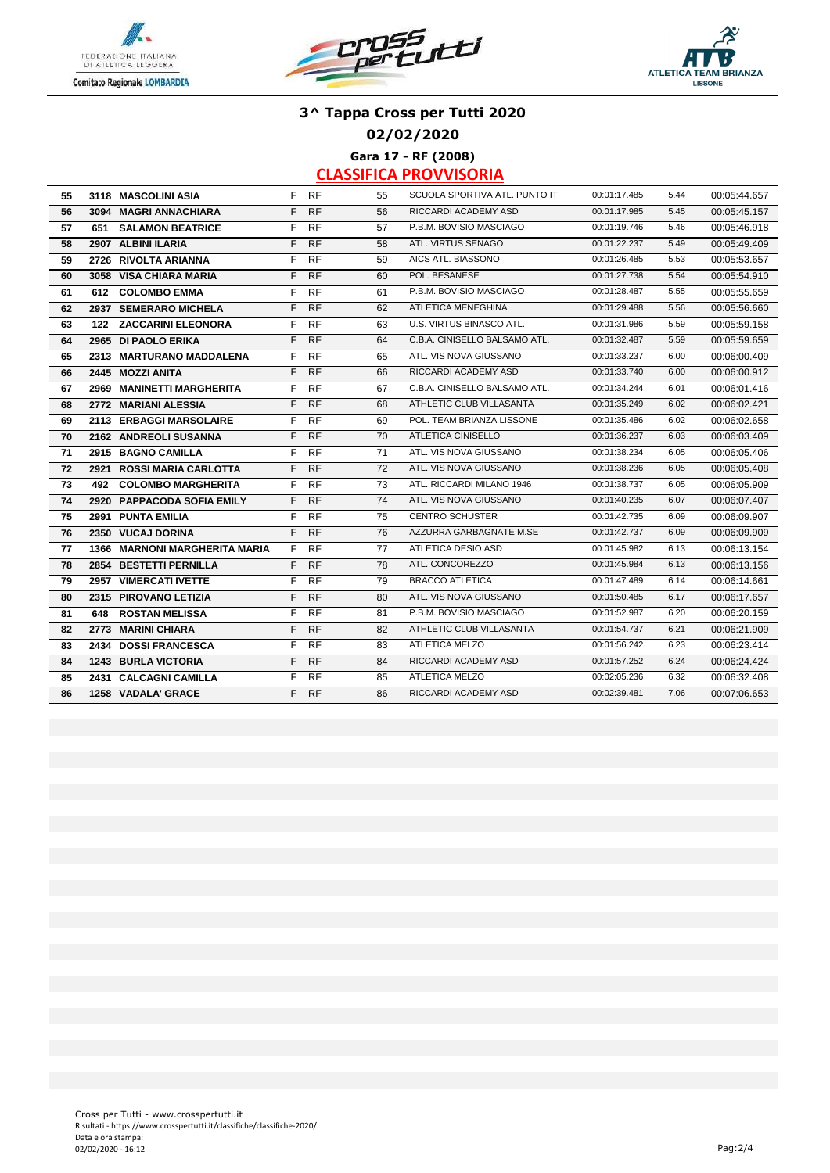





**02/02/2020**

**Gara 17 - RF (2008)**

| 55 | 3118 MASCOLINI ASIA           |    | F RF      | 55 | SCUOLA SPORTIVA ATL. PUNTO IT   | 00:01:17.485 | 5.44 | 00:05:44.657 |
|----|-------------------------------|----|-----------|----|---------------------------------|--------------|------|--------------|
| 56 | 3094 MAGRI ANNACHIARA         |    | F RF      | 56 | RICCARDI ACADEMY ASD            | 00:01:17.985 | 5.45 | 00:05:45.157 |
| 57 | <b>651 SALAMON BEATRICE</b>   | F. | RF        | 57 | P.B.M. BOVISIO MASCIAGO         | 00:01:19.746 | 5.46 | 00:05:46.918 |
| 58 | 2907 ALBINI ILARIA            | F. | <b>RF</b> | 58 | ATL. VIRTUS SENAGO              | 00:01:22.237 | 5.49 | 00:05:49.409 |
| 59 | 2726 RIVOLTA ARIANNA          | F. | <b>RF</b> | 59 | AICS ATL. BIASSONO              | 00:01:26.485 | 5.53 | 00:05:53.657 |
| 60 | 3058 VISA CHIARA MARIA        | F. | <b>RF</b> | 60 | POL. BESANESE                   | 00:01:27.738 | 5.54 | 00:05:54.910 |
| 61 | 612 COLOMBO EMMA              | F. | <b>RF</b> | 61 | P.B.M. BOVISIO MASCIAGO         | 00:01:28.487 | 5.55 | 00:05:55.659 |
| 62 | 2937 SEMERARO MICHELA         | F. | <b>RF</b> | 62 | ATLETICA MENEGHINA              | 00:01:29.488 | 5.56 | 00:05:56.660 |
| 63 | 122 ZACCARINI ELEONORA        | F. | <b>RF</b> | 63 | <b>U.S. VIRTUS BINASCO ATL.</b> | 00:01:31.986 | 5.59 | 00:05:59.158 |
| 64 | 2965 DI PAOLO ERIKA           | F. | <b>RF</b> | 64 | C.B.A. CINISELLO BALSAMO ATL.   | 00:01:32.487 | 5.59 | 00:05:59.659 |
| 65 | 2313 MARTURANO MADDALENA      | F. | <b>RF</b> | 65 | ATL. VIS NOVA GIUSSANO          | 00:01:33.237 | 6.00 | 00:06:00.409 |
| 66 | 2445 MOZZI ANITA              | F  | <b>RF</b> | 66 | RICCARDI ACADEMY ASD            | 00:01:33.740 | 6.00 | 00:06:00.912 |
| 67 | 2969 MANINETTI MARGHERITA     | F. | <b>RF</b> | 67 | C.B.A. CINISELLO BALSAMO ATL.   | 00:01:34.244 | 6.01 | 00:06:01.416 |
| 68 | 2772 MARIANI ALESSIA          | F. | RF        | 68 | ATHLETIC CLUB VILLASANTA        | 00:01:35.249 | 6.02 | 00:06:02.421 |
| 69 | 2113 ERBAGGI MARSOLAIRE       | F  | <b>RF</b> | 69 | POL. TEAM BRIANZA LISSONE       | 00:01:35.486 | 6.02 | 00:06:02.658 |
| 70 | 2162 ANDREOLI SUSANNA         |    | F RF      | 70 | ATLETICA CINISELLO              | 00:01:36.237 | 6.03 | 00:06:03.409 |
| 71 | 2915 BAGNO CAMILLA            | F. | <b>RF</b> | 71 | ATL. VIS NOVA GIUSSANO          | 00:01:38.234 | 6.05 | 00:06:05.406 |
| 72 | 2921 ROSSI MARIA CARLOTTA     | F. | <b>RF</b> | 72 | ATL. VIS NOVA GIUSSANO          | 00:01:38.236 | 6.05 | 00:06:05.408 |
| 73 | 492 COLOMBO MARGHERITA        |    | F RF      | 73 | ATL. RICCARDI MILANO 1946       | 00:01:38.737 | 6.05 | 00:06:05.909 |
| 74 | 2920 PAPPACODA SOFIA EMILY    | F. | <b>RF</b> | 74 | ATL. VIS NOVA GIUSSANO          | 00:01:40.235 | 6.07 | 00:06:07.407 |
| 75 | 2991 PUNTA EMILIA             | F. | <b>RF</b> | 75 | <b>CENTRO SCHUSTER</b>          | 00:01:42.735 | 6.09 | 00:06:09.907 |
| 76 | 2350 VUCAJ DORINA             |    | F RF      | 76 | AZZURRA GARBAGNATE M.SE         | 00:01:42.737 | 6.09 | 00:06:09.909 |
| 77 | 1366 MARNONI MARGHERITA MARIA | F. | <b>RF</b> | 77 | ATLETICA DESIO ASD              | 00:01:45.982 | 6.13 | 00:06:13.154 |
| 78 | 2854 BESTETTI PERNILLA        | F. | <b>RF</b> | 78 | ATL. CONCOREZZO                 | 00:01:45.984 | 6.13 | 00:06:13.156 |
| 79 | 2957 VIMERCATI IVETTE         | F. | <b>RF</b> | 79 | <b>BRACCO ATLETICA</b>          | 00:01:47.489 | 6.14 | 00:06:14.661 |
| 80 | 2315 PIROVANO LETIZIA         | F. | RF        | 80 | ATL. VIS NOVA GIUSSANO          | 00:01:50.485 | 6.17 | 00:06:17.657 |
| 81 | <b>648 ROSTAN MELISSA</b>     | F  | <b>RF</b> | 81 | P.B.M. BOVISIO MASCIAGO         | 00:01:52.987 | 6.20 | 00:06:20.159 |
| 82 | 2773 MARINI CHIARA            | F. | <b>RF</b> | 82 | ATHLETIC CLUB VILLASANTA        | 00:01:54.737 | 6.21 | 00:06:21.909 |
| 83 | 2434 DOSSI FRANCESCA          | F. | <b>RF</b> | 83 | ATLETICA MELZO                  | 00:01:56.242 | 6.23 | 00:06:23.414 |
| 84 | <b>1243 BURLA VICTORIA</b>    | F. | <b>RF</b> | 84 | RICCARDI ACADEMY ASD            | 00:01:57.252 | 6.24 | 00:06:24.424 |
| 85 | 2431 CALCAGNI CAMILLA         | F. | <b>RF</b> | 85 | ATLETICA MELZO                  | 00:02:05.236 | 6.32 | 00:06:32.408 |
| 86 | 1258 VADALA' GRACE            |    | F RF      | 86 | RICCARDI ACADEMY ASD            | 00:02:39.481 | 7.06 | 00:07:06.653 |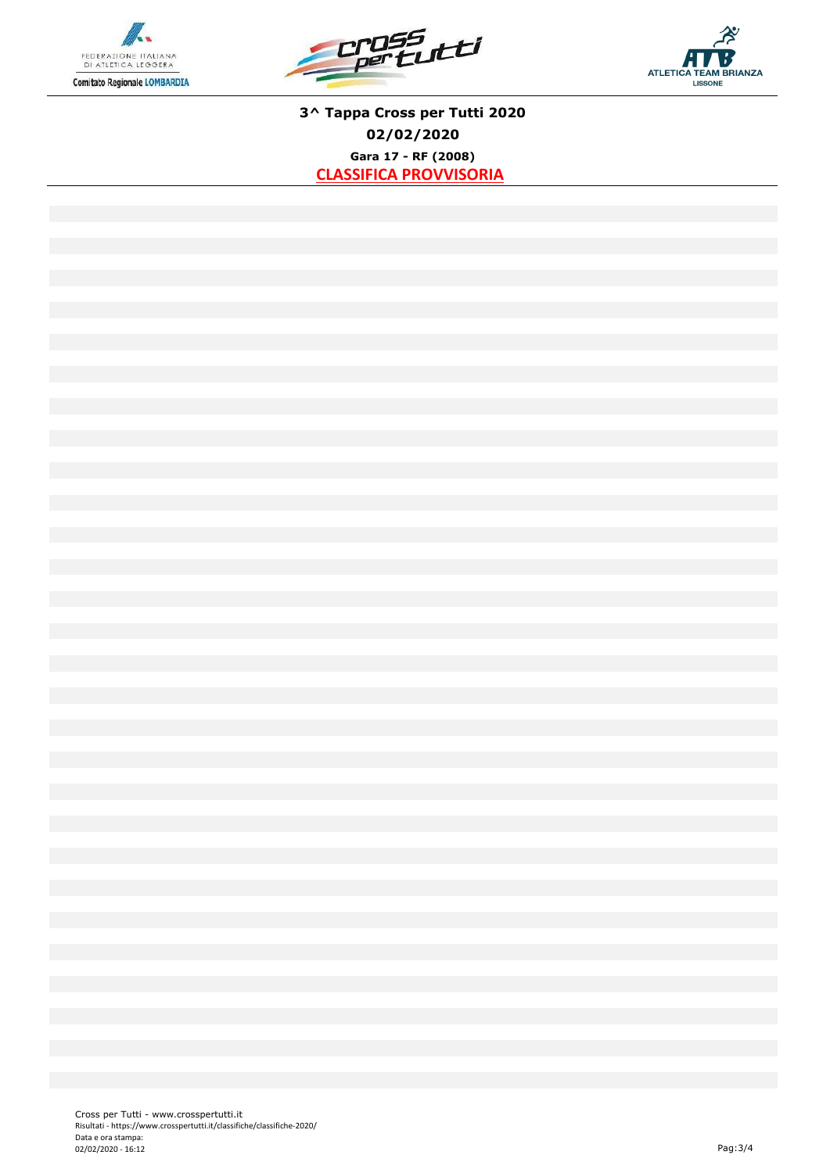





**3^ Tappa Cross per Tutti 2020 02/02/2020 Gara 17 - RF (2008) CLASSIFICA PROVVISORIA**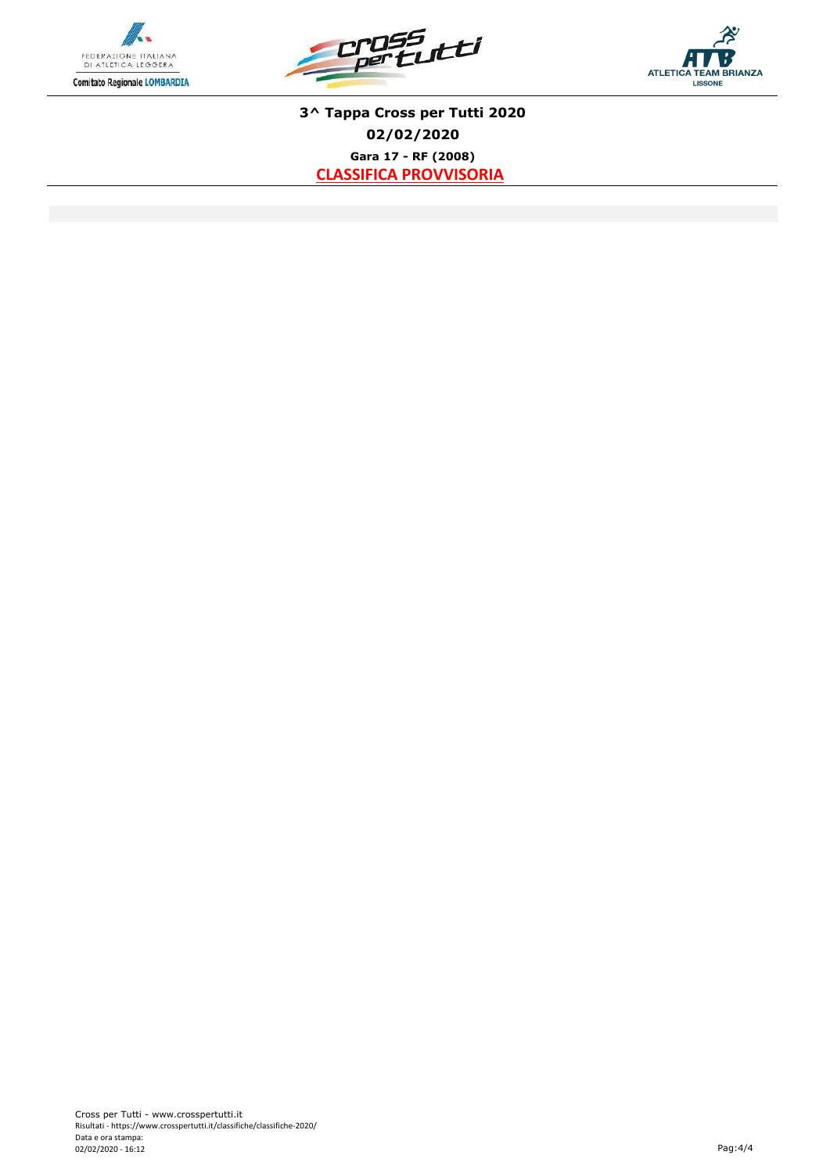





**3^ Tappa Cross per Tutti 2020 02/02/2020 Gara 17 - RF (2008) CLASSIFICA PROVVISORIA**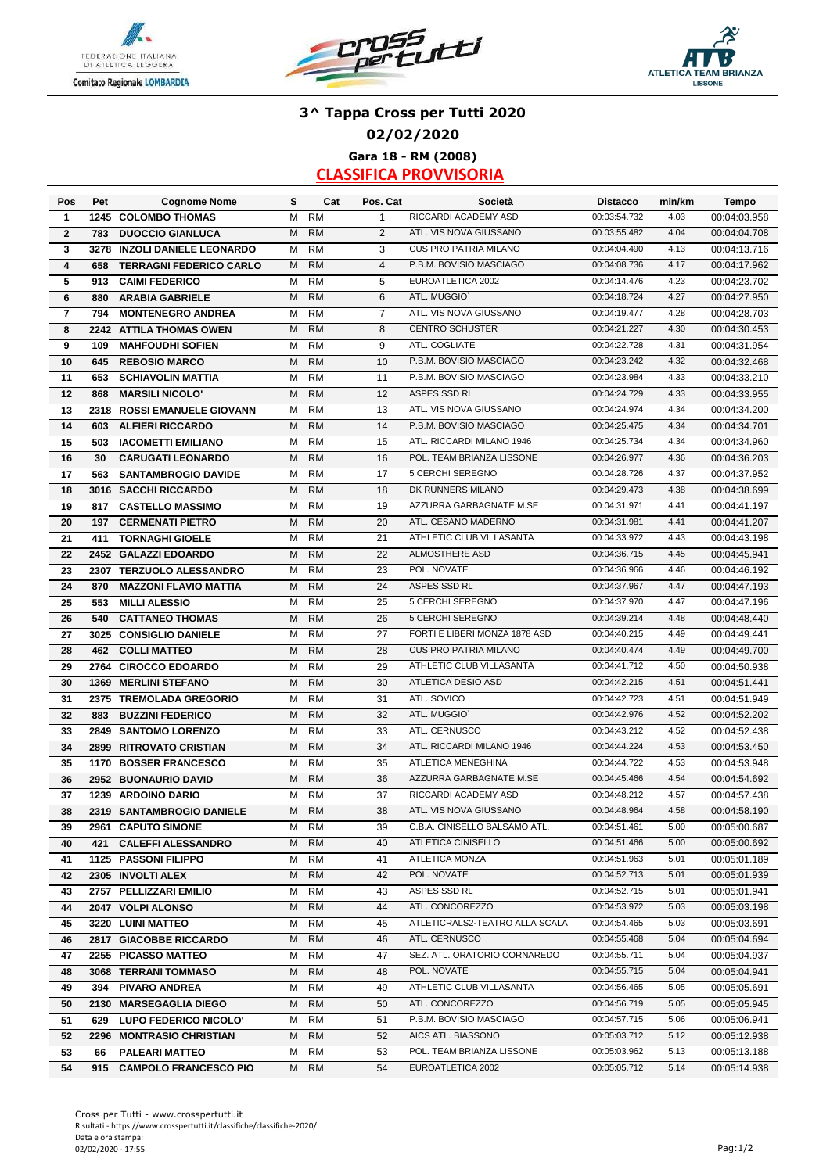





## **3^ Tappa Cross per Tutti 2020 02/02/2020 Gara 18 - RM (2008)**

| Pos            | Pet  | <b>Cognome Nome</b>            | s | Cat       | Pos. Cat       | Società                        | <b>Distacco</b> | min/km | Tempo        |
|----------------|------|--------------------------------|---|-----------|----------------|--------------------------------|-----------------|--------|--------------|
| 1              | 1245 | <b>COLOMBO THOMAS</b>          | M | <b>RM</b> | 1              | RICCARDI ACADEMY ASD           | 00:03:54.732    | 4.03   | 00:04:03.958 |
| $\mathbf{2}$   | 783  | <b>DUOCCIO GIANLUCA</b>        | M | <b>RM</b> | 2              | ATL. VIS NOVA GIUSSANO         | 00:03:55.482    | 4.04   | 00:04:04.708 |
| 3              | 3278 | <b>INZOLI DANIELE LEONARDO</b> | м | <b>RM</b> | 3              | <b>CUS PRO PATRIA MILANO</b>   | 00:04:04.490    | 4.13   | 00:04:13.716 |
| 4              | 658  | <b>TERRAGNI FEDERICO CARLO</b> | M | <b>RM</b> | $\overline{4}$ | P.B.M. BOVISIO MASCIAGO        | 00:04:08.736    | 4.17   | 00:04:17.962 |
| 5              | 913  | <b>CAIMI FEDERICO</b>          | M | <b>RM</b> | 5              | EUROATLETICA 2002              | 00:04:14.476    | 4.23   | 00:04:23.702 |
| 6              | 880  | <b>ARABIA GABRIELE</b>         | M | <b>RM</b> | 6              | ATL. MUGGIO'                   | 00:04:18.724    | 4.27   | 00:04:27.950 |
| $\overline{7}$ | 794  | <b>MONTENEGRO ANDREA</b>       | м | <b>RM</b> | $\overline{7}$ | ATL. VIS NOVA GIUSSANO         | 00:04:19.477    | 4.28   | 00:04:28.703 |
| 8              |      | 2242 ATTILA THOMAS OWEN        | M | <b>RM</b> | 8              | <b>CENTRO SCHUSTER</b>         | 00:04:21.227    | 4.30   | 00:04:30.453 |
| 9              | 109  | <b>MAHFOUDHI SOFIEN</b>        | М | <b>RM</b> | 9              | ATL. COGLIATE                  | 00:04:22.728    | 4.31   | 00:04:31.954 |
| 10             | 645  | <b>REBOSIO MARCO</b>           | M | <b>RM</b> | 10             | P.B.M. BOVISIO MASCIAGO        | 00:04:23.242    | 4.32   | 00:04:32.468 |
| 11             | 653  | <b>SCHIAVOLIN MATTIA</b>       | м | <b>RM</b> | 11             | P.B.M. BOVISIO MASCIAGO        | 00:04:23.984    | 4.33   | 00:04:33.210 |
| 12             | 868  | <b>MARSILI NICOLO'</b>         | M | <b>RM</b> | 12             | ASPES SSD RL                   | 00:04:24.729    | 4.33   | 00:04:33.955 |
| 13             | 2318 | <b>ROSSI EMANUELE GIOVANN</b>  | м | <b>RM</b> | 13             | ATL. VIS NOVA GIUSSANO         | 00:04:24.974    | 4.34   | 00:04:34.200 |
| 14             | 603  | <b>ALFIERI RICCARDO</b>        | M | <b>RM</b> | 14             | P.B.M. BOVISIO MASCIAGO        | 00:04:25.475    | 4.34   | 00:04:34.701 |
| 15             | 503  | <b>IACOMETTI EMILIANO</b>      | M | <b>RM</b> | 15             | ATL. RICCARDI MILANO 1946      | 00:04:25.734    | 4.34   | 00:04:34.960 |
| 16             | 30   | <b>CARUGATI LEONARDO</b>       | M | <b>RM</b> | 16             | POL. TEAM BRIANZA LISSONE      | 00:04:26.977    | 4.36   | 00:04:36.203 |
| 17             | 563  | <b>SANTAMBROGIO DAVIDE</b>     | M | <b>RM</b> | 17             | 5 CERCHI SEREGNO               | 00:04:28.726    | 4.37   | 00:04:37.952 |
| 18             |      | 3016 SACCHI RICCARDO           | M | <b>RM</b> | 18             | DK RUNNERS MILANO              | 00:04:29.473    | 4.38   | 00:04:38.699 |
| 19             | 817  | <b>CASTELLO MASSIMO</b>        | м | <b>RM</b> | 19             | AZZURRA GARBAGNATE M.SE        | 00:04:31.971    | 4.41   | 00:04:41.197 |
| 20             | 197  | <b>CERMENATI PIETRO</b>        | M | <b>RM</b> | 20             | ATL. CESANO MADERNO            | 00:04:31.981    | 4.41   | 00:04:41.207 |
| 21             | 411  | <b>TORNAGHI GIOELE</b>         | М | <b>RM</b> | 21             | ATHLETIC CLUB VILLASANTA       | 00:04:33.972    | 4.43   | 00:04:43.198 |
|                |      | 2452 GALAZZI EDOARDO           | M | <b>RM</b> | 22             | <b>ALMOSTHERE ASD</b>          | 00:04:36.715    | 4.45   | 00:04:45.941 |
| 22             |      |                                |   |           |                | POL. NOVATE                    |                 | 4.46   |              |
| 23             |      | 2307 TERZUOLO ALESSANDRO       | М | <b>RM</b> | 23             |                                | 00:04:36.966    |        | 00:04:46.192 |
| 24             | 870  | <b>MAZZONI FLAVIO MATTIA</b>   | M | <b>RM</b> | 24             | ASPES SSD RL                   | 00:04:37.967    | 4.47   | 00:04:47.193 |
| 25             | 553  | <b>MILLI ALESSIO</b>           | M | <b>RM</b> | 25             | 5 CERCHI SEREGNO               | 00:04:37.970    | 4.47   | 00:04:47.196 |
| 26             | 540  | <b>CATTANEO THOMAS</b>         | M | <b>RM</b> | 26             | 5 CERCHI SEREGNO               | 00:04:39.214    | 4.48   | 00:04:48.440 |
| 27             | 3025 | <b>CONSIGLIO DANIELE</b>       | М | <b>RM</b> | 27             | FORTI E LIBERI MONZA 1878 ASD  | 00:04:40.215    | 4.49   | 00:04:49.441 |
| 28             | 462  | <b>COLLI MATTEO</b>            | M | <b>RM</b> | 28             | <b>CUS PRO PATRIA MILANO</b>   | 00:04:40.474    | 4.49   | 00:04:49.700 |
| 29             | 2764 | <b>CIROCCO EDOARDO</b>         | M | <b>RM</b> | 29             | ATHLETIC CLUB VILLASANTA       | 00:04:41.712    | 4.50   | 00:04:50.938 |
| 30             |      | 1369 MERLINI STEFANO           | M | <b>RM</b> | 30             | ATLETICA DESIO ASD             | 00:04:42.215    | 4.51   | 00:04:51.441 |
| 31             |      | 2375 TREMOLADA GREGORIO        | M | <b>RM</b> | 31             | ATL. SOVICO                    | 00:04:42.723    | 4.51   | 00:04:51.949 |
| 32             | 883  | <b>BUZZINI FEDERICO</b>        | M | <b>RM</b> | 32             | ATL. MUGGIO'                   | 00:04:42.976    | 4.52   | 00:04:52.202 |
| 33             |      | 2849 SANTOMO LORENZO           | м | <b>RM</b> | 33             | ATL. CERNUSCO                  | 00:04:43.212    | 4.52   | 00:04:52.438 |
| 34             |      | 2899 RITROVATO CRISTIAN        | M | <b>RM</b> | 34             | ATL. RICCARDI MILANO 1946      | 00:04:44.224    | 4.53   | 00:04:53.450 |
| 35             |      | 1170 BOSSER FRANCESCO          | M | <b>RM</b> | 35             | <b>ATLETICA MENEGHINA</b>      | 00:04:44.722    | 4.53   | 00:04:53.948 |
| 36             |      | 2952 BUONAURIO DAVID           | M | <b>RM</b> | 36             | AZZURRA GARBAGNATE M.SE        | 00:04:45.466    | 4.54   | 00:04:54.692 |
| 37             | 1239 | <b>ARDOINO DARIO</b>           | M | <b>RM</b> | 37             | RICCARDI ACADEMY ASD           | 00:04:48.212    | 4.57   | 00:04:57.438 |
| 38             |      | 2319 SANTAMBROGIO DANIELE      | М | <b>RM</b> | 38             | ATL. VIS NOVA GIUSSANO         | 00:04:48.964    | 4.58   | 00:04:58.190 |
| 39             |      | 2961 CAPUTO SIMONE             | M | RM        | 39             | C.B.A. CINISELLO BALSAMO ATL.  | 00:04:51.461    | 5.00   | 00:05:00.687 |
| 40             |      | 421 CALEFFI ALESSANDRO         | М | <b>RM</b> | 40             | ATLETICA CINISELLO             | 00:04:51.466    | 5.00   | 00:05:00.692 |
| 41             |      | 1125 PASSONI FILIPPO           | м | <b>RM</b> | 41             | ATLETICA MONZA                 | 00:04:51.963    | 5.01   | 00:05:01.189 |
| 42             |      | 2305 INVOLTI ALEX              | М | <b>RM</b> | 42             | POL. NOVATE                    | 00:04:52.713    | 5.01   | 00:05:01.939 |
| 43             |      | 2757 PELLIZZARI EMILIO         | м | <b>RM</b> | 43             | ASPES SSD RL                   | 00:04:52.715    | 5.01   | 00:05:01.941 |
| 44             |      | 2047 VOLPI ALONSO              | м | <b>RM</b> | 44             | ATL. CONCOREZZO                | 00:04:53.972    | 5.03   | 00:05:03.198 |
| 45             |      | 3220 LUINI MATTEO              | М | RM        | 45             | ATLETICRALS2-TEATRO ALLA SCALA | 00:04:54.465    | 5.03   | 00:05:03.691 |
| 46             |      | 2817 GIACOBBE RICCARDO         | М | <b>RM</b> | 46             | ATL. CERNUSCO                  | 00:04:55.468    | 5.04   | 00:05:04.694 |
| 47             |      | 2255 PICASSO MATTEO            | м | <b>RM</b> | 47             | SEZ. ATL. ORATORIO CORNAREDO   | 00:04:55.711    | 5.04   | 00:05:04.937 |
| 48             |      | 3068 TERRANI TOMMASO           | М | <b>RM</b> | 48             | POL. NOVATE                    | 00:04:55.715    | 5.04   | 00:05:04.941 |
| 49             |      | 394 PIVARO ANDREA              | м | <b>RM</b> | 49             | ATHLETIC CLUB VILLASANTA       | 00:04:56.465    | 5.05   | 00:05:05.691 |
| 50             |      | 2130 MARSEGAGLIA DIEGO         | м | <b>RM</b> | 50             | ATL. CONCOREZZO                | 00:04:56.719    | 5.05   | 00:05:05.945 |
| 51             | 629  | LUPO FEDERICO NICOLO'          | м | RM        | 51             | P.B.M. BOVISIO MASCIAGO        | 00:04:57.715    | 5.06   | 00:05:06.941 |
| 52             |      | 2296 MONTRASIO CHRISTIAN       | М | <b>RM</b> | 52             | AICS ATL. BIASSONO             | 00:05:03.712    | 5.12   | 00:05:12.938 |
| 53             | 66   | <b>PALEARI MATTEO</b>          | м | <b>RM</b> | 53             | POL. TEAM BRIANZA LISSONE      | 00:05:03.962    | 5.13   | 00:05:13.188 |
| 54             |      | 915 CAMPOLO FRANCESCO PIO      | М | <b>RM</b> | 54             | EUROATLETICA 2002              | 00:05:05.712    | 5.14   | 00:05:14.938 |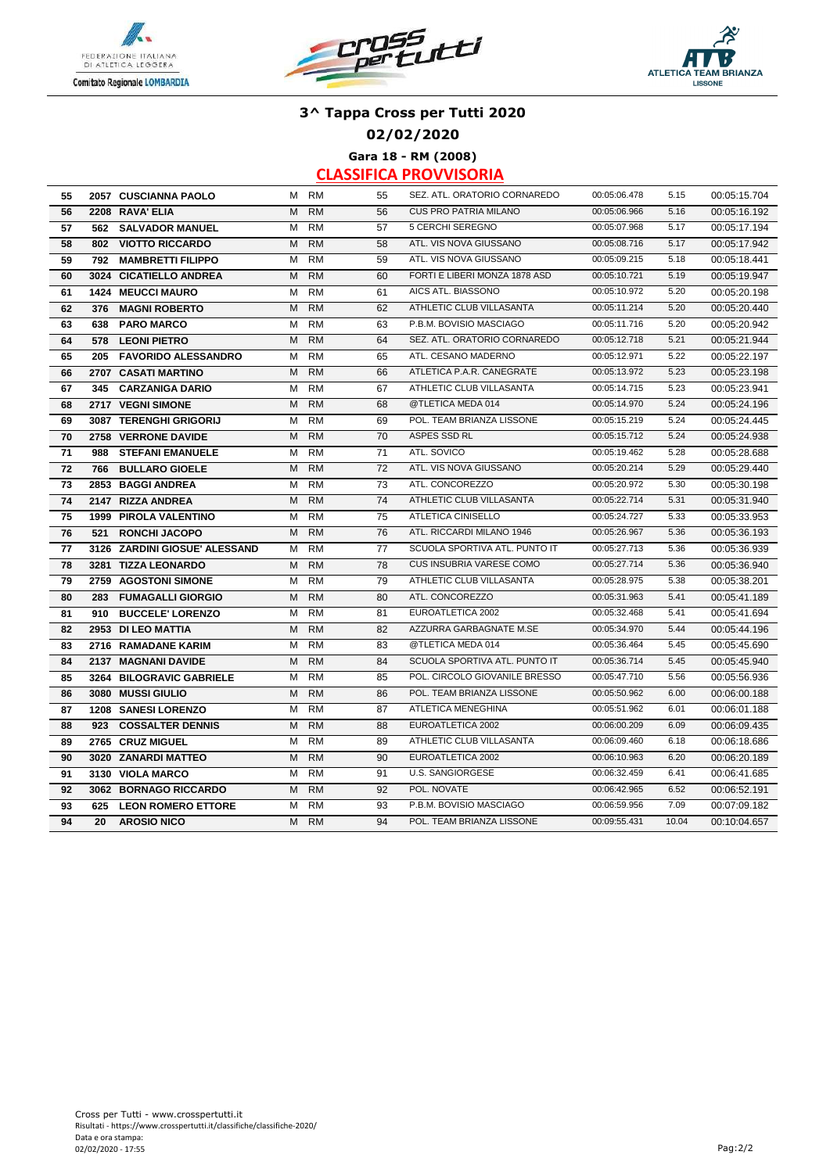





**02/02/2020**

**Gara 18 - RM (2008)**

| 55 |     | 2057 CUSCIANNA PAOLO          |   | M RM      | 55 | SEZ. ATL. ORATORIO CORNAREDO  | 00:05:06.478 | 5.15  | 00:05:15.704 |
|----|-----|-------------------------------|---|-----------|----|-------------------------------|--------------|-------|--------------|
| 56 |     | 2208 RAVA' ELIA               | M | <b>RM</b> | 56 | <b>CUS PRO PATRIA MILANO</b>  | 00:05:06.966 | 5.16  | 00:05:16.192 |
| 57 |     | 562 SALVADOR MANUEL           | м | <b>RM</b> | 57 | 5 CERCHI SEREGNO              | 00:05:07.968 | 5.17  | 00:05:17.194 |
| 58 | 802 | <b>VIOTTO RICCARDO</b>        | M | <b>RM</b> | 58 | ATL. VIS NOVA GIUSSANO        | 00:05:08.716 | 5.17  | 00:05:17.942 |
| 59 | 792 | <b>MAMBRETTI FILIPPO</b>      | М | <b>RM</b> | 59 | ATL. VIS NOVA GIUSSANO        | 00:05:09.215 | 5.18  | 00:05:18.441 |
| 60 |     | 3024 CICATIELLO ANDREA        | M | <b>RM</b> | 60 | FORTI E LIBERI MONZA 1878 ASD | 00:05:10.721 | 5.19  | 00:05:19.947 |
| 61 |     | <b>1424 MEUCCI MAURO</b>      | м | <b>RM</b> | 61 | AICS ATL. BIASSONO            | 00:05:10.972 | 5.20  | 00:05:20.198 |
| 62 | 376 | <b>MAGNI ROBERTO</b>          | M | <b>RM</b> | 62 | ATHLETIC CLUB VILLASANTA      | 00:05:11.214 | 5.20  | 00:05:20.440 |
| 63 | 638 | <b>PARO MARCO</b>             | м | <b>RM</b> | 63 | P.B.M. BOVISIO MASCIAGO       | 00:05:11.716 | 5.20  | 00:05:20.942 |
| 64 | 578 | <b>LEONI PIETRO</b>           | M | <b>RM</b> | 64 | SEZ. ATL. ORATORIO CORNAREDO  | 00:05:12.718 | 5.21  | 00:05:21.944 |
| 65 | 205 | <b>FAVORIDO ALESSANDRO</b>    | М | <b>RM</b> | 65 | ATL. CESANO MADERNO           | 00:05:12.971 | 5.22  | 00:05:22.197 |
| 66 |     | 2707 CASATI MARTINO           | М | <b>RM</b> | 66 | ATLETICA P.A.R. CANEGRATE     | 00:05:13.972 | 5.23  | 00:05:23.198 |
| 67 | 345 | <b>CARZANIGA DARIO</b>        | м | <b>RM</b> | 67 | ATHLETIC CLUB VILLASANTA      | 00:05:14.715 | 5.23  | 00:05:23.941 |
| 68 |     | 2717 VEGNI SIMONE             | M | <b>RM</b> | 68 | @TLETICA MEDA 014             | 00:05:14.970 | 5.24  | 00:05:24.196 |
| 69 |     | 3087 TERENGHI GRIGORIJ        | м | <b>RM</b> | 69 | POL. TEAM BRIANZA LISSONE     | 00:05:15.219 | 5.24  | 00:05:24.445 |
| 70 |     | 2758 VERRONE DAVIDE           | M | <b>RM</b> | 70 | ASPES SSD RL                  | 00:05:15.712 | 5.24  | 00:05:24.938 |
| 71 | 988 | <b>STEFANI EMANUELE</b>       | м | <b>RM</b> | 71 | ATL. SOVICO                   | 00:05:19.462 | 5.28  | 00:05:28.688 |
| 72 | 766 | <b>BULLARO GIOELE</b>         | M | <b>RM</b> | 72 | ATL. VIS NOVA GIUSSANO        | 00:05:20.214 | 5.29  | 00:05:29.440 |
| 73 |     | 2853 BAGGI ANDREA             | м | <b>RM</b> | 73 | ATL. CONCOREZZO               | 00:05:20.972 | 5.30  | 00:05:30.198 |
| 74 |     | 2147 RIZZA ANDREA             | M | <b>RM</b> | 74 | ATHLETIC CLUB VILLASANTA      | 00:05:22.714 | 5.31  | 00:05:31.940 |
| 75 |     | <b>1999 PIROLA VALENTINO</b>  | м | <b>RM</b> | 75 | <b>ATLETICA CINISELLO</b>     | 00:05:24.727 | 5.33  | 00:05:33.953 |
| 76 | 521 | <b>RONCHI JACOPO</b>          | M | <b>RM</b> | 76 | ATL. RICCARDI MILANO 1946     | 00:05:26.967 | 5.36  | 00:05:36.193 |
| 77 |     | 3126 ZARDINI GIOSUE' ALESSAND | м | <b>RM</b> | 77 | SCUOLA SPORTIVA ATL. PUNTO IT | 00:05:27.713 | 5.36  | 00:05:36.939 |
| 78 |     | 3281 TIZZA LEONARDO           | M | <b>RM</b> | 78 | CUS INSUBRIA VARESE COMO      | 00:05:27.714 | 5.36  | 00:05:36.940 |
| 79 |     | 2759 AGOSTONI SIMONE          | M | <b>RM</b> | 79 | ATHLETIC CLUB VILLASANTA      | 00:05:28.975 | 5.38  | 00:05:38.201 |
| 80 | 283 | <b>FUMAGALLI GIORGIO</b>      | M | <b>RM</b> | 80 | ATL. CONCOREZZO               | 00:05:31.963 | 5.41  | 00:05:41.189 |
| 81 | 910 | <b>BUCCELE' LORENZO</b>       | м | <b>RM</b> | 81 | EUROATLETICA 2002             | 00:05:32.468 | 5.41  | 00:05:41.694 |
| 82 |     | 2953 DI LEO MATTIA            | M | <b>RM</b> | 82 | AZZURRA GARBAGNATE M.SE       | 00:05:34.970 | 5.44  | 00:05:44.196 |
| 83 |     | 2716 RAMADANE KARIM           | M | <b>RM</b> | 83 | @TLETICA MEDA 014             | 00:05:36.464 | 5.45  | 00:05:45.690 |
| 84 |     | 2137 MAGNANI DAVIDE           | M | <b>RM</b> | 84 | SCUOLA SPORTIVA ATL. PUNTO IT | 00:05:36.714 | 5.45  | 00:05:45.940 |
| 85 |     | 3264 BILOGRAVIC GABRIELE      | м | <b>RM</b> | 85 | POL. CIRCOLO GIOVANILE BRESSO | 00:05:47.710 | 5.56  | 00:05:56.936 |
| 86 |     | 3080 MUSSI GIULIO             | M | <b>RM</b> | 86 | POL. TEAM BRIANZA LISSONE     | 00:05:50.962 | 6.00  | 00:06:00.188 |
| 87 |     | <b>1208 SANESI LORENZO</b>    | M | <b>RM</b> | 87 | <b>ATLETICA MENEGHINA</b>     | 00:05:51.962 | 6.01  | 00:06:01.188 |
| 88 | 923 | <b>COSSALTER DENNIS</b>       | M | <b>RM</b> | 88 | EUROATLETICA 2002             | 00:06:00.209 | 6.09  | 00:06:09.435 |
| 89 |     | 2765 CRUZ MIGUEL              | м | <b>RM</b> | 89 | ATHLETIC CLUB VILLASANTA      | 00:06:09.460 | 6.18  | 00:06:18.686 |
| 90 |     | 3020 ZANARDI MATTEO           | M | <b>RM</b> | 90 | EUROATLETICA 2002             | 00:06:10.963 | 6.20  | 00:06:20.189 |
| 91 |     | 3130 VIOLA MARCO              | м | <b>RM</b> | 91 | <b>U.S. SANGIORGESE</b>       | 00:06:32.459 | 6.41  | 00:06:41.685 |
| 92 |     | 3062 BORNAGO RICCARDO         | м | <b>RM</b> | 92 | POL. NOVATE                   | 00:06:42.965 | 6.52  | 00:06:52.191 |
| 93 |     | 625 LEON ROMERO ETTORE        | м | <b>RM</b> | 93 | P.B.M. BOVISIO MASCIAGO       | 00:06:59.956 | 7.09  | 00:07:09.182 |
| 94 | 20  | <b>AROSIO NICO</b>            | M | <b>RM</b> | 94 | POL. TEAM BRIANZA LISSONE     | 00:09:55.431 | 10.04 | 00:10:04.657 |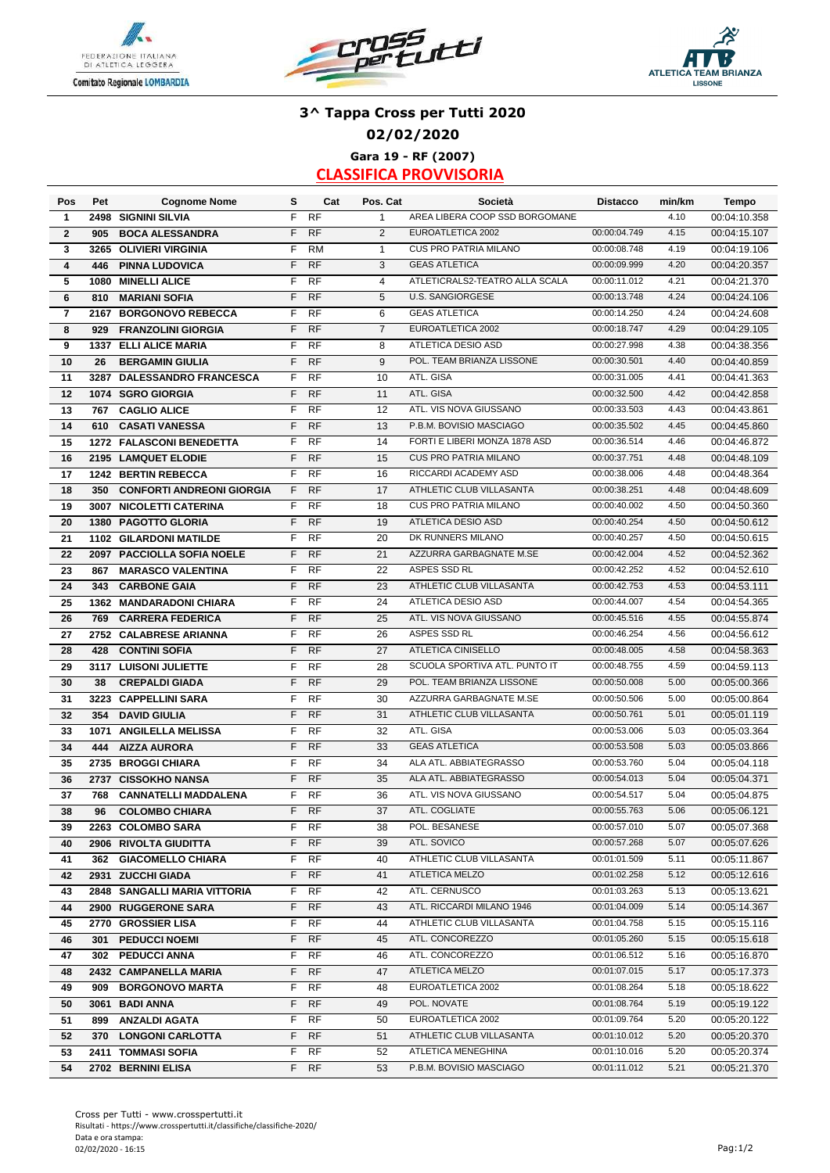





## **3^ Tappa Cross per Tutti 2020 02/02/2020 Gara 19 - RF (2007)**

| Pos            | Pet       | <b>Cognome Nome</b>              | s  | Cat               | Pos. Cat       | Società                        | <b>Distacco</b>              | min/km | <b>Tempo</b>                 |
|----------------|-----------|----------------------------------|----|-------------------|----------------|--------------------------------|------------------------------|--------|------------------------------|
| 1              | 2498      | <b>SIGNINI SILVIA</b>            | F  | <b>RF</b>         | $\mathbf{1}$   | AREA LIBERA COOP SSD BORGOMANE |                              | 4.10   | 00:04:10.358                 |
| $\overline{2}$ | 905       | <b>BOCA ALESSANDRA</b>           | F  | <b>RF</b>         | $\overline{2}$ | EUROATLETICA 2002              | 00:00:04.749                 | 4.15   | 00:04:15.107                 |
| 3              | 3265      | <b>OLIVIERI VIRGINIA</b>         | F  | <b>RM</b>         | $\mathbf{1}$   | <b>CUS PRO PATRIA MILANO</b>   | 00:00:08.748                 | 4.19   | 00:04:19.106                 |
| 4              | 446       | <b>PINNA LUDOVICA</b>            | F  | <b>RF</b>         | 3              | <b>GEAS ATLETICA</b>           | 00:00:09.999                 | 4.20   | 00:04:20.357                 |
| 5              | 1080      | <b>MINELLI ALICE</b>             | F  | <b>RF</b>         | $\overline{4}$ | ATLETICRALS2-TEATRO ALLA SCALA | 00:00:11.012                 | 4.21   | 00:04:21.370                 |
| 6              | 810       | <b>MARIANI SOFIA</b>             | F  | <b>RF</b>         | 5              | <b>U.S. SANGIORGESE</b>        | 00:00:13.748                 | 4.24   | 00:04:24.106                 |
| $\overline{7}$ |           | 2167 BORGONOVO REBECCA           | F  | <b>RF</b>         | 6              | <b>GEAS ATLETICA</b>           | 00:00:14.250                 | 4.24   | 00:04:24.608                 |
| 8              | 929       | <b>FRANZOLINI GIORGIA</b>        | F  | <b>RF</b>         | $\overline{7}$ | EUROATLETICA 2002              | 00:00:18.747                 | 4.29   | 00:04:29.105                 |
| 9              |           | <b>1337 ELLI ALICE MARIA</b>     | F  | <b>RF</b>         | 8              | ATLETICA DESIO ASD             | 00:00:27.998                 | 4.38   | 00:04:38.356                 |
| 10             | 26        | <b>BERGAMIN GIULIA</b>           | F  | <b>RF</b>         | 9              | POL. TEAM BRIANZA LISSONE      | 00:00:30.501                 | 4.40   | 00:04:40.859                 |
| 11             |           | 3287 DALESSANDRO FRANCESCA       | F  | <b>RF</b>         | 10             | ATL. GISA                      | 00:00:31.005                 | 4.41   | 00:04:41.363                 |
| 12             |           | 1074 SGRO GIORGIA                | F  | <b>RF</b>         | 11             | ATL. GISA                      | 00:00:32.500                 | 4.42   | 00:04:42.858                 |
| 13             | 767       | <b>CAGLIO ALICE</b>              | F  | <b>RF</b>         | 12             | ATL. VIS NOVA GIUSSANO         | 00:00:33.503                 | 4.43   | 00:04:43.861                 |
| 14             | 610       | <b>CASATI VANESSA</b>            | F  | <b>RF</b>         | 13             | P.B.M. BOVISIO MASCIAGO        | 00:00:35.502                 | 4.45   | 00:04:45.860                 |
| 15             |           | 1272 FALASCONI BENEDETTA         | F  | <b>RF</b>         | 14             | FORTI E LIBERI MONZA 1878 ASD  | 00:00:36.514                 | 4.46   | 00:04:46.872                 |
| 16             |           | 2195 LAMQUET ELODIE              | F  | <b>RF</b>         | 15             | <b>CUS PRO PATRIA MILANO</b>   | 00:00:37.751                 | 4.48   | 00:04:48.109                 |
| 17             |           | 1242 BERTIN REBECCA              | F  | <b>RF</b>         | 16             | RICCARDI ACADEMY ASD           | 00:00:38.006                 | 4.48   | 00:04:48.364                 |
| 18             | 350       | <b>CONFORTI ANDREONI GIORGIA</b> | F. | <b>RF</b>         | 17             | ATHLETIC CLUB VILLASANTA       | 00:00:38.251                 | 4.48   | 00:04:48.609                 |
| 19             |           | 3007 NICOLETTI CATERINA          | F  | <b>RF</b>         | 18             | <b>CUS PRO PATRIA MILANO</b>   | 00:00:40.002                 | 4.50   | 00:04:50.360                 |
| 20             |           | <b>1380 PAGOTTO GLORIA</b>       | F  | <b>RF</b>         | 19             | ATLETICA DESIO ASD             | 00:00:40.254                 | 4.50   | 00:04:50.612                 |
| 21             |           | <b>1102 GILARDONI MATILDE</b>    | F  | <b>RF</b>         | 20             | DK RUNNERS MILANO              | 00:00:40.257                 | 4.50   | 00:04:50.615                 |
| 22             |           | 2097 PACCIOLLA SOFIA NOELE       | F  | <b>RF</b>         | 21             | AZZURRA GARBAGNATE M.SE        | 00:00:42.004                 | 4.52   | 00:04:52.362                 |
| 23             | 867       | <b>MARASCO VALENTINA</b>         | F  | <b>RF</b>         | 22             | ASPES SSD RL                   | 00:00:42.252                 | 4.52   | 00:04:52.610                 |
| 24             | 343       | <b>CARBONE GAIA</b>              | F  | <b>RF</b>         | 23             | ATHLETIC CLUB VILLASANTA       | 00:00:42.753                 | 4.53   | 00:04:53.111                 |
| 25             | 1362      | <b>MANDARADONI CHIARA</b>        | F  | <b>RF</b>         | 24             | ATLETICA DESIO ASD             | 00:00:44.007                 | 4.54   | 00:04:54.365                 |
| 26             | 769       | <b>CARRERA FEDERICA</b>          | F  | <b>RF</b>         | 25             | ATL. VIS NOVA GIUSSANO         | 00:00:45.516                 | 4.55   | 00:04:55.874                 |
| 27             |           | 2752 CALABRESE ARIANNA           | F  | <b>RF</b>         | 26             | ASPES SSD RL                   | 00:00:46.254                 | 4.56   | 00:04:56.612                 |
| 28             | 428       | <b>CONTINI SOFIA</b>             | F  | <b>RF</b>         | 27             | ATLETICA CINISELLO             | 00:00:48.005                 | 4.58   | 00:04:58.363                 |
| 29             |           | 3117 LUISONI JULIETTE            | F  | <b>RF</b>         | 28             | SCUOLA SPORTIVA ATL. PUNTO IT  | 00:00:48.755                 | 4.59   | 00:04:59.113                 |
| 30             | 38        | <b>CREPALDI GIADA</b>            | F  | <b>RF</b>         | 29             | POL. TEAM BRIANZA LISSONE      | 00:00:50.008                 | 5.00   | 00:05:00.366                 |
| 31             |           | 3223 CAPPELLINI SARA             | F  | <b>RF</b>         | 30             | AZZURRA GARBAGNATE M.SE        | 00:00:50.506                 | 5.00   | 00:05:00.864                 |
| 32             | 354       | <b>DAVID GIULIA</b>              | F  | <b>RF</b>         | 31             | ATHLETIC CLUB VILLASANTA       | 00:00:50.761                 | 5.01   | 00:05:01.119                 |
| 33             |           | 1071 ANGILELLA MELISSA           | F  | <b>RF</b>         | 32             | ATL. GISA                      | 00:00:53.006                 | 5.03   | 00:05:03.364                 |
| 34             | 444       | <b>AIZZA AURORA</b>              | F  | <b>RF</b>         | 33             | <b>GEAS ATLETICA</b>           | 00:00:53.508                 | 5.03   | 00:05:03.866                 |
| 35             |           | 2735 BROGGI CHIARA               | F  | <b>RF</b>         | 34             | ALA ATL. ABBIATEGRASSO         | 00:00:53.760                 | 5.04   | 00:05:04.118                 |
| 36             |           | 2737 CISSOKHO NANSA              | F  | <b>RF</b>         | 35             | ALA ATL. ABBIATEGRASSO         | 00:00:54.013                 | 5.04   | 00:05:04.371                 |
|                |           |                                  | F  | RF                | 36             | ATL. VIS NOVA GIUSSANO         | 00:00:54.517                 | 5.04   | 00:05:04.875                 |
| 37<br>38       | 768<br>96 | <b>CANNATELLI MADDALENA</b>      | F  | <b>RF</b>         | 37             | ATL. COGLIATE                  | 00:00:55.763                 | 5.06   |                              |
|                |           | <b>COLOMBO CHIARA</b>            |    |                   |                |                                |                              |        | 00:05:06.121                 |
| 39             |           | 2263 COLOMBO SARA                | F. | F RF<br><b>RF</b> | 38             | POL. BESANESE<br>ATL. SOVICO   | 00:00:57.010                 | 5.07   | 00:05:07.368<br>00:05:07.626 |
| 40             |           | 2906 RIVOLTA GIUDITTA            |    |                   | 39             |                                | 00:00:57.268                 | 5.07   |                              |
| 41             |           | 362 GIACOMELLO CHIARA            | F. | RF                | 40             | ATHLETIC CLUB VILLASANTA       | 00:01:01.509<br>00:01:02.258 | 5.11   | 00:05:11.867                 |
| 42             |           | 2931 ZUCCHI GIADA                | F  | <b>RF</b>         | 41             | ATLETICA MELZO                 |                              | 5.12   | 00:05:12.616                 |
| 43             |           | 2848 SANGALLI MARIA VITTORIA     | F. | RF                | 42             | ATL. CERNUSCO                  | 00:01:03.263                 | 5.13   | 00:05:13.621                 |
| 44             |           | 2900 RUGGERONE SARA              | F. | <b>RF</b>         | 43             | ATL. RICCARDI MILANO 1946      | 00:01:04.009<br>00:01:04.758 | 5.14   | 00:05:14.367                 |
| 45             |           | 2770 GROSSIER LISA               | F. | RF                | 44             | ATHLETIC CLUB VILLASANTA       |                              | 5.15   | 00:05:15.116                 |
| 46             |           | 301 PEDUCCI NOEMI                | F. | <b>RF</b>         | 45             | ATL. CONCOREZZO                | 00:01:05.260                 | 5.15   | 00:05:15.618                 |
| 47             |           | 302 PEDUCCI ANNA                 | F. | <b>RF</b>         | 46             | ATL. CONCOREZZO                | 00:01:06.512                 | 5.16   | 00:05:16.870                 |
| 48             |           | 2432 CAMPANELLA MARIA            | F. | <b>RF</b>         | 47             | ATLETICA MELZO                 | 00:01:07.015                 | 5.17   | 00:05:17.373                 |
| 49             |           | 909 BORGONOVO MARTA              | F  | RF                | 48             | EUROATLETICA 2002              | 00:01:08.264                 | 5.18   | 00:05:18.622                 |
| 50             |           | 3061 BADI ANNA                   | F. | <b>RF</b>         | 49             | POL. NOVATE                    | 00:01:08.764                 | 5.19   | 00:05:19.122                 |
| 51             |           | 899 ANZALDI AGATA                | F. | <b>RF</b>         | 50             | EUROATLETICA 2002              | 00:01:09.764                 | 5.20   | 00:05:20.122                 |
| 52             | 370       | <b>LONGONI CARLOTTA</b>          | F. | <b>RF</b>         | 51             | ATHLETIC CLUB VILLASANTA       | 00:01:10.012                 | 5.20   | 00:05:20.370                 |
| 53             |           | 2411 TOMMASI SOFIA               | F. | <b>RF</b>         | 52             | ATLETICA MENEGHINA             | 00:01:10.016                 | 5.20   | 00:05:20.374                 |
| 54             |           | 2702 BERNINI ELISA               |    | F RF              | 53             | P.B.M. BOVISIO MASCIAGO        | 00:01:11.012                 | 5.21   | 00:05:21.370                 |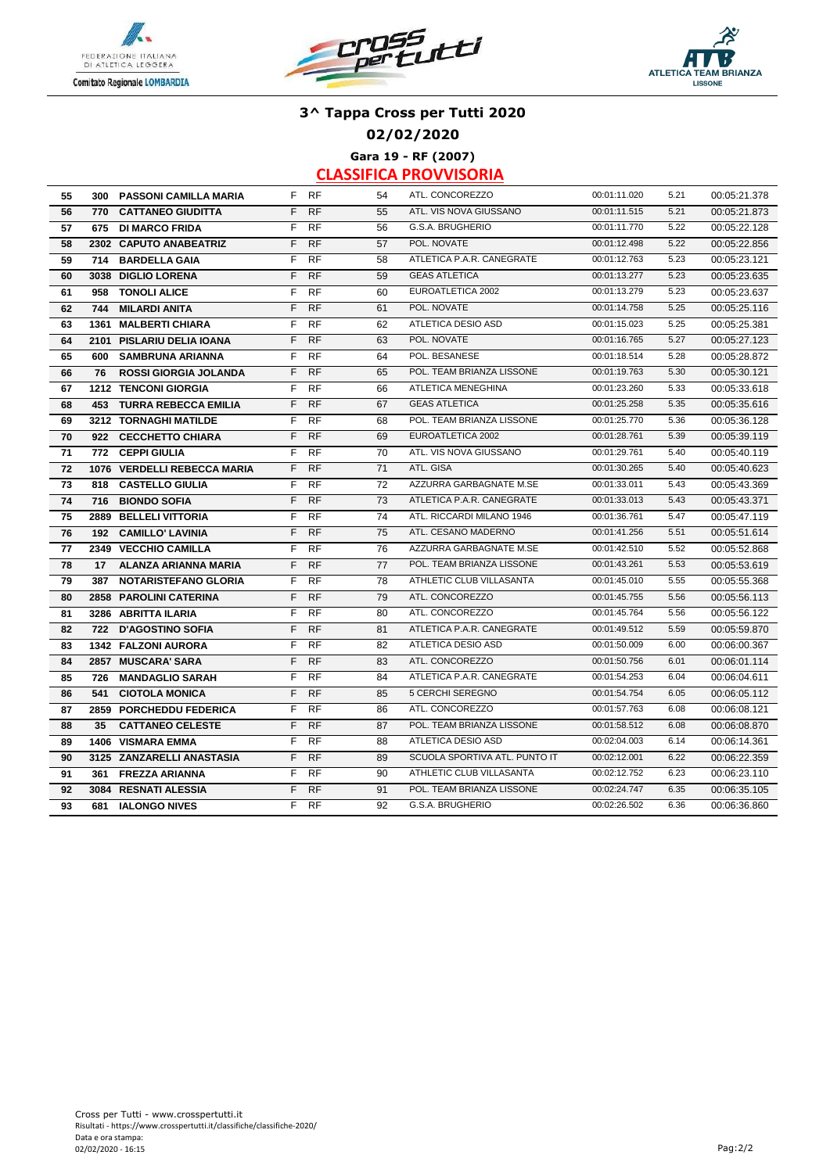





### **02/02/2020**

**Gara 19 - RF (2007)**

| 55 |     | 300 PASSONI CAMILLA MARIA       |    | F RF      | 54 | ATL. CONCOREZZO               | 00:01:11.020 | 5.21 | 00:05:21.378 |
|----|-----|---------------------------------|----|-----------|----|-------------------------------|--------------|------|--------------|
| 56 |     | 770 CATTANEO GIUDITTA           | F. | <b>RF</b> | 55 | ATL. VIS NOVA GIUSSANO        | 00:01:11.515 | 5.21 | 00:05:21.873 |
| 57 |     | 675 DI MARCO FRIDA              | F  | RF        | 56 | G.S.A. BRUGHERIO              | 00:01:11.770 | 5.22 | 00:05:22.128 |
| 58 |     | 2302 CAPUTO ANABEATRIZ          | F  | <b>RF</b> | 57 | POL. NOVATE                   | 00:01:12.498 | 5.22 | 00:05:22.856 |
| 59 |     | 714 BARDELLA GAIA               | F  | <b>RF</b> | 58 | ATLETICA P.A.R. CANEGRATE     | 00:01:12.763 | 5.23 | 00:05:23.121 |
| 60 |     | 3038 DIGLIO LORENA              | F. | <b>RF</b> | 59 | <b>GEAS ATLETICA</b>          | 00:01:13.277 | 5.23 | 00:05:23.635 |
| 61 | 958 | <b>TONOLI ALICE</b>             | F  | <b>RF</b> | 60 | EUROATLETICA 2002             | 00:01:13.279 | 5.23 | 00:05:23.637 |
| 62 | 744 | <b>MILARDI ANITA</b>            | F  | <b>RF</b> | 61 | POL. NOVATE                   | 00:01:14.758 | 5.25 | 00:05:25.116 |
| 63 |     | 1361 MALBERTI CHIARA            | F  | <b>RF</b> | 62 | ATLETICA DESIO ASD            | 00:01:15.023 | 5.25 | 00:05:25.381 |
| 64 |     | 2101 PISLARIU DELIA IOANA       | F. | <b>RF</b> | 63 | POL. NOVATE                   | 00:01:16.765 | 5.27 | 00:05:27.123 |
| 65 |     | 600 SAMBRUNA ARIANNA            | F. | <b>RF</b> | 64 | POL. BESANESE                 | 00:01:18.514 | 5.28 | 00:05:28.872 |
| 66 | 76  | <b>ROSSI GIORGIA JOLANDA</b>    | F. | <b>RF</b> | 65 | POL. TEAM BRIANZA LISSONE     | 00:01:19.763 | 5.30 | 00:05:30.121 |
| 67 |     | <b>1212 TENCONI GIORGIA</b>     | F. | <b>RF</b> | 66 | ATLETICA MENEGHINA            | 00:01:23.260 | 5.33 | 00:05:33.618 |
| 68 |     | <b>453 TURRA REBECCA EMILIA</b> | F  | <b>RF</b> | 67 | <b>GEAS ATLETICA</b>          | 00:01:25.258 | 5.35 | 00:05:35.616 |
| 69 |     | <b>3212 TORNAGHI MATILDE</b>    | F  | <b>RF</b> | 68 | POL. TEAM BRIANZA LISSONE     | 00:01:25.770 | 5.36 | 00:05:36.128 |
| 70 |     | 922 CECCHETTO CHIARA            | F. | <b>RF</b> | 69 | EUROATLETICA 2002             | 00:01:28.761 | 5.39 | 00:05:39.119 |
| 71 | 772 | <b>CEPPI GIULIA</b>             | F  | RF        | 70 | ATL. VIS NOVA GIUSSANO        | 00:01:29.761 | 5.40 | 00:05:40.119 |
| 72 |     | 1076 VERDELLI REBECCA MARIA     | F. | <b>RF</b> | 71 | ATL. GISA                     | 00:01:30.265 | 5.40 | 00:05:40.623 |
| 73 | 818 | <b>CASTELLO GIULIA</b>          | F  | <b>RF</b> | 72 | AZZURRA GARBAGNATE M.SE       | 00:01:33.011 | 5.43 | 00:05:43.369 |
| 74 |     | 716 BIONDO SOFIA                | F  | <b>RF</b> | 73 | ATLETICA P.A.R. CANEGRATE     | 00:01:33.013 | 5.43 | 00:05:43.371 |
| 75 |     | 2889 BELLELI VITTORIA           | F  | <b>RF</b> | 74 | ATL. RICCARDI MILANO 1946     | 00:01:36.761 | 5.47 | 00:05:47.119 |
| 76 |     | 192 CAMILLO' LAVINIA            | F. | RF        | 75 | ATL. CESANO MADERNO           | 00:01:41.256 | 5.51 | 00:05:51.614 |
| 77 |     | 2349 VECCHIO CAMILLA            | F. | <b>RF</b> | 76 | AZZURRA GARBAGNATE M.SE       | 00:01:42.510 | 5.52 | 00:05:52.868 |
| 78 | 17  | ALANZA ARIANNA MARIA            | F. | <b>RF</b> | 77 | POL. TEAM BRIANZA LISSONE     | 00:01:43.261 | 5.53 | 00:05:53.619 |
| 79 |     | 387 NOTARISTEFANO GLORIA        | F. | <b>RF</b> | 78 | ATHLETIC CLUB VILLASANTA      | 00:01:45.010 | 5.55 | 00:05:55.368 |
| 80 |     | 2858 PAROLINI CATERINA          | F  | <b>RF</b> | 79 | ATL. CONCOREZZO               | 00:01:45.755 | 5.56 | 00:05:56.113 |
| 81 |     | 3286 ABRITTA ILARIA             | F  | <b>RF</b> | 80 | ATL. CONCOREZZO               | 00:01:45.764 | 5.56 | 00:05:56.122 |
| 82 |     | 722 D'AGOSTINO SOFIA            | F. | <b>RF</b> | 81 | ATLETICA P.A.R. CANEGRATE     | 00:01:49.512 | 5.59 | 00:05:59.870 |
| 83 |     | 1342 FALZONI AURORA             | F. | <b>RF</b> | 82 | ATLETICA DESIO ASD            | 00:01:50.009 | 6.00 | 00:06:00.367 |
| 84 |     | 2857 MUSCARA' SARA              | F. | <b>RF</b> | 83 | ATL. CONCOREZZO               | 00:01:50.756 | 6.01 | 00:06:01.114 |
| 85 | 726 | <b>MANDAGLIO SARAH</b>          | F  | <b>RF</b> | 84 | ATLETICA P.A.R. CANEGRATE     | 00:01:54.253 | 6.04 | 00:06:04.611 |
| 86 | 541 | <b>CIOTOLA MONICA</b>           | F. | <b>RF</b> | 85 | 5 CERCHI SEREGNO              | 00:01:54.754 | 6.05 | 00:06:05.112 |
| 87 |     | 2859 PORCHEDDU FEDERICA         | F. | RF        | 86 | ATL. CONCOREZZO               | 00:01:57.763 | 6.08 | 00:06:08.121 |
| 88 | 35  | <b>CATTANEO CELESTE</b>         | F. | <b>RF</b> | 87 | POL. TEAM BRIANZA LISSONE     | 00:01:58.512 | 6.08 | 00:06:08.870 |
| 89 |     | <b>1406 VISMARA EMMA</b>        | F. | <b>RF</b> | 88 | ATLETICA DESIO ASD            | 00:02:04.003 | 6.14 | 00:06:14.361 |
| 90 |     | 3125 ZANZARELLI ANASTASIA       | F. | <b>RF</b> | 89 | SCUOLA SPORTIVA ATL. PUNTO IT | 00:02:12.001 | 6.22 | 00:06:22.359 |
| 91 |     | 361 FREZZA ARIANNA              | F  | <b>RF</b> | 90 | ATHLETIC CLUB VILLASANTA      | 00:02:12.752 | 6.23 | 00:06:23.110 |
| 92 |     | 3084 RESNATI ALESSIA            | F  | <b>RF</b> | 91 | POL. TEAM BRIANZA LISSONE     | 00:02:24.747 | 6.35 | 00:06:35.105 |
| 93 |     | <b>681 IALONGO NIVES</b>        | F. | <b>RF</b> | 92 | G.S.A. BRUGHERIO              | 00:02:26.502 | 6.36 | 00:06:36.860 |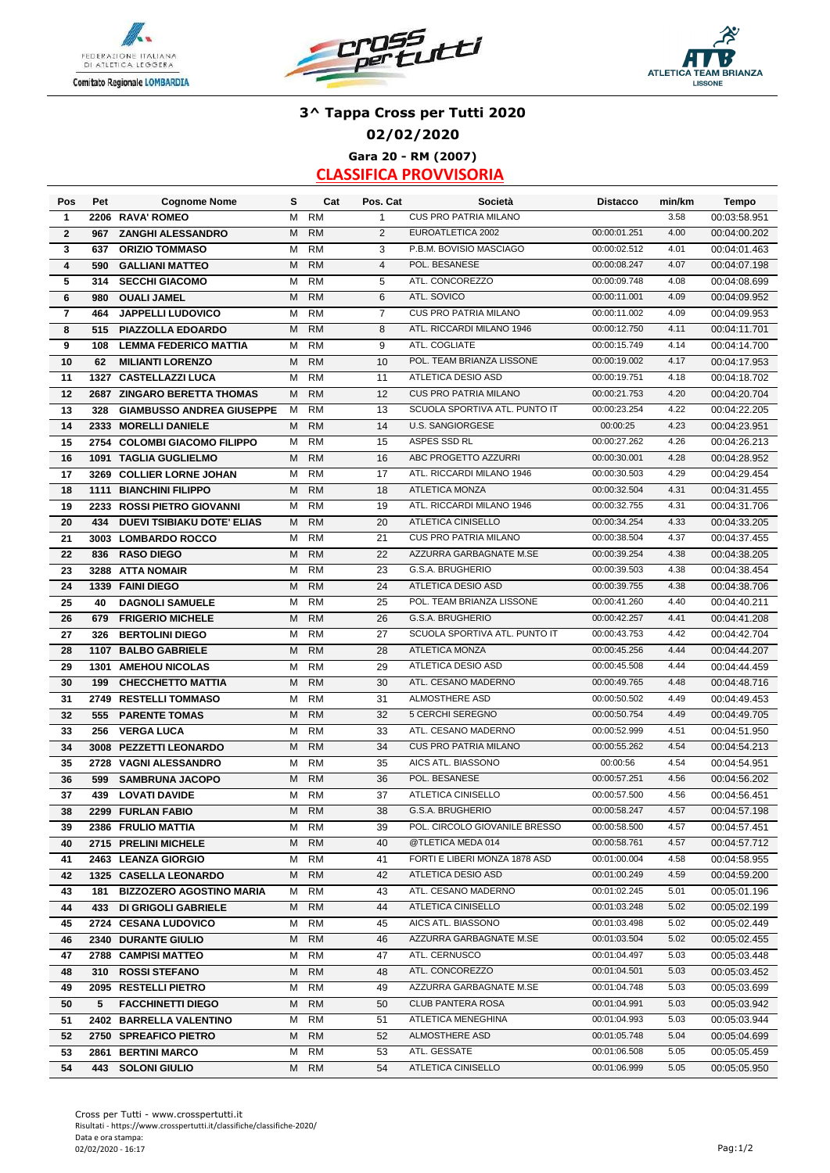





### **3^ Tappa Cross per Tutti 2020 02/02/2020 Gara 20 - RM (2007)**

| Pos          | Pet  | <b>Cognome Nome</b>               | s | Cat       | Pos. Cat       | Società                       | <b>Distacco</b> | min/km | Tempo        |
|--------------|------|-----------------------------------|---|-----------|----------------|-------------------------------|-----------------|--------|--------------|
| 1            |      | 2206 RAVA' ROMEO                  | M | <b>RM</b> | $\mathbf{1}$   | <b>CUS PRO PATRIA MILANO</b>  |                 | 3.58   | 00:03:58.951 |
| $\mathbf{2}$ | 967  | <b>ZANGHI ALESSANDRO</b>          | M | <b>RM</b> | 2              | EUROATLETICA 2002             | 00:00:01.251    | 4.00   | 00:04:00.202 |
| 3            | 637  | <b>ORIZIO TOMMASO</b>             | M | <b>RM</b> | 3              | P.B.M. BOVISIO MASCIAGO       | 00:00:02.512    | 4.01   | 00:04:01.463 |
| 4            | 590  | <b>GALLIANI MATTEO</b>            | M | <b>RM</b> | $\overline{4}$ | POL. BESANESE                 | 00:00:08.247    | 4.07   | 00:04:07.198 |
| 5            | 314  | <b>SECCHI GIACOMO</b>             | м | <b>RM</b> | 5              | ATL. CONCOREZZO               | 00:00:09.748    | 4.08   | 00:04:08.699 |
| 6            | 980  | <b>OUALI JAMEL</b>                | M | <b>RM</b> | 6              | ATL. SOVICO                   | 00:00:11.001    | 4.09   | 00:04:09.952 |
| 7            | 464  | JAPPELLI LUDOVICO                 | M | <b>RM</b> | 7              | CUS PRO PATRIA MILANO         | 00:00:11.002    | 4.09   | 00:04:09.953 |
| 8            | 515  | PIAZZOLLA EDOARDO                 | M | <b>RM</b> | 8              | ATL. RICCARDI MILANO 1946     | 00:00:12.750    | 4.11   | 00:04:11.701 |
| 9            | 108  | <b>LEMMA FEDERICO MATTIA</b>      | м | <b>RM</b> | 9              | ATL. COGLIATE                 | 00:00:15.749    | 4.14   | 00:04:14.700 |
| 10           | 62   | <b>MILIANTI LORENZO</b>           | M | <b>RM</b> | 10             | POL. TEAM BRIANZA LISSONE     | 00:00:19.002    | 4.17   | 00:04:17.953 |
| 11           |      | 1327 CASTELLAZZI LUCA             | м | <b>RM</b> | 11             | ATLETICA DESIO ASD            | 00:00:19.751    | 4.18   | 00:04:18.702 |
| 12           |      | 2687 ZINGARO BERETTA THOMAS       | M | <b>RM</b> | 12             | <b>CUS PRO PATRIA MILANO</b>  | 00:00:21.753    | 4.20   | 00:04:20.704 |
| 13           | 328  | <b>GIAMBUSSO ANDREA GIUSEPPE</b>  | м | <b>RM</b> | 13             | SCUOLA SPORTIVA ATL. PUNTO IT | 00:00:23.254    | 4.22   | 00:04:22.205 |
| 14           | 2333 | <b>MORELLI DANIELE</b>            | M | <b>RM</b> | 14             | <b>U.S. SANGIORGESE</b>       | 00:00:25        | 4.23   | 00:04:23.951 |
| 15           |      | 2754 COLOMBI GIACOMO FILIPPO      | м | <b>RM</b> | 15             | ASPES SSD RL                  | 00:00:27.262    | 4.26   | 00:04:26.213 |
| 16           | 1091 | <b>TAGLIA GUGLIELMO</b>           | M | <b>RM</b> | 16             | ABC PROGETTO AZZURRI          | 00:00:30.001    | 4.28   | 00:04:28.952 |
| 17           | 3269 | <b>COLLIER LORNE JOHAN</b>        | м | <b>RM</b> | 17             | ATL. RICCARDI MILANO 1946     | 00:00:30.503    | 4.29   | 00:04:29.454 |
| 18           | 1111 | <b>BIANCHINI FILIPPO</b>          | M | <b>RM</b> | 18             | <b>ATLETICA MONZA</b>         | 00:00:32.504    | 4.31   | 00:04:31.455 |
| 19           |      | 2233 ROSSI PIETRO GIOVANNI        | М | <b>RM</b> | 19             | ATL. RICCARDI MILANO 1946     | 00:00:32.755    | 4.31   | 00:04:31.706 |
| 20           | 434  | <b>DUEVI TSIBIAKU DOTE' ELIAS</b> | M | <b>RM</b> | 20             | ATLETICA CINISELLO            | 00:00:34.254    | 4.33   | 00:04:33.205 |
| 21           |      | 3003 LOMBARDO ROCCO               | M | <b>RM</b> | 21             | <b>CUS PRO PATRIA MILANO</b>  | 00:00:38.504    | 4.37   | 00:04:37.455 |
| 22           | 836  | <b>RASO DIEGO</b>                 | M | <b>RM</b> | 22             | AZZURRA GARBAGNATE M.SE       | 00:00:39.254    | 4.38   | 00:04:38.205 |
| 23           |      | 3288 ATTA NOMAIR                  | м | <b>RM</b> | 23             | G.S.A. BRUGHERIO              | 00:00:39.503    | 4.38   | 00:04:38.454 |
| 24           |      | 1339 FAINI DIEGO                  | M | <b>RM</b> | 24             | ATLETICA DESIO ASD            | 00:00:39.755    | 4.38   | 00:04:38.706 |
| 25           | 40   | <b>DAGNOLI SAMUELE</b>            | M | <b>RM</b> | 25             | POL. TEAM BRIANZA LISSONE     | 00:00:41.260    | 4.40   | 00:04:40.211 |
| 26           | 679  | <b>FRIGERIO MICHELE</b>           | M | <b>RM</b> | 26             | G.S.A. BRUGHERIO              | 00:00:42.257    | 4.41   | 00:04:41.208 |
| 27           | 326  | <b>BERTOLINI DIEGO</b>            | м | <b>RM</b> | 27             | SCUOLA SPORTIVA ATL. PUNTO IT | 00:00:43.753    | 4.42   | 00:04:42.704 |
| 28           |      | 1107 BALBO GABRIELE               | M | <b>RM</b> | 28             | ATLETICA MONZA                | 00:00:45.256    | 4.44   | 00:04:44.207 |
| 29           | 1301 | <b>AMEHOU NICOLAS</b>             | М | <b>RM</b> | 29             | ATLETICA DESIO ASD            | 00:00:45.508    | 4.44   | 00:04:44.459 |
| 30           | 199  | <b>CHECCHETTO MATTIA</b>          | M | <b>RM</b> | 30             | ATL. CESANO MADERNO           | 00:00:49.765    | 4.48   | 00:04:48.716 |
| 31           | 2749 | <b>RESTELLI TOMMASO</b>           | M | <b>RM</b> | 31             | ALMOSTHERE ASD                | 00:00:50.502    | 4.49   | 00:04:49.453 |
| 32           | 555  | <b>PARENTE TOMAS</b>              | M | <b>RM</b> | 32             | 5 CERCHI SEREGNO              | 00:00:50.754    | 4.49   | 00:04:49.705 |
| 33           | 256  | <b>VERGA LUCA</b>                 | м | <b>RM</b> | 33             | ATL. CESANO MADERNO           | 00:00:52.999    | 4.51   | 00:04:51.950 |
| 34           | 3008 | <b>PEZZETTI LEONARDO</b>          | M | <b>RM</b> | 34             | <b>CUS PRO PATRIA MILANO</b>  | 00:00:55.262    | 4.54   | 00:04:54.213 |
| 35           |      | 2728 VAGNI ALESSANDRO             | м | <b>RM</b> | 35             | AICS ATL. BIASSONO            | 00:00:56        | 4.54   | 00:04:54.951 |
| 36           | 599  | <b>SAMBRUNA JACOPO</b>            | М | <b>RM</b> | 36             | POL. BESANESE                 | 00:00:57.251    | 4.56   | 00:04:56.202 |
| 37           | 439  | <b>LOVATI DAVIDE</b>              | М | <b>RM</b> | 37             | ATLETICA CINISELLO            | 00:00:57.500    | 4.56   | 00:04:56.451 |
| 38           |      | 2299 FURLAN FABIO                 | M | <b>RM</b> | 38             | <b>G.S.A. BRUGHERIO</b>       | 00:00:58.247    | 4.57   | 00:04:57.198 |
| 39           |      | 2386 FRULIO MATTIA                | M | RM        | 39             | POL. CIRCOLO GIOVANILE BRESSO | 00:00:58.500    | 4.57   | 00:04:57.451 |
| 40           |      | 2715 PRELINI MICHELE              | М | <b>RM</b> | 40             | @TLETICA MEDA 014             | 00:00:58.761    | 4.57   | 00:04:57.712 |
| 41           |      | 2463 LEANZA GIORGIO               | м | <b>RM</b> | 41             | FORTI E LIBERI MONZA 1878 ASD | 00:01:00.004    | 4.58   | 00:04:58.955 |
| 42           |      | 1325 CASELLA LEONARDO             | М | <b>RM</b> | 42             | ATLETICA DESIO ASD            | 00:01:00.249    | 4.59   | 00:04:59.200 |
| 43           |      | 181 BIZZOZERO AGOSTINO MARIA      | м | <b>RM</b> | 43             | ATL. CESANO MADERNO           | 00:01:02.245    | 5.01   | 00:05:01.196 |
| 44           |      | 433 DI GRIGOLI GABRIELE           | М | <b>RM</b> | 44             | ATLETICA CINISELLO            | 00:01:03.248    | 5.02   | 00:05:02.199 |
| 45           |      | 2724 CESANA LUDOVICO              | м | RM        | 45             | AICS ATL. BIASSONO            | 00:01:03.498    | 5.02   | 00:05:02.449 |
| 46           |      | 2340 DURANTE GIULIO               | М | <b>RM</b> | 46             | AZZURRA GARBAGNATE M.SE       | 00:01:03.504    | 5.02   | 00:05:02.455 |
| 47           |      | 2788 CAMPISI MATTEO               | м | RM        | 47             | ATL. CERNUSCO                 | 00:01:04.497    | 5.03   | 00:05:03.448 |
| 48           |      | 310 ROSSI STEFANO                 | м | <b>RM</b> | 48             | ATL. CONCOREZZO               | 00:01:04.501    | 5.03   | 00:05:03.452 |
| 49           |      | 2095 RESTELLI PIETRO              | м | RM        | 49             | AZZURRA GARBAGNATE M.SE       | 00:01:04.748    | 5.03   | 00:05:03.699 |
| 50           | 5    | <b>FACCHINETTI DIEGO</b>          | М | <b>RM</b> | 50             | <b>CLUB PANTERA ROSA</b>      | 00:01:04.991    | 5.03   | 00:05:03.942 |
| 51           |      | 2402 BARRELLA VALENTINO           | М | <b>RM</b> | 51             | ATLETICA MENEGHINA            | 00:01:04.993    | 5.03   | 00:05:03.944 |
| 52           |      | 2750 SPREAFICO PIETRO             | м | <b>RM</b> | 52             | ALMOSTHERE ASD                | 00:01:05.748    | 5.04   | 00:05:04.699 |
| 53           |      | 2861 BERTINI MARCO                | м | RM        | 53             | ATL. GESSATE                  | 00:01:06.508    | 5.05   | 00:05:05.459 |
| 54           |      | 443 SOLONI GIULIO                 | M | <b>RM</b> | 54             | ATLETICA CINISELLO            | 00:01:06.999    | 5.05   | 00:05:05.950 |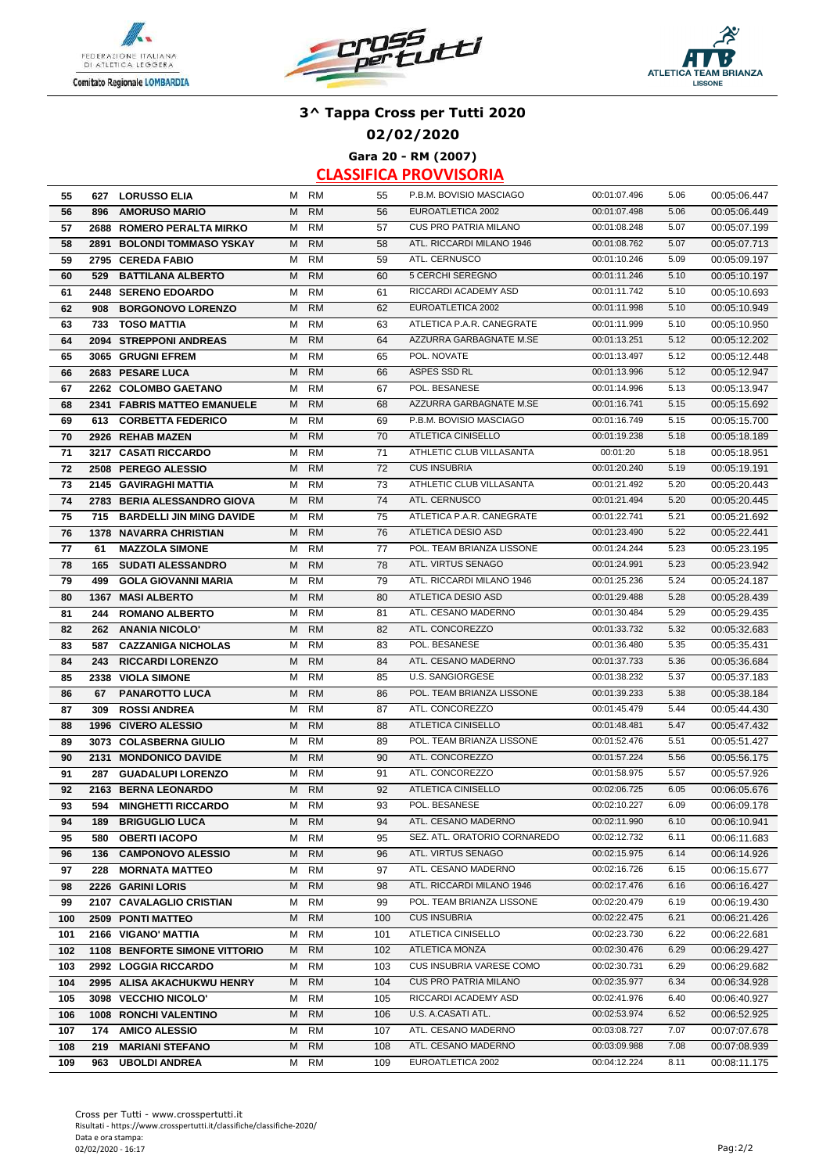





**02/02/2020**

**Gara 20 - RM (2007)**

| 55  |     | 627 LORUSSO ELIA              |   | M RM      | 55  | P.B.M. BOVISIO MASCIAGO      | 00:01:07.496 | 5.06 | 00:05:06.447 |
|-----|-----|-------------------------------|---|-----------|-----|------------------------------|--------------|------|--------------|
| 56  |     | 896 AMORUSO MARIO             | M | <b>RM</b> | 56  | EUROATLETICA 2002            | 00:01:07.498 | 5.06 | 00:05:06.449 |
| 57  |     | 2688 ROMERO PERALTA MIRKO     | M | RM        | 57  | <b>CUS PRO PATRIA MILANO</b> | 00:01:08.248 | 5.07 | 00:05:07.199 |
| 58  |     | 2891 BOLONDI TOMMASO YSKAY    | M | <b>RM</b> | 58  | ATL. RICCARDI MILANO 1946    | 00:01:08.762 | 5.07 | 00:05:07.713 |
| 59  |     | 2795 CEREDA FABIO             | м | <b>RM</b> | 59  | ATL. CERNUSCO                | 00:01:10.246 | 5.09 | 00:05:09.197 |
| 60  |     | 529 BATTILANA ALBERTO         | M | <b>RM</b> | 60  | 5 CERCHI SEREGNO             | 00:01:11.246 | 5.10 | 00:05:10.197 |
| 61  |     | 2448 SERENO EDOARDO           | м | <b>RM</b> | 61  | RICCARDI ACADEMY ASD         | 00:01:11.742 | 5.10 | 00:05:10.693 |
| 62  |     | 908 BORGONOVO LORENZO         | м | <b>RM</b> | 62  | EUROATLETICA 2002            | 00:01:11.998 | 5.10 | 00:05:10.949 |
| 63  |     | 733 TOSO MATTIA               | м | <b>RM</b> | 63  | ATLETICA P.A.R. CANEGRATE    | 00:01:11.999 | 5.10 | 00:05:10.950 |
| 64  |     | 2094 STREPPONI ANDREAS        | M | <b>RM</b> | 64  | AZZURRA GARBAGNATE M.SE      | 00:01:13.251 | 5.12 | 00:05:12.202 |
| 65  |     | 3065 GRUGNI EFREM             | м | <b>RM</b> | 65  | POL. NOVATE                  | 00:01:13.497 | 5.12 | 00:05:12.448 |
| 66  |     | 2683 PESARE LUCA              | М | <b>RM</b> | 66  | ASPES SSD RL                 | 00:01:13.996 | 5.12 | 00:05:12.947 |
| 67  |     | 2262 COLOMBO GAETANO          | м | <b>RM</b> | 67  | POL. BESANESE                | 00:01:14.996 | 5.13 | 00:05:13.947 |
| 68  |     | 2341 FABRIS MATTEO EMANUELE   | м | <b>RM</b> | 68  | AZZURRA GARBAGNATE M.SE      | 00:01:16.741 | 5.15 | 00:05:15.692 |
| 69  |     | 613 CORBETTA FEDERICO         | м | RM        | 69  | P.B.M. BOVISIO MASCIAGO      | 00:01:16.749 | 5.15 | 00:05:15.700 |
| 70  |     | 2926 REHAB MAZEN              | M | <b>RM</b> | 70  | ATLETICA CINISELLO           | 00:01:19.238 | 5.18 | 00:05:18.189 |
| 71  |     | 3217 CASATI RICCARDO          | м | <b>RM</b> | 71  | ATHLETIC CLUB VILLASANTA     | 00:01:20     | 5.18 | 00:05:18.951 |
| 72  |     | 2508 PEREGO ALESSIO           | M | <b>RM</b> | 72  | <b>CUS INSUBRIA</b>          | 00:01:20.240 | 5.19 | 00:05:19.191 |
| 73  |     | 2145 GAVIRAGHI MATTIA         | м | <b>RM</b> | 73  | ATHLETIC CLUB VILLASANTA     | 00:01:21.492 | 5.20 | 00:05:20.443 |
| 74  |     | 2783 BERIA ALESSANDRO GIOVA   | м | <b>RM</b> | 74  | ATL. CERNUSCO                | 00:01:21.494 | 5.20 | 00:05:20.445 |
| 75  |     | 715 BARDELLI JIN MING DAVIDE  | м | <b>RM</b> | 75  | ATLETICA P.A.R. CANEGRATE    | 00:01:22.741 | 5.21 | 00:05:21.692 |
| 76  |     | 1378 NAVARRA CHRISTIAN        | M | <b>RM</b> | 76  | <b>ATLETICA DESIO ASD</b>    | 00:01:23.490 | 5.22 | 00:05:22.441 |
| 77  | 61  | <b>MAZZOLA SIMONE</b>         | м | <b>RM</b> | 77  | POL. TEAM BRIANZA LISSONE    | 00:01:24.244 | 5.23 | 00:05:23.195 |
| 78  | 165 | <b>SUDATI ALESSANDRO</b>      | M | <b>RM</b> | 78  | ATL. VIRTUS SENAGO           | 00:01:24.991 | 5.23 | 00:05:23.942 |
| 79  | 499 | <b>GOLA GIOVANNI MARIA</b>    | м | <b>RM</b> | 79  | ATL. RICCARDI MILANO 1946    | 00:01:25.236 | 5.24 | 00:05:24.187 |
| 80  |     | 1367 MASI ALBERTO             | M | <b>RM</b> | 80  | ATLETICA DESIO ASD           | 00:01:29.488 | 5.28 | 00:05:28.439 |
| 81  |     | 244 ROMANO ALBERTO            | M | <b>RM</b> | 81  | ATL. CESANO MADERNO          | 00:01:30.484 | 5.29 | 00:05:29.435 |
| 82  |     | 262 ANANIA NICOLO'            | M | <b>RM</b> | 82  | ATL. CONCOREZZO              | 00:01:33.732 | 5.32 | 00:05:32.683 |
| 83  |     | 587 CAZZANIGA NICHOLAS        | м | <b>RM</b> | 83  | POL. BESANESE                | 00:01:36.480 | 5.35 | 00:05:35.431 |
| 84  |     | 243 RICCARDI LORENZO          | M | <b>RM</b> | 84  | ATL. CESANO MADERNO          | 00:01:37.733 | 5.36 | 00:05:36.684 |
| 85  |     | 2338 VIOLA SIMONE             | м | <b>RM</b> | 85  | <b>U.S. SANGIORGESE</b>      | 00:01:38.232 | 5.37 | 00:05:37.183 |
| 86  | 67  | <b>PANAROTTO LUCA</b>         | М | <b>RM</b> | 86  | POL. TEAM BRIANZA LISSONE    | 00:01:39.233 | 5.38 | 00:05:38.184 |
| 87  | 309 | <b>ROSSI ANDREA</b>           | м | <b>RM</b> | 87  | ATL. CONCOREZZO              | 00:01:45.479 | 5.44 | 00:05:44.430 |
| 88  |     | 1996 CIVERO ALESSIO           | М | <b>RM</b> | 88  | ATLETICA CINISELLO           | 00:01:48.481 | 5.47 | 00:05:47.432 |
| 89  |     | 3073 COLASBERNA GIULIO        | м | <b>RM</b> | 89  | POL. TEAM BRIANZA LISSONE    | 00:01:52.476 | 5.51 | 00:05:51.427 |
| 90  |     | 2131 MONDONICO DAVIDE         | M | <b>RM</b> | 90  | ATL. CONCOREZZO              | 00:01:57.224 | 5.56 | 00:05:56.175 |
| 91  | 287 | <b>GUADALUPI LORENZO</b>      | м | <b>RM</b> | 91  | ATL. CONCOREZZO              | 00:01:58.975 | 5.57 | 00:05:57.926 |
| 92  |     | 2163 BERNA LEONARDO           | M | <b>RM</b> | 92  | ATLETICA CINISELLO           | 00:02:06.725 | 6.05 | 00:06:05.676 |
| 93  | 594 | <b>MINGHETTI RICCARDO</b>     | м | <b>RM</b> | 93  | POL. BESANESE                | 00:02:10.227 | 6.09 | 00:06:09.178 |
| 94  |     | 189 BRIGUGLIO LUCA            |   | M RM      | 94  | ATL. CESANO MADERNO          | 00:02:11.990 | 6.10 | 00:06:10.941 |
| 95  | 580 | <b>OBERTI IACOPO</b>          | м | RM        | 95  | SEZ. ATL. ORATORIO CORNAREDO | 00:02:12.732 | 6.11 | 00:06:11.683 |
| 96  |     | 136 CAMPONOVO ALESSIO         | М | <b>RM</b> | 96  | ATL. VIRTUS SENAGO           | 00:02:15.975 | 6.14 | 00:06:14.926 |
| 97  |     | 228 MORNATA MATTEO            | м | <b>RM</b> | 97  | ATL. CESANO MADERNO          | 00:02:16.726 | 6.15 | 00:06:15.677 |
| 98  |     | 2226 GARINI LORIS             | м | <b>RM</b> | 98  | ATL. RICCARDI MILANO 1946    | 00:02:17.476 | 6.16 | 00:06:16.427 |
| 99  |     | 2107 CAVALAGLIO CRISTIAN      | М | <b>RM</b> | 99  | POL. TEAM BRIANZA LISSONE    | 00:02:20.479 | 6.19 | 00:06:19.430 |
| 100 |     | 2509 PONTI MATTEO             | м | <b>RM</b> | 100 | <b>CUS INSUBRIA</b>          | 00:02:22.475 | 6.21 | 00:06:21.426 |
| 101 |     | 2166 VIGANO' MATTIA           | м | <b>RM</b> | 101 | ATLETICA CINISELLO           | 00:02:23.730 | 6.22 | 00:06:22.681 |
| 102 |     | 1108 BENFORTE SIMONE VITTORIO | м | <b>RM</b> | 102 | ATLETICA MONZA               | 00:02:30.476 | 6.29 | 00:06:29.427 |
| 103 |     | 2992 LOGGIA RICCARDO          | м | <b>RM</b> | 103 | CUS INSUBRIA VARESE COMO     | 00:02:30.731 | 6.29 | 00:06:29.682 |
| 104 |     | 2995 ALISA AKACHUKWU HENRY    | м | <b>RM</b> | 104 | <b>CUS PRO PATRIA MILANO</b> | 00:02:35.977 | 6.34 | 00:06:34.928 |
| 105 |     | 3098 VECCHIO NICOLO'          | м | <b>RM</b> | 105 | RICCARDI ACADEMY ASD         | 00:02:41.976 | 6.40 | 00:06:40.927 |
| 106 |     | 1008 RONCHI VALENTINO         | М | <b>RM</b> | 106 | U.S. A.CASATI ATL.           | 00:02:53.974 | 6.52 | 00:06:52.925 |
| 107 |     | 174 AMICO ALESSIO             | M | RM        | 107 | ATL. CESANO MADERNO          | 00:03:08.727 | 7.07 | 00:07:07.678 |
| 108 | 219 | <b>MARIANI STEFANO</b>        | M | <b>RM</b> | 108 | ATL. CESANO MADERNO          | 00:03:09.988 | 7.08 | 00:07:08.939 |
| 109 |     | 963 UBOLDI ANDREA             |   | M RM      | 109 | EUROATLETICA 2002            | 00:04:12.224 | 8.11 | 00:08:11.175 |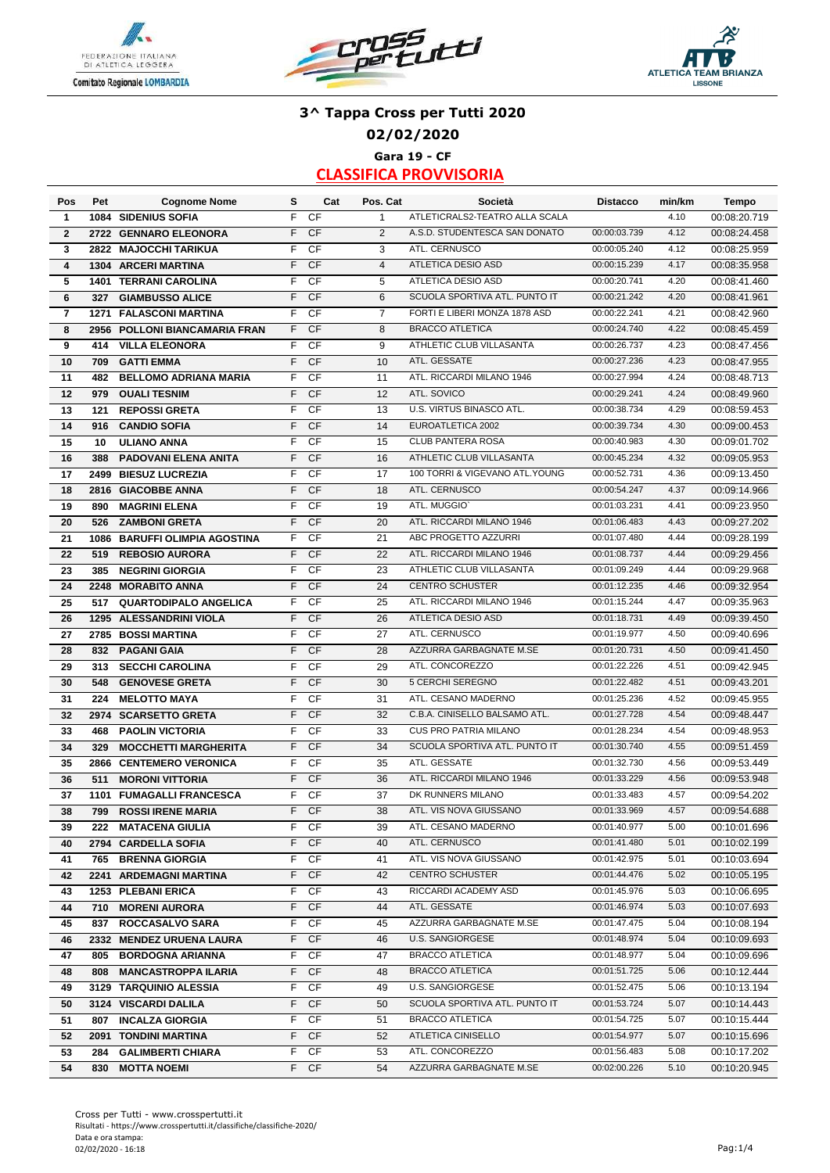





## **Gara 19 - CF 3^ Tappa Cross per Tutti 2020 02/02/2020**

| Pos            | Pet  | <b>Cognome Nome</b>             | s  | Cat       | Pos. Cat       | Società                        | <b>Distacco</b> | min/km | <b>Tempo</b> |
|----------------|------|---------------------------------|----|-----------|----------------|--------------------------------|-----------------|--------|--------------|
| $\mathbf{1}$   |      | 1084 SIDENIUS SOFIA             | F  | CF        | $\mathbf{1}$   | ATLETICRALS2-TEATRO ALLA SCALA |                 | 4.10   | 00:08:20.719 |
| $\overline{2}$ |      | 2722 GENNARO ELEONORA           | F. | <b>CF</b> | 2              | A.S.D. STUDENTESCA SAN DONATO  | 00:00:03.739    | 4.12   | 00:08:24.458 |
| 3              |      | 2822 MAJOCCHI TARIKUA           | F  | CF        | 3              | ATL. CERNUSCO                  | 00:00:05.240    | 4.12   | 00:08:25.959 |
| 4              |      | 1304 ARCERI MARTINA             | F. | <b>CF</b> | $\overline{4}$ | ATLETICA DESIO ASD             | 00:00:15.239    | 4.17   | 00:08:35.958 |
| 5              |      | <b>1401 TERRANI CAROLINA</b>    | F  | CF        | 5              | ATLETICA DESIO ASD             | 00:00:20.741    | 4.20   | 00:08:41.460 |
| 6              | 327  | <b>GIAMBUSSO ALICE</b>          | F. | <b>CF</b> | 6              | SCUOLA SPORTIVA ATL. PUNTO IT  | 00:00:21.242    | 4.20   | 00:08:41.961 |
| 7              | 1271 | <b>FALASCONI MARTINA</b>        | F. | CF        | $\overline{7}$ | FORTI E LIBERI MONZA 1878 ASD  | 00:00:22.241    | 4.21   | 00:08:42.960 |
| 8              | 2956 | POLLONI BIANCAMARIA FRAN        | F. | <b>CF</b> | 8              | <b>BRACCO ATLETICA</b>         | 00:00:24.740    | 4.22   | 00:08:45.459 |
| 9              | 414  | <b>VILLA ELEONORA</b>           | F  | CF        | 9              | ATHLETIC CLUB VILLASANTA       | 00:00:26.737    | 4.23   | 00:08:47.456 |
| 10             | 709  | <b>GATTI EMMA</b>               | F. | <b>CF</b> | 10             | ATL. GESSATE                   | 00:00:27.236    | 4.23   | 00:08:47.955 |
| 11             | 482  | <b>BELLOMO ADRIANA MARIA</b>    | F. | CF        | 11             | ATL. RICCARDI MILANO 1946      | 00:00:27.994    | 4.24   | 00:08:48.713 |
| 12             | 979  | <b>OUALI TESNIM</b>             | F. | <b>CF</b> | 12             | ATL. SOVICO                    | 00:00:29.241    | 4.24   | 00:08:49.960 |
| 13             | 121  | <b>REPOSSI GRETA</b>            | F. | CF        | 13             | U.S. VIRTUS BINASCO ATL.       | 00:00:38.734    | 4.29   | 00:08:59.453 |
| 14             | 916  | <b>CANDIO SOFIA</b>             | F. | <b>CF</b> | 14             | EUROATLETICA 2002              | 00:00:39.734    | 4.30   | 00:09:00.453 |
| 15             | 10   | <b>ULIANO ANNA</b>              | F  | CF        | 15             | <b>CLUB PANTERA ROSA</b>       | 00:00:40.983    | 4.30   | 00:09:01.702 |
| 16             | 388  | <b>PADOVANI ELENA ANITA</b>     | F  | <b>CF</b> | 16             | ATHLETIC CLUB VILLASANTA       | 00:00:45.234    | 4.32   | 00:09:05.953 |
| 17             | 2499 | <b>BIESUZ LUCREZIA</b>          | F  | CF        | 17             | 100 TORRI & VIGEVANO ATL.YOUNG | 00:00:52.731    | 4.36   | 00:09:13.450 |
| 18             | 2816 | <b>GIACOBBE ANNA</b>            | F. | <b>CF</b> | 18             | ATL. CERNUSCO                  | 00:00:54.247    | 4.37   | 00:09:14.966 |
| 19             | 890  | <b>MAGRINI ELENA</b>            | F  | CF        | 19             | ATL. MUGGIO'                   | 00:01:03.231    | 4.41   | 00:09:23.950 |
| 20             | 526  | <b>ZAMBONI GRETA</b>            | F. | <b>CF</b> | 20             | ATL. RICCARDI MILANO 1946      | 00:01:06.483    | 4.43   | 00:09:27.202 |
| 21             | 1086 | <b>BARUFFI OLIMPIA AGOSTINA</b> | F. | CF        | 21             | ABC PROGETTO AZZURRI           | 00:01:07.480    | 4.44   | 00:09:28.199 |
| 22             | 519  | <b>REBOSIO AURORA</b>           | F. | <b>CF</b> | 22             | ATL. RICCARDI MILANO 1946      | 00:01:08.737    | 4.44   | 00:09:29.456 |
| 23             | 385  | <b>NEGRINI GIORGIA</b>          | F. | CF        | 23             | ATHLETIC CLUB VILLASANTA       | 00:01:09.249    | 4.44   | 00:09:29.968 |
| 24             | 2248 | <b>MORABITO ANNA</b>            | F  | <b>CF</b> | 24             | <b>CENTRO SCHUSTER</b>         | 00:01:12.235    | 4.46   | 00:09:32.954 |
| 25             | 517  | <b>QUARTODIPALO ANGELICA</b>    | F. | CF        | 25             | ATL. RICCARDI MILANO 1946      | 00:01:15.244    | 4.47   | 00:09:35.963 |
| 26             |      | 1295 ALESSANDRINI VIOLA         | F. | CF        | 26             | ATLETICA DESIO ASD             | 00:01:18.731    | 4.49   | 00:09:39.450 |
| 27             |      | 2785 BOSSI MARTINA              | F. | CF        | 27             | ATL. CERNUSCO                  | 00:01:19.977    | 4.50   | 00:09:40.696 |
| 28             |      | 832 PAGANI GAIA                 | F  | <b>CF</b> | 28             | AZZURRA GARBAGNATE M.SE        | 00:01:20.731    | 4.50   | 00:09:41.450 |
| 29             | 313  | <b>SECCHI CAROLINA</b>          | F  | CF        | 29             | ATL. CONCOREZZO                | 00:01:22.226    | 4.51   | 00:09:42.945 |
| 30             | 548  | <b>GENOVESE GRETA</b>           | F  | <b>CF</b> | 30             | 5 CERCHI SEREGNO               | 00:01:22.482    | 4.51   | 00:09:43.201 |
| 31             | 224  | <b>MELOTTO MAYA</b>             | F  | CF        | 31             | ATL. CESANO MADERNO            | 00:01:25.236    | 4.52   | 00:09:45.955 |
| 32             | 2974 | <b>SCARSETTO GRETA</b>          | F  | <b>CF</b> | 32             | C.B.A. CINISELLO BALSAMO ATL.  | 00:01:27.728    | 4.54   | 00:09:48.447 |
| 33             | 468  | <b>PAOLIN VICTORIA</b>          | F. | CF        | 33             | CUS PRO PATRIA MILANO          | 00:01:28.234    | 4.54   | 00:09:48.953 |
| 34             | 329  | <b>MOCCHETTI MARGHERITA</b>     | F. | <b>CF</b> | 34             | SCUOLA SPORTIVA ATL. PUNTO IT  | 00:01:30.740    | 4.55   | 00:09:51.459 |
| 35             |      | 2866 CENTEMERO VERONICA         | F  | CF        | 35             | ATL. GESSATE                   | 00:01:32.730    | 4.56   | 00:09:53.449 |
| 36             | 511  | <b>MORONI VITTORIA</b>          | F. | <b>CF</b> | 36             | ATL. RICCARDI MILANO 1946      | 00:01:33.229    | 4.56   | 00:09:53.948 |
| 37             | 1101 | <b>FUMAGALLI FRANCESCA</b>      | F  | CF        | 37             | DK RUNNERS MILANO              | 00:01:33.483    | 4.57   | 00:09:54.202 |
| 38             | 799  | <b>ROSSI IRENE MARIA</b>        | F  | <b>CF</b> | 38             | ATL. VIS NOVA GIUSSANO         | 00:01:33.969    | 4.57   | 00:09:54.688 |
| 39             |      | 222 MATACENA GIULIA             |    | F CF      | 39             | ATL. CESANO MADERNO            | 00:01:40.977    | 5.00   | 00:10:01.696 |
| 40             |      | 2794 CARDELLA SOFIA             |    | F CF      | 40             | ATL. CERNUSCO                  | 00:01:41.480    | 5.01   | 00:10:02.199 |
| 41             |      | 765 BRENNA GIORGIA              | F  | CF        | 41             | ATL. VIS NOVA GIUSSANO         | 00:01:42.975    | 5.01   | 00:10:03.694 |
| 42             |      | 2241 ARDEMAGNI MARTINA          | F  | <b>CF</b> | 42             | <b>CENTRO SCHUSTER</b>         | 00:01:44.476    | 5.02   | 00:10:05.195 |
| 43             |      | 1253 PLEBANI ERICA              | F  | CF        | 43             | RICCARDI ACADEMY ASD           | 00:01:45.976    | 5.03   | 00:10:06.695 |
| 44             |      | 710 MORENI AURORA               | F. | <b>CF</b> | 44             | ATL. GESSATE                   | 00:01:46.974    | 5.03   | 00:10:07.693 |
| 45             |      | 837 ROCCASALVO SARA             | F. | CF        | 45             | AZZURRA GARBAGNATE M.SE        | 00:01:47.475    | 5.04   | 00:10:08.194 |
| 46             |      | 2332 MENDEZ URUENA LAURA        | F. | <b>CF</b> | 46             | <b>U.S. SANGIORGESE</b>        | 00:01:48.974    | 5.04   | 00:10:09.693 |
| 47             |      | 805 BORDOGNA ARIANNA            | F. | СF        | 47             | <b>BRACCO ATLETICA</b>         | 00:01:48.977    | 5.04   | 00:10:09.696 |
| 48             |      | 808 MANCASTROPPA ILARIA         | F. | CF        | 48             | <b>BRACCO ATLETICA</b>         | 00:01:51.725    | 5.06   | 00:10:12.444 |
| 49             |      | 3129 TARQUINIO ALESSIA          | F. | СF        | 49             | U.S. SANGIORGESE               | 00:01:52.475    | 5.06   | 00:10:13.194 |
| 50             |      | 3124 VISCARDI DALILA            | F. | CF        | 50             | SCUOLA SPORTIVA ATL. PUNTO IT  | 00:01:53.724    | 5.07   | 00:10:14.443 |
| 51             |      | 807 INCALZA GIORGIA             | F. | CF        | 51             | <b>BRACCO ATLETICA</b>         | 00:01:54.725    | 5.07   | 00:10:15.444 |
| 52             |      | 2091 TONDINI MARTINA            |    | F CF      | 52             | ATLETICA CINISELLO             | 00:01:54.977    | 5.07   | 00:10:15.696 |
| 53             |      | 284 GALIMBERTI CHIARA           |    | F CF      | 53             | ATL. CONCOREZZO                | 00:01:56.483    | 5.08   | 00:10:17.202 |
| 54             |      | 830 MOTTA NOEMI                 |    | F CF      | 54             | AZZURRA GARBAGNATE M.SE        | 00:02:00.226    | 5.10   | 00:10:20.945 |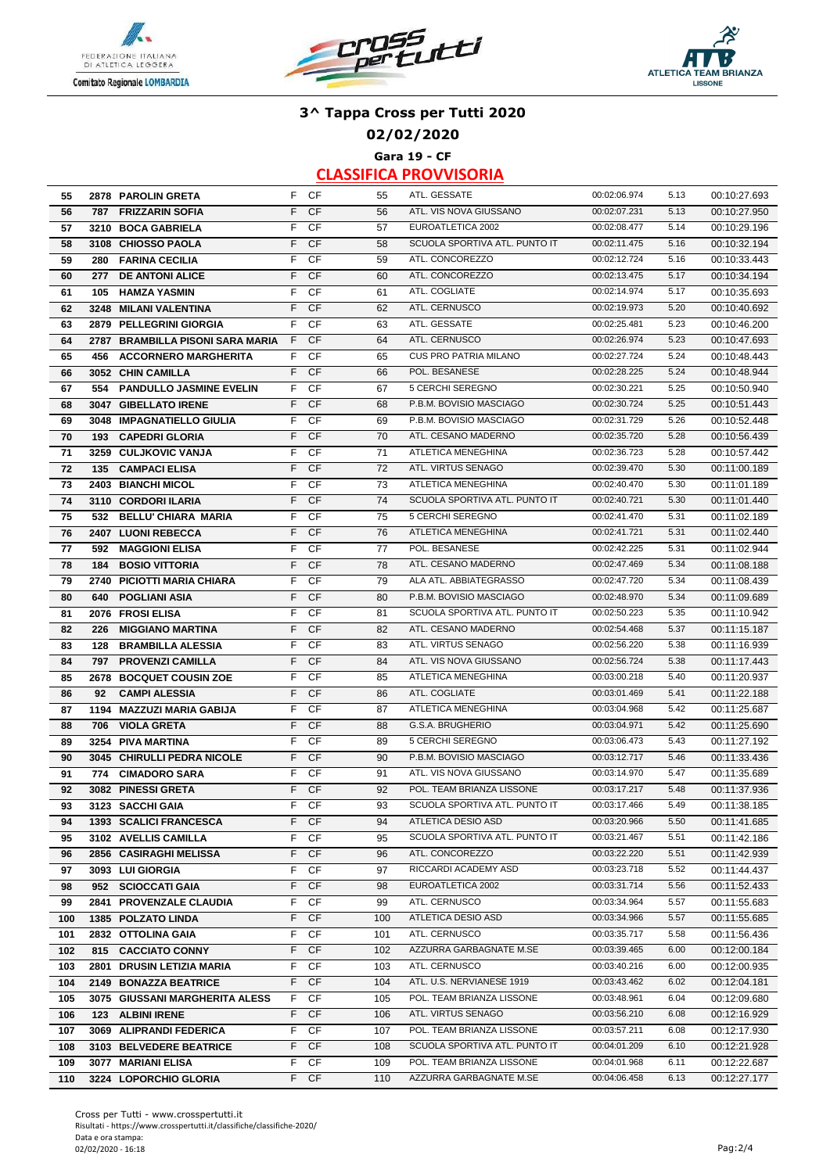





**02/02/2020**

**Gara 19 - CF**

| 55  | 2878 PAROLIN GRETA               |    | F CF      | 55  | ATL. GESSATE                  | 00:02:06.974 | 5.13 | 00:10:27.693 |
|-----|----------------------------------|----|-----------|-----|-------------------------------|--------------|------|--------------|
| 56  | <b>FRIZZARIN SOFIA</b><br>787    | F. | <b>CF</b> | 56  | ATL. VIS NOVA GIUSSANO        | 00:02:07.231 | 5.13 | 00:10:27.950 |
| 57  | 3210 BOCA GABRIELA               | F  | CF        | 57  | EUROATLETICA 2002             | 00:02:08.477 | 5.14 | 00:10:29.196 |
| 58  | 3108 CHIOSSO PAOLA               | F  | <b>CF</b> | 58  | SCUOLA SPORTIVA ATL. PUNTO IT | 00:02:11.475 | 5.16 | 00:10:32.194 |
| 59  | 280 FARINA CECILIA               | F. | CF        | 59  | ATL. CONCOREZZO               | 00:02:12.724 | 5.16 | 00:10:33.443 |
| 60  | 277 DE ANTONI ALICE              | F  | <b>CF</b> | 60  | ATL. CONCOREZZO               | 00:02:13.475 | 5.17 | 00:10:34.194 |
| 61  | 105 HAMZA YASMIN                 | F  | CF        | 61  | ATL. COGLIATE                 | 00:02:14.974 | 5.17 | 00:10:35.693 |
| 62  | 3248 MILANI VALENTINA            | F. | <b>CF</b> | 62  | ATL. CERNUSCO                 | 00:02:19.973 | 5.20 | 00:10:40.692 |
| 63  | 2879 PELLEGRINI GIORGIA          | F. | CF        | 63  | ATL. GESSATE                  | 00:02:25.481 | 5.23 | 00:10:46.200 |
| 64  | 2787 BRAMBILLA PISONI SARA MARIA | F. | <b>CF</b> | 64  | ATL. CERNUSCO                 | 00:02:26.974 | 5.23 | 00:10:47.693 |
|     |                                  | F. | <b>CF</b> | 65  | <b>CUS PRO PATRIA MILANO</b>  | 00:02:27.724 | 5.24 |              |
| 65  | 456 ACCORNERO MARGHERITA         | F. |           |     | POL. BESANESE                 |              |      | 00:10:48.443 |
| 66  | 3052 CHIN CAMILLA                |    | <b>CF</b> | 66  | 5 CERCHI SEREGNO              | 00:02:28.225 | 5.24 | 00:10:48.944 |
| 67  | 554 PANDULLO JASMINE EVELIN      | F  | CF        | 67  |                               | 00:02:30.221 | 5.25 | 00:10:50.940 |
| 68  | 3047 GIBELLATO IRENE             | F  | <b>CF</b> | 68  | P.B.M. BOVISIO MASCIAGO       | 00:02:30.724 | 5.25 | 00:10:51.443 |
| 69  | 3048 IMPAGNATIELLO GIULIA        | F  | CF        | 69  | P.B.M. BOVISIO MASCIAGO       | 00:02:31.729 | 5.26 | 00:10:52.448 |
| 70  | 193 CAPEDRI GLORIA               | F  | <b>CF</b> | 70  | ATL. CESANO MADERNO           | 00:02:35.720 | 5.28 | 00:10:56.439 |
| 71  | 3259 CULJKOVIC VANJA             | F. | CF        | 71  | ATLETICA MENEGHINA            | 00:02:36.723 | 5.28 | 00:10:57.442 |
| 72  | 135 CAMPACI ELISA                | F. | <b>CF</b> | 72  | ATL. VIRTUS SENAGO            | 00:02:39.470 | 5.30 | 00:11:00.189 |
| 73  | 2403 BIANCHI MICOL               | F  | CF        | 73  | ATLETICA MENEGHINA            | 00:02:40.470 | 5.30 | 00:11:01.189 |
| 74  | 3110 CORDORI ILARIA              | F  | <b>CF</b> | 74  | SCUOLA SPORTIVA ATL. PUNTO IT | 00:02:40.721 | 5.30 | 00:11:01.440 |
| 75  | 532 BELLU' CHIARA MARIA          | F  | CF        | 75  | 5 CERCHI SEREGNO              | 00:02:41.470 | 5.31 | 00:11:02.189 |
| 76  | 2407 LUONI REBECCA               | F. | <b>CF</b> | 76  | ATLETICA MENEGHINA            | 00:02:41.721 | 5.31 | 00:11:02.440 |
| 77  | <b>MAGGIONI ELISA</b><br>592     | F. | CF        | 77  | POL. BESANESE                 | 00:02:42.225 | 5.31 | 00:11:02.944 |
| 78  | <b>BOSIO VITTORIA</b><br>184     | F. | <b>CF</b> | 78  | ATL. CESANO MADERNO           | 00:02:47.469 | 5.34 | 00:11:08.188 |
| 79  | 2740 PICIOTTI MARIA CHIARA       | F  | CF        | 79  | ALA ATL. ABBIATEGRASSO        | 00:02:47.720 | 5.34 | 00:11:08.439 |
| 80  | <b>POGLIANI ASIA</b><br>640      | F  | <b>CF</b> | 80  | P.B.M. BOVISIO MASCIAGO       | 00:02:48.970 | 5.34 | 00:11:09.689 |
| 81  | 2076 FROSI ELISA                 | F  | CF        | 81  | SCUOLA SPORTIVA ATL. PUNTO IT | 00:02:50.223 | 5.35 | 00:11:10.942 |
| 82  | <b>MIGGIANO MARTINA</b><br>226   | F  | <b>CF</b> | 82  | ATL. CESANO MADERNO           | 00:02:54.468 | 5.37 | 00:11:15.187 |
| 83  | <b>BRAMBILLA ALESSIA</b><br>128  | F. | CF        | 83  | ATL. VIRTUS SENAGO            | 00:02:56.220 | 5.38 | 00:11:16.939 |
| 84  | 797 PROVENZI CAMILLA             | F  | <b>CF</b> | 84  | ATL. VIS NOVA GIUSSANO        | 00:02:56.724 | 5.38 | 00:11:17.443 |
| 85  | 2678 BOCQUET COUSIN ZOE          | F. | <b>CF</b> | 85  | ATLETICA MENEGHINA            | 00:03:00.218 | 5.40 | 00:11:20.937 |
| 86  | <b>CAMPI ALESSIA</b><br>92       | F  | <b>CF</b> | 86  | ATL. COGLIATE                 | 00:03:01.469 | 5.41 | 00:11:22.188 |
| 87  | 1194 MAZZUZI MARIA GABIJA        | F  | CF        | 87  | ATLETICA MENEGHINA            | 00:03:04.968 | 5.42 | 00:11:25.687 |
| 88  | <b>VIOLA GRETA</b><br>706        | F  | <b>CF</b> | 88  | G.S.A. BRUGHERIO              | 00:03:04.971 | 5.42 | 00:11:25.690 |
| 89  | 3254 PIVA MARTINA                | F  | CF        | 89  | 5 CERCHI SEREGNO              | 00:03:06.473 | 5.43 | 00:11:27.192 |
| 90  | 3045 CHIRULLI PEDRA NICOLE       | F. | <b>CF</b> | 90  | P.B.M. BOVISIO MASCIAGO       | 00:03:12.717 | 5.46 | 00:11:33.436 |
| 91  | <b>CIMADORO SARA</b><br>774      | F. | <b>CF</b> | 91  | ATL. VIS NOVA GIUSSANO        | 00:03:14.970 | 5.47 | 00:11:35.689 |
| 92  | 3082 PINESSI GRETA               | F  | <b>CF</b> | 92  | POL. TEAM BRIANZA LISSONE     | 00:03:17.217 | 5.48 | 00:11:37.936 |
| 93  | 3123 SACCHI GAIA                 | F  | CF        | 93  | SCUOLA SPORTIVA ATL. PUNTO IT | 00:03:17.466 | 5.49 | 00:11:38.185 |
| 94  | 1393 SCALICI FRANCESCA           |    | F CF      | 94  | ATLETICA DESIO ASD            | 00:03:20.966 | 5.50 | 00:11:41.685 |
| 95  | 3102 AVELLIS CAMILLA             | F  | CF        | 95  | SCUOLA SPORTIVA ATL. PUNTO IT | 00:03:21.467 | 5.51 | 00:11:42.186 |
| 96  | 2856 CASIRAGHI MELISSA           | F. | <b>CF</b> | 96  | ATL. CONCOREZZO               | 00:03:22.220 | 5.51 | 00:11:42.939 |
| 97  | 3093 LUI GIORGIA                 | F. | CF        | 97  | RICCARDI ACADEMY ASD          | 00:03:23.718 | 5.52 | 00:11:44.437 |
| 98  | 952 SCIOCCATI GAIA               | F. | <b>CF</b> | 98  | EUROATLETICA 2002             | 00:03:31.714 | 5.56 | 00:11:52.433 |
| 99  | 2841 PROVENZALE CLAUDIA          | F  | CF        | 99  | ATL. CERNUSCO                 | 00:03:34.964 | 5.57 | 00:11:55.683 |
| 100 | <b>1385 POLZATO LINDA</b>        | F. | <b>CF</b> | 100 | ATLETICA DESIO ASD            | 00:03:34.966 | 5.57 | 00:11:55.685 |
| 101 | 2832 OTTOLINA GAIA               | F  | CF        | 101 | ATL. CERNUSCO                 | 00:03:35.717 | 5.58 | 00:11:56.436 |
| 102 | 815 CACCIATO CONNY               | F  | <b>CF</b> | 102 | AZZURRA GARBAGNATE M.SE       | 00:03:39.465 | 6.00 | 00:12:00.184 |
| 103 | 2801 DRUSIN LETIZIA MARIA        | F. | <b>CF</b> | 103 | ATL. CERNUSCO                 | 00:03:40.216 | 6.00 | 00:12:00.935 |
| 104 | 2149 BONAZZA BEATRICE            | F. | <b>CF</b> | 104 | ATL. U.S. NERVIANESE 1919     | 00:03:43.462 | 6.02 | 00:12:04.181 |
| 105 | 3075 GIUSSANI MARGHERITA ALESS   | F  | CF        | 105 | POL. TEAM BRIANZA LISSONE     | 00:03:48.961 | 6.04 | 00:12:09.680 |
| 106 | 123 ALBINI IRENE                 | F  | <b>CF</b> | 106 | ATL. VIRTUS SENAGO            | 00:03:56.210 | 6.08 | 00:12:16.929 |
| 107 | 3069 ALIPRANDI FEDERICA          | F. | CF        | 107 | POL. TEAM BRIANZA LISSONE     | 00:03:57.211 | 6.08 | 00:12:17.930 |
| 108 | 3103 BELVEDERE BEATRICE          | F. | <b>CF</b> | 108 | SCUOLA SPORTIVA ATL. PUNTO IT | 00:04:01.209 | 6.10 | 00:12:21.928 |
| 109 | 3077 MARIANI ELISA               | F. | CF        | 109 | POL. TEAM BRIANZA LISSONE     | 00:04:01.968 | 6.11 | 00:12:22.687 |
| 110 | 3224 LOPORCHIO GLORIA            |    | F CF      | 110 | AZZURRA GARBAGNATE M.SE       | 00:04:06.458 | 6.13 | 00:12:27.177 |
|     |                                  |    |           |     |                               |              |      |              |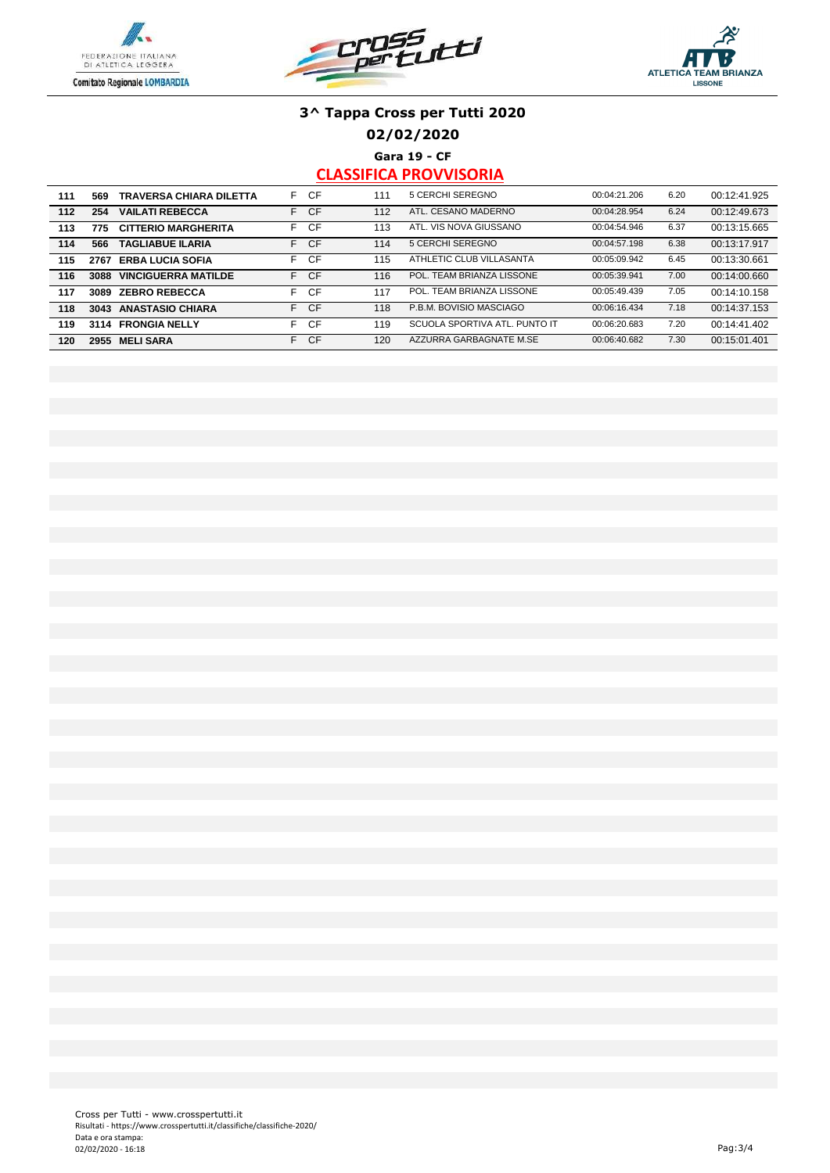





**02/02/2020**

**Gara 19 - CF**

| 111 | 569  | <b>TRAVERSA CHIARA DILETTA</b> | F. | CF        | 111 | 5 CERCHI SEREGNO              | 00:04:21.206 | 6.20 | 00:12:41.925 |
|-----|------|--------------------------------|----|-----------|-----|-------------------------------|--------------|------|--------------|
| 112 | 254  | <b>VAILATI REBECCA</b>         | F. | <b>CF</b> | 112 | ATL. CESANO MADERNO           | 00:04:28.954 | 6.24 | 00:12:49.673 |
| 113 | 775  | <b>CITTERIO MARGHERITA</b>     | F. | CF        | 113 | ATL. VIS NOVA GIUSSANO        | 00:04:54.946 | 6.37 | 00:13:15.665 |
| 114 | 566  | <b>TAGLIABUE ILARIA</b>        |    | F CF      | 114 | 5 CERCHI SEREGNO              | 00:04:57.198 | 6.38 | 00:13:17.917 |
| 115 | 2767 | <b>ERBA LUCIA SOFIA</b>        | F. | CF        | 115 | ATHLETIC CLUB VILLASANTA      | 00:05:09.942 | 6.45 | 00:13:30.661 |
| 116 | 3088 | <b>VINCIGUERRA MATILDE</b>     |    | F CF      | 116 | POL. TEAM BRIANZA LISSONE     | 00:05:39.941 | 7.00 | 00:14:00.660 |
| 117 | 3089 | <b>ZEBRO REBECCA</b>           | F. | CF        | 117 | POL. TEAM BRIANZA LISSONE     | 00:05:49.439 | 7.05 | 00:14:10.158 |
| 118 | 3043 | <b>ANASTASIO CHIARA</b>        | F. | <b>CF</b> | 118 | P.B.M. BOVISIO MASCIAGO       | 00:06:16.434 | 7.18 | 00:14:37.153 |
| 119 | 3114 | <b>FRONGIA NELLY</b>           | F. | CF        | 119 | SCUOLA SPORTIVA ATL. PUNTO IT | 00:06:20.683 | 7.20 | 00:14:41.402 |
| 120 | 2955 | <b>MELI SARA</b>               | F. | <b>CF</b> | 120 | AZZURRA GARBAGNATE M.SE       | 00:06:40.682 | 7.30 | 00:15:01.401 |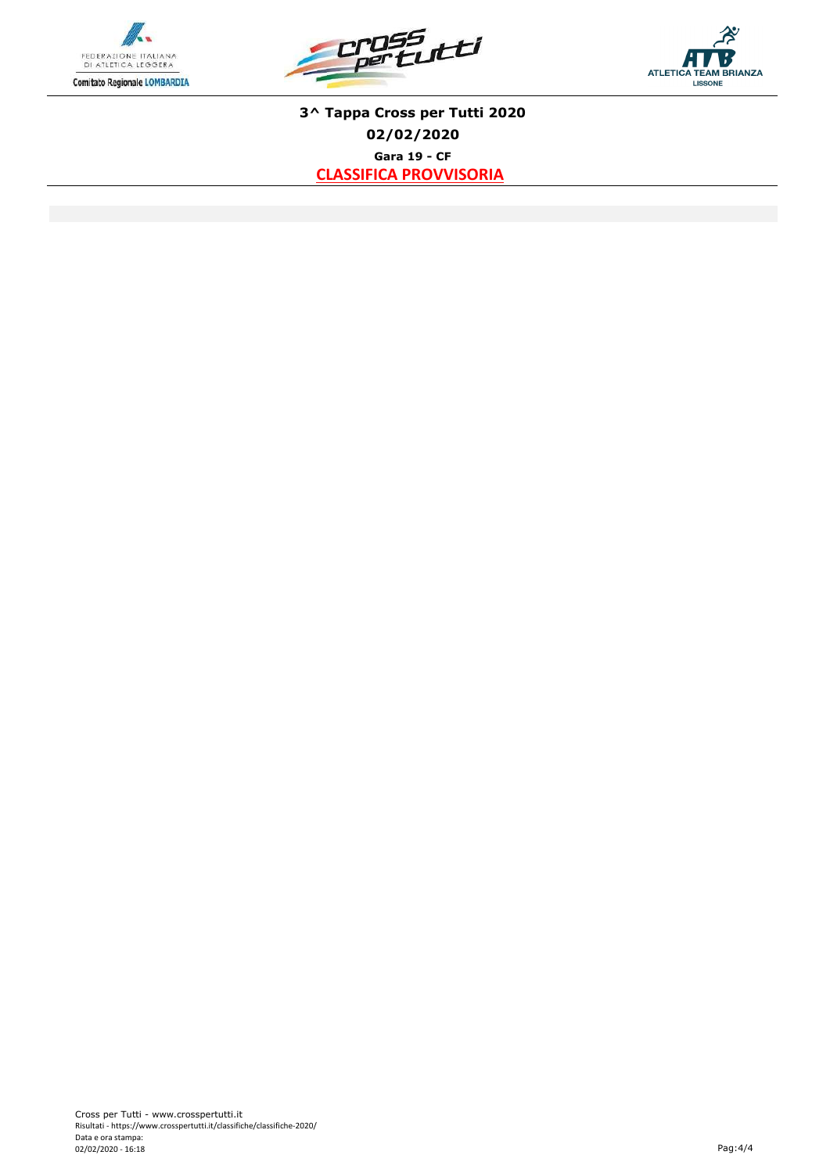





**Gara 19 - CF CLASSIFICA PROVVISORIA 3^ Tappa Cross per Tutti 2020 02/02/2020**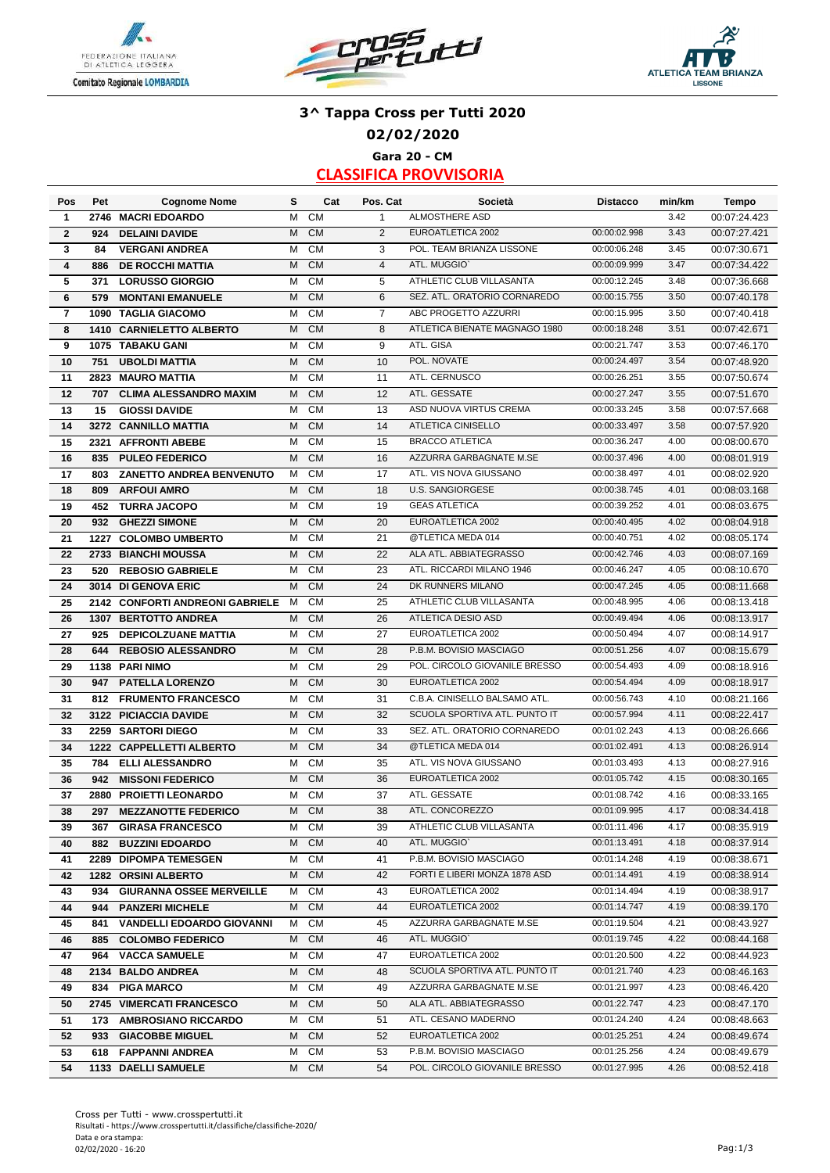





# **3^ Tappa Cross per Tutti 2020 02/02/2020 Gara 20 - CM**

| Pos            | Pet  | <b>Cognome Nome</b>              | s      | Cat       | Pos. Cat       | Società                       | <b>Distacco</b> | min/km | <b>Tempo</b> |
|----------------|------|----------------------------------|--------|-----------|----------------|-------------------------------|-----------------|--------|--------------|
| 1              | 2746 | <b>MACRI EDOARDO</b>             | M      | СM        | $\mathbf{1}$   | <b>ALMOSTHERE ASD</b>         |                 | 3.42   | 00:07:24.423 |
| $\mathbf{2}$   | 924  | <b>DELAINI DAVIDE</b>            | M      | <b>CM</b> | 2              | EUROATLETICA 2002             | 00:00:02.998    | 3.43   | 00:07:27.421 |
| 3              | 84   | <b>VERGANI ANDREA</b>            | M      | <b>CM</b> | 3              | POL. TEAM BRIANZA LISSONE     | 00:00:06.248    | 3.45   | 00:07:30.671 |
| 4              | 886  | <b>DE ROCCHI MATTIA</b>          | M      | <b>CM</b> | $\overline{4}$ | ATL. MUGGIO'                  | 00:00:09.999    | 3.47   | 00:07:34.422 |
| 5              | 371  | <b>LORUSSO GIORGIO</b>           | M      | <b>CM</b> | 5              | ATHLETIC CLUB VILLASANTA      | 00:00:12.245    | 3.48   | 00:07:36.668 |
| 6              | 579  | <b>MONTANI EMANUELE</b>          | M      | <b>CM</b> | 6              | SEZ. ATL. ORATORIO CORNAREDO  | 00:00:15.755    | 3.50   | 00:07:40.178 |
| $\overline{7}$ | 1090 | <b>TAGLIA GIACOMO</b>            | M      | <b>CM</b> | $\overline{7}$ | ABC PROGETTO AZZURRI          | 00:00:15.995    | 3.50   | 00:07:40.418 |
| 8              |      | 1410 CARNIELETTO ALBERTO         | M      | <b>CM</b> | 8              | ATLETICA BIENATE MAGNAGO 1980 | 00:00:18.248    | 3.51   | 00:07:42.671 |
| 9              |      | 1075 TABAKU GANI                 | м      | <b>CM</b> | 9              | ATL. GISA                     | 00:00:21.747    | 3.53   | 00:07:46.170 |
| 10             | 751  | <b>UBOLDI MATTIA</b>             | M      | <b>CM</b> | 10             | POL. NOVATE                   | 00:00:24.497    | 3.54   | 00:07:48.920 |
| 11             |      | 2823 MAURO MATTIA                | м      | <b>CM</b> | 11             | ATL. CERNUSCO                 | 00:00:26.251    | 3.55   | 00:07:50.674 |
| 12             | 707  | <b>CLIMA ALESSANDRO MAXIM</b>    | M      | <b>CM</b> | 12             | ATL. GESSATE                  | 00:00:27.247    | 3.55   | 00:07:51.670 |
| 13             | 15   | <b>GIOSSI DAVIDE</b>             | M      | <b>CM</b> | 13             | ASD NUOVA VIRTUS CREMA        | 00:00:33.245    | 3.58   | 00:07:57.668 |
| 14             | 3272 | <b>CANNILLO MATTIA</b>           | M      | <b>CM</b> | 14             | <b>ATLETICA CINISELLO</b>     | 00:00:33.497    | 3.58   | 00:07:57.920 |
| 15             |      | 2321 AFFRONTI ABEBE              | м      | <b>CM</b> | 15             | <b>BRACCO ATLETICA</b>        | 00:00:36.247    | 4.00   | 00:08:00.670 |
| 16             | 835  | <b>PULEO FEDERICO</b>            | M      | <b>CM</b> | 16             | AZZURRA GARBAGNATE M.SE       | 00:00:37.496    | 4.00   | 00:08:01.919 |
| 17             | 803  | <b>ZANETTO ANDREA BENVENUTO</b>  | м      | <b>CM</b> | 17             | ATL. VIS NOVA GIUSSANO        | 00:00:38.497    | 4.01   | 00:08:02.920 |
| 18             | 809  | <b>ARFOUI AMRO</b>               | M      | <b>CM</b> | 18             | <b>U.S. SANGIORGESE</b>       | 00:00:38.745    | 4.01   | 00:08:03.168 |
| 19             | 452  | <b>TURRA JACOPO</b>              | M      | <b>CM</b> | 19             | <b>GEAS ATLETICA</b>          | 00:00:39.252    | 4.01   | 00:08:03.675 |
|                |      |                                  |        | <b>CM</b> |                | EUROATLETICA 2002             | 00:00:40.495    | 4.02   |              |
| 20             | 932  | <b>GHEZZI SIMONE</b>             | M<br>M | <b>CM</b> | 20<br>21       | @TLETICA MEDA 014             | 00:00:40.751    | 4.02   | 00:08:04.918 |
| 21             |      | 1227 COLOMBO UMBERTO             |        |           |                | ALA ATL. ABBIATEGRASSO        |                 |        | 00:08:05.174 |
| 22             |      | 2733 BIANCHI MOUSSA              | M      | <b>CM</b> | 22             |                               | 00:00:42.746    | 4.03   | 00:08:07.169 |
| 23             | 520  | <b>REBOSIO GABRIELE</b>          | м      | <b>CM</b> | 23             | ATL. RICCARDI MILANO 1946     | 00:00:46.247    | 4.05   | 00:08:10.670 |
| 24             |      | 3014 DI GENOVA ERIC              | M      | <b>CM</b> | 24             | DK RUNNERS MILANO             | 00:00:47.245    | 4.05   | 00:08:11.668 |
| 25             |      | 2142 CONFORTI ANDREONI GABRIELE  | M      | <b>CM</b> | 25             | ATHLETIC CLUB VILLASANTA      | 00:00:48.995    | 4.06   | 00:08:13.418 |
| 26             |      | <b>1307 BERTOTTO ANDREA</b>      | M      | <b>CM</b> | 26             | ATLETICA DESIO ASD            | 00:00:49.494    | 4.06   | 00:08:13.917 |
| 27             | 925  | <b>DEPICOLZUANE MATTIA</b>       | M      | <b>CM</b> | 27             | EUROATLETICA 2002             | 00:00:50.494    | 4.07   | 00:08:14.917 |
| 28             | 644  | <b>REBOSIO ALESSANDRO</b>        | M      | <b>CM</b> | 28             | P.B.M. BOVISIO MASCIAGO       | 00:00:51.256    | 4.07   | 00:08:15.679 |
| 29             |      | 1138 PARI NIMO                   | M      | <b>CM</b> | 29             | POL. CIRCOLO GIOVANILE BRESSO | 00:00:54.493    | 4.09   | 00:08:18.916 |
| 30             | 947  | <b>PATELLA LORENZO</b>           | M      | <b>CM</b> | 30             | EUROATLETICA 2002             | 00:00:54.494    | 4.09   | 00:08:18.917 |
| 31             | 812  | <b>FRUMENTO FRANCESCO</b>        | М      | <b>CM</b> | 31             | C.B.A. CINISELLO BALSAMO ATL. | 00:00:56.743    | 4.10   | 00:08:21.166 |
| 32             |      | 3122 PICIACCIA DAVIDE            | M      | <b>CM</b> | 32             | SCUOLA SPORTIVA ATL. PUNTO IT | 00:00:57.994    | 4.11   | 00:08:22.417 |
| 33             |      | 2259 SARTORI DIEGO               | M      | <b>CM</b> | 33             | SEZ. ATL. ORATORIO CORNAREDO  | 00:01:02.243    | 4.13   | 00:08:26.666 |
| 34             |      | 1222 CAPPELLETTI ALBERTO         | M      | <b>CM</b> | 34             | @TLETICA MEDA 014             | 00:01:02.491    | 4.13   | 00:08:26.914 |
| 35             | 784  | <b>ELLI ALESSANDRO</b>           | м      | <b>CM</b> | 35             | ATL. VIS NOVA GIUSSANO        | 00:01:03.493    | 4.13   | 00:08:27.916 |
| 36             | 942  | <b>MISSONI FEDERICO</b>          | M      | <b>CM</b> | 36             | EUROATLETICA 2002             | 00:01:05.742    | 4.15   | 00:08:30.165 |
| 37             |      | 2880 PROIETTI LEONARDO           | M      | <b>CM</b> | 37             | ATL. GESSATE                  | 00:01:08.742    | 4.16   | 00:08:33.165 |
| 38             | 297  | <b>MEZZANOTTE FEDERICO</b>       | M      | <b>CM</b> | 38             | ATL. CONCOREZZO               | 00:01:09.995    | 4.17   | 00:08:34.418 |
| 39             |      | 367 GIRASA FRANCESCO             | M      | CM        | 39             | ATHLETIC CLUB VILLASANTA      | 00:01:11.496    | 4.17   | 00:08:35.919 |
| 40             | 882  | <b>BUZZINI EDOARDO</b>           | М      | <b>CM</b> | 40             | ATL. MUGGIO'                  | 00:01:13.491    | 4.18   | 00:08:37.914 |
| 41             |      | 2289 DIPOMPA TEMESGEN            | м      | CM        | 41             | P.B.M. BOVISIO MASCIAGO       | 00:01:14.248    | 4.19   | 00:08:38.671 |
| 42             |      | 1282 ORSINI ALBERTO              | M      | <b>CM</b> | 42             | FORTI E LIBERI MONZA 1878 ASD | 00:01:14.491    | 4.19   | 00:08:38.914 |
| 43             | 934  | <b>GIURANNA OSSEE MERVEILLE</b>  | М      | CM        | 43             | EUROATLETICA 2002             | 00:01:14.494    | 4.19   | 00:08:38.917 |
| 44             | 944  | <b>PANZERI MICHELE</b>           | M      | <b>CM</b> | 44             | EUROATLETICA 2002             | 00:01:14.747    | 4.19   | 00:08:39.170 |
| 45             | 841  | <b>VANDELLI EDOARDO GIOVANNI</b> | М      | CM        | 45             | AZZURRA GARBAGNATE M.SE       | 00:01:19.504    | 4.21   | 00:08:43.927 |
| 46             |      | 885 COLOMBO FEDERICO             | M      | <b>CM</b> | 46             | ATL. MUGGIO`                  | 00:01:19.745    | 4.22   | 00:08:44.168 |
| 47             | 964  | <b>VACCA SAMUELE</b>             | м      | СM        | 47             | EUROATLETICA 2002             | 00:01:20.500    | 4.22   | 00:08:44.923 |
| 48             |      | 2134 BALDO ANDREA                | M      | <b>CM</b> | 48             | SCUOLA SPORTIVA ATL. PUNTO IT | 00:01:21.740    | 4.23   | 00:08:46.163 |
| 49             |      | 834 PIGA MARCO                   | M      | CM        | 49             | AZZURRA GARBAGNATE M.SE       | 00:01:21.997    | 4.23   | 00:08:46.420 |
| 50             |      | 2745 VIMERCATI FRANCESCO         |        | M CM      | 50             | ALA ATL. ABBIATEGRASSO        | 00:01:22.747    | 4.23   | 00:08:47.170 |
| 51             |      | 173 AMBROSIANO RICCARDO          | м      | CM        | 51             | ATL. CESANO MADERNO           | 00:01:24.240    | 4.24   | 00:08:48.663 |
| 52             | 933  | <b>GIACOBBE MIGUEL</b>           | М      | <b>CM</b> | 52             | EUROATLETICA 2002             | 00:01:25.251    | 4.24   | 00:08:49.674 |
|                |      |                                  | м      | СM        |                | P.B.M. BOVISIO MASCIAGO       | 00:01:25.256    | 4.24   | 00:08:49.679 |
| 53             |      | 618 FAPPANNI ANDREA              |        |           | 53             | POL. CIRCOLO GIOVANILE BRESSO |                 | 4.26   |              |
| 54             |      | 1133 DAELLI SAMUELE              | M      | <b>CM</b> | 54             |                               | 00:01:27.995    |        | 00:08:52.418 |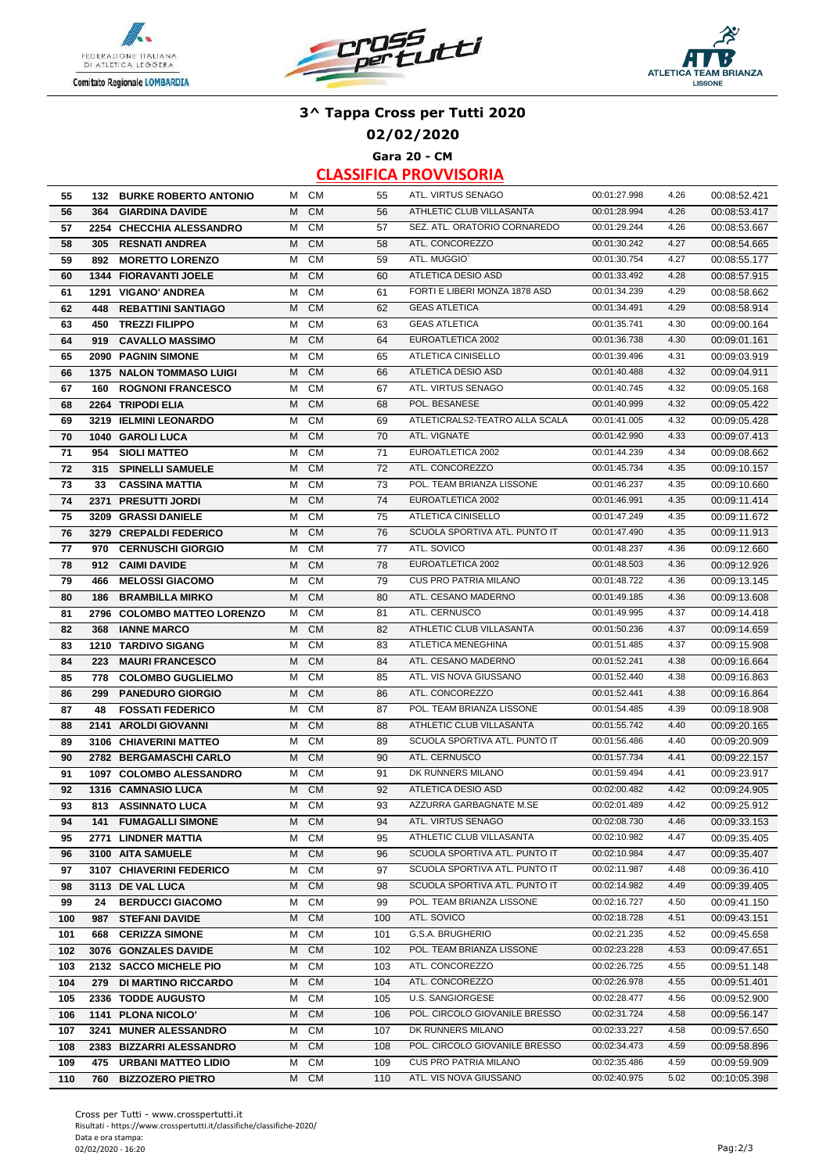





**02/02/2020**

**Gara 20 - CM**

| 55  |     | <b>132 BURKE ROBERTO ANTONIO</b> |   | M CM      | 55  | ATL. VIRTUS SENAGO             | 00:01:27.998 | 4.26 | 00:08:52.421 |
|-----|-----|----------------------------------|---|-----------|-----|--------------------------------|--------------|------|--------------|
| 56  | 364 | <b>GIARDINA DAVIDE</b>           | M | <b>CM</b> | 56  | ATHLETIC CLUB VILLASANTA       | 00:01:28.994 | 4.26 | 00:08:53.417 |
| 57  |     | 2254 CHECCHIA ALESSANDRO         | м | <b>CM</b> | 57  | SEZ. ATL. ORATORIO CORNAREDO   | 00:01:29.244 | 4.26 | 00:08:53.667 |
| 58  |     | 305 RESNATI ANDREA               | M | <b>CM</b> | 58  | ATL. CONCOREZZO                | 00:01:30.242 | 4.27 | 00:08:54.665 |
| 59  |     | 892 MORETTO LORENZO              | м | <b>CM</b> | 59  | ATL. MUGGIO'                   | 00:01:30.754 | 4.27 | 00:08:55.177 |
|     |     |                                  |   | <b>CM</b> |     | ATLETICA DESIO ASD             |              |      |              |
| 60  |     | 1344 FIORAVANTI JOELE            | м |           | 60  |                                | 00:01:33.492 | 4.28 | 00:08:57.915 |
| 61  |     | 1291 VIGANO' ANDREA              | м | <b>CM</b> | 61  | FORTI E LIBERI MONZA 1878 ASD  | 00:01:34.239 | 4.29 | 00:08:58.662 |
| 62  | 448 | <b>REBATTINI SANTIAGO</b>        | M | <b>CM</b> | 62  | <b>GEAS ATLETICA</b>           | 00:01:34.491 | 4.29 | 00:08:58.914 |
| 63  | 450 | <b>TREZZI FILIPPO</b>            | M | <b>CM</b> | 63  | <b>GEAS ATLETICA</b>           | 00:01:35.741 | 4.30 | 00:09:00.164 |
| 64  | 919 | <b>CAVALLO MASSIMO</b>           | M | <b>CM</b> | 64  | EUROATLETICA 2002              | 00:01:36.738 | 4.30 | 00:09:01.161 |
| 65  |     | 2090 PAGNIN SIMONE               | М | <b>CM</b> | 65  | ATLETICA CINISELLO             | 00:01:39.496 | 4.31 | 00:09:03.919 |
| 66  |     | <b>1375 NALON TOMMASO LUIGI</b>  | M | <b>CM</b> | 66  | ATLETICA DESIO ASD             | 00:01:40.488 | 4.32 | 00:09:04.911 |
| 67  | 160 | <b>ROGNONI FRANCESCO</b>         | M | <b>CM</b> | 67  | ATL. VIRTUS SENAGO             | 00:01:40.745 | 4.32 | 00:09:05.168 |
| 68  |     | 2264 TRIPODI ELIA                | M | <b>CM</b> | 68  | POL. BESANESE                  | 00:01:40.999 | 4.32 | 00:09:05.422 |
| 69  |     | 3219 IELMINI LEONARDO            | M | <b>CM</b> | 69  | ATLETICRALS2-TEATRO ALLA SCALA | 00:01:41.005 | 4.32 | 00:09:05.428 |
| 70  |     | 1040 GAROLI LUCA                 | м | <b>CM</b> | 70  | ATL. VIGNATE                   | 00:01:42.990 | 4.33 | 00:09:07.413 |
| 71  | 954 | <b>SIOLI MATTEO</b>              | М | <b>CM</b> | 71  | EUROATLETICA 2002              | 00:01:44.239 | 4.34 | 00:09:08.662 |
| 72  | 315 | <b>SPINELLI SAMUELE</b>          | м | <b>CM</b> | 72  | ATL. CONCOREZZO                | 00:01:45.734 | 4.35 | 00:09:10.157 |
| 73  | 33  | <b>CASSINA MATTIA</b>            | м | <b>CM</b> | 73  | POL. TEAM BRIANZA LISSONE      | 00:01:46.237 | 4.35 | 00:09:10.660 |
| 74  |     | 2371 PRESUTTI JORDI              | M | <b>CM</b> | 74  | EUROATLETICA 2002              | 00:01:46.991 | 4.35 | 00:09:11.414 |
| 75  |     | 3209 GRASSI DANIELE              | м | <b>CM</b> | 75  | ATLETICA CINISELLO             | 00:01:47.249 | 4.35 | 00:09:11.672 |
| 76  |     | 3279 CREPALDI FEDERICO           | M | <b>CM</b> | 76  | SCUOLA SPORTIVA ATL. PUNTO IT  | 00:01:47.490 | 4.35 | 00:09:11.913 |
| 77  | 970 | <b>CERNUSCHI GIORGIO</b>         | М | <b>CM</b> | 77  | ATL. SOVICO                    | 00:01:48.237 | 4.36 | 00:09:12.660 |
| 78  | 912 | <b>CAIMI DAVIDE</b>              | м | <b>CM</b> | 78  | EUROATLETICA 2002              | 00:01:48.503 | 4.36 | 00:09:12.926 |
| 79  | 466 | <b>MELOSSI GIACOMO</b>           | м | <b>CM</b> | 79  | CUS PRO PATRIA MILANO          | 00:01:48.722 | 4.36 | 00:09:13.145 |
| 80  |     | <b>BRAMBILLA MIRKO</b>           | M | <b>CM</b> | 80  | ATL. CESANO MADERNO            | 00:01:49.185 | 4.36 | 00:09:13.608 |
| 81  | 186 | 2796 COLOMBO MATTEO LORENZO      | м | <b>CM</b> | 81  | ATL. CERNUSCO                  | 00:01:49.995 | 4.37 | 00:09:14.418 |
|     |     |                                  |   |           |     |                                |              |      |              |
| 82  | 368 | <b>IANNE MARCO</b>               | M | <b>CM</b> | 82  | ATHLETIC CLUB VILLASANTA       | 00:01:50.236 | 4.37 | 00:09:14.659 |
| 83  |     | 1210 TARDIVO SIGANG              | м | <b>CM</b> | 83  | ATLETICA MENEGHINA             | 00:01:51.485 | 4.37 | 00:09:15.908 |
| 84  | 223 | <b>MAURI FRANCESCO</b>           | M | <b>CM</b> | 84  | ATL. CESANO MADERNO            | 00:01:52.241 | 4.38 | 00:09:16.664 |
| 85  |     | 778 COLOMBO GUGLIELMO            | м | <b>CM</b> | 85  | ATL. VIS NOVA GIUSSANO         | 00:01:52.440 | 4.38 | 00:09:16.863 |
| 86  | 299 | <b>PANEDURO GIORGIO</b>          | M | <b>CM</b> | 86  | ATL. CONCOREZZO                | 00:01:52.441 | 4.38 | 00:09:16.864 |
| 87  | 48  | <b>FOSSATI FEDERICO</b>          | м | <b>CM</b> | 87  | POL. TEAM BRIANZA LISSONE      | 00:01:54.485 | 4.39 | 00:09:18.908 |
| 88  |     | 2141 AROLDI GIOVANNI             | M | <b>CM</b> | 88  | ATHLETIC CLUB VILLASANTA       | 00:01:55.742 | 4.40 | 00:09:20.165 |
| 89  |     | 3106 CHIAVERINI MATTEO           | М | <b>CM</b> | 89  | SCUOLA SPORTIVA ATL. PUNTO IT  | 00:01:56.486 | 4.40 | 00:09:20.909 |
| 90  |     | 2782 BERGAMASCHI CARLO           | M | <b>CM</b> | 90  | ATL. CERNUSCO                  | 00:01:57.734 | 4.41 | 00:09:22.157 |
| 91  |     | 1097 COLOMBO ALESSANDRO          | м | <b>CM</b> | 91  | DK RUNNERS MILANO              | 00:01:59.494 | 4.41 | 00:09:23.917 |
| 92  |     | 1316 CAMNASIO LUCA               | M | <b>CM</b> | 92  | <b>ATLETICA DESIO ASD</b>      | 00:02:00.482 | 4.42 | 00:09:24.905 |
| 93  | 813 | <b>ASSINNATO LUCA</b>            | М | <b>CM</b> | 93  | AZZURRA GARBAGNATE M.SE        | 00:02:01.489 | 4.42 | 00:09:25.912 |
| 94  |     | <b>141 FUMAGALLI SIMONE</b>      | М | <b>CM</b> | 94  | ATL. VIRTUS SENAGO             | 00:02:08.730 | 4.46 | 00:09:33.153 |
| 95  |     | 2771 LINDNER MATTIA              | м | <b>CM</b> | 95  | ATHLETIC CLUB VILLASANTA       | 00:02:10.982 | 4.47 | 00:09:35.405 |
| 96  |     | 3100 AITA SAMUELE                | М | <b>CM</b> | 96  | SCUOLA SPORTIVA ATL. PUNTO IT  | 00:02:10.984 | 4.47 | 00:09:35.407 |
| 97  |     | 3107 CHIAVERINI FEDERICO         | м | <b>CM</b> | 97  | SCUOLA SPORTIVA ATL. PUNTO IT  | 00:02:11.987 | 4.48 | 00:09:36.410 |
| 98  |     | 3113 DE VAL LUCA                 | М | <b>CM</b> | 98  | SCUOLA SPORTIVA ATL. PUNTO IT  | 00:02:14.982 | 4.49 | 00:09:39.405 |
| 99  | 24  | <b>BERDUCCI GIACOMO</b>          | М | <b>CM</b> | 99  | POL. TEAM BRIANZA LISSONE      | 00:02:16.727 | 4.50 | 00:09:41.150 |
| 100 | 987 | <b>STEFANI DAVIDE</b>            | М | <b>CM</b> | 100 | ATL. SOVICO                    | 00:02:18.728 | 4.51 | 00:09:43.151 |
| 101 | 668 | <b>CERIZZA SIMONE</b>            | м | <b>CM</b> | 101 | G.S.A. BRUGHERIO               | 00:02:21.235 | 4.52 | 00:09:45.658 |
| 102 |     | 3076 GONZALES DAVIDE             | M | <b>CM</b> | 102 | POL. TEAM BRIANZA LISSONE      | 00:02:23.228 | 4.53 | 00:09:47.651 |
| 103 |     | 2132 SACCO MICHELE PIO           | м | <b>CM</b> | 103 | ATL. CONCOREZZO                | 00:02:26.725 | 4.55 | 00:09:51.148 |
| 104 | 279 | <b>DI MARTINO RICCARDO</b>       | M | <b>CM</b> | 104 | ATL. CONCOREZZO                | 00:02:26.978 | 4.55 | 00:09:51.401 |
|     |     |                                  | м |           |     | U.S. SANGIORGESE               |              | 4.56 |              |
| 105 |     | 2336 TODDE AUGUSTO               |   | <b>CM</b> | 105 |                                | 00:02:28.477 |      | 00:09:52.900 |
| 106 |     | 1141 PLONA NICOLO'               | м | <b>CM</b> | 106 | POL. CIRCOLO GIOVANILE BRESSO  | 00:02:31.724 | 4.58 | 00:09:56.147 |
| 107 |     | 3241 MUNER ALESSANDRO            | м | CM        | 107 | DK RUNNERS MILANO              | 00:02:33.227 | 4.58 | 00:09:57.650 |
| 108 |     | 2383 BIZZARRI ALESSANDRO         | м | <b>CM</b> | 108 | POL. CIRCOLO GIOVANILE BRESSO  | 00:02:34.473 | 4.59 | 00:09:58.896 |
| 109 |     | 475 URBANI MATTEO LIDIO          | м | <b>CM</b> | 109 | CUS PRO PATRIA MILANO          | 00:02:35.486 | 4.59 | 00:09:59.909 |
| 110 | 760 | <b>BIZZOZERO PIETRO</b>          |   | M CM      | 110 | ATL. VIS NOVA GIUSSANO         | 00:02:40.975 | 5.02 | 00:10:05.398 |